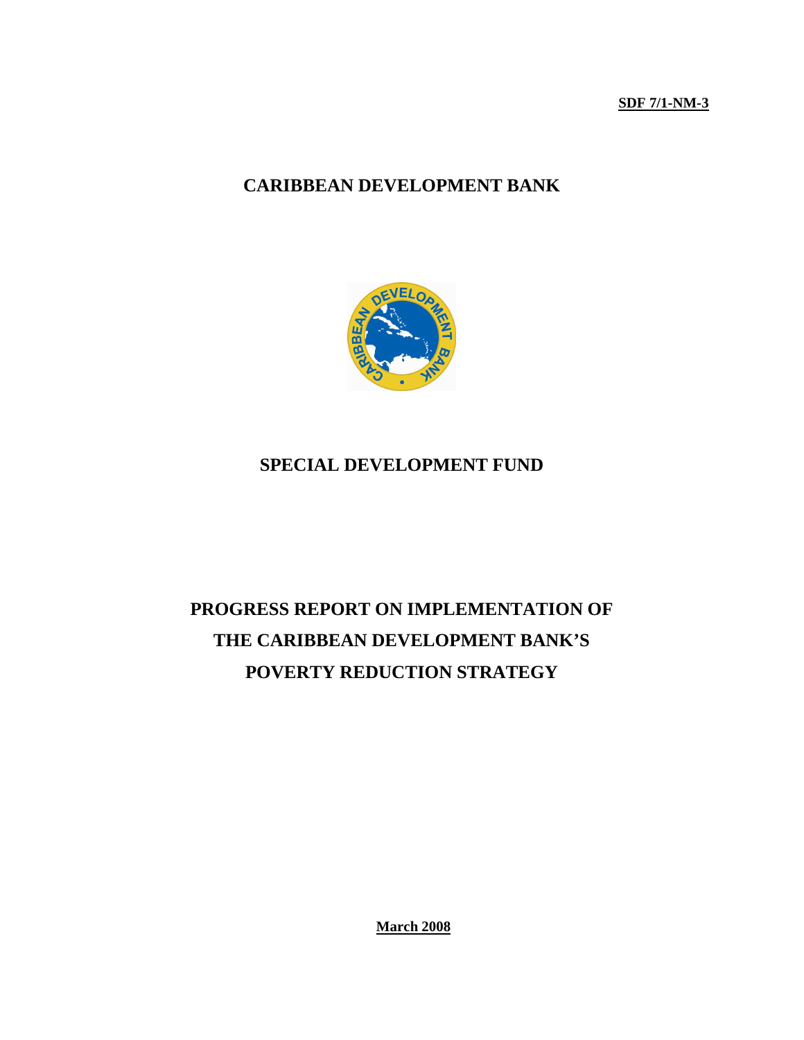**SDF 7/1-NM-3**

# **CARIBBEAN DEVELOPMENT BANK**



# **SPECIAL DEVELOPMENT FUND**

# **PROGRESS REPORT ON IMPLEMENTATION OF THE CARIBBEAN DEVELOPMENT BANK'S POVERTY REDUCTION STRATEGY**

**March 2008**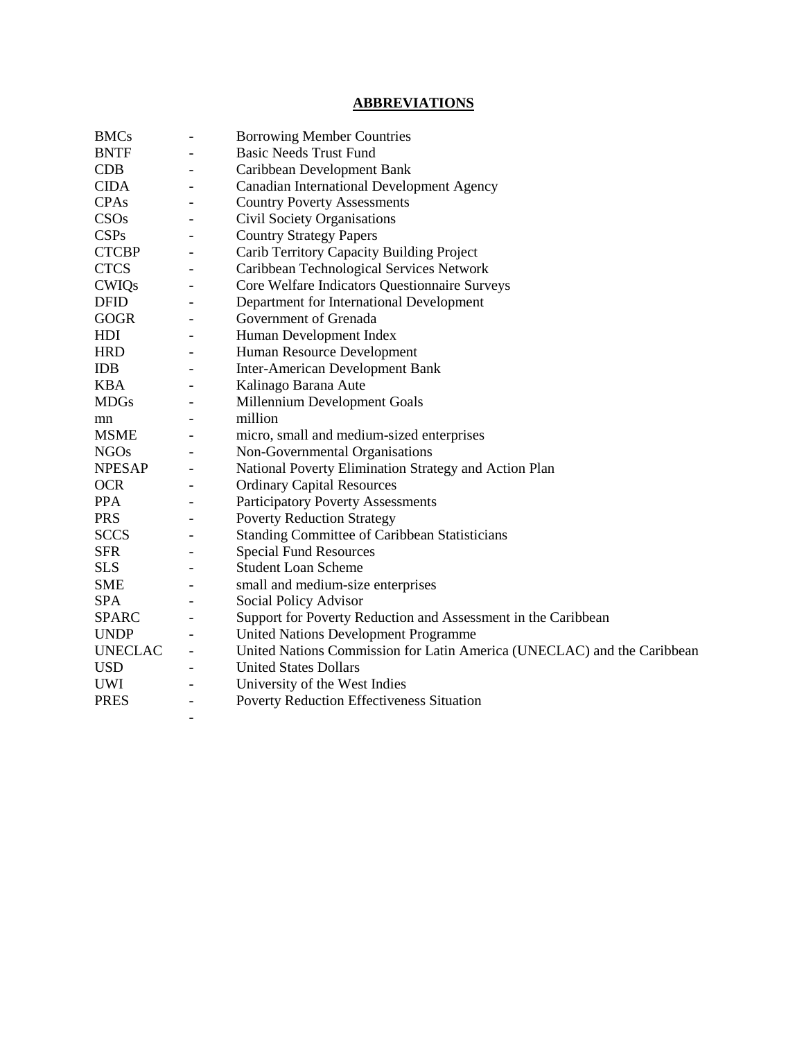# **ABBREVIATIONS**

| <b>BMCs</b>    | $\overline{\phantom{a}}$ | <b>Borrowing Member Countries</b>                                       |
|----------------|--------------------------|-------------------------------------------------------------------------|
| <b>BNTF</b>    | $\overline{\phantom{a}}$ | <b>Basic Needs Trust Fund</b>                                           |
| CDB            |                          | Caribbean Development Bank                                              |
| <b>CIDA</b>    | $\overline{\phantom{0}}$ | Canadian International Development Agency                               |
| <b>CPAs</b>    |                          | <b>Country Poverty Assessments</b>                                      |
| CSOs           |                          | Civil Society Organisations                                             |
| <b>CSPs</b>    |                          | <b>Country Strategy Papers</b>                                          |
| <b>CTCBP</b>   | $\overline{\phantom{a}}$ | Carib Territory Capacity Building Project                               |
| <b>CTCS</b>    | $\overline{\phantom{a}}$ | Caribbean Technological Services Network                                |
| <b>CWIQs</b>   | $\overline{\phantom{a}}$ | Core Welfare Indicators Questionnaire Surveys                           |
| <b>DFID</b>    | $\overline{\phantom{0}}$ | Department for International Development                                |
| <b>GOGR</b>    | $\blacksquare$           | Government of Grenada                                                   |
| HDI            | $\qquad \qquad -$        | Human Development Index                                                 |
| <b>HRD</b>     | $\qquad \qquad -$        | Human Resource Development                                              |
| <b>IDB</b>     | $\overline{\phantom{a}}$ | <b>Inter-American Development Bank</b>                                  |
| <b>KBA</b>     | $\overline{\phantom{a}}$ | Kalinago Barana Aute                                                    |
| <b>MDGs</b>    |                          | Millennium Development Goals                                            |
| mn             |                          | million                                                                 |
| <b>MSME</b>    |                          | micro, small and medium-sized enterprises                               |
| <b>NGOs</b>    |                          | Non-Governmental Organisations                                          |
| <b>NPESAP</b>  |                          | National Poverty Elimination Strategy and Action Plan                   |
| <b>OCR</b>     |                          | <b>Ordinary Capital Resources</b>                                       |
| <b>PPA</b>     | $\blacksquare$           | <b>Participatory Poverty Assessments</b>                                |
| <b>PRS</b>     |                          | <b>Poverty Reduction Strategy</b>                                       |
| <b>SCCS</b>    | $\overline{\phantom{a}}$ | <b>Standing Committee of Caribbean Statisticians</b>                    |
| <b>SFR</b>     | $\overline{\phantom{a}}$ | <b>Special Fund Resources</b>                                           |
| <b>SLS</b>     |                          | <b>Student Loan Scheme</b>                                              |
| <b>SME</b>     | $\overline{\phantom{a}}$ | small and medium-size enterprises                                       |
| <b>SPA</b>     | $\overline{\phantom{a}}$ | Social Policy Advisor                                                   |
| <b>SPARC</b>   | $\overline{\phantom{a}}$ | Support for Poverty Reduction and Assessment in the Caribbean           |
| <b>UNDP</b>    |                          | United Nations Development Programme                                    |
| <b>UNECLAC</b> |                          | United Nations Commission for Latin America (UNECLAC) and the Caribbean |
| <b>USD</b>     |                          | <b>United States Dollars</b>                                            |
| UWI            |                          | University of the West Indies                                           |
| <b>PRES</b>    |                          | <b>Poverty Reduction Effectiveness Situation</b>                        |
|                | $\overline{\phantom{a}}$ |                                                                         |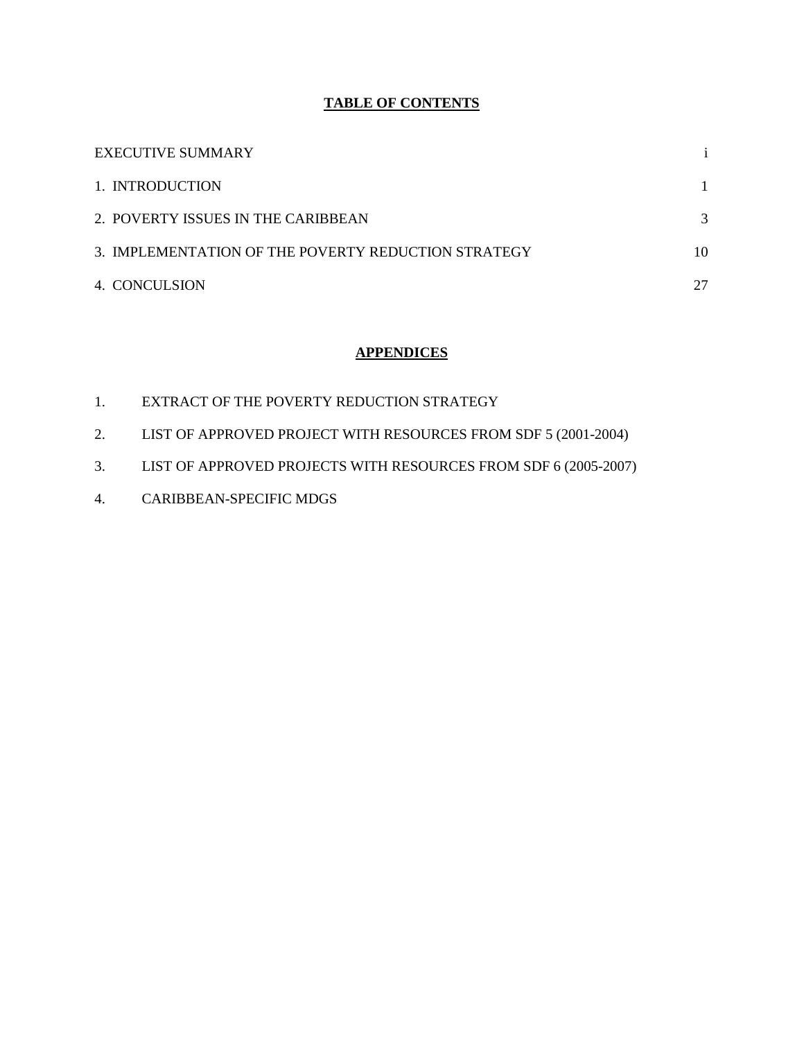# **TABLE OF CONTENTS**

| EXECUTIVE SUMMARY                                   |    |
|-----------------------------------------------------|----|
| 1. INTRODUCTION                                     |    |
| 2. POVERTY ISSUES IN THE CARIBBEAN                  | 3  |
| 3. IMPLEMENTATION OF THE POVERTY REDUCTION STRATEGY | 10 |
| 4. CONCULSION                                       | 27 |

# **APPENDICES**

- 1. EXTRACT OF THE POVERTY REDUCTION STRATEGY
- 2. LIST OF APPROVED PROJECT WITH RESOURCES FROM SDF 5 (2001-2004)
- 3. LIST OF APPROVED PROJECTS WITH RESOURCES FROM SDF 6 (2005-2007)
- 4. CARIBBEAN-SPECIFIC MDGS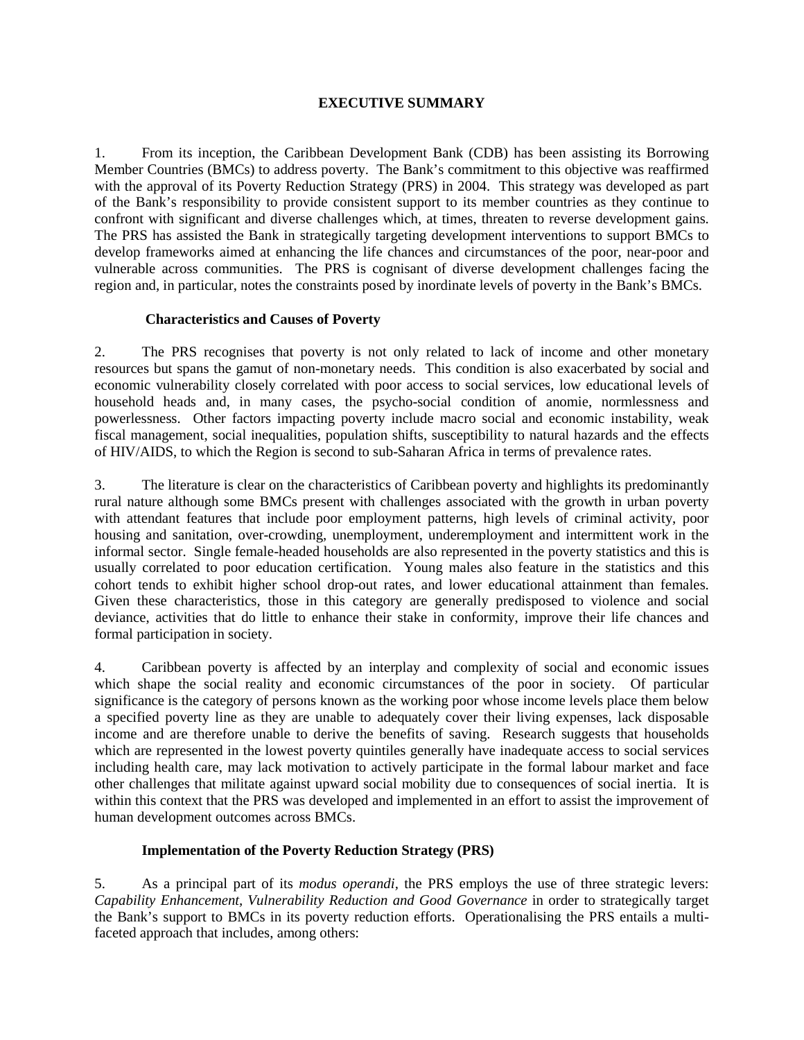#### **EXECUTIVE SUMMARY**

1. From its inception, the Caribbean Development Bank (CDB) has been assisting its Borrowing Member Countries (BMCs) to address poverty. The Bank's commitment to this objective was reaffirmed with the approval of its Poverty Reduction Strategy (PRS) in 2004. This strategy was developed as part of the Bank's responsibility to provide consistent support to its member countries as they continue to confront with significant and diverse challenges which, at times, threaten to reverse development gains. The PRS has assisted the Bank in strategically targeting development interventions to support BMCs to develop frameworks aimed at enhancing the life chances and circumstances of the poor, near-poor and vulnerable across communities. The PRS is cognisant of diverse development challenges facing the region and, in particular, notes the constraints posed by inordinate levels of poverty in the Bank's BMCs.

#### **Characteristics and Causes of Poverty**

2. The PRS recognises that poverty is not only related to lack of income and other monetary resources but spans the gamut of non-monetary needs. This condition is also exacerbated by social and economic vulnerability closely correlated with poor access to social services, low educational levels of household heads and, in many cases, the psycho-social condition of anomie, normlessness and powerlessness. Other factors impacting poverty include macro social and economic instability, weak fiscal management, social inequalities, population shifts, susceptibility to natural hazards and the effects of HIV/AIDS, to which the Region is second to sub-Saharan Africa in terms of prevalence rates.

3. The literature is clear on the characteristics of Caribbean poverty and highlights its predominantly rural nature although some BMCs present with challenges associated with the growth in urban poverty with attendant features that include poor employment patterns, high levels of criminal activity, poor housing and sanitation, over-crowding, unemployment, underemployment and intermittent work in the informal sector. Single female-headed households are also represented in the poverty statistics and this is usually correlated to poor education certification. Young males also feature in the statistics and this cohort tends to exhibit higher school drop-out rates, and lower educational attainment than females. Given these characteristics, those in this category are generally predisposed to violence and social deviance, activities that do little to enhance their stake in conformity, improve their life chances and formal participation in society.

4. Caribbean poverty is affected by an interplay and complexity of social and economic issues which shape the social reality and economic circumstances of the poor in society. Of particular significance is the category of persons known as the working poor whose income levels place them below a specified poverty line as they are unable to adequately cover their living expenses, lack disposable income and are therefore unable to derive the benefits of saving. Research suggests that households which are represented in the lowest poverty quintiles generally have inadequate access to social services including health care, may lack motivation to actively participate in the formal labour market and face other challenges that militate against upward social mobility due to consequences of social inertia. It is within this context that the PRS was developed and implemented in an effort to assist the improvement of human development outcomes across BMCs.

#### **Implementation of the Poverty Reduction Strategy (PRS)**

5. As a principal part of its *modus operandi,* the PRS employs the use of three strategic levers: *Capability Enhancement, Vulnerability Reduction and Good Governance* in order to strategically target the Bank's support to BMCs in its poverty reduction efforts. Operationalising the PRS entails a multifaceted approach that includes, among others: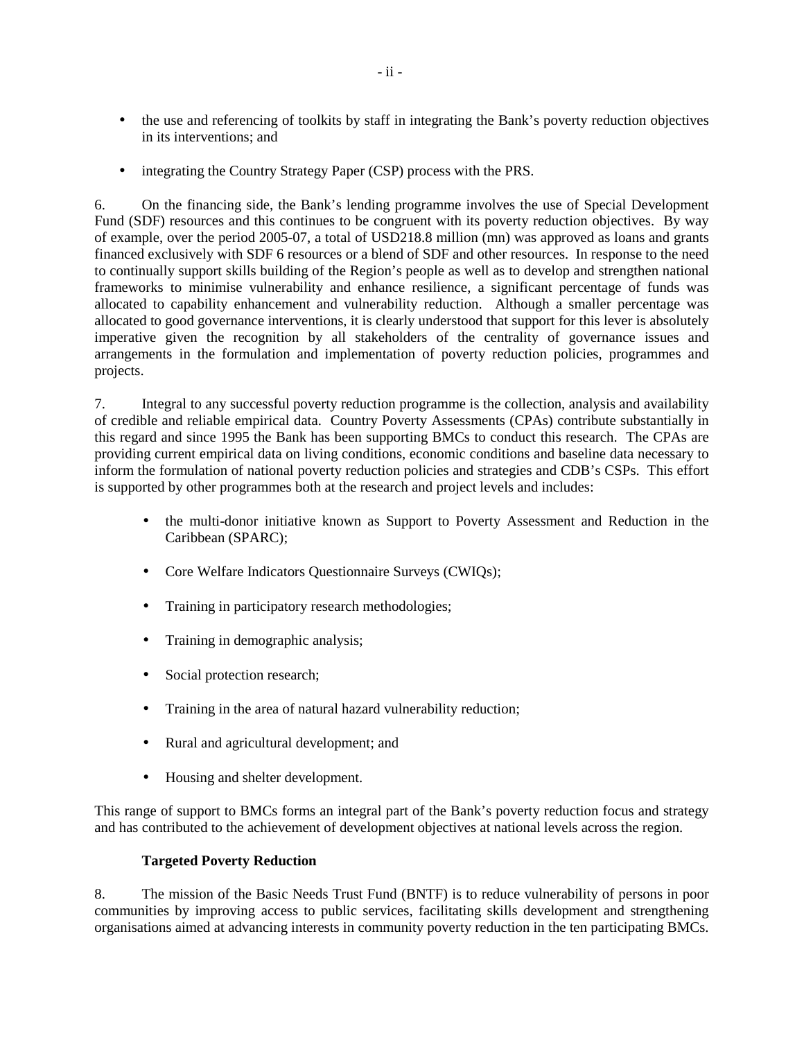- the use and referencing of toolkits by staff in integrating the Bank's poverty reduction objectives in its interventions; and
- integrating the Country Strategy Paper (CSP) process with the PRS.

6. On the financing side, the Bank's lending programme involves the use of Special Development Fund (SDF) resources and this continues to be congruent with its poverty reduction objectives. By way of example, over the period 2005-07, a total of USD218.8 million (mn) was approved as loans and grants financed exclusively with SDF 6 resources or a blend of SDF and other resources. In response to the need to continually support skills building of the Region's people as well as to develop and strengthen national frameworks to minimise vulnerability and enhance resilience, a significant percentage of funds was allocated to capability enhancement and vulnerability reduction. Although a smaller percentage was allocated to good governance interventions, it is clearly understood that support for this lever is absolutely imperative given the recognition by all stakeholders of the centrality of governance issues and arrangements in the formulation and implementation of poverty reduction policies, programmes and projects.

7. Integral to any successful poverty reduction programme is the collection, analysis and availability of credible and reliable empirical data. Country Poverty Assessments (CPAs) contribute substantially in this regard and since 1995 the Bank has been supporting BMCs to conduct this research. The CPAs are providing current empirical data on living conditions, economic conditions and baseline data necessary to inform the formulation of national poverty reduction policies and strategies and CDB's CSPs. This effort is supported by other programmes both at the research and project levels and includes:

- the multi-donor initiative known as Support to Poverty Assessment and Reduction in the Caribbean (SPARC);
- Core Welfare Indicators Questionnaire Surveys (CWIQs);
- Training in participatory research methodologies;
- Training in demographic analysis;
- Social protection research;
- Training in the area of natural hazard vulnerability reduction;
- Rural and agricultural development; and
- Housing and shelter development.

This range of support to BMCs forms an integral part of the Bank's poverty reduction focus and strategy and has contributed to the achievement of development objectives at national levels across the region.

#### **Targeted Poverty Reduction**

8. The mission of the Basic Needs Trust Fund (BNTF) is to reduce vulnerability of persons in poor communities by improving access to public services, facilitating skills development and strengthening organisations aimed at advancing interests in community poverty reduction in the ten participating BMCs.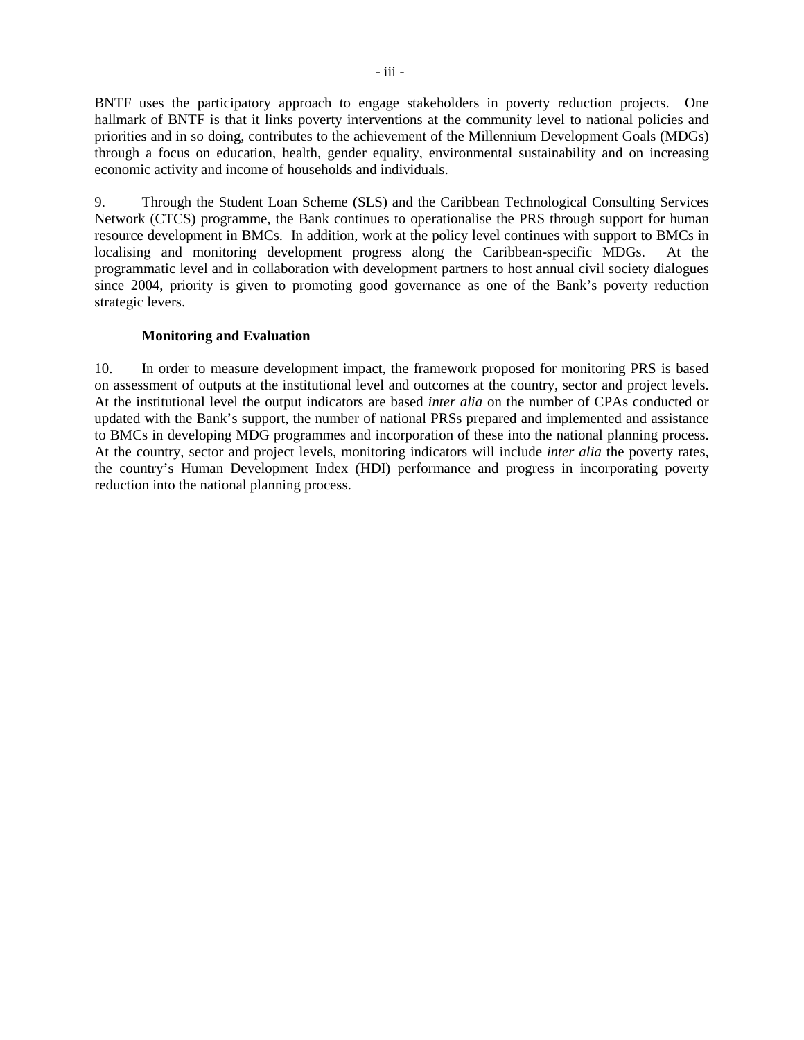BNTF uses the participatory approach to engage stakeholders in poverty reduction projects. One hallmark of BNTF is that it links poverty interventions at the community level to national policies and priorities and in so doing, contributes to the achievement of the Millennium Development Goals (MDGs) through a focus on education, health, gender equality, environmental sustainability and on increasing economic activity and income of households and individuals.

9. Through the Student Loan Scheme (SLS) and the Caribbean Technological Consulting Services Network (CTCS) programme, the Bank continues to operationalise the PRS through support for human resource development in BMCs. In addition, work at the policy level continues with support to BMCs in localising and monitoring development progress along the Caribbean-specific MDGs. At the programmatic level and in collaboration with development partners to host annual civil society dialogues since 2004, priority is given to promoting good governance as one of the Bank's poverty reduction strategic levers.

# **Monitoring and Evaluation**

10. In order to measure development impact, the framework proposed for monitoring PRS is based on assessment of outputs at the institutional level and outcomes at the country, sector and project levels. At the institutional level the output indicators are based *inter alia* on the number of CPAs conducted or updated with the Bank's support, the number of national PRSs prepared and implemented and assistance to BMCs in developing MDG programmes and incorporation of these into the national planning process. At the country, sector and project levels, monitoring indicators will include *inter alia* the poverty rates, the country's Human Development Index (HDI) performance and progress in incorporating poverty reduction into the national planning process.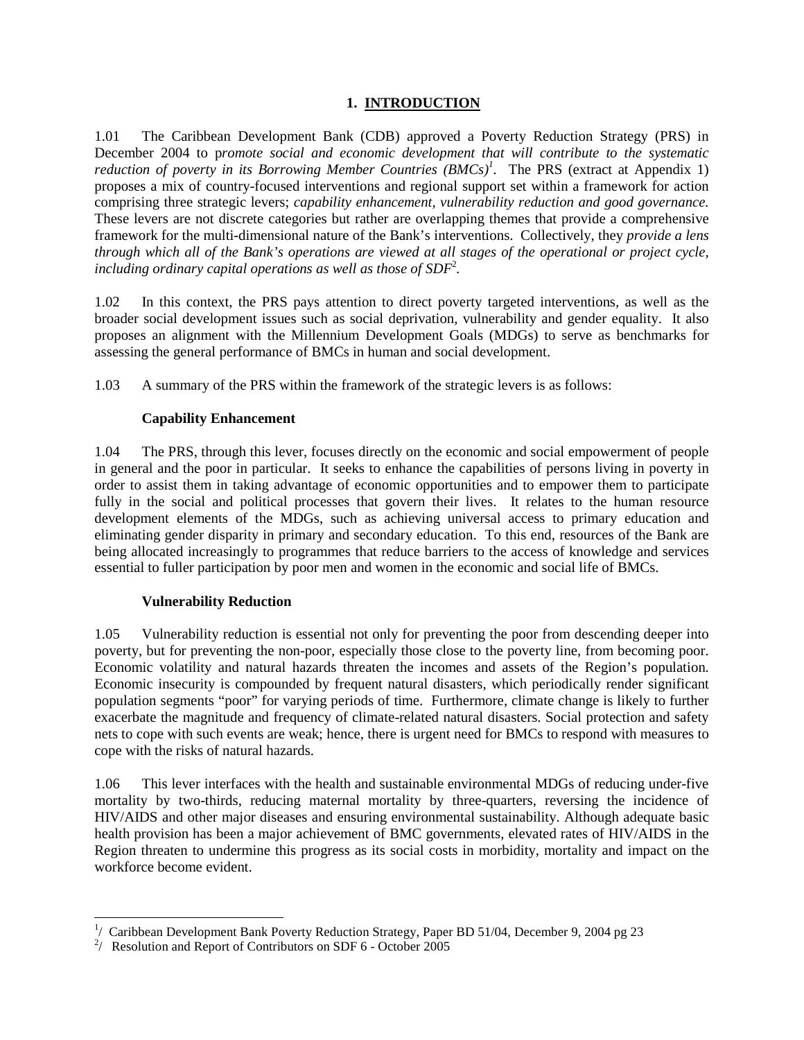# **1. INTRODUCTION**

1.01 The Caribbean Development Bank (CDB) approved a Poverty Reduction Strategy (PRS) in December 2004 to p*romote social and economic development that will contribute to the systematic reduction of poverty in its Borrowing Member Countries (BMCs)<sup>1</sup> .* The PRS (extract at Appendix 1) proposes a mix of country-focused interventions and regional support set within a framework for action comprising three strategic levers; *capability enhancement, vulnerability reduction and good governance.*  These levers are not discrete categories but rather are overlapping themes that provide a comprehensive framework for the multi-dimensional nature of the Bank's interventions. Collectively, they *provide a lens through which all of the Bank's operations are viewed at all stages of the operational or project cycle,*  including ordinary capital operations as well as those of SDF<sup>2</sup>.

1.02 In this context, the PRS pays attention to direct poverty targeted interventions*,* as well as the broader social development issues such as social deprivation, vulnerability and gender equality. It also proposes an alignment with the Millennium Development Goals (MDGs) to serve as benchmarks for assessing the general performance of BMCs in human and social development.

1.03 A summary of the PRS within the framework of the strategic levers is as follows:

# **Capability Enhancement**

1.04 The PRS, through this lever, focuses directly on the economic and social empowerment of people in general and the poor in particular. It seeks to enhance the capabilities of persons living in poverty in order to assist them in taking advantage of economic opportunities and to empower them to participate fully in the social and political processes that govern their lives. It relates to the human resource development elements of the MDGs, such as achieving universal access to primary education and eliminating gender disparity in primary and secondary education. To this end, resources of the Bank are being allocated increasingly to programmes that reduce barriers to the access of knowledge and services essential to fuller participation by poor men and women in the economic and social life of BMCs.

#### **Vulnerability Reduction**

1.05 Vulnerability reduction is essential not only for preventing the poor from descending deeper into poverty, but for preventing the non-poor, especially those close to the poverty line, from becoming poor. Economic volatility and natural hazards threaten the incomes and assets of the Region's population. Economic insecurity is compounded by frequent natural disasters, which periodically render significant population segments "poor" for varying periods of time. Furthermore, climate change is likely to further exacerbate the magnitude and frequency of climate-related natural disasters. Social protection and safety nets to cope with such events are weak; hence, there is urgent need for BMCs to respond with measures to cope with the risks of natural hazards.

1.06 This lever interfaces with the health and sustainable environmental MDGs of reducing under-five mortality by two-thirds, reducing maternal mortality by three-quarters, reversing the incidence of HIV/AIDS and other major diseases and ensuring environmental sustainability. Although adequate basic health provision has been a major achievement of BMC governments, elevated rates of HIV/AIDS in the Region threaten to undermine this progress as its social costs in morbidity, mortality and impact on the workforce become evident.

 $\overline{a}$ <sup>1</sup>/ Caribbean Development Bank Poverty Reduction Strategy, Paper BD 51/04, December 9, 2004 pg 23

<sup>&</sup>lt;sup>2</sup>/ Resolution and Report of Contributors on SDF 6 - October 2005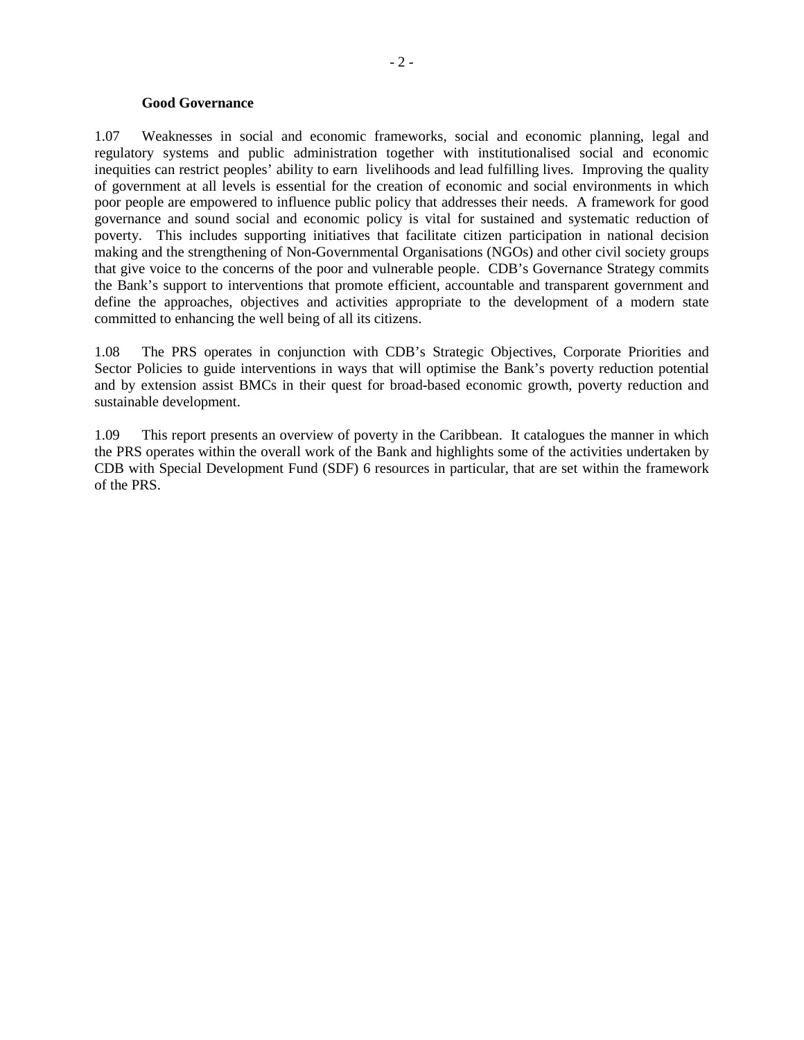#### **Good Governance**

1.07 Weaknesses in social and economic frameworks, social and economic planning, legal and regulatory systems and public administration together with institutionalised social and economic inequities can restrict peoples' ability to earn livelihoods and lead fulfilling lives. Improving the quality of government at all levels is essential for the creation of economic and social environments in which poor people are empowered to influence public policy that addresses their needs. A framework for good governance and sound social and economic policy is vital for sustained and systematic reduction of poverty. This includes supporting initiatives that facilitate citizen participation in national decision making and the strengthening of Non-Governmental Organisations (NGOs) and other civil society groups that give voice to the concerns of the poor and vulnerable people. CDB's Governance Strategy commits the Bank's support to interventions that promote efficient, accountable and transparent government and define the approaches, objectives and activities appropriate to the development of a modern state committed to enhancing the well being of all its citizens.

1.08 The PRS operates in conjunction with CDB's Strategic Objectives, Corporate Priorities and Sector Policies to guide interventions in ways that will optimise the Bank's poverty reduction potential and by extension assist BMCs in their quest for broad-based economic growth, poverty reduction and sustainable development.

1.09 This report presents an overview of poverty in the Caribbean. It catalogues the manner in which the PRS operates within the overall work of the Bank and highlights some of the activities undertaken by CDB with Special Development Fund (SDF) 6 resources in particular, that are set within the framework of the PRS.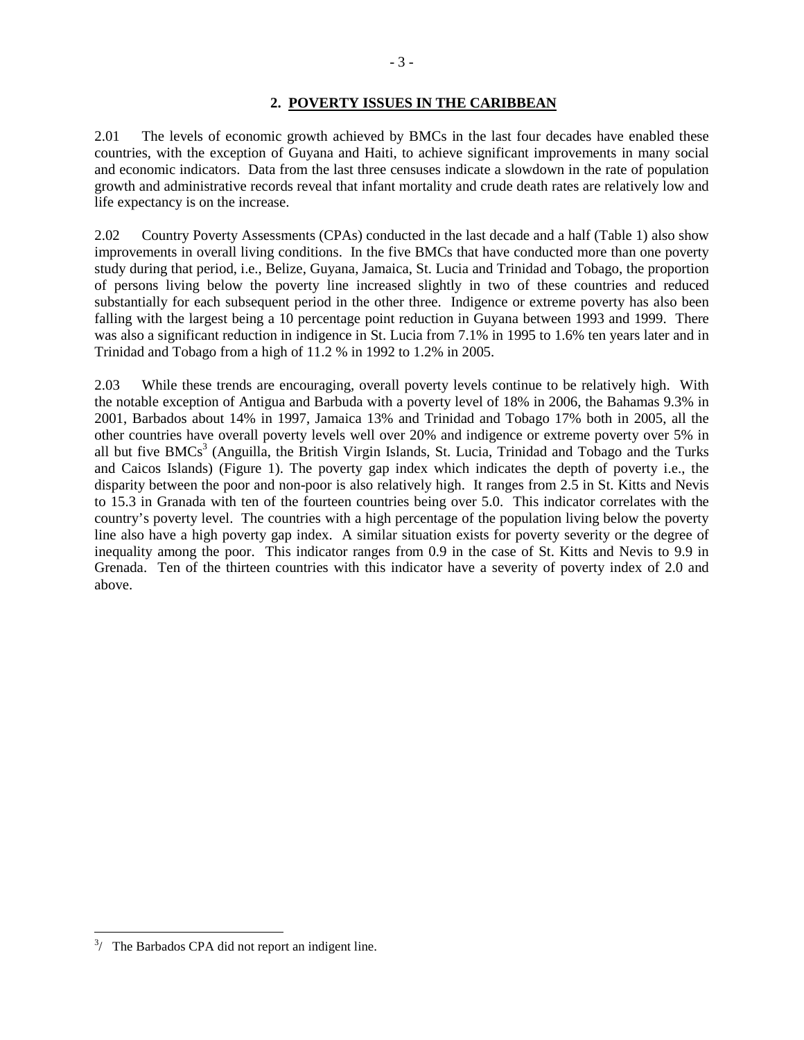2.01 The levels of economic growth achieved by BMCs in the last four decades have enabled these countries, with the exception of Guyana and Haiti, to achieve significant improvements in many social and economic indicators. Data from the last three censuses indicate a slowdown in the rate of population growth and administrative records reveal that infant mortality and crude death rates are relatively low and life expectancy is on the increase.

2.02 Country Poverty Assessments (CPAs) conducted in the last decade and a half (Table 1) also show improvements in overall living conditions. In the five BMCs that have conducted more than one poverty study during that period, i.e., Belize, Guyana, Jamaica, St. Lucia and Trinidad and Tobago, the proportion of persons living below the poverty line increased slightly in two of these countries and reduced substantially for each subsequent period in the other three. Indigence or extreme poverty has also been falling with the largest being a 10 percentage point reduction in Guyana between 1993 and 1999. There was also a significant reduction in indigence in St. Lucia from 7.1% in 1995 to 1.6% ten years later and in Trinidad and Tobago from a high of 11.2 % in 1992 to 1.2% in 2005.

2.03 While these trends are encouraging, overall poverty levels continue to be relatively high. With the notable exception of Antigua and Barbuda with a poverty level of 18% in 2006, the Bahamas 9.3% in 2001, Barbados about 14% in 1997, Jamaica 13% and Trinidad and Tobago 17% both in 2005, all the other countries have overall poverty levels well over 20% and indigence or extreme poverty over 5% in all but five BMCs<sup>3</sup> (Anguilla, the British Virgin Islands, St. Lucia, Trinidad and Tobago and the Turks and Caicos Islands) (Figure 1). The poverty gap index which indicates the depth of poverty i.e., the disparity between the poor and non-poor is also relatively high. It ranges from 2.5 in St. Kitts and Nevis to 15.3 in Granada with ten of the fourteen countries being over 5.0. This indicator correlates with the country's poverty level. The countries with a high percentage of the population living below the poverty line also have a high poverty gap index. A similar situation exists for poverty severity or the degree of inequality among the poor. This indicator ranges from 0.9 in the case of St. Kitts and Nevis to 9.9 in Grenada. Ten of the thirteen countries with this indicator have a severity of poverty index of 2.0 and above.

<u>.</u>

<sup>- 3 -</sup>

 $3/$  The Barbados CPA did not report an indigent line.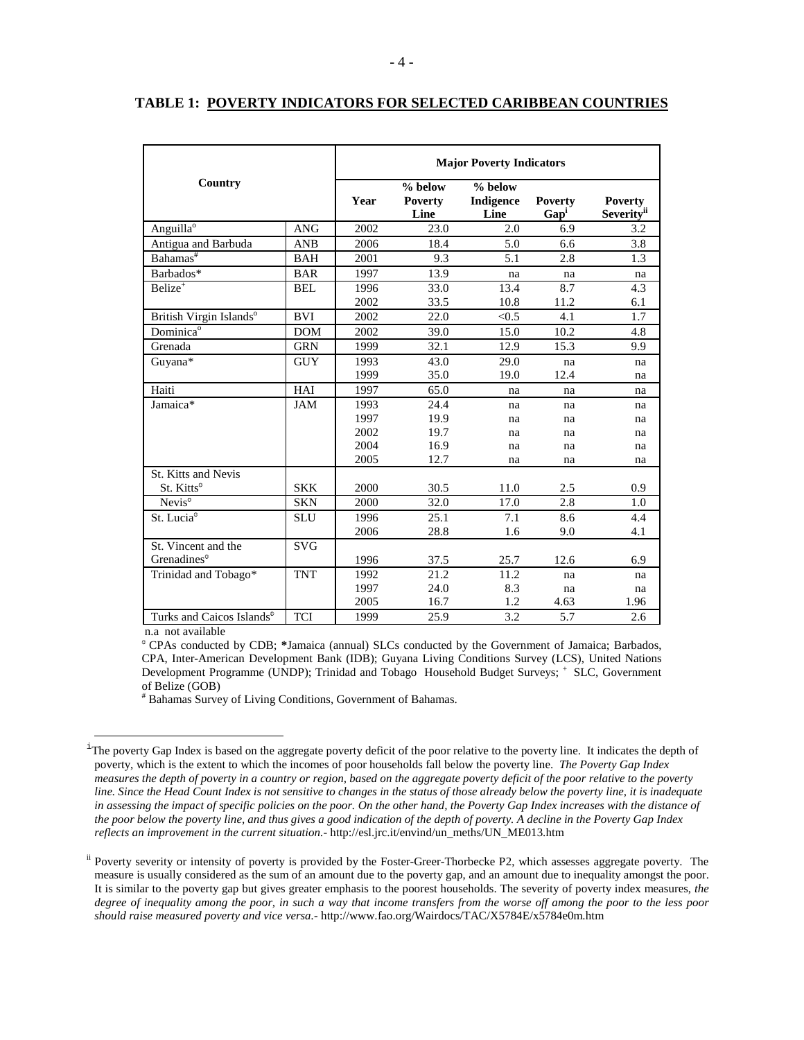|                                       | <b>Major Poverty Indicators</b> |      |                                   |                                |                                    |                                                 |  |  |
|---------------------------------------|---------------------------------|------|-----------------------------------|--------------------------------|------------------------------------|-------------------------------------------------|--|--|
| Country                               |                                 | Year | % below<br><b>Poverty</b><br>Line | $%$ below<br>Indigence<br>Line | <b>Poverty</b><br>Gap <sup>1</sup> | <b>Poverty</b><br><b>Severity</b> <sup>ii</sup> |  |  |
| Anguilla <sup>o</sup>                 | <b>ANG</b>                      | 2002 | 23.0                              | 2.0                            | 6.9                                | 3.2                                             |  |  |
| Antigua and Barbuda                   | <b>ANB</b>                      | 2006 | 18.4                              | 5.0                            | 6.6                                | 3.8                                             |  |  |
| $B$ ahamas <sup>#</sup>               | <b>BAH</b>                      | 2001 | 9.3                               | 5.1                            | 2.8                                | 1.3                                             |  |  |
| Barbados*                             | <b>BAR</b>                      | 1997 | 13.9                              | na                             | na                                 | na                                              |  |  |
| $Belize+$                             | <b>BEL</b>                      | 1996 | 33.0                              | 13.4                           | 8.7                                | 4.3                                             |  |  |
|                                       |                                 | 2002 | 33.5                              | 10.8                           | 11.2                               | 6.1                                             |  |  |
| British Virgin Islands <sup>o</sup>   | <b>BVI</b>                      | 2002 | 22.0                              | < 0.5                          | 4.1                                | 1.7                                             |  |  |
| Dominica <sup>o</sup>                 | <b>DOM</b>                      | 2002 | 39.0                              | 15.0                           | 10.2                               | 4.8                                             |  |  |
| Grenada                               | <b>GRN</b>                      | 1999 | 32.1                              | 12.9                           | 15.3                               | 9.9                                             |  |  |
| Guyana*                               | <b>GUY</b>                      | 1993 | 43.0                              | 29.0                           | na                                 | na                                              |  |  |
|                                       |                                 | 1999 | 35.0                              | 19.0                           | 12.4                               | na                                              |  |  |
| Haiti                                 | HAI                             | 1997 | 65.0                              | na                             | na                                 | na                                              |  |  |
| Jamaica*                              | <b>JAM</b>                      | 1993 | 24.4                              | na                             | na                                 | na                                              |  |  |
|                                       |                                 | 1997 | 19.9                              | na                             | na                                 | na                                              |  |  |
|                                       |                                 | 2002 | 19.7                              | na                             | na                                 | na                                              |  |  |
|                                       |                                 | 2004 | 16.9                              | na                             | na                                 | na                                              |  |  |
|                                       |                                 | 2005 | 12.7                              | na                             | na                                 | na                                              |  |  |
| St. Kitts and Nevis                   |                                 |      |                                   |                                |                                    |                                                 |  |  |
| St. Kitts <sup>o</sup>                | <b>SKK</b>                      | 2000 | 30.5                              | 11.0                           | 2.5                                | 0.9                                             |  |  |
| Nevis <sup>o</sup>                    | <b>SKN</b>                      | 2000 | 32.0                              | 17.0                           | 2.8                                | 1.0                                             |  |  |
| St. Lucia <sup>o</sup>                | <b>SLU</b>                      | 1996 | 25.1                              | 7.1                            | 8.6                                | 4.4                                             |  |  |
|                                       |                                 | 2006 | 28.8                              | 1.6                            | 9.0                                | 4.1                                             |  |  |
| St. Vincent and the                   | <b>SVG</b>                      |      |                                   |                                |                                    |                                                 |  |  |
| Grenadines <sup>o</sup>               |                                 | 1996 | 37.5                              | 25.7                           | 12.6                               | 6.9                                             |  |  |
| Trinidad and Tobago*                  | <b>TNT</b>                      | 1992 | 21.2                              | 11.2                           | na                                 | na                                              |  |  |
|                                       |                                 | 1997 | 24.0                              | 8.3                            | na                                 | na                                              |  |  |
|                                       |                                 | 2005 | 16.7                              | 1.2                            | 4.63                               | 1.96                                            |  |  |
| Turks and Caicos Islands <sup>o</sup> | <b>TCI</b>                      | 1999 | 25.9                              | 3.2                            | 5.7                                | 2.6                                             |  |  |

#### **TABLE 1: POVERTY INDICATORS FOR SELECTED CARIBBEAN COUNTRIES**

n.a not available

-

CPAs conducted by CDB; **\***Jamaica (annual) SLCs conducted by the Government of Jamaica; Barbados, CPA, Inter-American Development Bank (IDB); Guyana Living Conditions Survey (LCS), United Nations Development Programme (UNDP); Trinidad and Tobago Household Budget Surveys; + SLC, Government of Belize (GOB)

# Bahamas Survey of Living Conditions, Government of Bahamas.

 $i$ The poverty Gap Index is based on the aggregate poverty deficit of the poor relative to the poverty line. It indicates the depth of poverty, which is the extent to which the incomes of poor households fall below the poverty line. *The Poverty Gap Index measures the depth of poverty in a country or region, based on the aggregate poverty deficit of the poor relative to the poverty line. Since the Head Count Index is not sensitive to changes in the status of those already below the poverty line, it is inadequate in assessing the impact of specific policies on the poor. On the other hand, the Poverty Gap Index increases with the distance of the poor below the poverty line, and thus gives a good indication of the depth of poverty. A decline in the Poverty Gap Index reflects an improvement in the current situation.-* http://esl.jrc.it/envind/un\_meths/UN\_ME013.htm

<sup>&</sup>lt;sup>ii</sup> Poverty severity or intensity of poverty is provided by the Foster-Greer-Thorbecke P2, which assesses aggregate poverty. The measure is usually considered as the sum of an amount due to the poverty gap, and an amount due to inequality amongst the poor. It is similar to the poverty gap but gives greater emphasis to the poorest households. The severity of poverty index measures, *the*  degree of inequality among the poor, in such a way that income transfers from the worse off among the poor to the less poor *should raise measured poverty and vice versa.-* http://www.fao.org/Wairdocs/TAC/X5784E/x5784e0m.htm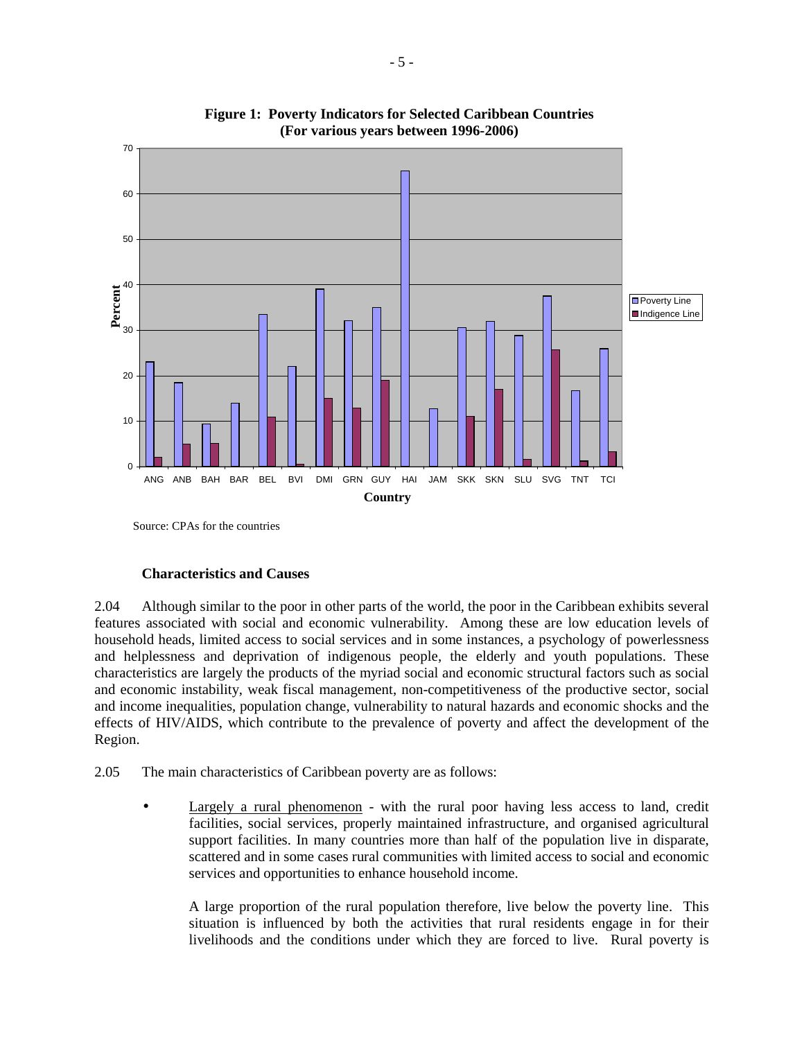

**Figure 1: Poverty Indicators for Selected Caribbean Countries (For various years between 1996-2006)**

Source: CPAs for the countries

#### **Characteristics and Causes**

2.04 Although similar to the poor in other parts of the world, the poor in the Caribbean exhibits several features associated with social and economic vulnerability. Among these are low education levels of household heads, limited access to social services and in some instances, a psychology of powerlessness and helplessness and deprivation of indigenous people, the elderly and youth populations. These characteristics are largely the products of the myriad social and economic structural factors such as social and economic instability, weak fiscal management, non-competitiveness of the productive sector, social and income inequalities, population change, vulnerability to natural hazards and economic shocks and the effects of HIV/AIDS, which contribute to the prevalence of poverty and affect the development of the Region.

2.05 The main characteristics of Caribbean poverty are as follows:

Largely a rural phenomenon - with the rural poor having less access to land, credit facilities, social services, properly maintained infrastructure, and organised agricultural support facilities. In many countries more than half of the population live in disparate, scattered and in some cases rural communities with limited access to social and economic services and opportunities to enhance household income.

 A large proportion of the rural population therefore, live below the poverty line. This situation is influenced by both the activities that rural residents engage in for their livelihoods and the conditions under which they are forced to live. Rural poverty is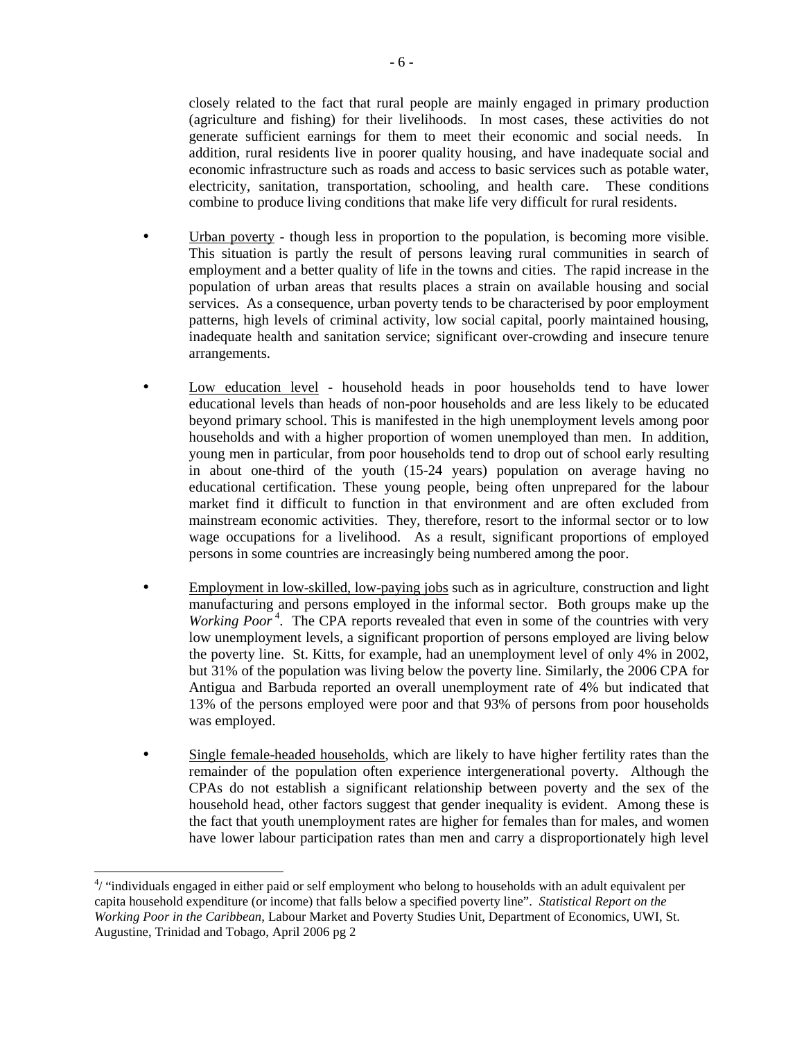closely related to the fact that rural people are mainly engaged in primary production (agriculture and fishing) for their livelihoods. In most cases, these activities do not generate sufficient earnings for them to meet their economic and social needs. In addition, rural residents live in poorer quality housing, and have inadequate social and economic infrastructure such as roads and access to basic services such as potable water, electricity, sanitation, transportation, schooling, and health care. These conditions combine to produce living conditions that make life very difficult for rural residents.

- Urban poverty though less in proportion to the population, is becoming more visible. This situation is partly the result of persons leaving rural communities in search of employment and a better quality of life in the towns and cities. The rapid increase in the population of urban areas that results places a strain on available housing and social services. As a consequence, urban poverty tends to be characterised by poor employment patterns, high levels of criminal activity, low social capital, poorly maintained housing, inadequate health and sanitation service; significant over-crowding and insecure tenure arrangements.
- Low education level household heads in poor households tend to have lower educational levels than heads of non-poor households and are less likely to be educated beyond primary school. This is manifested in the high unemployment levels among poor households and with a higher proportion of women unemployed than men. In addition, young men in particular, from poor households tend to drop out of school early resulting in about one-third of the youth (15-24 years) population on average having no educational certification. These young people, being often unprepared for the labour market find it difficult to function in that environment and are often excluded from mainstream economic activities. They, therefore, resort to the informal sector or to low wage occupations for a livelihood. As a result, significant proportions of employed persons in some countries are increasingly being numbered among the poor.
- Employment in low-skilled, low-paying jobs such as in agriculture, construction and light manufacturing and persons employed in the informal sector. Both groups make up the *Working Poor*<sup>4</sup>. The CPA reports revealed that even in some of the countries with very low unemployment levels, a significant proportion of persons employed are living below the poverty line. St. Kitts, for example, had an unemployment level of only 4% in 2002, but 31% of the population was living below the poverty line. Similarly, the 2006 CPA for Antigua and Barbuda reported an overall unemployment rate of 4% but indicated that 13% of the persons employed were poor and that 93% of persons from poor households was employed.
- Single female-headed households, which are likely to have higher fertility rates than the remainder of the population often experience intergenerational poverty. Although the CPAs do not establish a significant relationship between poverty and the sex of the household head, other factors suggest that gender inequality is evident. Among these is the fact that youth unemployment rates are higher for females than for males, and women have lower labour participation rates than men and carry a disproportionately high level

 $\overline{a}$ 

 $4/$  "individuals engaged in either paid or self employment who belong to households with an adult equivalent per capita household expenditure (or income) that falls below a specified poverty line". *Statistical Report on the Working Poor in the Caribbean*, Labour Market and Poverty Studies Unit, Department of Economics, UWI, St. Augustine, Trinidad and Tobago, April 2006 pg 2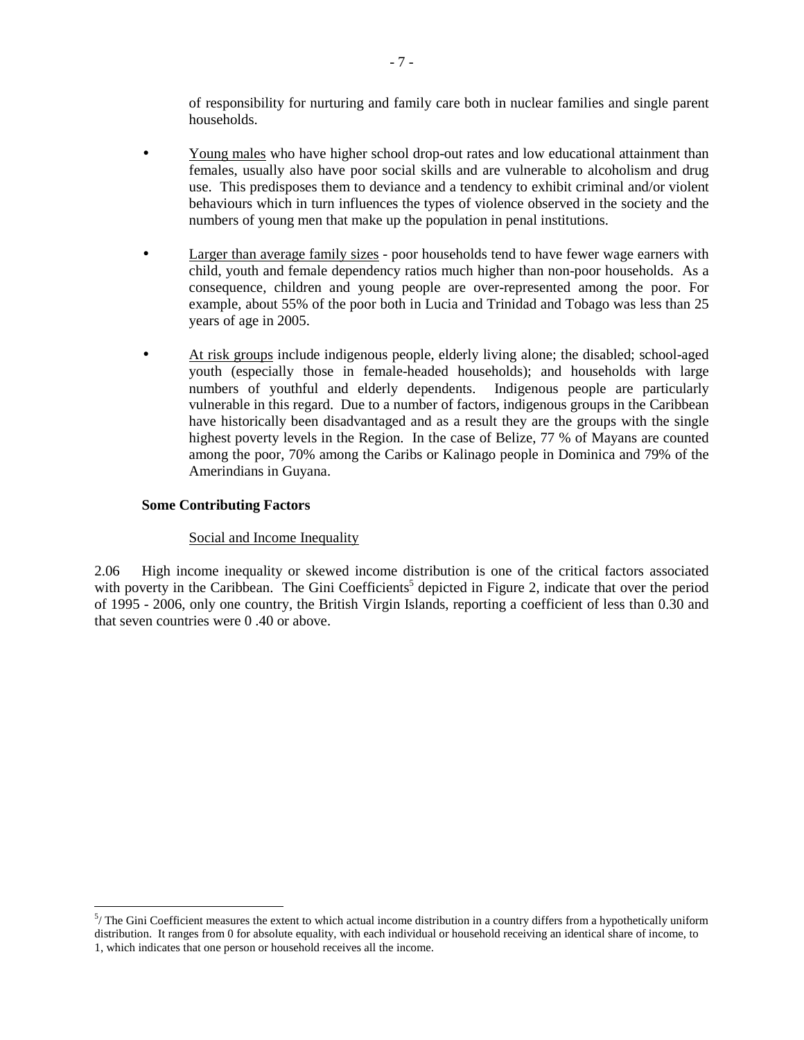of responsibility for nurturing and family care both in nuclear families and single parent households.

- Young males who have higher school drop-out rates and low educational attainment than females, usually also have poor social skills and are vulnerable to alcoholism and drug use. This predisposes them to deviance and a tendency to exhibit criminal and/or violent behaviours which in turn influences the types of violence observed in the society and the numbers of young men that make up the population in penal institutions.
- Larger than average family sizes poor households tend to have fewer wage earners with child, youth and female dependency ratios much higher than non-poor households. As a consequence, children and young people are over-represented among the poor. For example, about 55% of the poor both in Lucia and Trinidad and Tobago was less than 25 years of age in 2005.
- At risk groups include indigenous people, elderly living alone; the disabled; school-aged youth (especially those in female-headed households); and households with large numbers of youthful and elderly dependents. Indigenous people are particularly vulnerable in this regard. Due to a number of factors, indigenous groups in the Caribbean have historically been disadvantaged and as a result they are the groups with the single highest poverty levels in the Region. In the case of Belize, 77 % of Mayans are counted among the poor, 70% among the Caribs or Kalinago people in Dominica and 79% of the Amerindians in Guyana.

# **Some Contributing Factors**

<u>.</u>

#### Social and Income Inequality

2.06 High income inequality or skewed income distribution is one of the critical factors associated with poverty in the Caribbean. The Gini Coefficients<sup>5</sup> depicted in Figure 2, indicate that over the period of 1995 - 2006, only one country, the British Virgin Islands, reporting a coefficient of less than 0.30 and that seven countries were 0 .40 or above.

 $5/$  The Gini Coefficient measures the extent to which actual income distribution in a country differs from a hypothetically uniform distribution. It ranges from 0 for absolute equality, with each individual or household receiving an identical share of income, to 1, which indicates that one person or household receives all the income.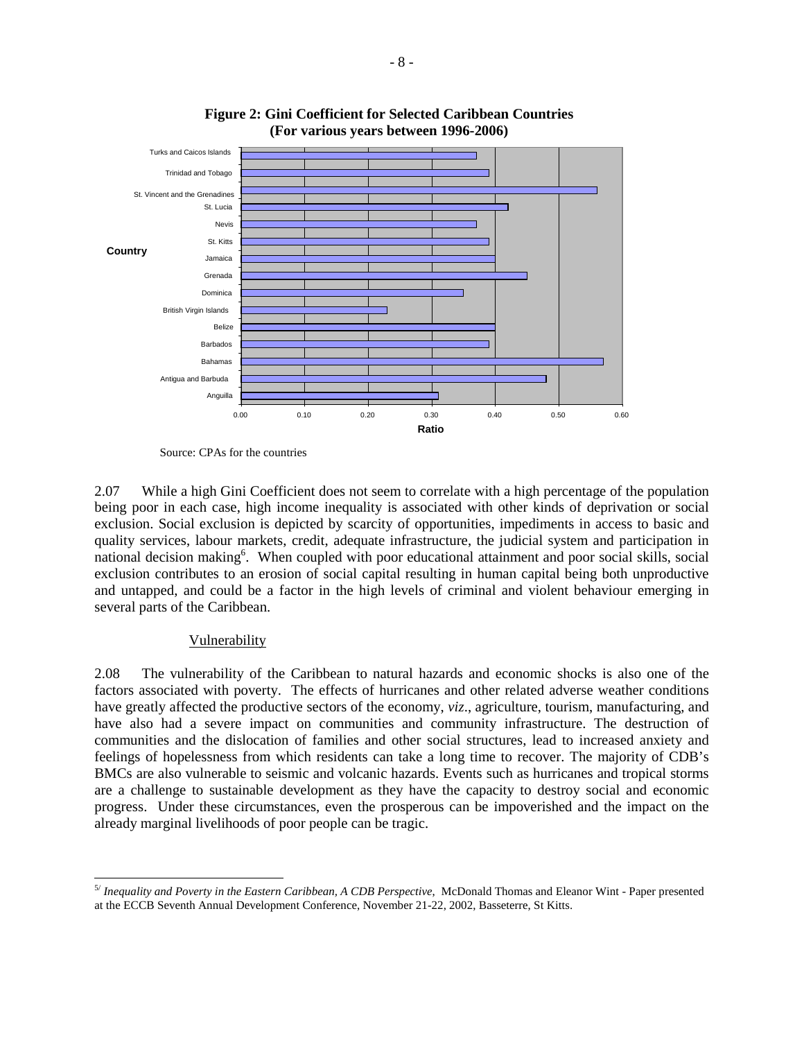



2.07 While a high Gini Coefficient does not seem to correlate with a high percentage of the population being poor in each case, high income inequality is associated with other kinds of deprivation or social exclusion. Social exclusion is depicted by scarcity of opportunities, impediments in access to basic and quality services, labour markets, credit, adequate infrastructure, the judicial system and participation in national decision making<sup>6</sup>. When coupled with poor educational attainment and poor social skills, social exclusion contributes to an erosion of social capital resulting in human capital being both unproductive and untapped, and could be a factor in the high levels of criminal and violent behaviour emerging in several parts of the Caribbean.

#### Vulnerability

2.08 The vulnerability of the Caribbean to natural hazards and economic shocks is also one of the factors associated with poverty. The effects of hurricanes and other related adverse weather conditions have greatly affected the productive sectors of the economy, *viz*., agriculture, tourism, manufacturing, and have also had a severe impact on communities and community infrastructure. The destruction of communities and the dislocation of families and other social structures, lead to increased anxiety and feelings of hopelessness from which residents can take a long time to recover. The majority of CDB's BMCs are also vulnerable to seismic and volcanic hazards. Events such as hurricanes and tropical storms are a challenge to sustainable development as they have the capacity to destroy social and economic progress. Under these circumstances, even the prosperous can be impoverished and the impact on the already marginal livelihoods of poor people can be tragic.

Source: CPAs for the countries

 $\overline{a}$ 5/ *Inequality and Poverty in the Eastern Caribbean, A CDB Perspective*, McDonald Thomas and Eleanor Wint - Paper presented at the ECCB Seventh Annual Development Conference, November 21-22, 2002, Basseterre, St Kitts.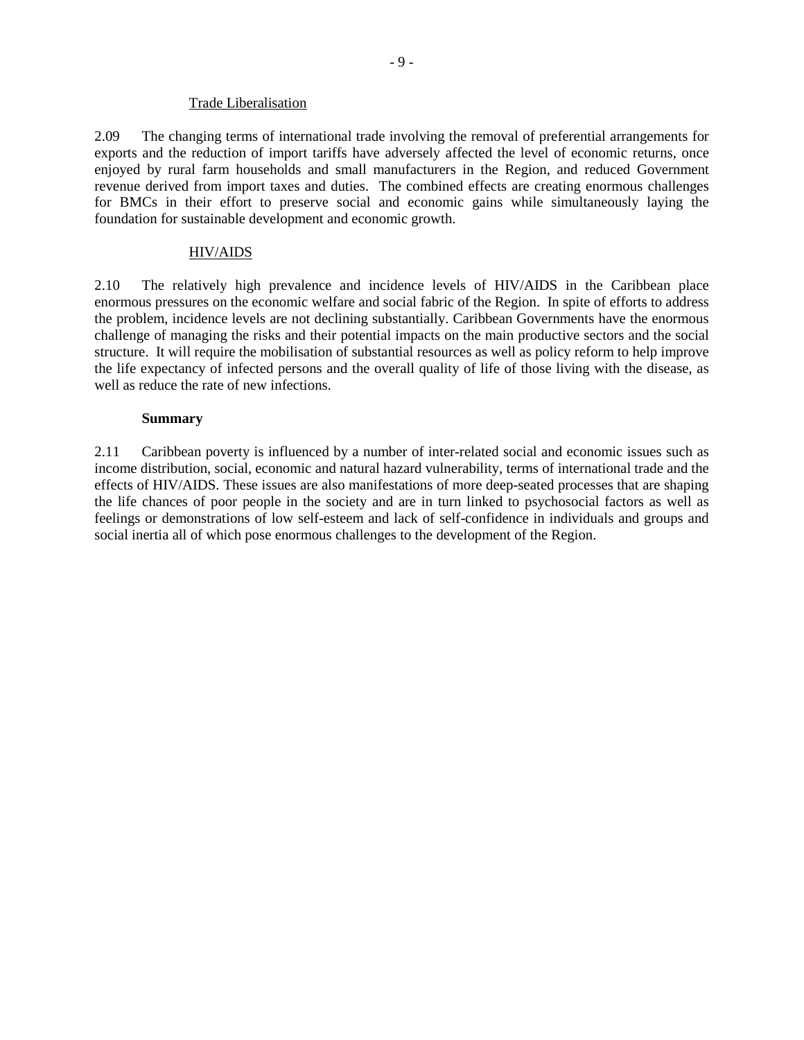#### Trade Liberalisation

2.09 The changing terms of international trade involving the removal of preferential arrangements for exports and the reduction of import tariffs have adversely affected the level of economic returns, once enjoyed by rural farm households and small manufacturers in the Region, and reduced Government revenue derived from import taxes and duties. The combined effects are creating enormous challenges for BMCs in their effort to preserve social and economic gains while simultaneously laying the foundation for sustainable development and economic growth.

# HIV/AIDS

2.10 The relatively high prevalence and incidence levels of HIV/AIDS in the Caribbean place enormous pressures on the economic welfare and social fabric of the Region. In spite of efforts to address the problem, incidence levels are not declining substantially. Caribbean Governments have the enormous challenge of managing the risks and their potential impacts on the main productive sectors and the social structure. It will require the mobilisation of substantial resources as well as policy reform to help improve the life expectancy of infected persons and the overall quality of life of those living with the disease, as well as reduce the rate of new infections.

#### **Summary**

2.11 Caribbean poverty is influenced by a number of inter-related social and economic issues such as income distribution, social, economic and natural hazard vulnerability, terms of international trade and the effects of HIV/AIDS. These issues are also manifestations of more deep-seated processes that are shaping the life chances of poor people in the society and are in turn linked to psychosocial factors as well as feelings or demonstrations of low self-esteem and lack of self-confidence in individuals and groups and social inertia all of which pose enormous challenges to the development of the Region.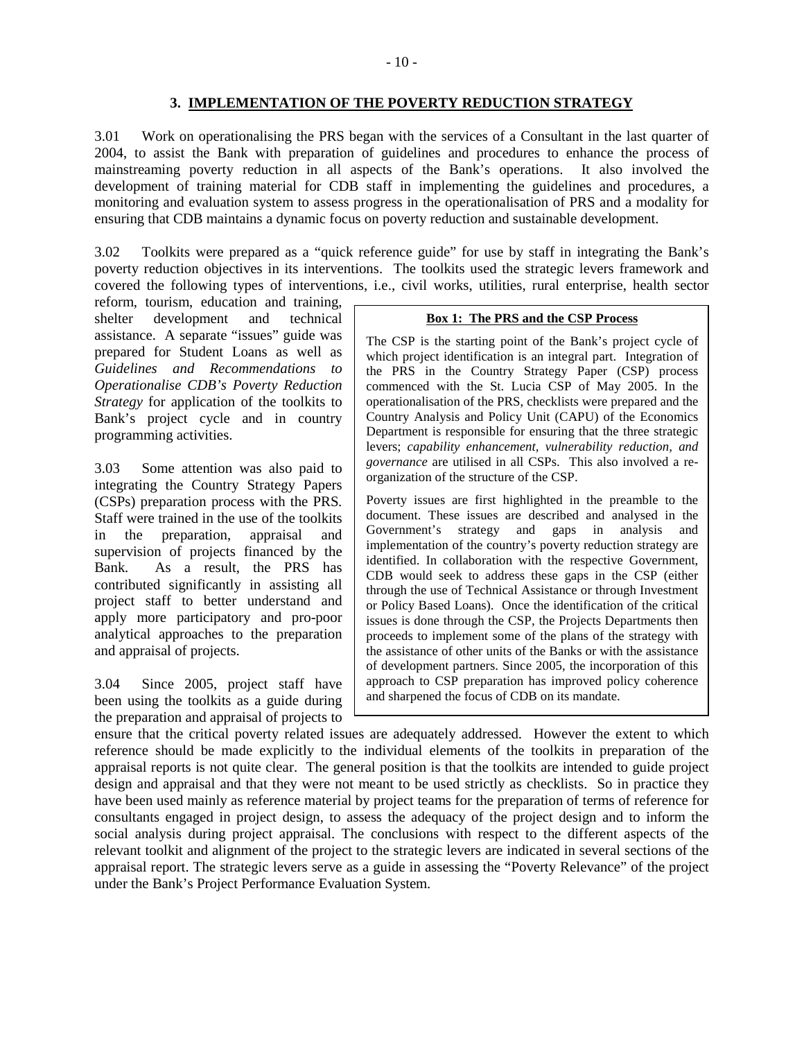#### **3. IMPLEMENTATION OF THE POVERTY REDUCTION STRATEGY**

3.01 Work on operationalising the PRS began with the services of a Consultant in the last quarter of 2004, to assist the Bank with preparation of guidelines and procedures to enhance the process of mainstreaming poverty reduction in all aspects of the Bank's operations. It also involved the development of training material for CDB staff in implementing the guidelines and procedures, a monitoring and evaluation system to assess progress in the operationalisation of PRS and a modality for ensuring that CDB maintains a dynamic focus on poverty reduction and sustainable development.

3.02 Toolkits were prepared as a "quick reference guide" for use by staff in integrating the Bank's poverty reduction objectives in its interventions. The toolkits used the strategic levers framework and covered the following types of interventions, i.e., civil works, utilities, rural enterprise, health sector

reform, tourism, education and training, shelter development and technical assistance. A separate "issues" guide was prepared for Student Loans as well as *Guidelines and Recommendations to Operationalise CDB's Poverty Reduction Strategy* for application of the toolkits to Bank's project cycle and in country programming activities.

3.03 Some attention was also paid to integrating the Country Strategy Papers (CSPs) preparation process with the PRS*.*  Staff were trained in the use of the toolkits in the preparation, appraisal and supervision of projects financed by the Bank. As a result, the PRS has contributed significantly in assisting all project staff to better understand and apply more participatory and pro-poor analytical approaches to the preparation and appraisal of projects.

3.04 Since 2005, project staff have been using the toolkits as a guide during the preparation and appraisal of projects to

#### **Box 1: The PRS and the CSP Process**

The CSP is the starting point of the Bank's project cycle of which project identification is an integral part. Integration of the PRS in the Country Strategy Paper (CSP) process commenced with the St. Lucia CSP of May 2005. In the operationalisation of the PRS, checklists were prepared and the Country Analysis and Policy Unit (CAPU) of the Economics Department is responsible for ensuring that the three strategic levers; *capability enhancement, vulnerability reduction, and governance* are utilised in all CSPs. This also involved a reorganization of the structure of the CSP.

Poverty issues are first highlighted in the preamble to the document. These issues are described and analysed in the Government's strategy and gaps in analysis and implementation of the country's poverty reduction strategy are identified. In collaboration with the respective Government, CDB would seek to address these gaps in the CSP (either through the use of Technical Assistance or through Investment or Policy Based Loans). Once the identification of the critical issues is done through the CSP, the Projects Departments then proceeds to implement some of the plans of the strategy with the assistance of other units of the Banks or with the assistance of development partners. Since 2005, the incorporation of this approach to CSP preparation has improved policy coherence and sharpened the focus of CDB on its mandate.

ensure that the critical poverty related issues are adequately addressed. However the extent to which reference should be made explicitly to the individual elements of the toolkits in preparation of the appraisal reports is not quite clear. The general position is that the toolkits are intended to guide project design and appraisal and that they were not meant to be used strictly as checklists. So in practice they have been used mainly as reference material by project teams for the preparation of terms of reference for consultants engaged in project design, to assess the adequacy of the project design and to inform the social analysis during project appraisal. The conclusions with respect to the different aspects of the relevant toolkit and alignment of the project to the strategic levers are indicated in several sections of the appraisal report. The strategic levers serve as a guide in assessing the "Poverty Relevance" of the project under the Bank's Project Performance Evaluation System.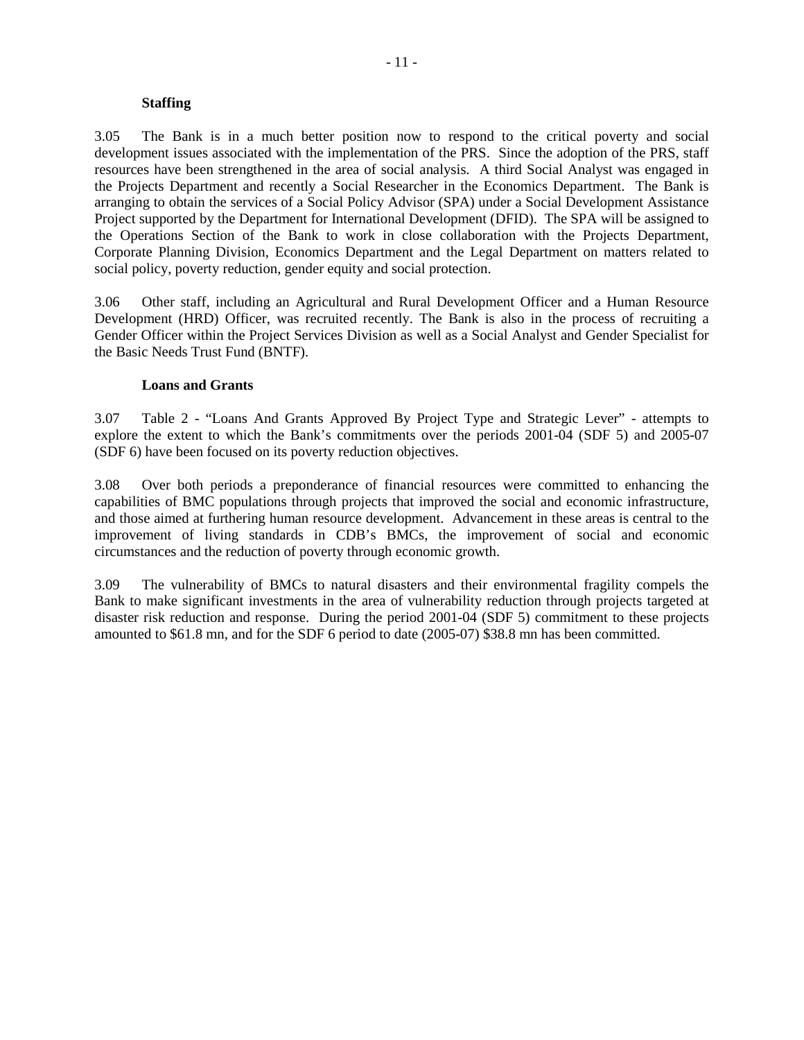#### **Staffing**

3.05 The Bank is in a much better position now to respond to the critical poverty and social development issues associated with the implementation of the PRS. Since the adoption of the PRS, staff resources have been strengthened in the area of social analysis. A third Social Analyst was engaged in the Projects Department and recently a Social Researcher in the Economics Department. The Bank is arranging to obtain the services of a Social Policy Advisor (SPA) under a Social Development Assistance Project supported by the Department for International Development (DFID). The SPA will be assigned to the Operations Section of the Bank to work in close collaboration with the Projects Department, Corporate Planning Division, Economics Department and the Legal Department on matters related to social policy, poverty reduction, gender equity and social protection.

3.06 Other staff, including an Agricultural and Rural Development Officer and a Human Resource Development (HRD) Officer, was recruited recently. The Bank is also in the process of recruiting a Gender Officer within the Project Services Division as well as a Social Analyst and Gender Specialist for the Basic Needs Trust Fund (BNTF).

#### **Loans and Grants**

3.07 Table 2 - "Loans And Grants Approved By Project Type and Strategic Lever" - attempts to explore the extent to which the Bank's commitments over the periods 2001-04 (SDF 5) and 2005-07 (SDF 6) have been focused on its poverty reduction objectives.

3.08 Over both periods a preponderance of financial resources were committed to enhancing the capabilities of BMC populations through projects that improved the social and economic infrastructure, and those aimed at furthering human resource development. Advancement in these areas is central to the improvement of living standards in CDB's BMCs, the improvement of social and economic circumstances and the reduction of poverty through economic growth.

3.09 The vulnerability of BMCs to natural disasters and their environmental fragility compels the Bank to make significant investments in the area of vulnerability reduction through projects targeted at disaster risk reduction and response. During the period 2001-04 (SDF 5) commitment to these projects amounted to \$61.8 mn, and for the SDF 6 period to date (2005-07) \$38.8 mn has been committed.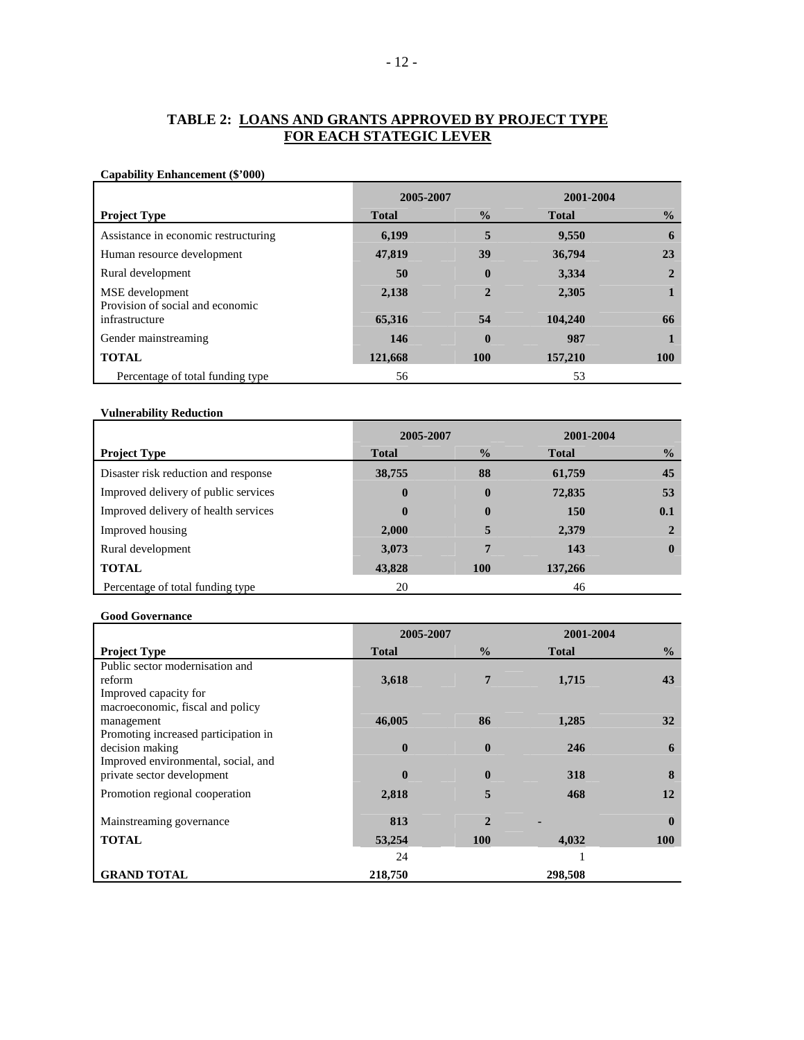# **TABLE 2: LOANS AND GRANTS APPROVED BY PROJECT TYPE FOR EACH STATEGIC LEVER**

#### **Capability Enhancement (\$'000)**

|                                                     | 2005-2007    |                | 2001-2004    |                |
|-----------------------------------------------------|--------------|----------------|--------------|----------------|
| <b>Project Type</b>                                 | <b>Total</b> | $\frac{1}{2}$  | <b>Total</b> | $\frac{0}{0}$  |
| Assistance in economic restructuring                | 6,199        | 5              | 9,550        | 6              |
| Human resource development                          | 47,819       | 39             | 36,794       | 23             |
| Rural development                                   | 50           | $\bf{0}$       | 3,334        | $\overline{2}$ |
| MSE development<br>Provision of social and economic | 2,138        | $\overline{2}$ | 2,305        |                |
| infrastructure                                      | 65,316       | 54             | 104,240      | 66             |
| Gender mainstreaming                                | 146          | $\bf{0}$       | 987          |                |
| <b>TOTAL</b>                                        | 121,668      | <b>100</b>     | 157,210      | <b>100</b>     |
| Percentage of total funding type                    | 56           |                | 53           |                |

#### **Vulnerability Reduction**

|                                      | 2005-2007    |               | 2001-2004    |               |
|--------------------------------------|--------------|---------------|--------------|---------------|
| <b>Project Type</b>                  | <b>Total</b> | $\frac{6}{6}$ | <b>Total</b> | $\frac{0}{2}$ |
| Disaster risk reduction and response | 38,755       | 88            | 61,759       | 45            |
| Improved delivery of public services | $\mathbf{0}$ | $\bf{0}$      | 72,835       | 53            |
| Improved delivery of health services | $\mathbf{0}$ | $\bf{0}$      | <b>150</b>   | 0.1           |
| Improved housing                     | 2,000        |               | 2,379        |               |
| Rural development                    | 3,073        | 7             | 143          | $\mathbf{0}$  |
| <b>TOTAL</b>                         | 43,828       | 100           | 137,266      |               |
| Percentage of total funding type     | 20           |               | 46           |               |

#### **Good Governance**

|                                      | 2005-2007    |                | 2001-2004    |               |
|--------------------------------------|--------------|----------------|--------------|---------------|
| <b>Project Type</b>                  | <b>Total</b> | $\frac{0}{0}$  | <b>Total</b> | $\frac{6}{9}$ |
| Public sector modernisation and      |              |                |              |               |
| reform                               | 3,618        | 7              | 1,715        | 43            |
| Improved capacity for                |              |                |              |               |
| macroeconomic, fiscal and policy     |              |                |              |               |
| management                           | 46,005       | 86             | 1,285        | 32            |
| Promoting increased participation in |              |                |              |               |
| decision making                      | $\mathbf{0}$ | $\bf{0}$       | 246          | 6             |
| Improved environmental, social, and  |              |                |              |               |
| private sector development           | $\mathbf{0}$ | $\bf{0}$       | 318          | 8             |
| Promotion regional cooperation       | 2,818        | 5              | 468          | 12            |
|                                      |              |                |              |               |
| Mainstreaming governance             | 813          | $\overline{2}$ |              | $\mathbf{0}$  |
| <b>TOTAL</b>                         | 53,254       | <b>100</b>     | 4,032        | <b>100</b>    |
|                                      | 24           |                |              |               |
| <b>GRAND TOTAL</b>                   | 218,750      |                | 298,508      |               |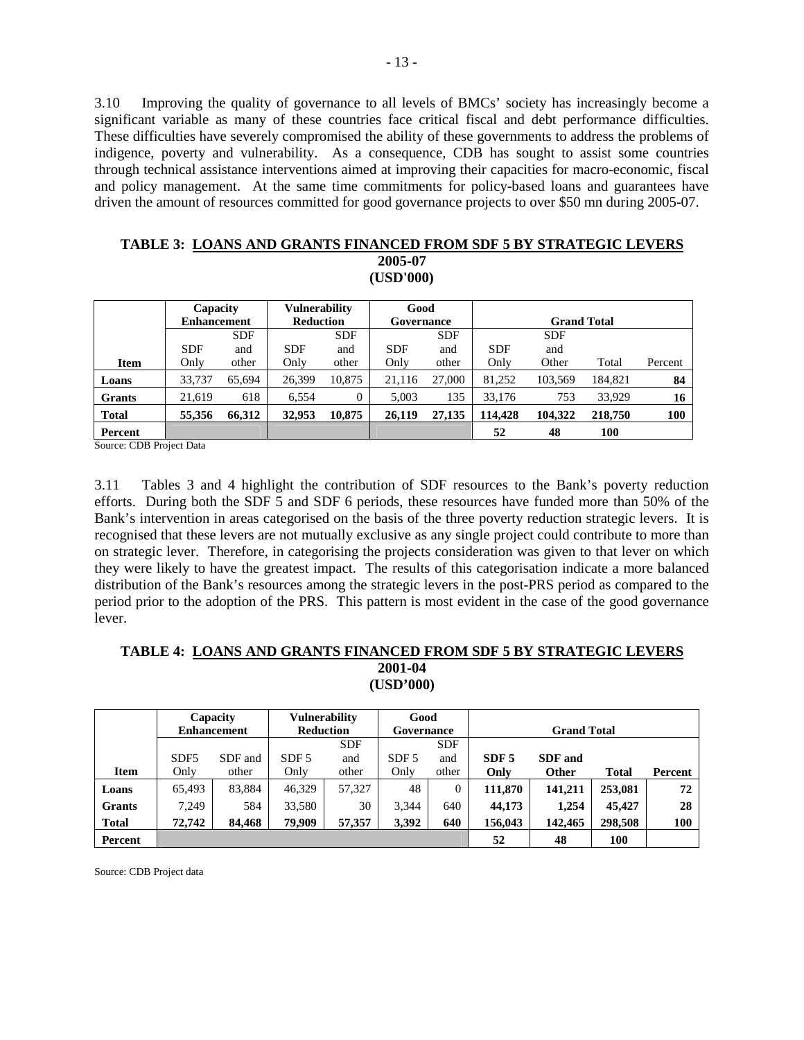3.10 Improving the quality of governance to all levels of BMCs' society has increasingly become a significant variable as many of these countries face critical fiscal and debt performance difficulties. These difficulties have severely compromised the ability of these governments to address the problems of indigence, poverty and vulnerability. As a consequence, CDB has sought to assist some countries through technical assistance interventions aimed at improving their capacities for macro-economic, fiscal and policy management. At the same time commitments for policy-based loans and guarantees have driven the amount of resources committed for good governance projects to over \$50 mn during 2005-07.

| <b>TABLE 3: LOANS AND GRANTS FINANCED FROM SDF 5 BY STRATEGIC LEVERS</b> |
|--------------------------------------------------------------------------|
| 2005-07                                                                  |
| (USD'000)                                                                |

|               | Capacity           |            | <b>Vulnerability</b> |            | Good       |            |            |                    |         |            |
|---------------|--------------------|------------|----------------------|------------|------------|------------|------------|--------------------|---------|------------|
|               | <b>Enhancement</b> |            | <b>Reduction</b>     |            | Governance |            |            | <b>Grand Total</b> |         |            |
|               |                    | <b>SDF</b> |                      | <b>SDF</b> |            | <b>SDF</b> |            | <b>SDF</b>         |         |            |
|               | <b>SDF</b>         | and        | <b>SDF</b>           | and        | <b>SDF</b> | and        | <b>SDF</b> | and                |         |            |
| <b>Item</b>   | Only               | other      | Only                 | other      | Only       | other      | Only       | Other              | Total   | Percent    |
| Loans         | 33,737             | 65,694     | 26,399               | 10,875     | 21,116     | 27,000     | 81,252     | 103,569            | 184.821 | 84         |
| <b>Grants</b> | 21.619             | 618        | 6,554                | 0          | 5.003      | 135        | 33,176     | 753                | 33,929  | 16         |
| <b>Total</b>  | 55,356             | 66,312     | 32,953               | 10,875     | 26,119     | 27,135     | 114.428    | 104,322            | 218,750 | <b>100</b> |
| Percent       |                    |            |                      |            |            |            | 52         | 48                 | 100     |            |

Source: CDB Project Data

3.11 Tables 3 and 4 highlight the contribution of SDF resources to the Bank's poverty reduction efforts. During both the SDF 5 and SDF 6 periods, these resources have funded more than 50% of the Bank's intervention in areas categorised on the basis of the three poverty reduction strategic levers. It is recognised that these levers are not mutually exclusive as any single project could contribute to more than on strategic lever. Therefore, in categorising the projects consideration was given to that lever on which they were likely to have the greatest impact. The results of this categorisation indicate a more balanced distribution of the Bank's resources among the strategic levers in the post-PRS period as compared to the period prior to the adoption of the PRS. This pattern is most evident in the case of the good governance lever.

#### **TABLE 4: LOANS AND GRANTS FINANCED FROM SDF 5 BY STRATEGIC LEVERS 2001-04 (USD'000)**

|               |                  | Capacity           | Vulnerability    |            | Good             |            |                  |                    |              |         |
|---------------|------------------|--------------------|------------------|------------|------------------|------------|------------------|--------------------|--------------|---------|
|               |                  | <b>Enhancement</b> | <b>Reduction</b> |            | Governance       |            |                  | <b>Grand Total</b> |              |         |
|               |                  |                    |                  | <b>SDF</b> |                  | <b>SDF</b> |                  |                    |              |         |
|               | SDF <sub>5</sub> | SDF and            | SDF 5            | and        | SDF <sub>5</sub> | and        | SDF <sub>5</sub> | <b>SDF</b> and     |              |         |
| <b>Item</b>   | Only             | other              | Only             | other      | Only             | other      | Only             | Other              | <b>Total</b> | Percent |
| Loans         | 65,493           | 83,884             | 46,329           | 57,327     | 48               | 0          | 111,870          | 141,211            | 253,081      | 72      |
| <b>Grants</b> | 7.249            | 584                | 33,580           | 30         | 3.344            | 640        | 44,173           | 1.254              | 45,427       | 28      |
| <b>Total</b>  | 72,742           | 84,468             | 79,909           | 57,357     | 3,392            | 640        | 156,043          | 142,465            | 298,508      | 100     |
| Percent       |                  |                    |                  |            |                  |            | 52               | 48                 | 100          |         |

Source: CDB Project data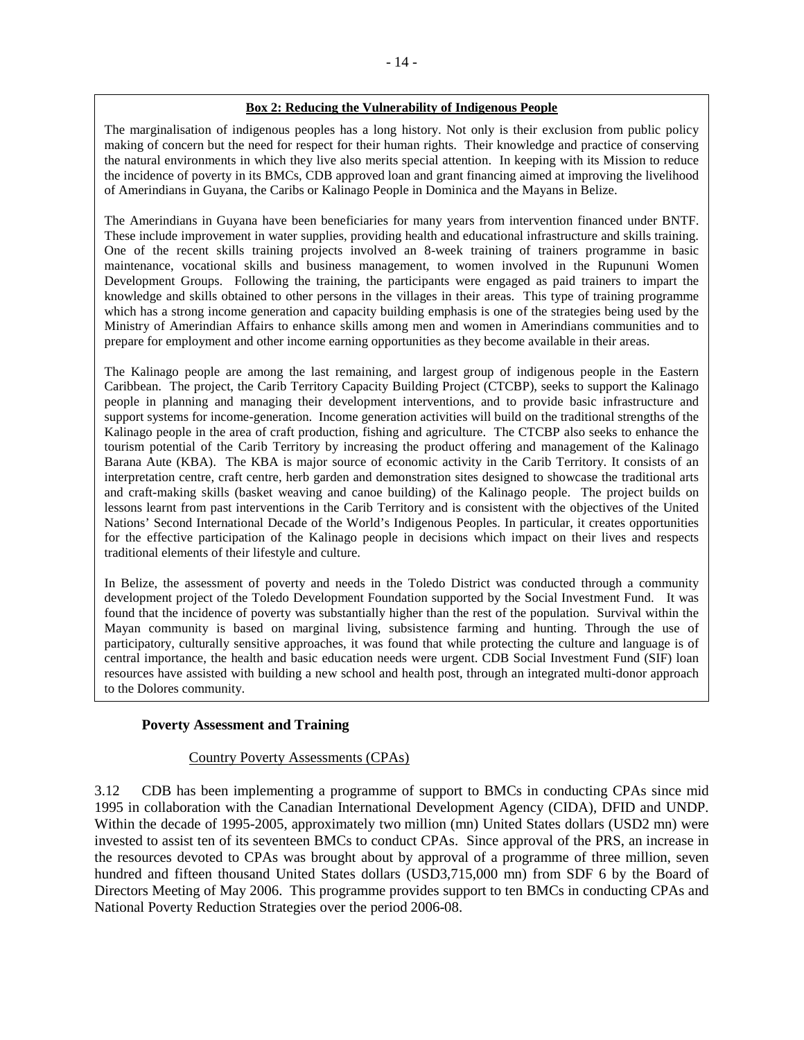#### **Box 2: Reducing the Vulnerability of Indigenous People**

The marginalisation of indigenous peoples has a long history. Not only is their exclusion from public policy making of concern but the need for respect for their human rights. Their knowledge and practice of conserving the natural environments in which they live also merits special attention. In keeping with its Mission to reduce the incidence of poverty in its BMCs, CDB approved loan and grant financing aimed at improving the livelihood of Amerindians in Guyana, the Caribs or Kalinago People in Dominica and the Mayans in Belize.

The Amerindians in Guyana have been beneficiaries for many years from intervention financed under BNTF. These include improvement in water supplies, providing health and educational infrastructure and skills training. One of the recent skills training projects involved an 8-week training of trainers programme in basic maintenance, vocational skills and business management, to women involved in the Rupununi Women Development Groups. Following the training, the participants were engaged as paid trainers to impart the knowledge and skills obtained to other persons in the villages in their areas. This type of training programme which has a strong income generation and capacity building emphasis is one of the strategies being used by the Ministry of Amerindian Affairs to enhance skills among men and women in Amerindians communities and to prepare for employment and other income earning opportunities as they become available in their areas.

The Kalinago people are among the last remaining, and largest group of indigenous people in the Eastern Caribbean. The project, the Carib Territory Capacity Building Project (CTCBP), seeks to support the Kalinago people in planning and managing their development interventions, and to provide basic infrastructure and support systems for income-generation. Income generation activities will build on the traditional strengths of the Kalinago people in the area of craft production, fishing and agriculture. The CTCBP also seeks to enhance the tourism potential of the Carib Territory by increasing the product offering and management of the Kalinago Barana Aute (KBA). The KBA is major source of economic activity in the Carib Territory. It consists of an interpretation centre, craft centre, herb garden and demonstration sites designed to showcase the traditional arts and craft-making skills (basket weaving and canoe building) of the Kalinago people. The project builds on lessons learnt from past interventions in the Carib Territory and is consistent with the objectives of the United Nations' Second International Decade of the World's Indigenous Peoples. In particular, it creates opportunities for the effective participation of the Kalinago people in decisions which impact on their lives and respects traditional elements of their lifestyle and culture.

In Belize, the assessment of poverty and needs in the Toledo District was conducted through a community development project of the Toledo Development Foundation supported by the Social Investment Fund. It was found that the incidence of poverty was substantially higher than the rest of the population. Survival within the Mayan community is based on marginal living, subsistence farming and hunting. Through the use of participatory, culturally sensitive approaches, it was found that while protecting the culture and language is of central importance, the health and basic education needs were urgent. CDB Social Investment Fund (SIF) loan resources have assisted with building a new school and health post, through an integrated multi-donor approach to the Dolores community.

#### **Poverty Assessment and Training**

#### **Country Poverty Assessments (CPAs)**

3.12 CDB has been implementing a programme of support to BMCs in conducting CPAs since mid 1995 in collaboration with the Canadian International Development Agency (CIDA), DFID and UNDP. Within the decade of 1995-2005, approximately two million (mn) United States dollars (USD2 mn) were invested to assist ten of its seventeen BMCs to conduct CPAs. Since approval of the PRS, an increase in the resources devoted to CPAs was brought about by approval of a programme of three million, seven hundred and fifteen thousand United States dollars (USD3,715,000 mn) from SDF 6 by the Board of Directors Meeting of May 2006. This programme provides support to ten BMCs in conducting CPAs and National Poverty Reduction Strategies over the period 2006-08.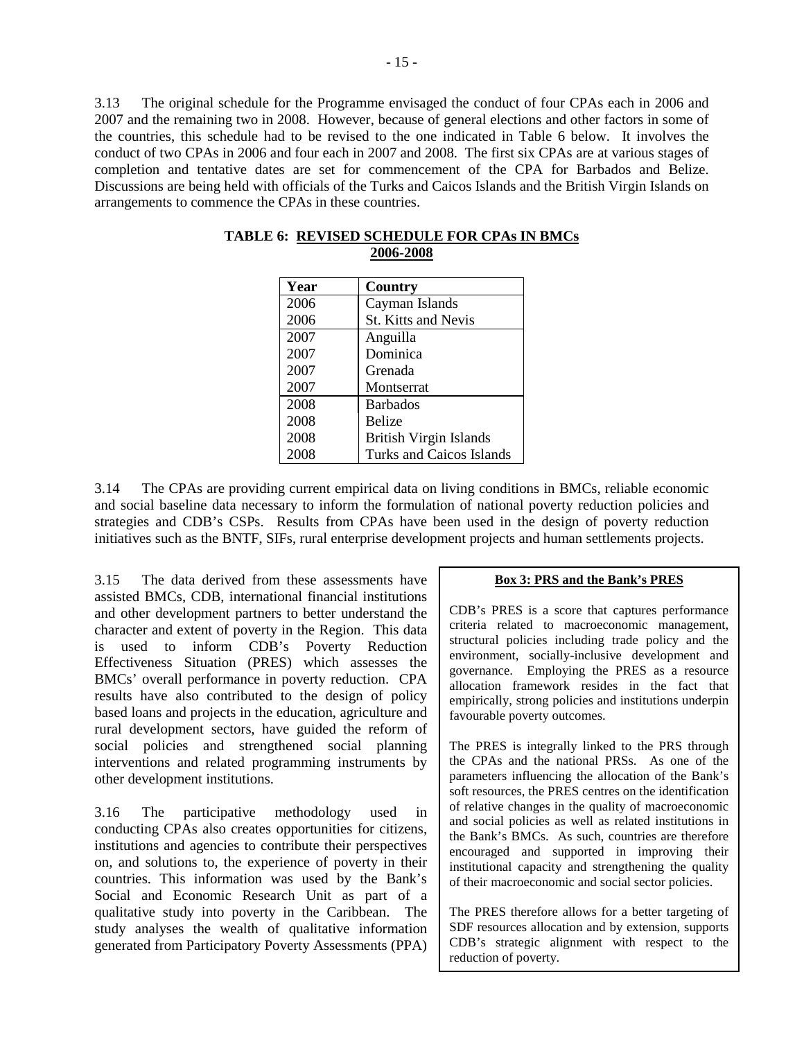3.13 The original schedule for the Programme envisaged the conduct of four CPAs each in 2006 and 2007 and the remaining two in 2008. However, because of general elections and other factors in some of the countries, this schedule had to be revised to the one indicated in Table 6 below. It involves the conduct of two CPAs in 2006 and four each in 2007 and 2008. The first six CPAs are at various stages of completion and tentative dates are set for commencement of the CPA for Barbados and Belize. Discussions are being held with officials of the Turks and Caicos Islands and the British Virgin Islands on arrangements to commence the CPAs in these countries.

| Year | Country                         |
|------|---------------------------------|
| 2006 | Cayman Islands                  |
| 2006 | <b>St. Kitts and Nevis</b>      |
| 2007 | Anguilla                        |
| 2007 | Dominica                        |
| 2007 | Grenada                         |
| 2007 | Montserrat                      |
| 2008 | <b>Barbados</b>                 |
| 2008 | Belize                          |
| 2008 | <b>British Virgin Islands</b>   |
| 2008 | <b>Turks and Caicos Islands</b> |

| <b>TABLE 6: REVISED SCHEDULE FOR CPAs IN BMCs</b> |
|---------------------------------------------------|
| 2006-2008                                         |

3.14 The CPAs are providing current empirical data on living conditions in BMCs, reliable economic and social baseline data necessary to inform the formulation of national poverty reduction policies and strategies and CDB's CSPs. Results from CPAs have been used in the design of poverty reduction initiatives such as the BNTF, SIFs, rural enterprise development projects and human settlements projects.

3.15 The data derived from these assessments have assisted BMCs, CDB, international financial institutions and other development partners to better understand the character and extent of poverty in the Region. This data is used to inform CDB's Poverty Reduction Effectiveness Situation (PRES) which assesses the BMCs' overall performance in poverty reduction. CPA results have also contributed to the design of policy based loans and projects in the education, agriculture and rural development sectors, have guided the reform of social policies and strengthened social planning interventions and related programming instruments by other development institutions.

3.16 The participative methodology used in conducting CPAs also creates opportunities for citizens, institutions and agencies to contribute their perspectives on, and solutions to, the experience of poverty in their countries. This information was used by the Bank's Social and Economic Research Unit as part of a qualitative study into poverty in the Caribbean. The study analyses the wealth of qualitative information generated from Participatory Poverty Assessments (PPA)

#### **Box 3: PRS and the Bank's PRES**

CDB's PRES is a score that captures performance criteria related to macroeconomic management, structural policies including trade policy and the environment, socially-inclusive development and governance. Employing the PRES as a resource allocation framework resides in the fact that empirically, strong policies and institutions underpin favourable poverty outcomes.

The PRES is integrally linked to the PRS through the CPAs and the national PRSs. As one of the parameters influencing the allocation of the Bank's soft resources, the PRES centres on the identification of relative changes in the quality of macroeconomic and social policies as well as related institutions in the Bank's BMCs. As such, countries are therefore encouraged and supported in improving their institutional capacity and strengthening the quality of their macroeconomic and social sector policies.

The PRES therefore allows for a better targeting of SDF resources allocation and by extension, supports CDB's strategic alignment with respect to the reduction of poverty.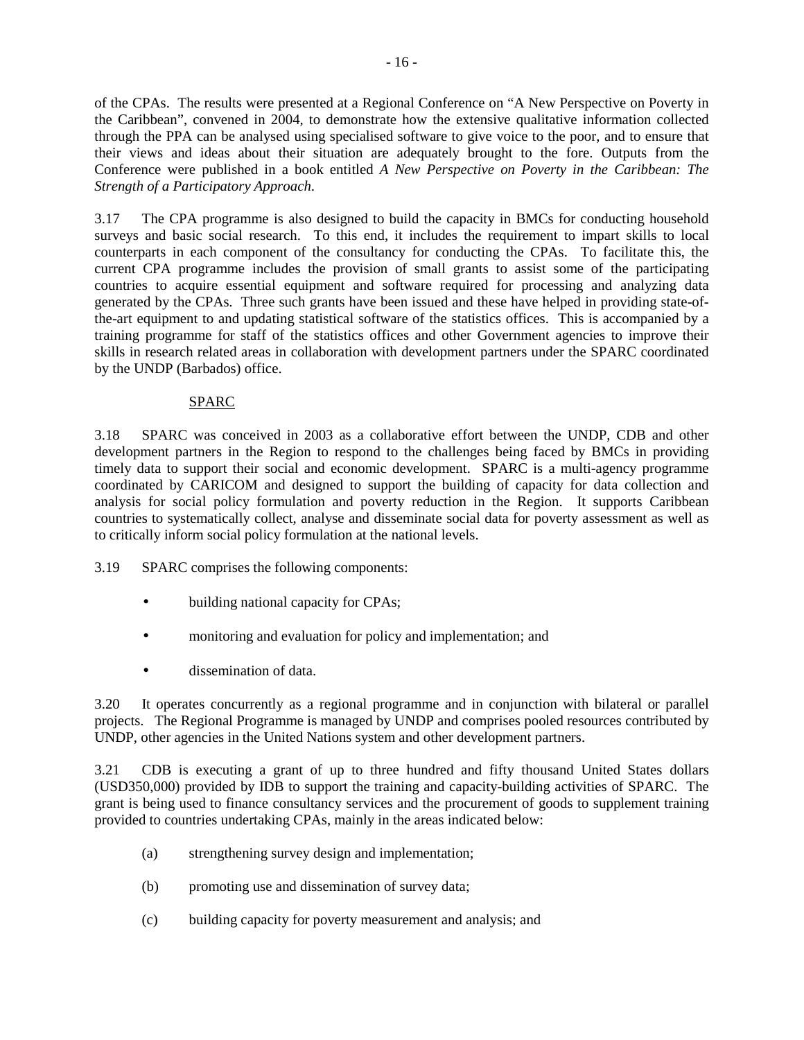of the CPAs. The results were presented at a Regional Conference on "A New Perspective on Poverty in the Caribbean", convened in 2004, to demonstrate how the extensive qualitative information collected through the PPA can be analysed using specialised software to give voice to the poor, and to ensure that their views and ideas about their situation are adequately brought to the fore. Outputs from the Conference were published in a book entitled *A New Perspective on Poverty in the Caribbean: The Strength of a Participatory Approach*.

3.17 The CPA programme is also designed to build the capacity in BMCs for conducting household surveys and basic social research. To this end, it includes the requirement to impart skills to local counterparts in each component of the consultancy for conducting the CPAs. To facilitate this, the current CPA programme includes the provision of small grants to assist some of the participating countries to acquire essential equipment and software required for processing and analyzing data generated by the CPAs. Three such grants have been issued and these have helped in providing state-ofthe-art equipment to and updating statistical software of the statistics offices. This is accompanied by a training programme for staff of the statistics offices and other Government agencies to improve their skills in research related areas in collaboration with development partners under the SPARC coordinated by the UNDP (Barbados) office.

# SPARC

3.18 SPARC was conceived in 2003 as a collaborative effort between the UNDP, CDB and other development partners in the Region to respond to the challenges being faced by BMCs in providing timely data to support their social and economic development. SPARC is a multi-agency programme coordinated by CARICOM and designed to support the building of capacity for data collection and analysis for social policy formulation and poverty reduction in the Region. It supports Caribbean countries to systematically collect, analyse and disseminate social data for poverty assessment as well as to critically inform social policy formulation at the national levels.

3.19 SPARC comprises the following components:

- building national capacity for CPAs;
- monitoring and evaluation for policy and implementation; and
- dissemination of data.

3.20 It operates concurrently as a regional programme and in conjunction with bilateral or parallel projects. The Regional Programme is managed by UNDP and comprises pooled resources contributed by UNDP, other agencies in the United Nations system and other development partners.

3.21 CDB is executing a grant of up to three hundred and fifty thousand United States dollars (USD350,000) provided by IDB to support the training and capacity-building activities of SPARC. The grant is being used to finance consultancy services and the procurement of goods to supplement training provided to countries undertaking CPAs, mainly in the areas indicated below:

- (a) strengthening survey design and implementation;
- (b) promoting use and dissemination of survey data;
- (c) building capacity for poverty measurement and analysis; and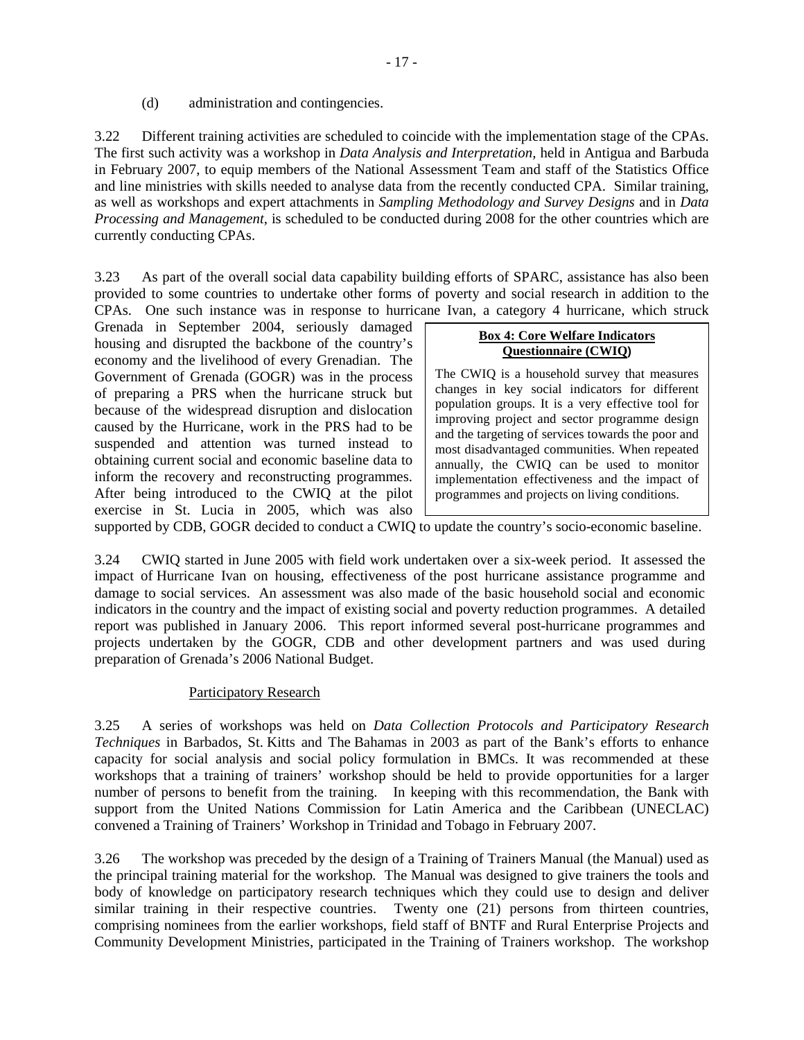(d) administration and contingencies.

3.22 Different training activities are scheduled to coincide with the implementation stage of the CPAs. The first such activity was a workshop in *Data Analysis and Interpretation,* held in Antigua and Barbuda in February 2007, to equip members of the National Assessment Team and staff of the Statistics Office and line ministries with skills needed to analyse data from the recently conducted CPA. Similar training, as well as workshops and expert attachments in *Sampling Methodology and Survey Designs* and in *Data Processing and Management*, is scheduled to be conducted during 2008 for the other countries which are currently conducting CPAs.

3.23 As part of the overall social data capability building efforts of SPARC, assistance has also been provided to some countries to undertake other forms of poverty and social research in addition to the CPAs. One such instance was in response to hurricane Ivan, a category 4 hurricane, which struck

Grenada in September 2004, seriously damaged housing and disrupted the backbone of the country's economy and the livelihood of every Grenadian. The Government of Grenada (GOGR) was in the process of preparing a PRS when the hurricane struck but because of the widespread disruption and dislocation caused by the Hurricane, work in the PRS had to be suspended and attention was turned instead to obtaining current social and economic baseline data to inform the recovery and reconstructing programmes. After being introduced to the CWIQ at the pilot exercise in St. Lucia in 2005, which was also

#### **Box 4: Core Welfare Indicators Questionnaire (CWIQ)**

The CWIQ is a household survey that measures changes in key social indicators for different population groups. It is a very effective tool for improving project and sector programme design and the targeting of services towards the poor and most disadvantaged communities. When repeated annually, the CWIQ can be used to monitor implementation effectiveness and the impact of programmes and projects on living conditions.

supported by CDB, GOGR decided to conduct a CWIQ to update the country's socio-economic baseline.

3.24 CWIQ started in June 2005 with field work undertaken over a six-week period. It assessed the impact of Hurricane Ivan on housing, effectiveness of the post hurricane assistance programme and damage to social services. An assessment was also made of the basic household social and economic indicators in the country and the impact of existing social and poverty reduction programmes. A detailed report was published in January 2006. This report informed several post-hurricane programmes and projects undertaken by the GOGR, CDB and other development partners and was used during preparation of Grenada's 2006 National Budget.

#### Participatory Research

3.25 A series of workshops was held on *Data Collection Protocols and Participatory Research Techniques* in Barbados, St. Kitts and The Bahamas in 2003 as part of the Bank's efforts to enhance capacity for social analysis and social policy formulation in BMCs. It was recommended at these workshops that a training of trainers' workshop should be held to provide opportunities for a larger number of persons to benefit from the training. In keeping with this recommendation, the Bank with support from the United Nations Commission for Latin America and the Caribbean (UNECLAC) convened a Training of Trainers' Workshop in Trinidad and Tobago in February 2007.

3.26 The workshop was preceded by the design of a Training of Trainers Manual (the Manual) used as the principal training material for the workshop. The Manual was designed to give trainers the tools and body of knowledge on participatory research techniques which they could use to design and deliver similar training in their respective countries. Twenty one (21) persons from thirteen countries, comprising nominees from the earlier workshops, field staff of BNTF and Rural Enterprise Projects and Community Development Ministries, participated in the Training of Trainers workshop. The workshop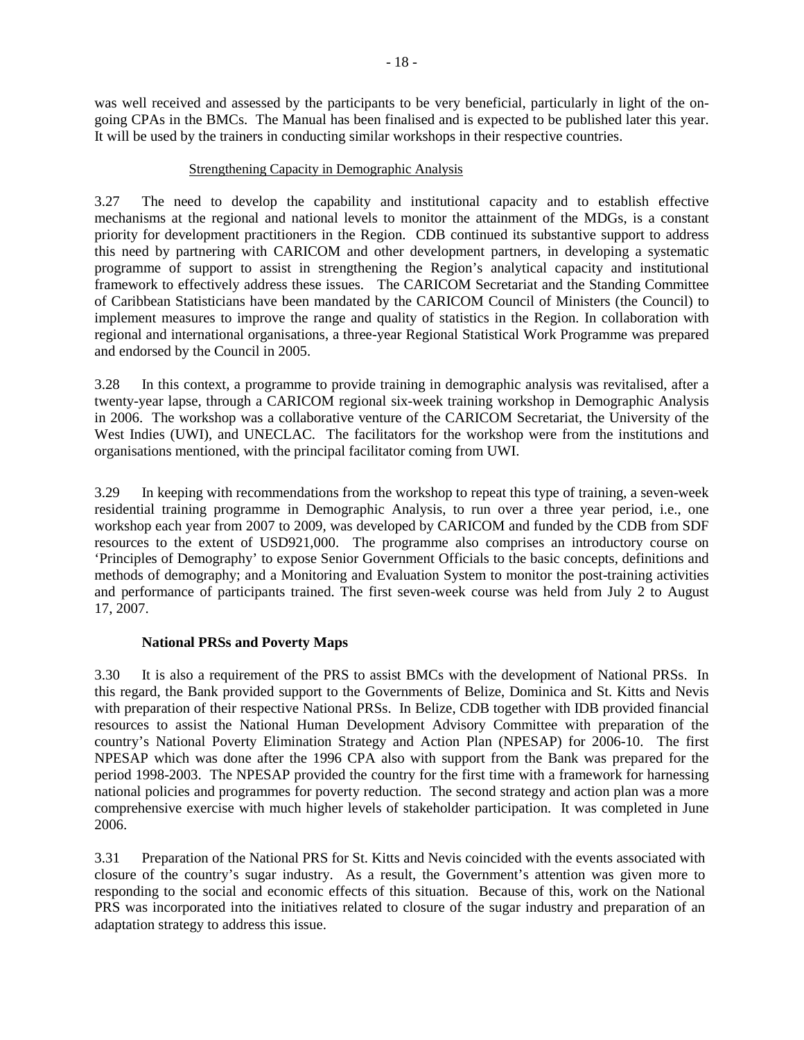was well received and assessed by the participants to be very beneficial, particularly in light of the ongoing CPAs in the BMCs. The Manual has been finalised and is expected to be published later this year. It will be used by the trainers in conducting similar workshops in their respective countries.

#### Strengthening Capacity in Demographic Analysis

3.27 The need to develop the capability and institutional capacity and to establish effective mechanisms at the regional and national levels to monitor the attainment of the MDGs, is a constant priority for development practitioners in the Region. CDB continued its substantive support to address this need by partnering with CARICOM and other development partners, in developing a systematic programme of support to assist in strengthening the Region's analytical capacity and institutional framework to effectively address these issues. The CARICOM Secretariat and the Standing Committee of Caribbean Statisticians have been mandated by the CARICOM Council of Ministers (the Council) to implement measures to improve the range and quality of statistics in the Region. In collaboration with regional and international organisations, a three-year Regional Statistical Work Programme was prepared and endorsed by the Council in 2005.

3.28 In this context, a programme to provide training in demographic analysis was revitalised, after a twenty-year lapse, through a CARICOM regional six-week training workshop in Demographic Analysis in 2006. The workshop was a collaborative venture of the CARICOM Secretariat, the University of the West Indies (UWI), and UNECLAC. The facilitators for the workshop were from the institutions and organisations mentioned, with the principal facilitator coming from UWI.

3.29 In keeping with recommendations from the workshop to repeat this type of training, a seven-week residential training programme in Demographic Analysis, to run over a three year period, i.e., one workshop each year from 2007 to 2009, was developed by CARICOM and funded by the CDB from SDF resources to the extent of USD921,000. The programme also comprises an introductory course on 'Principles of Demography' to expose Senior Government Officials to the basic concepts, definitions and methods of demography; and a Monitoring and Evaluation System to monitor the post-training activities and performance of participants trained. The first seven-week course was held from July 2 to August 17, 2007.

# **National PRSs and Poverty Maps**

3.30 It is also a requirement of the PRS to assist BMCs with the development of National PRSs. In this regard, the Bank provided support to the Governments of Belize, Dominica and St. Kitts and Nevis with preparation of their respective National PRSs. In Belize, CDB together with IDB provided financial resources to assist the National Human Development Advisory Committee with preparation of the country's National Poverty Elimination Strategy and Action Plan (NPESAP) for 2006-10. The first NPESAP which was done after the 1996 CPA also with support from the Bank was prepared for the period 1998-2003. The NPESAP provided the country for the first time with a framework for harnessing national policies and programmes for poverty reduction. The second strategy and action plan was a more comprehensive exercise with much higher levels of stakeholder participation. It was completed in June 2006.

3.31 Preparation of the National PRS for St. Kitts and Nevis coincided with the events associated with closure of the country's sugar industry. As a result, the Government's attention was given more to responding to the social and economic effects of this situation. Because of this, work on the National PRS was incorporated into the initiatives related to closure of the sugar industry and preparation of an adaptation strategy to address this issue.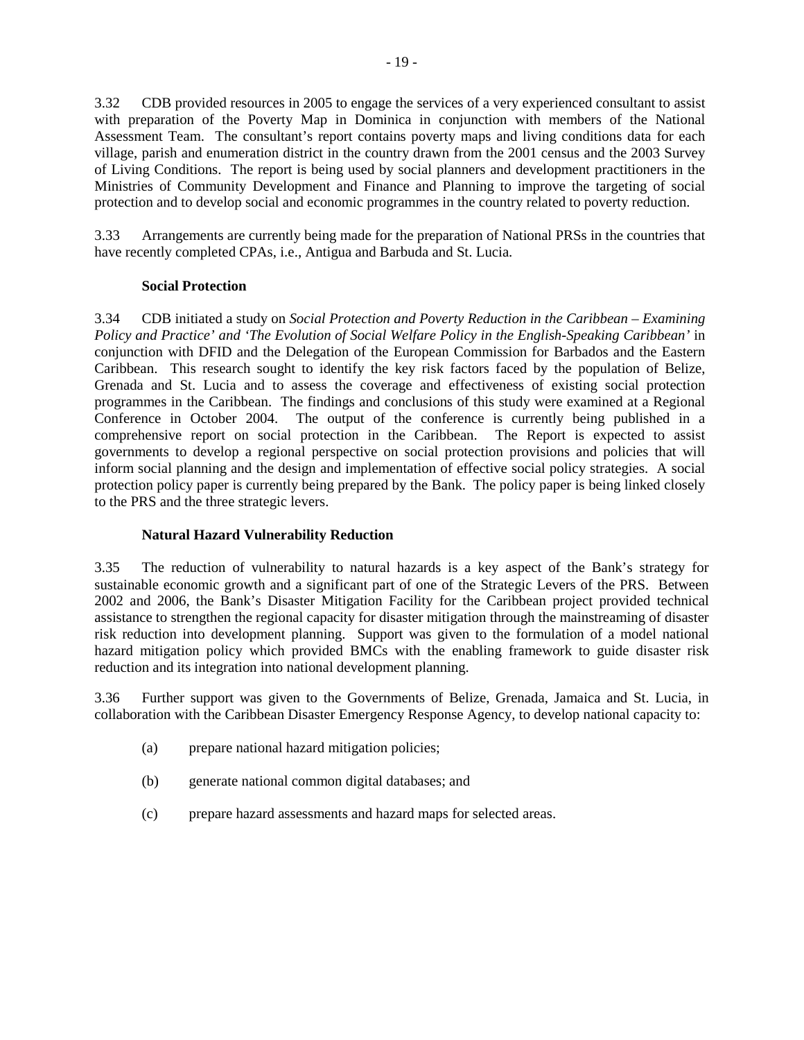3.32 CDB provided resources in 2005 to engage the services of a very experienced consultant to assist with preparation of the Poverty Map in Dominica in conjunction with members of the National Assessment Team. The consultant's report contains poverty maps and living conditions data for each village, parish and enumeration district in the country drawn from the 2001 census and the 2003 Survey of Living Conditions. The report is being used by social planners and development practitioners in the Ministries of Community Development and Finance and Planning to improve the targeting of social protection and to develop social and economic programmes in the country related to poverty reduction.

3.33 Arrangements are currently being made for the preparation of National PRSs in the countries that have recently completed CPAs, i.e., Antigua and Barbuda and St. Lucia.

#### **Social Protection**

3.34 CDB initiated a study on *Social Protection and Poverty Reduction in the Caribbean – Examining Policy and Practice' and 'The Evolution of Social Welfare Policy in the English-Speaking Caribbean'* in conjunction with DFID and the Delegation of the European Commission for Barbados and the Eastern Caribbean. This research sought to identify the key risk factors faced by the population of Belize, Grenada and St. Lucia and to assess the coverage and effectiveness of existing social protection programmes in the Caribbean. The findings and conclusions of this study were examined at a Regional Conference in October 2004. The output of the conference is currently being published in a comprehensive report on social protection in the Caribbean. The Report is expected to assist governments to develop a regional perspective on social protection provisions and policies that will inform social planning and the design and implementation of effective social policy strategies. A social protection policy paper is currently being prepared by the Bank. The policy paper is being linked closely to the PRS and the three strategic levers.

# **Natural Hazard Vulnerability Reduction**

3.35 The reduction of vulnerability to natural hazards is a key aspect of the Bank's strategy for sustainable economic growth and a significant part of one of the Strategic Levers of the PRS. Between 2002 and 2006, the Bank's Disaster Mitigation Facility for the Caribbean project provided technical assistance to strengthen the regional capacity for disaster mitigation through the mainstreaming of disaster risk reduction into development planning. Support was given to the formulation of a model national hazard mitigation policy which provided BMCs with the enabling framework to guide disaster risk reduction and its integration into national development planning.

3.36 Further support was given to the Governments of Belize, Grenada, Jamaica and St. Lucia, in collaboration with the Caribbean Disaster Emergency Response Agency, to develop national capacity to:

- (a) prepare national hazard mitigation policies;
- (b) generate national common digital databases; and
- (c) prepare hazard assessments and hazard maps for selected areas.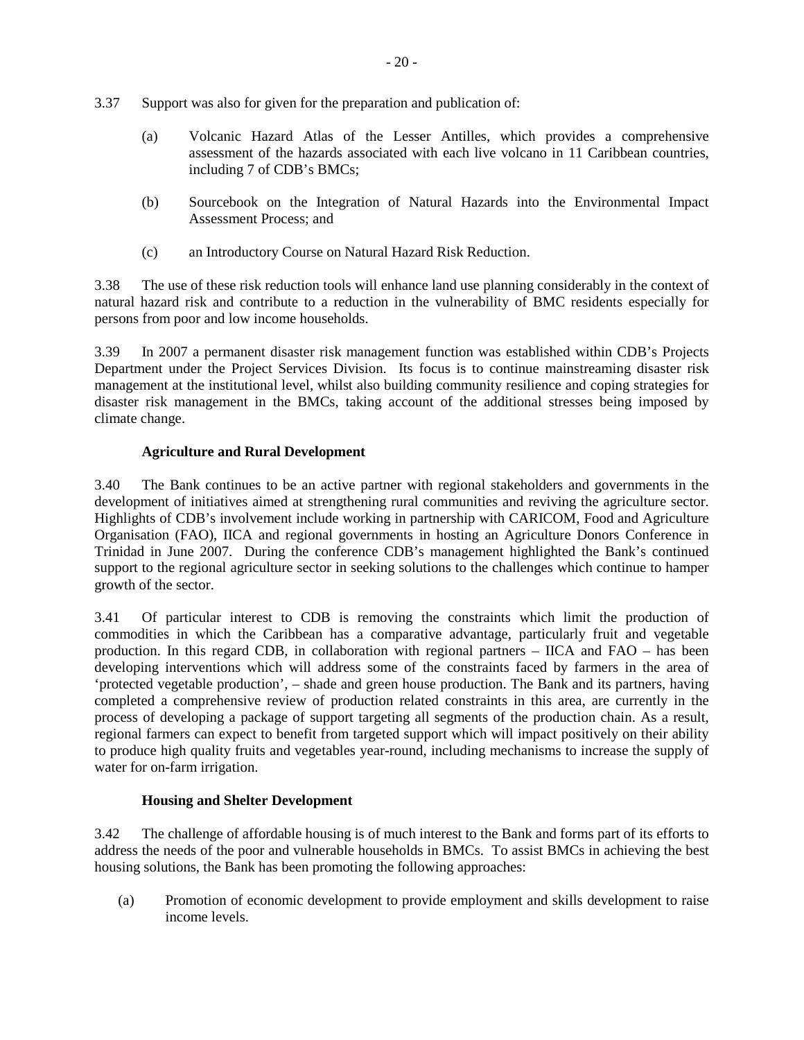- 3.37 Support was also for given for the preparation and publication of:
	- (a) Volcanic Hazard Atlas of the Lesser Antilles, which provides a comprehensive assessment of the hazards associated with each live volcano in 11 Caribbean countries, including 7 of CDB's BMCs;
	- (b) Sourcebook on the Integration of Natural Hazards into the Environmental Impact Assessment Process; and
	- (c) an Introductory Course on Natural Hazard Risk Reduction.

3.38 The use of these risk reduction tools will enhance land use planning considerably in the context of natural hazard risk and contribute to a reduction in the vulnerability of BMC residents especially for persons from poor and low income households.

3.39 In 2007 a permanent disaster risk management function was established within CDB's Projects Department under the Project Services Division. Its focus is to continue mainstreaming disaster risk management at the institutional level, whilst also building community resilience and coping strategies for disaster risk management in the BMCs, taking account of the additional stresses being imposed by climate change.

# **Agriculture and Rural Development**

3.40 The Bank continues to be an active partner with regional stakeholders and governments in the development of initiatives aimed at strengthening rural communities and reviving the agriculture sector. Highlights of CDB's involvement include working in partnership with CARICOM, Food and Agriculture Organisation (FAO), IICA and regional governments in hosting an Agriculture Donors Conference in Trinidad in June 2007. During the conference CDB's management highlighted the Bank's continued support to the regional agriculture sector in seeking solutions to the challenges which continue to hamper growth of the sector.

3.41 Of particular interest to CDB is removing the constraints which limit the production of commodities in which the Caribbean has a comparative advantage, particularly fruit and vegetable production. In this regard CDB, in collaboration with regional partners – IICA and FAO – has been developing interventions which will address some of the constraints faced by farmers in the area of 'protected vegetable production', – shade and green house production. The Bank and its partners, having completed a comprehensive review of production related constraints in this area, are currently in the process of developing a package of support targeting all segments of the production chain. As a result, regional farmers can expect to benefit from targeted support which will impact positively on their ability to produce high quality fruits and vegetables year-round, including mechanisms to increase the supply of water for on-farm irrigation.

# **Housing and Shelter Development**

3.42 The challenge of affordable housing is of much interest to the Bank and forms part of its efforts to address the needs of the poor and vulnerable households in BMCs. To assist BMCs in achieving the best housing solutions, the Bank has been promoting the following approaches:

(a) Promotion of economic development to provide employment and skills development to raise income levels.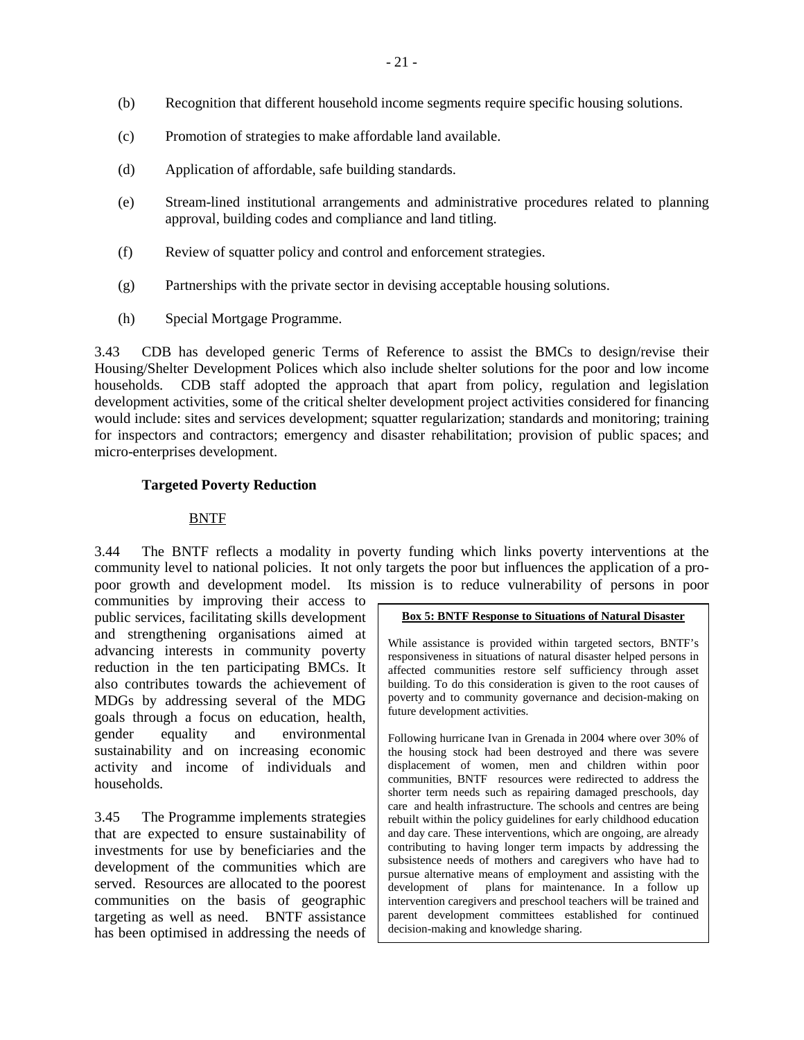- (b) Recognition that different household income segments require specific housing solutions.
- (c) Promotion of strategies to make affordable land available.
- (d) Application of affordable, safe building standards.
- (e) Stream-lined institutional arrangements and administrative procedures related to planning approval, building codes and compliance and land titling.
- (f) Review of squatter policy and control and enforcement strategies.
- (g) Partnerships with the private sector in devising acceptable housing solutions.
- (h) Special Mortgage Programme.

3.43 CDB has developed generic Terms of Reference to assist the BMCs to design/revise their Housing/Shelter Development Polices which also include shelter solutions for the poor and low income households. CDB staff adopted the approach that apart from policy, regulation and legislation development activities, some of the critical shelter development project activities considered for financing would include: sites and services development; squatter regularization; standards and monitoring; training for inspectors and contractors; emergency and disaster rehabilitation; provision of public spaces; and micro-enterprises development.

#### **Targeted Poverty Reduction**

#### BNTF

3.44 The BNTF reflects a modality in poverty funding which links poverty interventions at the community level to national policies. It not only targets the poor but influences the application of a propoor growth and development model. Its mission is to reduce vulnerability of persons in poor

communities by improving their access to public services, facilitating skills development and strengthening organisations aimed at advancing interests in community poverty reduction in the ten participating BMCs. It also contributes towards the achievement of MDGs by addressing several of the MDG goals through a focus on education, health, gender equality and environmental sustainability and on increasing economic activity and income of individuals and households.

3.45 The Programme implements strategies that are expected to ensure sustainability of investments for use by beneficiaries and the development of the communities which are served. Resources are allocated to the poorest communities on the basis of geographic targeting as well as need. BNTF assistance has been optimised in addressing the needs of

#### **Box 5: BNTF Response to Situations of Natural Disaster**

While assistance is provided within targeted sectors, BNTF's responsiveness in situations of natural disaster helped persons in affected communities restore self sufficiency through asset building. To do this consideration is given to the root causes of poverty and to community governance and decision-making on future development activities.

Following hurricane Ivan in Grenada in 2004 where over 30% of the housing stock had been destroyed and there was severe displacement of women, men and children within poor communities, BNTF resources were redirected to address the shorter term needs such as repairing damaged preschools, day care and health infrastructure. The schools and centres are being rebuilt within the policy guidelines for early childhood education and day care. These interventions, which are ongoing, are already contributing to having longer term impacts by addressing the subsistence needs of mothers and caregivers who have had to pursue alternative means of employment and assisting with the development of plans for maintenance. In a follow up intervention caregivers and preschool teachers will be trained and parent development committees established for continued decision-making and knowledge sharing.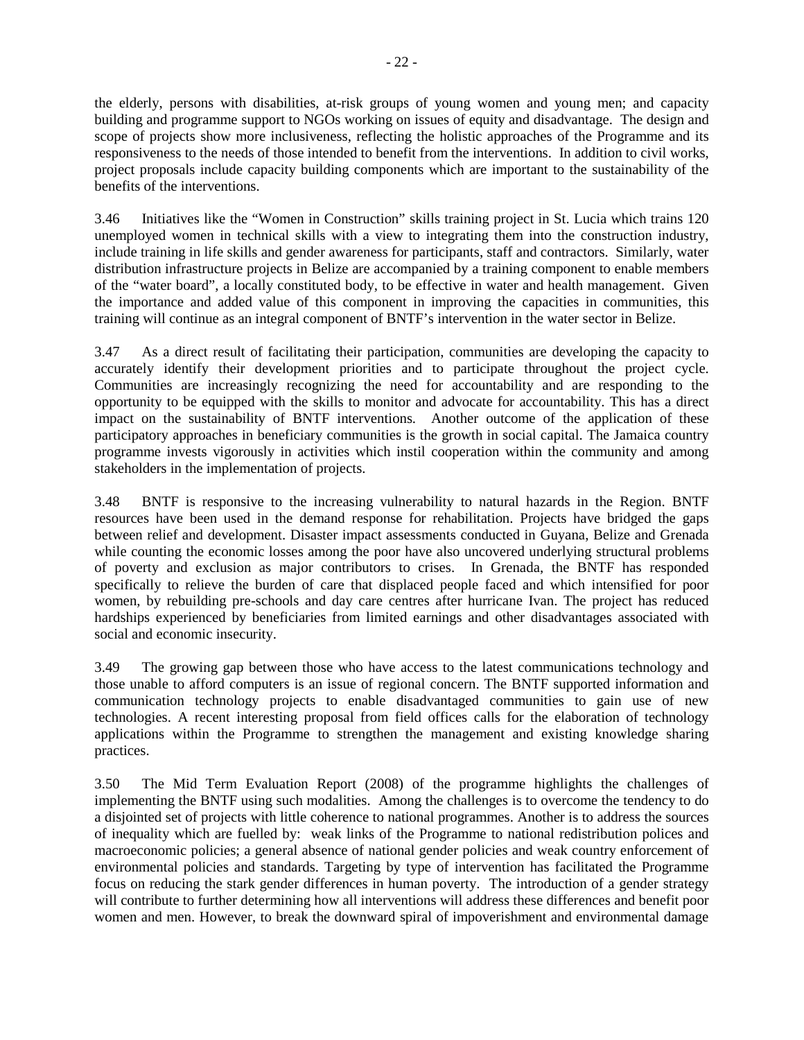the elderly, persons with disabilities, at-risk groups of young women and young men; and capacity building and programme support to NGOs working on issues of equity and disadvantage. The design and scope of projects show more inclusiveness, reflecting the holistic approaches of the Programme and its responsiveness to the needs of those intended to benefit from the interventions. In addition to civil works, project proposals include capacity building components which are important to the sustainability of the benefits of the interventions.

3.46 Initiatives like the "Women in Construction" skills training project in St. Lucia which trains 120 unemployed women in technical skills with a view to integrating them into the construction industry, include training in life skills and gender awareness for participants, staff and contractors. Similarly, water distribution infrastructure projects in Belize are accompanied by a training component to enable members of the "water board", a locally constituted body, to be effective in water and health management. Given the importance and added value of this component in improving the capacities in communities, this training will continue as an integral component of BNTF's intervention in the water sector in Belize.

3.47 As a direct result of facilitating their participation, communities are developing the capacity to accurately identify their development priorities and to participate throughout the project cycle. Communities are increasingly recognizing the need for accountability and are responding to the opportunity to be equipped with the skills to monitor and advocate for accountability. This has a direct impact on the sustainability of BNTF interventions. Another outcome of the application of these participatory approaches in beneficiary communities is the growth in social capital. The Jamaica country programme invests vigorously in activities which instil cooperation within the community and among stakeholders in the implementation of projects.

3.48 BNTF is responsive to the increasing vulnerability to natural hazards in the Region. BNTF resources have been used in the demand response for rehabilitation. Projects have bridged the gaps between relief and development. Disaster impact assessments conducted in Guyana, Belize and Grenada while counting the economic losses among the poor have also uncovered underlying structural problems of poverty and exclusion as major contributors to crises. In Grenada, the BNTF has responded specifically to relieve the burden of care that displaced people faced and which intensified for poor women, by rebuilding pre-schools and day care centres after hurricane Ivan. The project has reduced hardships experienced by beneficiaries from limited earnings and other disadvantages associated with social and economic insecurity.

3.49 The growing gap between those who have access to the latest communications technology and those unable to afford computers is an issue of regional concern. The BNTF supported information and communication technology projects to enable disadvantaged communities to gain use of new technologies. A recent interesting proposal from field offices calls for the elaboration of technology applications within the Programme to strengthen the management and existing knowledge sharing practices.

3.50 The Mid Term Evaluation Report (2008) of the programme highlights the challenges of implementing the BNTF using such modalities. Among the challenges is to overcome the tendency to do a disjointed set of projects with little coherence to national programmes. Another is to address the sources of inequality which are fuelled by: weak links of the Programme to national redistribution polices and macroeconomic policies; a general absence of national gender policies and weak country enforcement of environmental policies and standards. Targeting by type of intervention has facilitated the Programme focus on reducing the stark gender differences in human poverty. The introduction of a gender strategy will contribute to further determining how all interventions will address these differences and benefit poor women and men. However, to break the downward spiral of impoverishment and environmental damage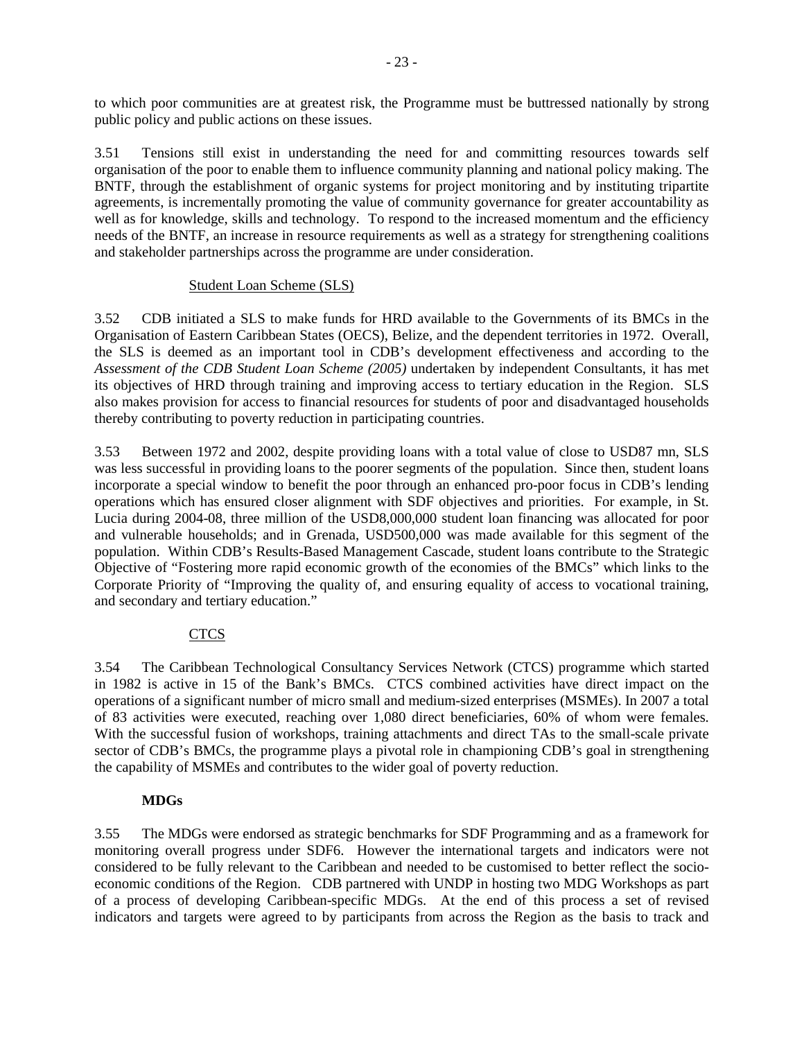to which poor communities are at greatest risk, the Programme must be buttressed nationally by strong public policy and public actions on these issues.

3.51 Tensions still exist in understanding the need for and committing resources towards self organisation of the poor to enable them to influence community planning and national policy making. The BNTF, through the establishment of organic systems for project monitoring and by instituting tripartite agreements, is incrementally promoting the value of community governance for greater accountability as well as for knowledge, skills and technology. To respond to the increased momentum and the efficiency needs of the BNTF, an increase in resource requirements as well as a strategy for strengthening coalitions and stakeholder partnerships across the programme are under consideration.

#### Student Loan Scheme (SLS)

3.52 CDB initiated a SLS to make funds for HRD available to the Governments of its BMCs in the Organisation of Eastern Caribbean States (OECS), Belize, and the dependent territories in 1972. Overall, the SLS is deemed as an important tool in CDB's development effectiveness and according to the *Assessment of the CDB Student Loan Scheme (2005)* undertaken by independent Consultants*,* it has met its objectives of HRD through training and improving access to tertiary education in the Region. SLS also makes provision for access to financial resources for students of poor and disadvantaged households thereby contributing to poverty reduction in participating countries.

3.53 Between 1972 and 2002, despite providing loans with a total value of close to USD87 mn, SLS was less successful in providing loans to the poorer segments of the population. Since then, student loans incorporate a special window to benefit the poor through an enhanced pro-poor focus in CDB's lending operations which has ensured closer alignment with SDF objectives and priorities. For example, in St. Lucia during 2004-08, three million of the USD8,000,000 student loan financing was allocated for poor and vulnerable households; and in Grenada, USD500,000 was made available for this segment of the population. Within CDB's Results-Based Management Cascade, student loans contribute to the Strategic Objective of "Fostering more rapid economic growth of the economies of the BMCs" which links to the Corporate Priority of "Improving the quality of, and ensuring equality of access to vocational training, and secondary and tertiary education."

# CTCS

3.54 The Caribbean Technological Consultancy Services Network (CTCS) programme which started in 1982 is active in 15 of the Bank's BMCs. CTCS combined activities have direct impact on the operations of a significant number of micro small and medium-sized enterprises (MSMEs). In 2007 a total of 83 activities were executed, reaching over 1,080 direct beneficiaries, 60% of whom were females. With the successful fusion of workshops, training attachments and direct TAs to the small-scale private sector of CDB's BMCs, the programme plays a pivotal role in championing CDB's goal in strengthening the capability of MSMEs and contributes to the wider goal of poverty reduction.

# **MDGs**

3.55 The MDGs were endorsed as strategic benchmarks for SDF Programming and as a framework for monitoring overall progress under SDF6. However the international targets and indicators were not considered to be fully relevant to the Caribbean and needed to be customised to better reflect the socioeconomic conditions of the Region. CDB partnered with UNDP in hosting two MDG Workshops as part of a process of developing Caribbean-specific MDGs. At the end of this process a set of revised indicators and targets were agreed to by participants from across the Region as the basis to track and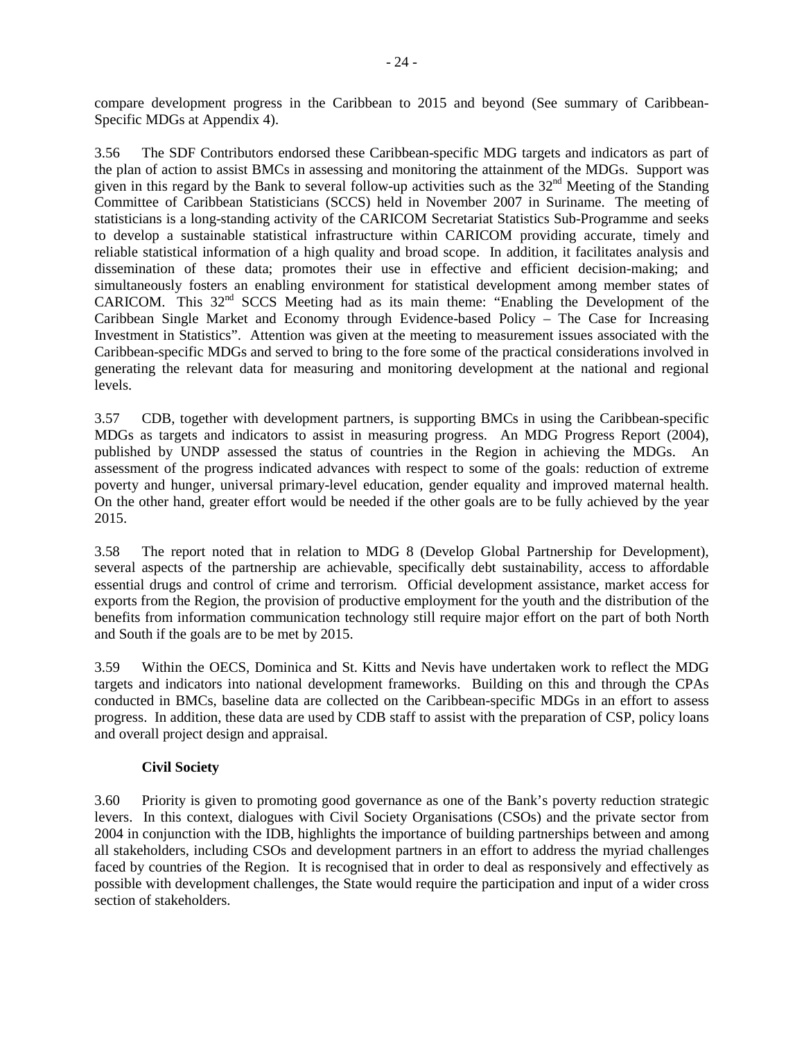compare development progress in the Caribbean to 2015 and beyond (See summary of Caribbean-Specific MDGs at Appendix 4).

3.56 The SDF Contributors endorsed these Caribbean-specific MDG targets and indicators as part of the plan of action to assist BMCs in assessing and monitoring the attainment of the MDGs. Support was given in this regard by the Bank to several follow-up activities such as the  $32<sup>nd</sup>$  Meeting of the Standing Committee of Caribbean Statisticians (SCCS) held in November 2007 in Suriname. The meeting of statisticians is a long-standing activity of the CARICOM Secretariat Statistics Sub-Programme and seeks to develop a sustainable statistical infrastructure within CARICOM providing accurate, timely and reliable statistical information of a high quality and broad scope. In addition, it facilitates analysis and dissemination of these data; promotes their use in effective and efficient decision-making; and simultaneously fosters an enabling environment for statistical development among member states of CARICOM. This 32nd SCCS Meeting had as its main theme: "Enabling the Development of the Caribbean Single Market and Economy through Evidence-based Policy – The Case for Increasing Investment in Statistics". Attention was given at the meeting to measurement issues associated with the Caribbean-specific MDGs and served to bring to the fore some of the practical considerations involved in generating the relevant data for measuring and monitoring development at the national and regional levels.

3.57 CDB, together with development partners, is supporting BMCs in using the Caribbean-specific MDGs as targets and indicators to assist in measuring progress. An MDG Progress Report (2004), published by UNDP assessed the status of countries in the Region in achieving the MDGs. An assessment of the progress indicated advances with respect to some of the goals: reduction of extreme poverty and hunger, universal primary-level education, gender equality and improved maternal health. On the other hand, greater effort would be needed if the other goals are to be fully achieved by the year 2015.

3.58 The report noted that in relation to MDG 8 (Develop Global Partnership for Development), several aspects of the partnership are achievable, specifically debt sustainability, access to affordable essential drugs and control of crime and terrorism. Official development assistance, market access for exports from the Region, the provision of productive employment for the youth and the distribution of the benefits from information communication technology still require major effort on the part of both North and South if the goals are to be met by 2015.

3.59 Within the OECS, Dominica and St. Kitts and Nevis have undertaken work to reflect the MDG targets and indicators into national development frameworks. Building on this and through the CPAs conducted in BMCs, baseline data are collected on the Caribbean-specific MDGs in an effort to assess progress. In addition, these data are used by CDB staff to assist with the preparation of CSP, policy loans and overall project design and appraisal.

#### **Civil Society**

3.60 Priority is given to promoting good governance as one of the Bank's poverty reduction strategic levers. In this context, dialogues with Civil Society Organisations (CSOs) and the private sector from 2004 in conjunction with the IDB, highlights the importance of building partnerships between and among all stakeholders, including CSOs and development partners in an effort to address the myriad challenges faced by countries of the Region. It is recognised that in order to deal as responsively and effectively as possible with development challenges, the State would require the participation and input of a wider cross section of stakeholders.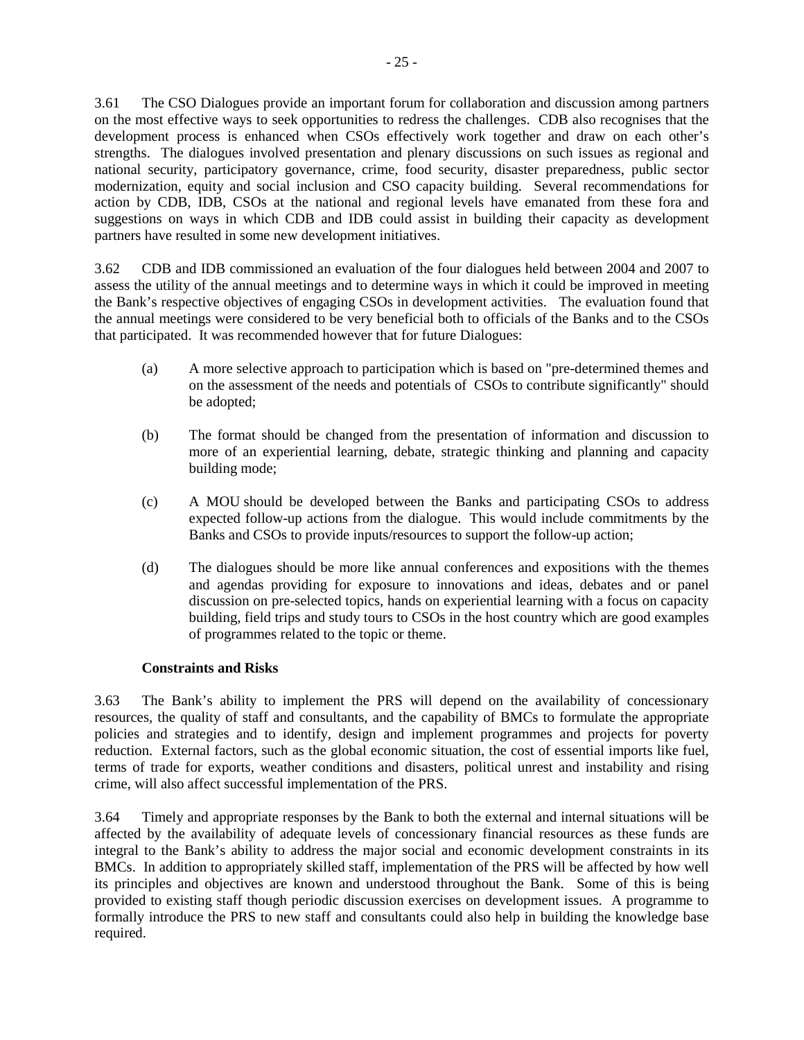3.61 The CSO Dialogues provide an important forum for collaboration and discussion among partners on the most effective ways to seek opportunities to redress the challenges. CDB also recognises that the development process is enhanced when CSOs effectively work together and draw on each other's strengths. The dialogues involved presentation and plenary discussions on such issues as regional and national security, participatory governance, crime, food security, disaster preparedness, public sector modernization, equity and social inclusion and CSO capacity building. Several recommendations for action by CDB, IDB, CSOs at the national and regional levels have emanated from these fora and suggestions on ways in which CDB and IDB could assist in building their capacity as development partners have resulted in some new development initiatives.

3.62 CDB and IDB commissioned an evaluation of the four dialogues held between 2004 and 2007 to assess the utility of the annual meetings and to determine ways in which it could be improved in meeting the Bank's respective objectives of engaging CSOs in development activities. The evaluation found that the annual meetings were considered to be very beneficial both to officials of the Banks and to the CSOs that participated. It was recommended however that for future Dialogues:

- (a) A more selective approach to participation which is based on "pre-determined themes and on the assessment of the needs and potentials of CSOs to contribute significantly" should be adopted;
- (b) The format should be changed from the presentation of information and discussion to more of an experiential learning, debate, strategic thinking and planning and capacity building mode;
- (c) A MOU should be developed between the Banks and participating CSOs to address expected follow-up actions from the dialogue. This would include commitments by the Banks and CSOs to provide inputs/resources to support the follow-up action;
- (d) The dialogues should be more like annual conferences and expositions with the themes and agendas providing for exposure to innovations and ideas, debates and or panel discussion on pre-selected topics, hands on experiential learning with a focus on capacity building, field trips and study tours to CSOs in the host country which are good examples of programmes related to the topic or theme.

# **Constraints and Risks**

3.63 The Bank's ability to implement the PRS will depend on the availability of concessionary resources, the quality of staff and consultants, and the capability of BMCs to formulate the appropriate policies and strategies and to identify, design and implement programmes and projects for poverty reduction. External factors, such as the global economic situation, the cost of essential imports like fuel, terms of trade for exports, weather conditions and disasters, political unrest and instability and rising crime, will also affect successful implementation of the PRS.

3.64 Timely and appropriate responses by the Bank to both the external and internal situations will be affected by the availability of adequate levels of concessionary financial resources as these funds are integral to the Bank's ability to address the major social and economic development constraints in its BMCs. In addition to appropriately skilled staff, implementation of the PRS will be affected by how well its principles and objectives are known and understood throughout the Bank. Some of this is being provided to existing staff though periodic discussion exercises on development issues. A programme to formally introduce the PRS to new staff and consultants could also help in building the knowledge base required.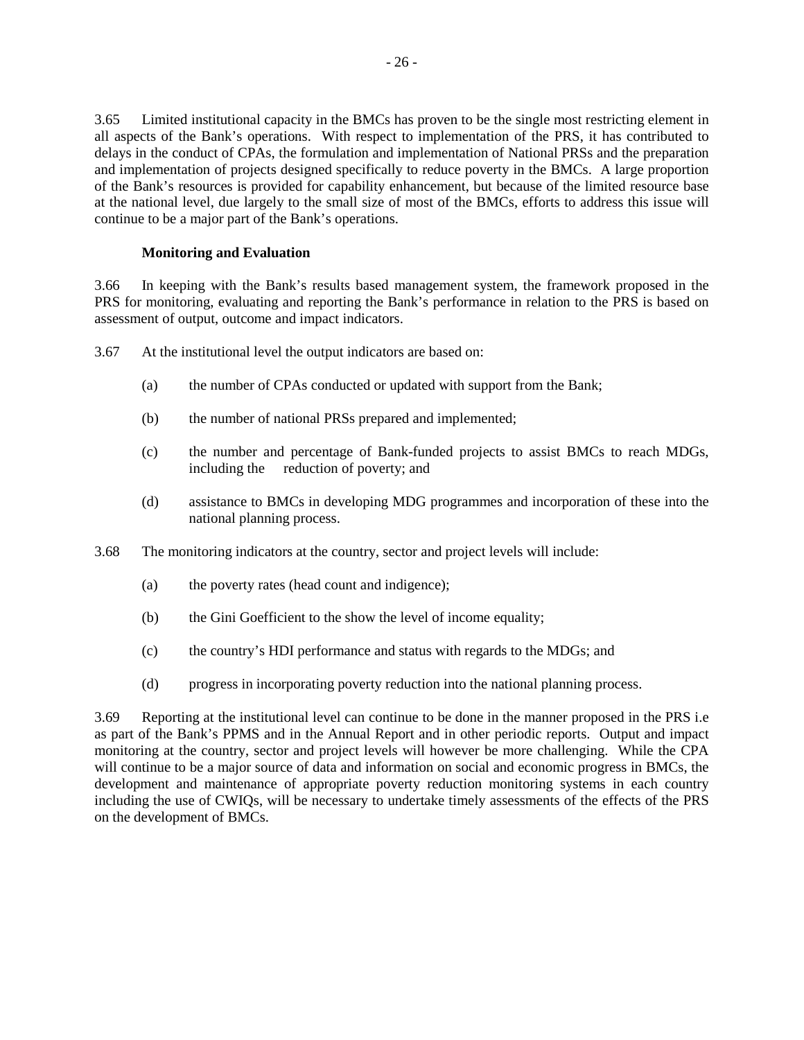3.65 Limited institutional capacity in the BMCs has proven to be the single most restricting element in all aspects of the Bank's operations. With respect to implementation of the PRS, it has contributed to delays in the conduct of CPAs, the formulation and implementation of National PRSs and the preparation and implementation of projects designed specifically to reduce poverty in the BMCs. A large proportion of the Bank's resources is provided for capability enhancement, but because of the limited resource base at the national level, due largely to the small size of most of the BMCs, efforts to address this issue will continue to be a major part of the Bank's operations.

# **Monitoring and Evaluation**

3.66 In keeping with the Bank's results based management system, the framework proposed in the PRS for monitoring, evaluating and reporting the Bank's performance in relation to the PRS is based on assessment of output, outcome and impact indicators.

3.67 At the institutional level the output indicators are based on:

- (a) the number of CPAs conducted or updated with support from the Bank;
- (b) the number of national PRSs prepared and implemented;
- (c) the number and percentage of Bank-funded projects to assist BMCs to reach MDGs, including the reduction of poverty; and
- (d) assistance to BMCs in developing MDG programmes and incorporation of these into the national planning process.
- 3.68 The monitoring indicators at the country, sector and project levels will include:
	- (a) the poverty rates (head count and indigence);
	- (b) the Gini Goefficient to the show the level of income equality;
	- (c) the country's HDI performance and status with regards to the MDGs; and
	- (d) progress in incorporating poverty reduction into the national planning process.

3.69 Reporting at the institutional level can continue to be done in the manner proposed in the PRS i.e as part of the Bank's PPMS and in the Annual Report and in other periodic reports. Output and impact monitoring at the country, sector and project levels will however be more challenging. While the CPA will continue to be a major source of data and information on social and economic progress in BMCs, the development and maintenance of appropriate poverty reduction monitoring systems in each country including the use of CWIQs, will be necessary to undertake timely assessments of the effects of the PRS on the development of BMCs.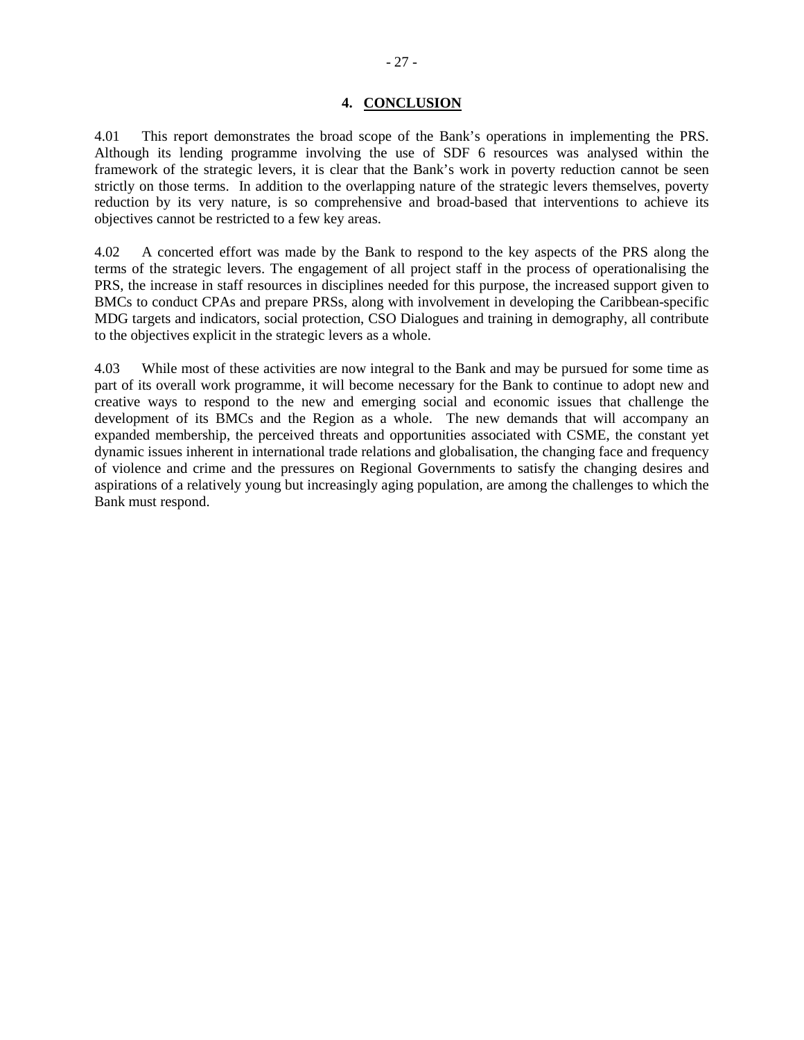#### **4. CONCLUSION**

4.01 This report demonstrates the broad scope of the Bank's operations in implementing the PRS. Although its lending programme involving the use of SDF 6 resources was analysed within the framework of the strategic levers, it is clear that the Bank's work in poverty reduction cannot be seen strictly on those terms. In addition to the overlapping nature of the strategic levers themselves, poverty reduction by its very nature, is so comprehensive and broad-based that interventions to achieve its objectives cannot be restricted to a few key areas.

4.02 A concerted effort was made by the Bank to respond to the key aspects of the PRS along the terms of the strategic levers. The engagement of all project staff in the process of operationalising the PRS, the increase in staff resources in disciplines needed for this purpose, the increased support given to BMCs to conduct CPAs and prepare PRSs, along with involvement in developing the Caribbean-specific MDG targets and indicators, social protection, CSO Dialogues and training in demography, all contribute to the objectives explicit in the strategic levers as a whole.

4.03 While most of these activities are now integral to the Bank and may be pursued for some time as part of its overall work programme, it will become necessary for the Bank to continue to adopt new and creative ways to respond to the new and emerging social and economic issues that challenge the development of its BMCs and the Region as a whole. The new demands that will accompany an expanded membership, the perceived threats and opportunities associated with CSME, the constant yet dynamic issues inherent in international trade relations and globalisation, the changing face and frequency of violence and crime and the pressures on Regional Governments to satisfy the changing desires and aspirations of a relatively young but increasingly aging population, are among the challenges to which the Bank must respond.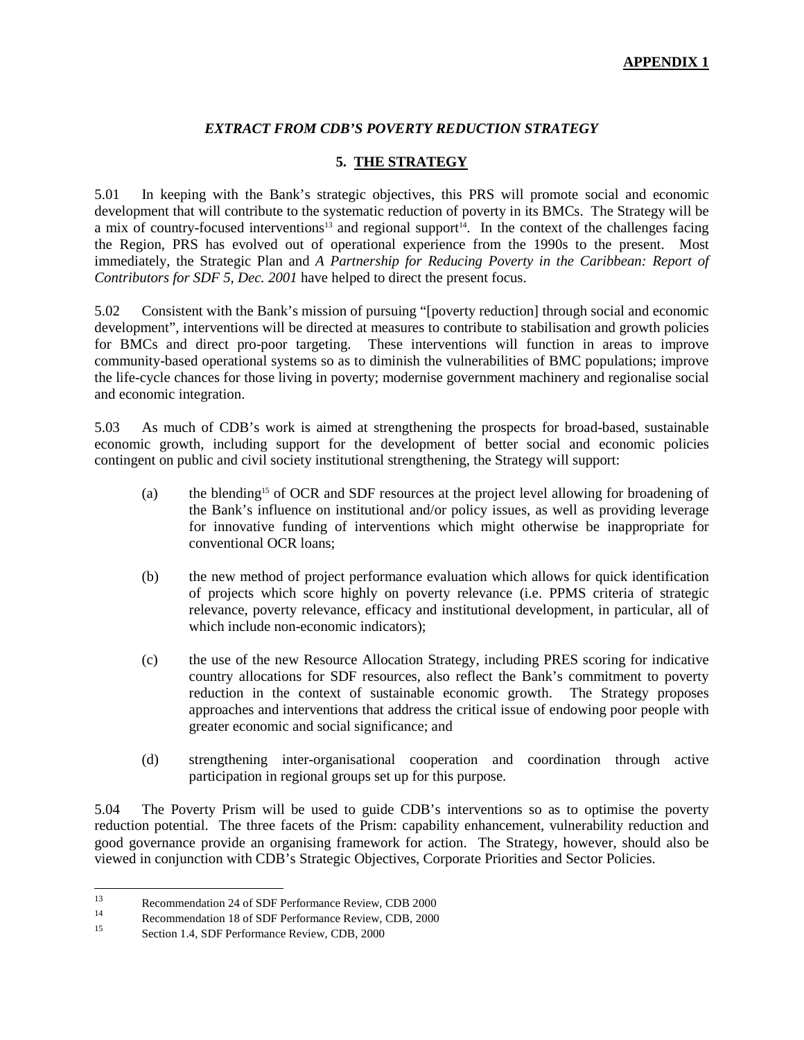# *EXTRACT FROM CDB'S POVERTY REDUCTION STRATEGY*

# **5. THE STRATEGY**

5.01 In keeping with the Bank's strategic objectives, this PRS will promote social and economic development that will contribute to the systematic reduction of poverty in its BMCs. The Strategy will be a mix of country-focused interventions<sup>13</sup> and regional support<sup>14</sup>. In the context of the challenges facing the Region, PRS has evolved out of operational experience from the 1990s to the present. Most immediately, the Strategic Plan and *A Partnership for Reducing Poverty in the Caribbean: Report of Contributors for SDF 5, Dec. 2001* have helped to direct the present focus.

5.02 Consistent with the Bank's mission of pursuing "[poverty reduction] through social and economic development", interventions will be directed at measures to contribute to stabilisation and growth policies for BMCs and direct pro-poor targeting. These interventions will function in areas to improve community-based operational systems so as to diminish the vulnerabilities of BMC populations; improve the life-cycle chances for those living in poverty; modernise government machinery and regionalise social and economic integration.

5.03 As much of CDB's work is aimed at strengthening the prospects for broad-based, sustainable economic growth, including support for the development of better social and economic policies contingent on public and civil society institutional strengthening, the Strategy will support:

- (a) the blending<sup>15</sup> of OCR and SDF resources at the project level allowing for broadening of the Bank's influence on institutional and/or policy issues, as well as providing leverage for innovative funding of interventions which might otherwise be inappropriate for conventional OCR loans;
- (b) the new method of project performance evaluation which allows for quick identification of projects which score highly on poverty relevance (i.e. PPMS criteria of strategic relevance, poverty relevance, efficacy and institutional development, in particular, all of which include non-economic indicators);
- (c) the use of the new Resource Allocation Strategy, including PRES scoring for indicative country allocations for SDF resources, also reflect the Bank's commitment to poverty reduction in the context of sustainable economic growth. The Strategy proposes approaches and interventions that address the critical issue of endowing poor people with greater economic and social significance; and
- (d) strengthening inter-organisational cooperation and coordination through active participation in regional groups set up for this purpose.

5.04 The Poverty Prism will be used to guide CDB's interventions so as to optimise the poverty reduction potential. The three facets of the Prism: capability enhancement, vulnerability reduction and good governance provide an organising framework for action. The Strategy, however, should also be viewed in conjunction with CDB's Strategic Objectives, Corporate Priorities and Sector Policies.

 $13$  $13$  Recommendation 24 of SDF Performance Review, CDB 2000

<sup>&</sup>lt;sup>14</sup><br>Recommendation 18 of SDF Performance Review, CDB, 2000<br>Section 1.4, SDF Performance Parties, CDB, 2000

Section 1.4, SDF Performance Review, CDB, 2000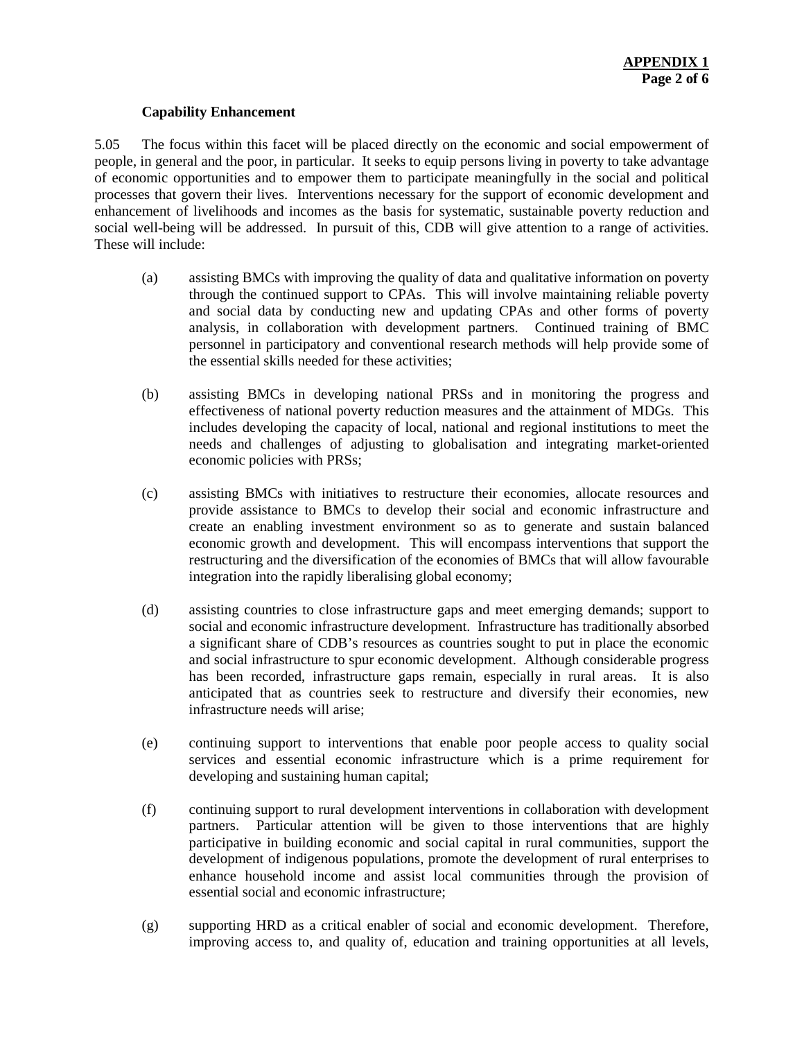#### **Capability Enhancement**

5.05 The focus within this facet will be placed directly on the economic and social empowerment of people, in general and the poor, in particular. It seeks to equip persons living in poverty to take advantage of economic opportunities and to empower them to participate meaningfully in the social and political processes that govern their lives. Interventions necessary for the support of economic development and enhancement of livelihoods and incomes as the basis for systematic, sustainable poverty reduction and social well-being will be addressed. In pursuit of this, CDB will give attention to a range of activities. These will include:

- (a) assisting BMCs with improving the quality of data and qualitative information on poverty through the continued support to CPAs. This will involve maintaining reliable poverty and social data by conducting new and updating CPAs and other forms of poverty analysis, in collaboration with development partners. Continued training of BMC personnel in participatory and conventional research methods will help provide some of the essential skills needed for these activities;
- (b) assisting BMCs in developing national PRSs and in monitoring the progress and effectiveness of national poverty reduction measures and the attainment of MDGs. This includes developing the capacity of local, national and regional institutions to meet the needs and challenges of adjusting to globalisation and integrating market-oriented economic policies with PRSs;
- (c) assisting BMCs with initiatives to restructure their economies, allocate resources and provide assistance to BMCs to develop their social and economic infrastructure and create an enabling investment environment so as to generate and sustain balanced economic growth and development. This will encompass interventions that support the restructuring and the diversification of the economies of BMCs that will allow favourable integration into the rapidly liberalising global economy;
- (d) assisting countries to close infrastructure gaps and meet emerging demands; support to social and economic infrastructure development. Infrastructure has traditionally absorbed a significant share of CDB's resources as countries sought to put in place the economic and social infrastructure to spur economic development. Although considerable progress has been recorded, infrastructure gaps remain, especially in rural areas. It is also anticipated that as countries seek to restructure and diversify their economies, new infrastructure needs will arise;
- (e) continuing support to interventions that enable poor people access to quality social services and essential economic infrastructure which is a prime requirement for developing and sustaining human capital;
- (f) continuing support to rural development interventions in collaboration with development partners. Particular attention will be given to those interventions that are highly participative in building economic and social capital in rural communities, support the development of indigenous populations, promote the development of rural enterprises to enhance household income and assist local communities through the provision of essential social and economic infrastructure;
- (g) supporting HRD as a critical enabler of social and economic development. Therefore, improving access to, and quality of, education and training opportunities at all levels,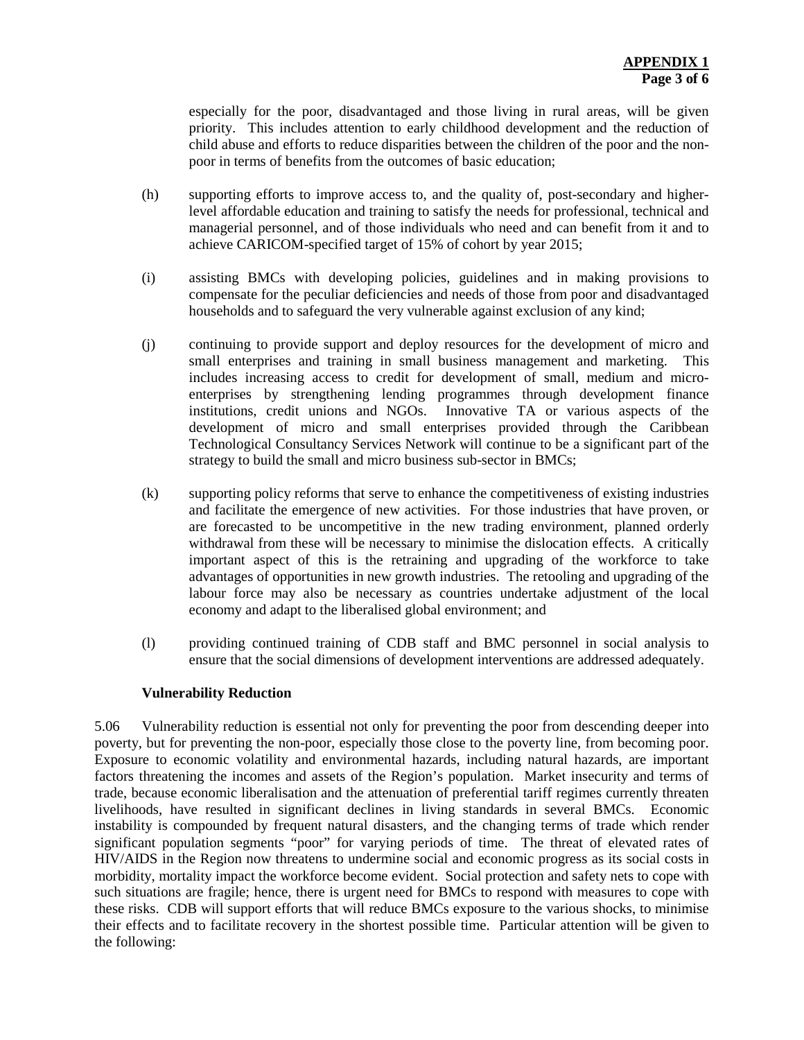especially for the poor, disadvantaged and those living in rural areas, will be given priority. This includes attention to early childhood development and the reduction of child abuse and efforts to reduce disparities between the children of the poor and the nonpoor in terms of benefits from the outcomes of basic education;

- (h) supporting efforts to improve access to, and the quality of, post-secondary and higherlevel affordable education and training to satisfy the needs for professional, technical and managerial personnel, and of those individuals who need and can benefit from it and to achieve CARICOM-specified target of 15% of cohort by year 2015;
- (i) assisting BMCs with developing policies, guidelines and in making provisions to compensate for the peculiar deficiencies and needs of those from poor and disadvantaged households and to safeguard the very vulnerable against exclusion of any kind;
- (j) continuing to provide support and deploy resources for the development of micro and small enterprises and training in small business management and marketing. This includes increasing access to credit for development of small, medium and microenterprises by strengthening lending programmes through development finance institutions, credit unions and NGOs. Innovative TA or various aspects of the development of micro and small enterprises provided through the Caribbean Technological Consultancy Services Network will continue to be a significant part of the strategy to build the small and micro business sub-sector in BMCs;
- (k) supporting policy reforms that serve to enhance the competitiveness of existing industries and facilitate the emergence of new activities. For those industries that have proven, or are forecasted to be uncompetitive in the new trading environment, planned orderly withdrawal from these will be necessary to minimise the dislocation effects. A critically important aspect of this is the retraining and upgrading of the workforce to take advantages of opportunities in new growth industries. The retooling and upgrading of the labour force may also be necessary as countries undertake adjustment of the local economy and adapt to the liberalised global environment; and
- (l) providing continued training of CDB staff and BMC personnel in social analysis to ensure that the social dimensions of development interventions are addressed adequately.

#### **Vulnerability Reduction**

5.06 Vulnerability reduction is essential not only for preventing the poor from descending deeper into poverty, but for preventing the non-poor, especially those close to the poverty line, from becoming poor. Exposure to economic volatility and environmental hazards, including natural hazards, are important factors threatening the incomes and assets of the Region's population. Market insecurity and terms of trade, because economic liberalisation and the attenuation of preferential tariff regimes currently threaten livelihoods, have resulted in significant declines in living standards in several BMCs. Economic instability is compounded by frequent natural disasters, and the changing terms of trade which render significant population segments "poor" for varying periods of time. The threat of elevated rates of HIV/AIDS in the Region now threatens to undermine social and economic progress as its social costs in morbidity, mortality impact the workforce become evident. Social protection and safety nets to cope with such situations are fragile; hence, there is urgent need for BMCs to respond with measures to cope with these risks. CDB will support efforts that will reduce BMCs exposure to the various shocks, to minimise their effects and to facilitate recovery in the shortest possible time. Particular attention will be given to the following: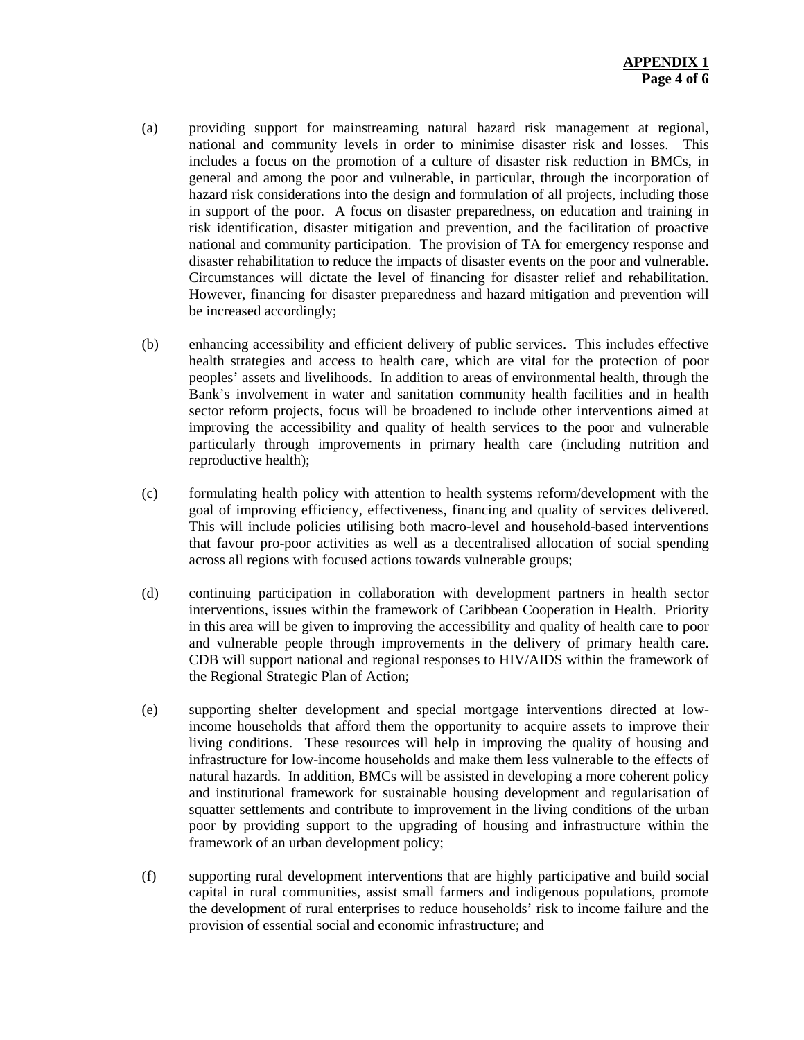- (a) providing support for mainstreaming natural hazard risk management at regional, national and community levels in order to minimise disaster risk and losses. This includes a focus on the promotion of a culture of disaster risk reduction in BMCs, in general and among the poor and vulnerable, in particular, through the incorporation of hazard risk considerations into the design and formulation of all projects, including those in support of the poor. A focus on disaster preparedness, on education and training in risk identification, disaster mitigation and prevention, and the facilitation of proactive national and community participation. The provision of TA for emergency response and disaster rehabilitation to reduce the impacts of disaster events on the poor and vulnerable. Circumstances will dictate the level of financing for disaster relief and rehabilitation. However, financing for disaster preparedness and hazard mitigation and prevention will be increased accordingly;
- (b) enhancing accessibility and efficient delivery of public services. This includes effective health strategies and access to health care, which are vital for the protection of poor peoples' assets and livelihoods. In addition to areas of environmental health, through the Bank's involvement in water and sanitation community health facilities and in health sector reform projects, focus will be broadened to include other interventions aimed at improving the accessibility and quality of health services to the poor and vulnerable particularly through improvements in primary health care (including nutrition and reproductive health);
- (c) formulating health policy with attention to health systems reform/development with the goal of improving efficiency, effectiveness, financing and quality of services delivered. This will include policies utilising both macro-level and household-based interventions that favour pro-poor activities as well as a decentralised allocation of social spending across all regions with focused actions towards vulnerable groups;
- (d) continuing participation in collaboration with development partners in health sector interventions, issues within the framework of Caribbean Cooperation in Health. Priority in this area will be given to improving the accessibility and quality of health care to poor and vulnerable people through improvements in the delivery of primary health care. CDB will support national and regional responses to HIV/AIDS within the framework of the Regional Strategic Plan of Action;
- (e) supporting shelter development and special mortgage interventions directed at lowincome households that afford them the opportunity to acquire assets to improve their living conditions. These resources will help in improving the quality of housing and infrastructure for low-income households and make them less vulnerable to the effects of natural hazards. In addition, BMCs will be assisted in developing a more coherent policy and institutional framework for sustainable housing development and regularisation of squatter settlements and contribute to improvement in the living conditions of the urban poor by providing support to the upgrading of housing and infrastructure within the framework of an urban development policy;
- (f) supporting rural development interventions that are highly participative and build social capital in rural communities, assist small farmers and indigenous populations, promote the development of rural enterprises to reduce households' risk to income failure and the provision of essential social and economic infrastructure; and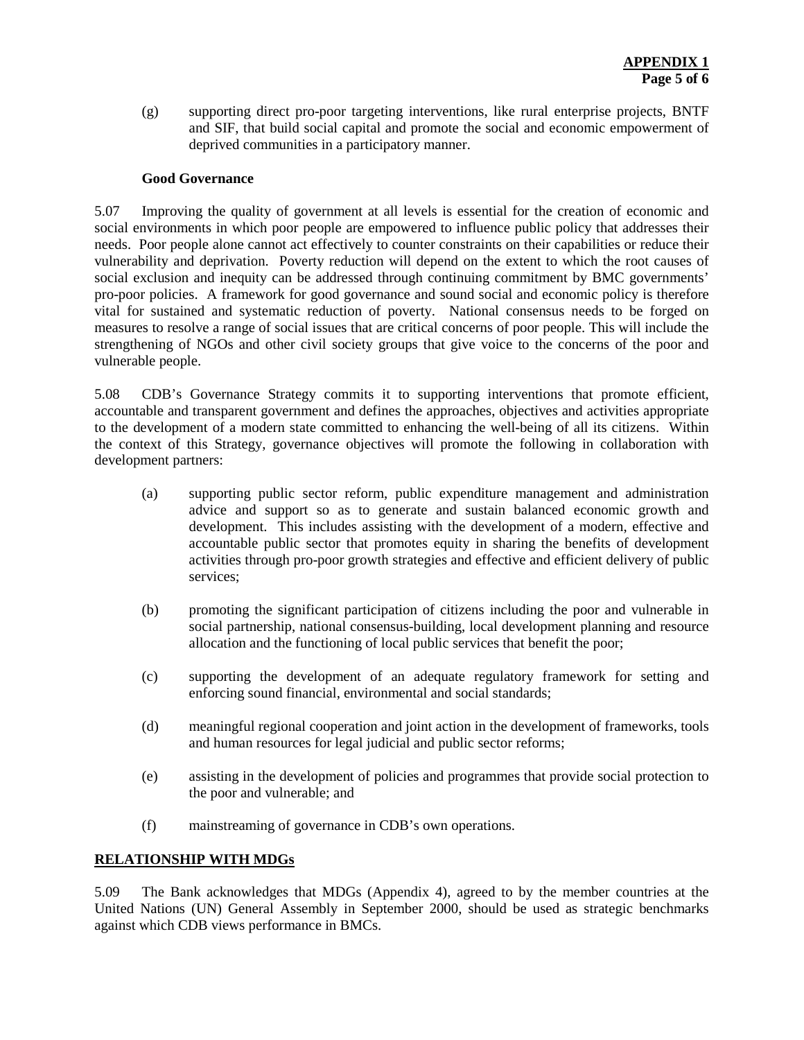(g) supporting direct pro-poor targeting interventions, like rural enterprise projects, BNTF and SIF, that build social capital and promote the social and economic empowerment of deprived communities in a participatory manner.

#### **Good Governance**

5.07 Improving the quality of government at all levels is essential for the creation of economic and social environments in which poor people are empowered to influence public policy that addresses their needs. Poor people alone cannot act effectively to counter constraints on their capabilities or reduce their vulnerability and deprivation. Poverty reduction will depend on the extent to which the root causes of social exclusion and inequity can be addressed through continuing commitment by BMC governments' pro-poor policies. A framework for good governance and sound social and economic policy is therefore vital for sustained and systematic reduction of poverty. National consensus needs to be forged on measures to resolve a range of social issues that are critical concerns of poor people. This will include the strengthening of NGOs and other civil society groups that give voice to the concerns of the poor and vulnerable people.

5.08 CDB's Governance Strategy commits it to supporting interventions that promote efficient, accountable and transparent government and defines the approaches, objectives and activities appropriate to the development of a modern state committed to enhancing the well-being of all its citizens. Within the context of this Strategy, governance objectives will promote the following in collaboration with development partners:

- (a) supporting public sector reform, public expenditure management and administration advice and support so as to generate and sustain balanced economic growth and development. This includes assisting with the development of a modern, effective and accountable public sector that promotes equity in sharing the benefits of development activities through pro-poor growth strategies and effective and efficient delivery of public services;
- (b) promoting the significant participation of citizens including the poor and vulnerable in social partnership, national consensus-building, local development planning and resource allocation and the functioning of local public services that benefit the poor;
- (c) supporting the development of an adequate regulatory framework for setting and enforcing sound financial, environmental and social standards;
- (d) meaningful regional cooperation and joint action in the development of frameworks, tools and human resources for legal judicial and public sector reforms;
- (e) assisting in the development of policies and programmes that provide social protection to the poor and vulnerable; and
- (f) mainstreaming of governance in CDB's own operations.

#### **RELATIONSHIP WITH MDGs**

5.09 The Bank acknowledges that MDGs (Appendix 4), agreed to by the member countries at the United Nations (UN) General Assembly in September 2000, should be used as strategic benchmarks against which CDB views performance in BMCs.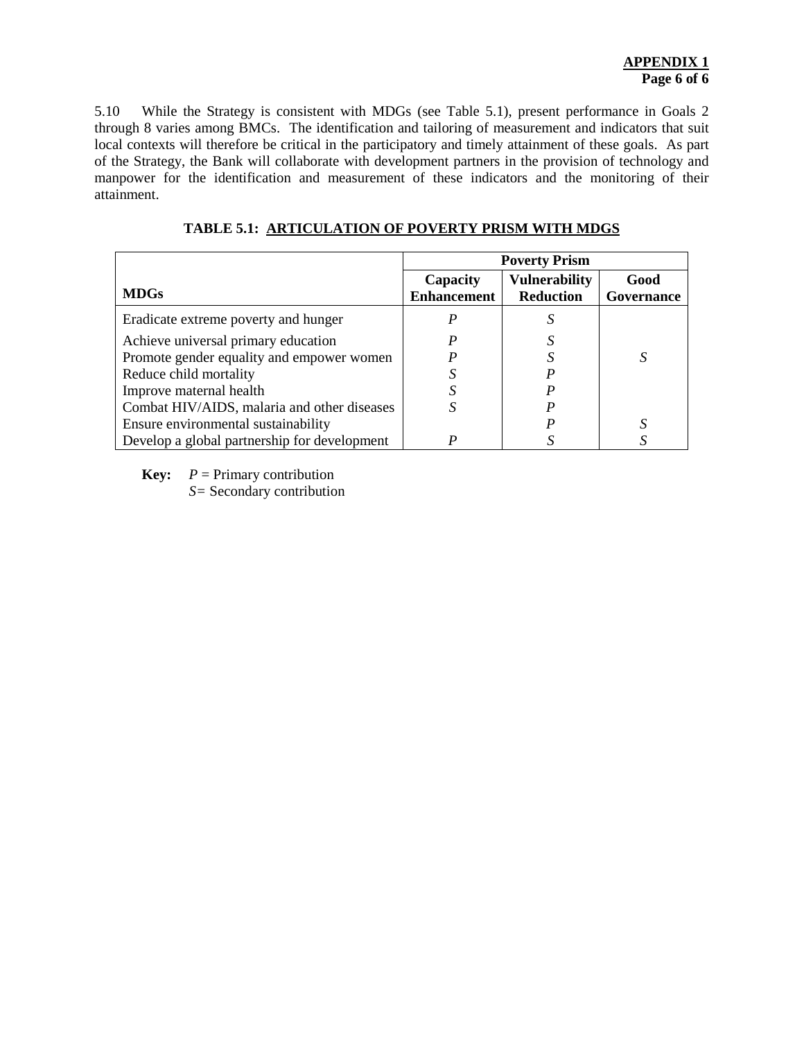5.10 While the Strategy is consistent with MDGs (see Table 5.1), present performance in Goals 2 through 8 varies among BMCs. The identification and tailoring of measurement and indicators that suit local contexts will therefore be critical in the participatory and timely attainment of these goals. As part of the Strategy, the Bank will collaborate with development partners in the provision of technology and manpower for the identification and measurement of these indicators and the monitoring of their attainment.

|                                              | <b>Poverty Prism</b>           |                                          |                    |  |
|----------------------------------------------|--------------------------------|------------------------------------------|--------------------|--|
| <b>MDGs</b>                                  | Capacity<br><b>Enhancement</b> | <b>Vulnerability</b><br><b>Reduction</b> | Good<br>Governance |  |
| Eradicate extreme poverty and hunger         |                                |                                          |                    |  |
| Achieve universal primary education          |                                |                                          |                    |  |
| Promote gender equality and empower women    |                                |                                          |                    |  |
| Reduce child mortality                       |                                |                                          |                    |  |
| Improve maternal health                      |                                |                                          |                    |  |
| Combat HIV/AIDS, malaria and other diseases  |                                |                                          |                    |  |
| Ensure environmental sustainability          |                                |                                          |                    |  |
| Develop a global partnership for development | ח                              |                                          |                    |  |

#### **TABLE 5.1: ARTICULATION OF POVERTY PRISM WITH MDGS**

**Key:**  $P =$  Primary contribution

*S=* Secondary contribution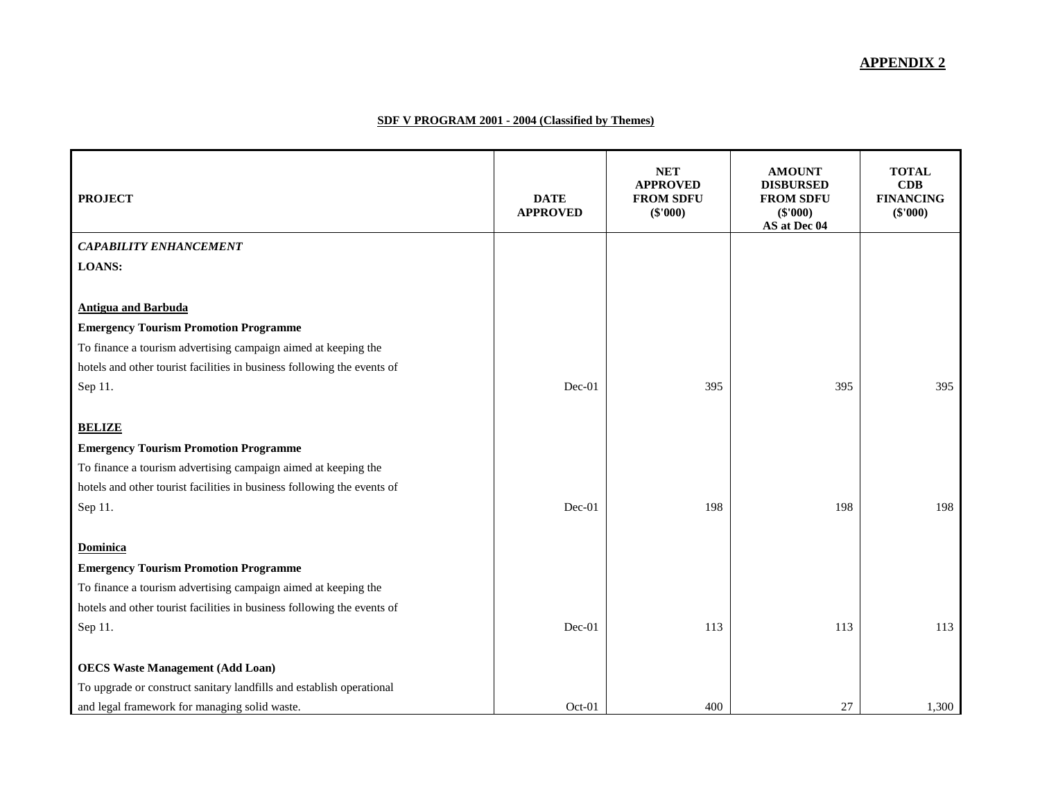#### **APPENDIX 2**

#### **SDF V PROGRAM 2001 - 2004 (Classified by Themes)**

| <b>PROJECT</b>                                                          | <b>DATE</b><br><b>APPROVED</b> | <b>NET</b><br><b>APPROVED</b><br><b>FROM SDFU</b><br>$(\$'000)$ | <b>AMOUNT</b><br><b>DISBURSED</b><br><b>FROM SDFU</b><br>(\$'000)<br>AS at Dec 04 | <b>TOTAL</b><br>CDB<br><b>FINANCING</b><br>(\$'000) |
|-------------------------------------------------------------------------|--------------------------------|-----------------------------------------------------------------|-----------------------------------------------------------------------------------|-----------------------------------------------------|
| <b>CAPABILITY ENHANCEMENT</b>                                           |                                |                                                                 |                                                                                   |                                                     |
| <b>LOANS:</b>                                                           |                                |                                                                 |                                                                                   |                                                     |
|                                                                         |                                |                                                                 |                                                                                   |                                                     |
| <b>Antigua and Barbuda</b>                                              |                                |                                                                 |                                                                                   |                                                     |
| <b>Emergency Tourism Promotion Programme</b>                            |                                |                                                                 |                                                                                   |                                                     |
| To finance a tourism advertising campaign aimed at keeping the          |                                |                                                                 |                                                                                   |                                                     |
| hotels and other tourist facilities in business following the events of |                                |                                                                 |                                                                                   |                                                     |
| Sep 11.                                                                 | $Dec-01$                       | 395                                                             | 395                                                                               | 395                                                 |
|                                                                         |                                |                                                                 |                                                                                   |                                                     |
| <b>BELIZE</b>                                                           |                                |                                                                 |                                                                                   |                                                     |
| <b>Emergency Tourism Promotion Programme</b>                            |                                |                                                                 |                                                                                   |                                                     |
| To finance a tourism advertising campaign aimed at keeping the          |                                |                                                                 |                                                                                   |                                                     |
| hotels and other tourist facilities in business following the events of |                                |                                                                 |                                                                                   |                                                     |
| Sep 11.                                                                 | $Dec-01$                       | 198                                                             | 198                                                                               | 198                                                 |
|                                                                         |                                |                                                                 |                                                                                   |                                                     |
| Dominica                                                                |                                |                                                                 |                                                                                   |                                                     |
| <b>Emergency Tourism Promotion Programme</b>                            |                                |                                                                 |                                                                                   |                                                     |
| To finance a tourism advertising campaign aimed at keeping the          |                                |                                                                 |                                                                                   |                                                     |
| hotels and other tourist facilities in business following the events of |                                |                                                                 |                                                                                   |                                                     |
| Sep 11.                                                                 | $Dec-01$                       | 113                                                             | 113                                                                               | 113                                                 |
| <b>OECS Waste Management (Add Loan)</b>                                 |                                |                                                                 |                                                                                   |                                                     |
| To upgrade or construct sanitary landfills and establish operational    |                                |                                                                 |                                                                                   |                                                     |
| and legal framework for managing solid waste.                           | Oct-01                         | 400                                                             | 27                                                                                | 1,300                                               |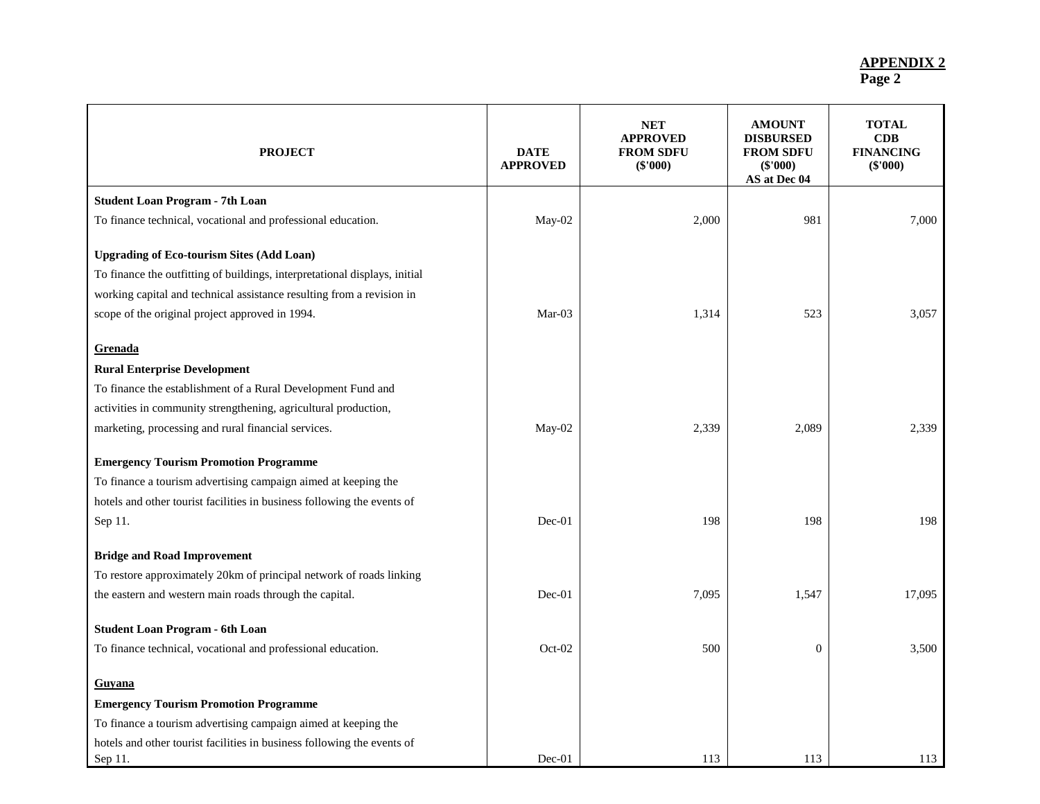| <b>PROJECT</b>                                                                     | <b>DATE</b><br><b>APPROVED</b> | <b>NET</b><br><b>APPROVED</b><br><b>FROM SDFU</b><br>$(\$'000)$ | <b>AMOUNT</b><br><b>DISBURSED</b><br><b>FROM SDFU</b><br>$(\$'000)$<br>AS at Dec 04 | <b>TOTAL</b><br>CDB<br><b>FINANCING</b><br>$(\$'000)$ |
|------------------------------------------------------------------------------------|--------------------------------|-----------------------------------------------------------------|-------------------------------------------------------------------------------------|-------------------------------------------------------|
| <b>Student Loan Program - 7th Loan</b>                                             |                                |                                                                 |                                                                                     |                                                       |
| To finance technical, vocational and professional education.                       | May-02                         | 2,000                                                           | 981                                                                                 | 7,000                                                 |
| <b>Upgrading of Eco-tourism Sites (Add Loan)</b>                                   |                                |                                                                 |                                                                                     |                                                       |
| To finance the outfitting of buildings, interpretational displays, initial         |                                |                                                                 |                                                                                     |                                                       |
| working capital and technical assistance resulting from a revision in              |                                |                                                                 |                                                                                     |                                                       |
| scope of the original project approved in 1994.                                    | $Mar-03$                       | 1,314                                                           | 523                                                                                 | 3.057                                                 |
| Grenada                                                                            |                                |                                                                 |                                                                                     |                                                       |
| <b>Rural Enterprise Development</b>                                                |                                |                                                                 |                                                                                     |                                                       |
| To finance the establishment of a Rural Development Fund and                       |                                |                                                                 |                                                                                     |                                                       |
| activities in community strengthening, agricultural production,                    |                                |                                                                 |                                                                                     |                                                       |
| marketing, processing and rural financial services.                                | May-02                         | 2,339                                                           | 2,089                                                                               | 2,339                                                 |
| <b>Emergency Tourism Promotion Programme</b>                                       |                                |                                                                 |                                                                                     |                                                       |
| To finance a tourism advertising campaign aimed at keeping the                     |                                |                                                                 |                                                                                     |                                                       |
| hotels and other tourist facilities in business following the events of            |                                |                                                                 |                                                                                     |                                                       |
| Sep 11.                                                                            | Dec-01                         | 198                                                             | 198                                                                                 | 198                                                   |
| <b>Bridge and Road Improvement</b>                                                 |                                |                                                                 |                                                                                     |                                                       |
| To restore approximately 20km of principal network of roads linking                |                                |                                                                 |                                                                                     |                                                       |
| the eastern and western main roads through the capital.                            | $Dec-01$                       | 7,095                                                           | 1,547                                                                               | 17,095                                                |
| <b>Student Loan Program - 6th Loan</b>                                             |                                |                                                                 |                                                                                     |                                                       |
| To finance technical, vocational and professional education.                       | $Oct-02$                       | 500                                                             | $\mathbf{0}$                                                                        | 3.500                                                 |
| <b>Guyana</b>                                                                      |                                |                                                                 |                                                                                     |                                                       |
| <b>Emergency Tourism Promotion Programme</b>                                       |                                |                                                                 |                                                                                     |                                                       |
| To finance a tourism advertising campaign aimed at keeping the                     |                                |                                                                 |                                                                                     |                                                       |
| hotels and other tourist facilities in business following the events of<br>Sep 11. | $Dec-01$                       | 113                                                             | 113                                                                                 | 113                                                   |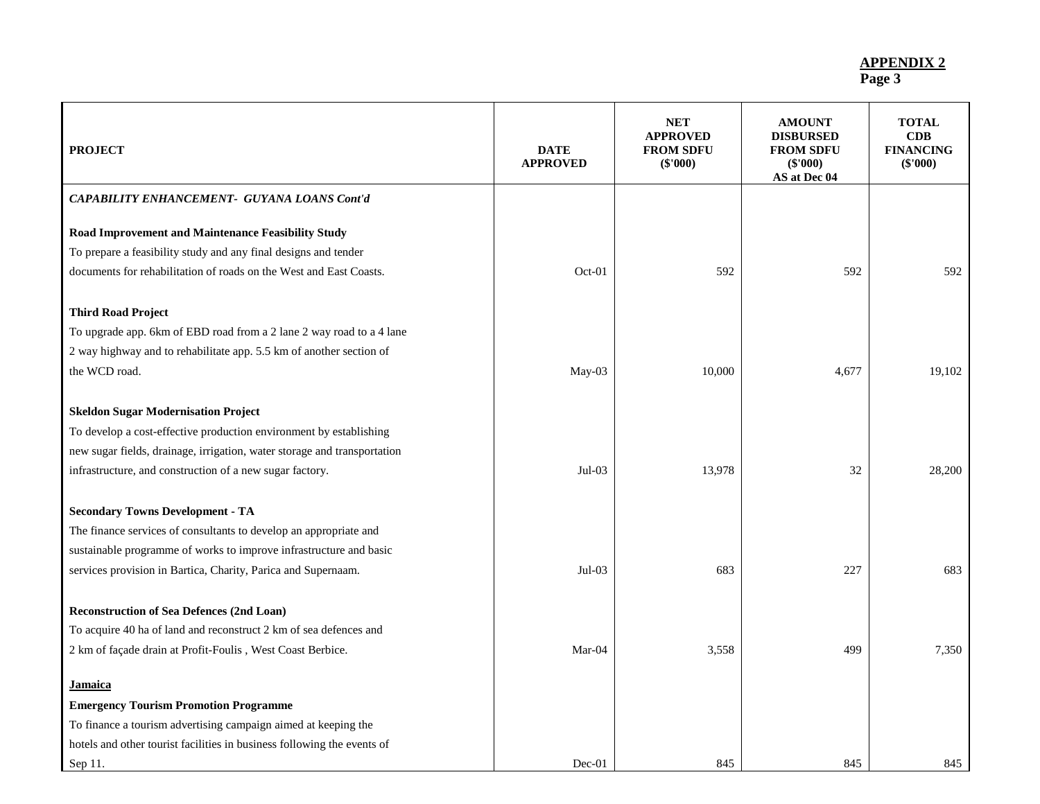| <b>PROJECT</b>                                                           | <b>DATE</b><br><b>APPROVED</b> | <b>NET</b><br><b>APPROVED</b><br><b>FROM SDFU</b><br>$(\$'000)$ | <b>AMOUNT</b><br><b>DISBURSED</b><br><b>FROM SDFU</b><br>$(\$'000)$<br>AS at Dec 04 | <b>TOTAL</b><br>CDB<br><b>FINANCING</b><br>(\$'000) |
|--------------------------------------------------------------------------|--------------------------------|-----------------------------------------------------------------|-------------------------------------------------------------------------------------|-----------------------------------------------------|
| CAPABILITY ENHANCEMENT- GUYANA LOANS Cont'd                              |                                |                                                                 |                                                                                     |                                                     |
| Road Improvement and Maintenance Feasibility Study                       |                                |                                                                 |                                                                                     |                                                     |
| To prepare a feasibility study and any final designs and tender          |                                |                                                                 |                                                                                     |                                                     |
| documents for rehabilitation of roads on the West and East Coasts.       | Oct-01                         | 592                                                             | 592                                                                                 | 592                                                 |
| <b>Third Road Project</b>                                                |                                |                                                                 |                                                                                     |                                                     |
| To upgrade app. 6km of EBD road from a 2 lane 2 way road to a 4 lane     |                                |                                                                 |                                                                                     |                                                     |
| 2 way highway and to rehabilitate app. 5.5 km of another section of      |                                |                                                                 |                                                                                     |                                                     |
| the WCD road.                                                            | May-03                         | 10,000                                                          | 4,677                                                                               | 19,102                                              |
|                                                                          |                                |                                                                 |                                                                                     |                                                     |
| <b>Skeldon Sugar Modernisation Project</b>                               |                                |                                                                 |                                                                                     |                                                     |
| To develop a cost-effective production environment by establishing       |                                |                                                                 |                                                                                     |                                                     |
| new sugar fields, drainage, irrigation, water storage and transportation |                                |                                                                 |                                                                                     |                                                     |
| infrastructure, and construction of a new sugar factory.                 | $Jul-03$                       | 13,978                                                          | 32                                                                                  | 28,200                                              |
| <b>Secondary Towns Development - TA</b>                                  |                                |                                                                 |                                                                                     |                                                     |
| The finance services of consultants to develop an appropriate and        |                                |                                                                 |                                                                                     |                                                     |
| sustainable programme of works to improve infrastructure and basic       |                                |                                                                 |                                                                                     |                                                     |
| services provision in Bartica, Charity, Parica and Supernaam.            | $Jul-03$                       | 683                                                             | 227                                                                                 | 683                                                 |
|                                                                          |                                |                                                                 |                                                                                     |                                                     |
| <b>Reconstruction of Sea Defences (2nd Loan)</b>                         |                                |                                                                 |                                                                                     |                                                     |
| To acquire 40 ha of land and reconstruct 2 km of sea defences and        |                                |                                                                 |                                                                                     |                                                     |
| 2 km of façade drain at Profit-Foulis, West Coast Berbice.               | $Mar-04$                       | 3,558                                                           | 499                                                                                 | 7,350                                               |
| Jamaica                                                                  |                                |                                                                 |                                                                                     |                                                     |
| <b>Emergency Tourism Promotion Programme</b>                             |                                |                                                                 |                                                                                     |                                                     |
| To finance a tourism advertising campaign aimed at keeping the           |                                |                                                                 |                                                                                     |                                                     |
| hotels and other tourist facilities in business following the events of  |                                |                                                                 |                                                                                     |                                                     |
| Sep 11.                                                                  | $Dec-01$                       | 845                                                             | 845                                                                                 | 845                                                 |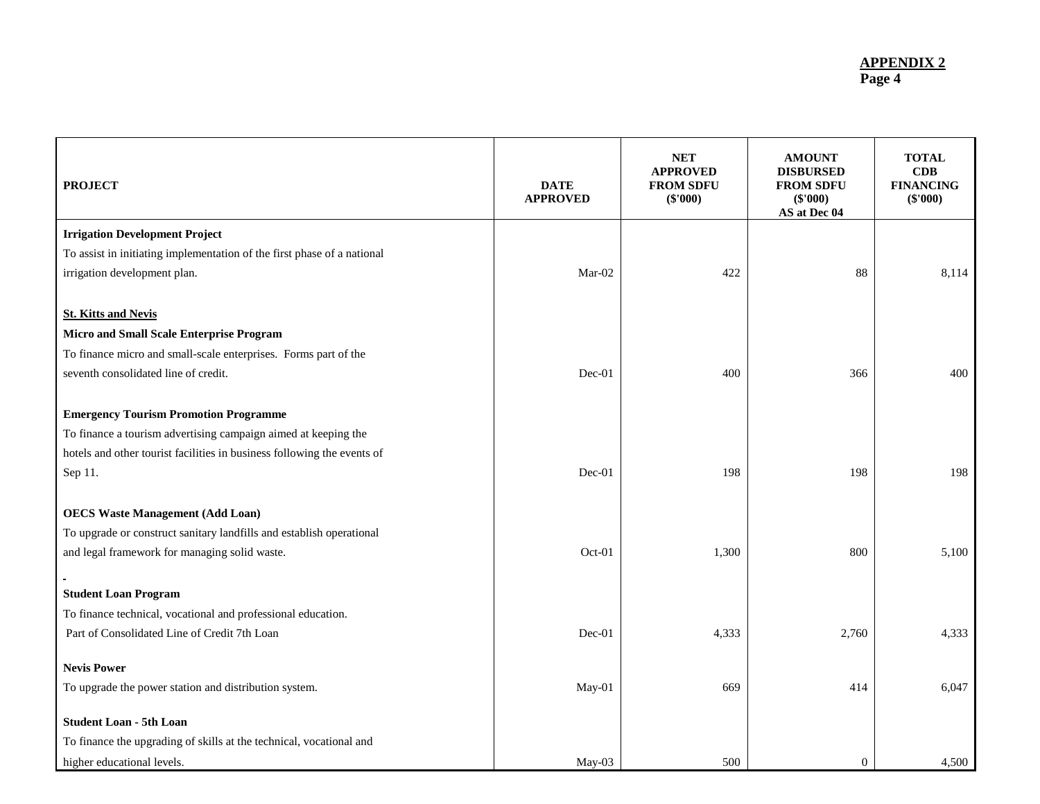| <b>PROJECT</b>                                                          | <b>DATE</b><br><b>APPROVED</b> | <b>NET</b><br><b>APPROVED</b><br><b>FROM SDFU</b><br>(\$'000) | <b>AMOUNT</b><br><b>DISBURSED</b><br><b>FROM SDFU</b><br>(\$'000)<br>AS at Dec 04 | <b>TOTAL</b><br>CDB<br><b>FINANCING</b><br>(\$'000) |
|-------------------------------------------------------------------------|--------------------------------|---------------------------------------------------------------|-----------------------------------------------------------------------------------|-----------------------------------------------------|
| <b>Irrigation Development Project</b>                                   |                                |                                                               |                                                                                   |                                                     |
| To assist in initiating implementation of the first phase of a national |                                |                                                               |                                                                                   |                                                     |
| irrigation development plan.                                            | Mar-02                         | 422                                                           | 88                                                                                | 8,114                                               |
| <b>St. Kitts and Nevis</b>                                              |                                |                                                               |                                                                                   |                                                     |
| Micro and Small Scale Enterprise Program                                |                                |                                                               |                                                                                   |                                                     |
| To finance micro and small-scale enterprises. Forms part of the         |                                |                                                               |                                                                                   |                                                     |
| seventh consolidated line of credit.                                    | Dec-01                         | 400                                                           | 366                                                                               | 400                                                 |
| <b>Emergency Tourism Promotion Programme</b>                            |                                |                                                               |                                                                                   |                                                     |
| To finance a tourism advertising campaign aimed at keeping the          |                                |                                                               |                                                                                   |                                                     |
| hotels and other tourist facilities in business following the events of |                                |                                                               |                                                                                   |                                                     |
| Sep 11.                                                                 | Dec-01                         | 198                                                           | 198                                                                               | 198                                                 |
| <b>OECS Waste Management (Add Loan)</b>                                 |                                |                                                               |                                                                                   |                                                     |
| To upgrade or construct sanitary landfills and establish operational    |                                |                                                               |                                                                                   |                                                     |
| and legal framework for managing solid waste.                           | Oct-01                         | 1,300                                                         | 800                                                                               | 5,100                                               |
|                                                                         |                                |                                                               |                                                                                   |                                                     |
| <b>Student Loan Program</b>                                             |                                |                                                               |                                                                                   |                                                     |
| To finance technical, vocational and professional education.            |                                |                                                               |                                                                                   |                                                     |
| Part of Consolidated Line of Credit 7th Loan                            | Dec-01                         | 4,333                                                         | 2,760                                                                             | 4,333                                               |
| <b>Nevis Power</b>                                                      |                                |                                                               |                                                                                   |                                                     |
| To upgrade the power station and distribution system.                   | May-01                         | 669                                                           | 414                                                                               | 6,047                                               |
| <b>Student Loan - 5th Loan</b>                                          |                                |                                                               |                                                                                   |                                                     |
| To finance the upgrading of skills at the technical, vocational and     |                                |                                                               |                                                                                   |                                                     |
| higher educational levels.                                              | $May-03$                       | 500                                                           | $\overline{0}$                                                                    | 4,500                                               |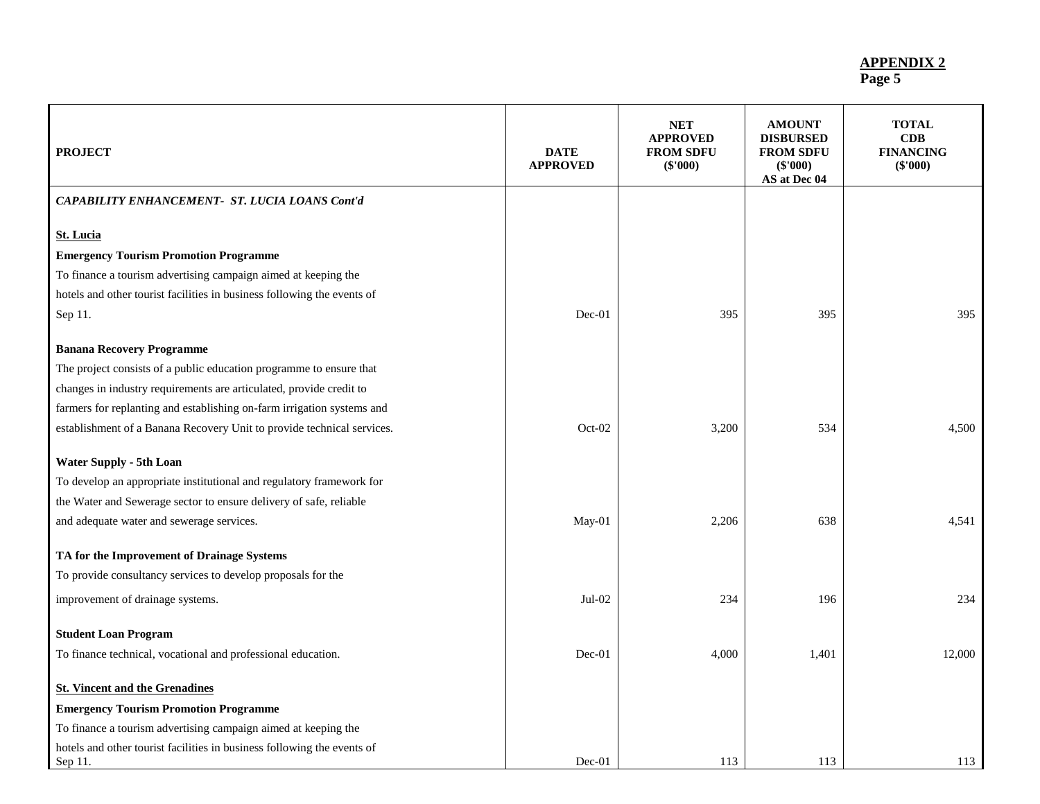| <b>PROJECT</b>                                                          | <b>DATE</b><br><b>APPROVED</b> | NET<br><b>APPROVED</b><br><b>FROM SDFU</b><br>(\$'000) | <b>AMOUNT</b><br><b>DISBURSED</b><br><b>FROM SDFU</b><br>$(\$'000)$<br>AS at Dec 04 | <b>TOTAL</b><br>CDB<br><b>FINANCING</b><br>$(\$'000)$ |
|-------------------------------------------------------------------------|--------------------------------|--------------------------------------------------------|-------------------------------------------------------------------------------------|-------------------------------------------------------|
| CAPABILITY ENHANCEMENT- ST. LUCIA LOANS Cont'd                          |                                |                                                        |                                                                                     |                                                       |
| <b>St. Lucia</b>                                                        |                                |                                                        |                                                                                     |                                                       |
| <b>Emergency Tourism Promotion Programme</b>                            |                                |                                                        |                                                                                     |                                                       |
| To finance a tourism advertising campaign aimed at keeping the          |                                |                                                        |                                                                                     |                                                       |
| hotels and other tourist facilities in business following the events of |                                |                                                        |                                                                                     |                                                       |
| Sep 11.                                                                 | Dec-01                         | 395                                                    | 395                                                                                 | 395                                                   |
| <b>Banana Recovery Programme</b>                                        |                                |                                                        |                                                                                     |                                                       |
| The project consists of a public education programme to ensure that     |                                |                                                        |                                                                                     |                                                       |
| changes in industry requirements are articulated, provide credit to     |                                |                                                        |                                                                                     |                                                       |
| farmers for replanting and establishing on-farm irrigation systems and  |                                |                                                        |                                                                                     |                                                       |
| establishment of a Banana Recovery Unit to provide technical services.  | Oct-02                         | 3,200                                                  | 534                                                                                 | 4,500                                                 |
| <b>Water Supply - 5th Loan</b>                                          |                                |                                                        |                                                                                     |                                                       |
| To develop an appropriate institutional and regulatory framework for    |                                |                                                        |                                                                                     |                                                       |
| the Water and Sewerage sector to ensure delivery of safe, reliable      |                                |                                                        |                                                                                     |                                                       |
| and adequate water and sewerage services.                               | May-01                         | 2,206                                                  | 638                                                                                 | 4,541                                                 |
| TA for the Improvement of Drainage Systems                              |                                |                                                        |                                                                                     |                                                       |
| To provide consultancy services to develop proposals for the            |                                |                                                        |                                                                                     |                                                       |
| improvement of drainage systems.                                        | Jul-02                         | 234                                                    | 196                                                                                 | 234                                                   |
| <b>Student Loan Program</b>                                             |                                |                                                        |                                                                                     |                                                       |
| To finance technical, vocational and professional education.            | $Dec-01$                       | 4,000                                                  | 1,401                                                                               | 12,000                                                |
| <b>St. Vincent and the Grenadines</b>                                   |                                |                                                        |                                                                                     |                                                       |
| <b>Emergency Tourism Promotion Programme</b>                            |                                |                                                        |                                                                                     |                                                       |
| To finance a tourism advertising campaign aimed at keeping the          |                                |                                                        |                                                                                     |                                                       |
| hotels and other tourist facilities in business following the events of |                                |                                                        |                                                                                     |                                                       |
| Sep 11.                                                                 | $Dec-01$                       | 113                                                    | 113                                                                                 | 113                                                   |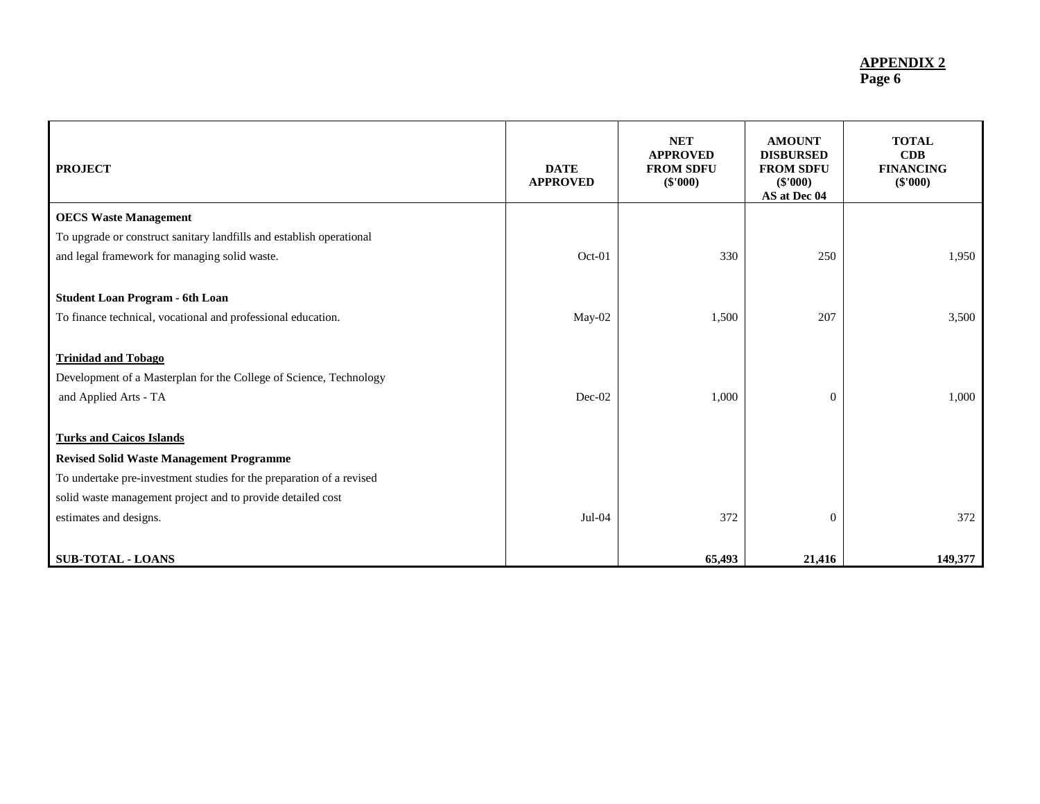| <b>PROJECT</b>                                                       | <b>DATE</b><br><b>APPROVED</b> | <b>NET</b><br><b>APPROVED</b><br><b>FROM SDFU</b><br>(\$'000) | <b>AMOUNT</b><br><b>DISBURSED</b><br><b>FROM SDFU</b><br>(\$'000)<br>AS at Dec 04 | <b>TOTAL</b><br>CDB<br><b>FINANCING</b><br>(\$'000) |
|----------------------------------------------------------------------|--------------------------------|---------------------------------------------------------------|-----------------------------------------------------------------------------------|-----------------------------------------------------|
| <b>OECS Waste Management</b>                                         |                                |                                                               |                                                                                   |                                                     |
| To upgrade or construct sanitary landfills and establish operational |                                |                                                               |                                                                                   |                                                     |
| and legal framework for managing solid waste.                        | $Oct-01$                       | 330                                                           | 250                                                                               | 1,950                                               |
|                                                                      |                                |                                                               |                                                                                   |                                                     |
| <b>Student Loan Program - 6th Loan</b>                               |                                |                                                               |                                                                                   |                                                     |
| To finance technical, vocational and professional education.         | May-02                         | 1,500                                                         | 207                                                                               | 3,500                                               |
|                                                                      |                                |                                                               |                                                                                   |                                                     |
| <b>Trinidad and Tobago</b>                                           |                                |                                                               |                                                                                   |                                                     |
| Development of a Masterplan for the College of Science, Technology   |                                |                                                               |                                                                                   |                                                     |
| and Applied Arts - TA                                                | Dec-02                         | 1,000                                                         | $\Omega$                                                                          | 1,000                                               |
|                                                                      |                                |                                                               |                                                                                   |                                                     |
| <b>Turks and Caicos Islands</b>                                      |                                |                                                               |                                                                                   |                                                     |
| <b>Revised Solid Waste Management Programme</b>                      |                                |                                                               |                                                                                   |                                                     |
| To undertake pre-investment studies for the preparation of a revised |                                |                                                               |                                                                                   |                                                     |
| solid waste management project and to provide detailed cost          |                                |                                                               |                                                                                   |                                                     |
| estimates and designs.                                               | $Jul-04$                       | 372                                                           | $\theta$                                                                          | 372                                                 |
|                                                                      |                                |                                                               |                                                                                   |                                                     |
| <b>SUB-TOTAL - LOANS</b>                                             |                                | 65,493                                                        | 21,416                                                                            | 149,377                                             |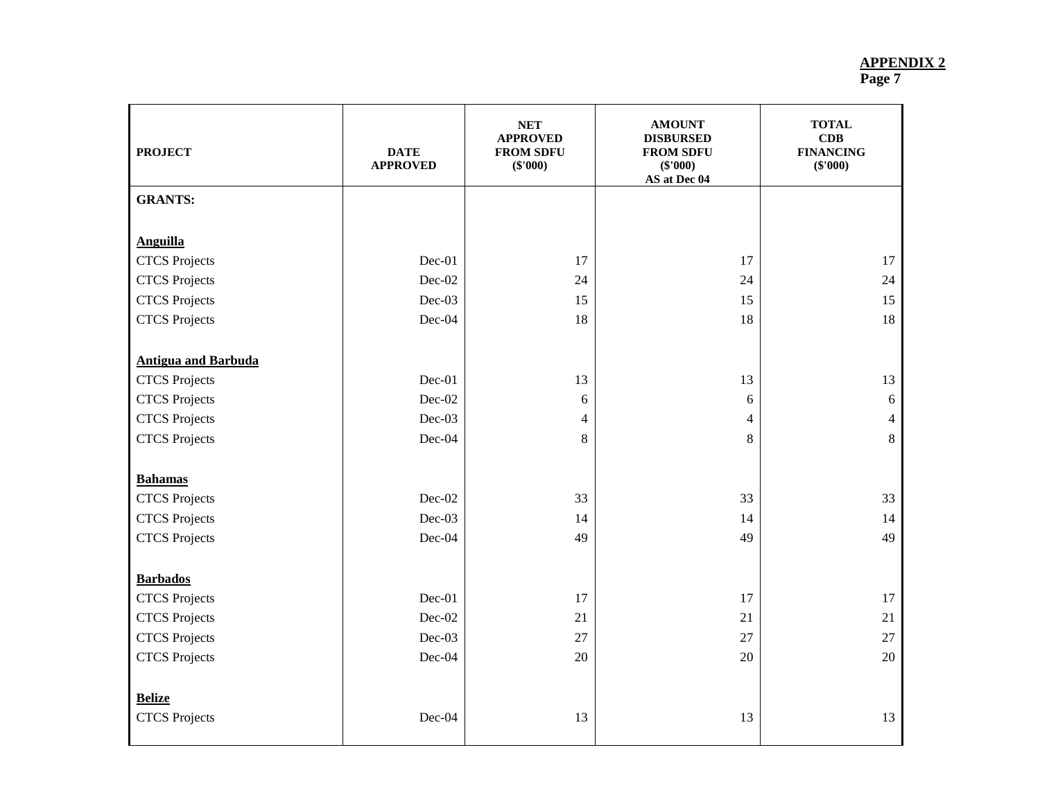| <b>PROJECT</b>                                     | <b>DATE</b><br><b>APPROVED</b> | <b>NET</b><br><b>APPROVED</b><br><b>FROM SDFU</b><br>(\$'000) | <b>AMOUNT</b><br><b>DISBURSED</b><br><b>FROM SDFU</b><br>$(\$'000)$<br>AS at Dec 04 | <b>TOTAL</b><br>CDB<br><b>FINANCING</b><br>$(\$'000)$ |
|----------------------------------------------------|--------------------------------|---------------------------------------------------------------|-------------------------------------------------------------------------------------|-------------------------------------------------------|
| <b>GRANTS:</b>                                     |                                |                                                               |                                                                                     |                                                       |
|                                                    |                                |                                                               |                                                                                     |                                                       |
| <b>Anguilla</b>                                    | $Dec-01$                       | 17                                                            | 17                                                                                  | 17                                                    |
| <b>CTCS</b> Projects                               |                                | 24                                                            | 24                                                                                  |                                                       |
| <b>CTCS</b> Projects                               | $Dec-02$<br>$Dec-03$           | 15                                                            | 15                                                                                  | 24<br>15                                              |
| <b>CTCS</b> Projects                               | $Dec-04$                       | 18                                                            | 18                                                                                  | 18                                                    |
| <b>CTCS</b> Projects                               |                                |                                                               |                                                                                     |                                                       |
|                                                    |                                |                                                               |                                                                                     |                                                       |
| <b>Antigua and Barbuda</b><br><b>CTCS</b> Projects | Dec-01                         | 13                                                            | 13                                                                                  | 13                                                    |
|                                                    | $Dec-02$                       |                                                               | 6                                                                                   |                                                       |
| <b>CTCS</b> Projects<br><b>CTCS</b> Projects       | $Dec-03$                       | $\epsilon$<br>$\overline{4}$                                  | $\overline{4}$                                                                      | $\sqrt{6}$<br>$\overline{4}$                          |
| <b>CTCS</b> Projects                               | Dec-04                         | 8                                                             | 8                                                                                   | 8                                                     |
|                                                    |                                |                                                               |                                                                                     |                                                       |
| <b>Bahamas</b>                                     |                                |                                                               |                                                                                     |                                                       |
| <b>CTCS</b> Projects                               | $Dec-02$                       | 33                                                            | 33                                                                                  | 33                                                    |
| <b>CTCS</b> Projects                               | Dec-03                         | 14                                                            | 14                                                                                  | 14                                                    |
| <b>CTCS</b> Projects                               | Dec-04                         | 49                                                            | 49                                                                                  | 49                                                    |
|                                                    |                                |                                                               |                                                                                     |                                                       |
| <b>Barbados</b>                                    |                                |                                                               |                                                                                     |                                                       |
| <b>CTCS</b> Projects                               | Dec-01                         | 17                                                            | 17                                                                                  | 17                                                    |
| <b>CTCS</b> Projects                               | $Dec-02$                       | 21                                                            | 21                                                                                  | 21                                                    |
| <b>CTCS</b> Projects                               | $Dec-03$                       | 27                                                            | 27                                                                                  | 27                                                    |
| <b>CTCS</b> Projects                               | $Dec-04$                       | 20                                                            | 20                                                                                  | 20                                                    |
|                                                    |                                |                                                               |                                                                                     |                                                       |
| <b>Belize</b>                                      |                                |                                                               |                                                                                     |                                                       |
| <b>CTCS</b> Projects                               | $Dec-04$                       | 13                                                            | 13                                                                                  | 13                                                    |
|                                                    |                                |                                                               |                                                                                     |                                                       |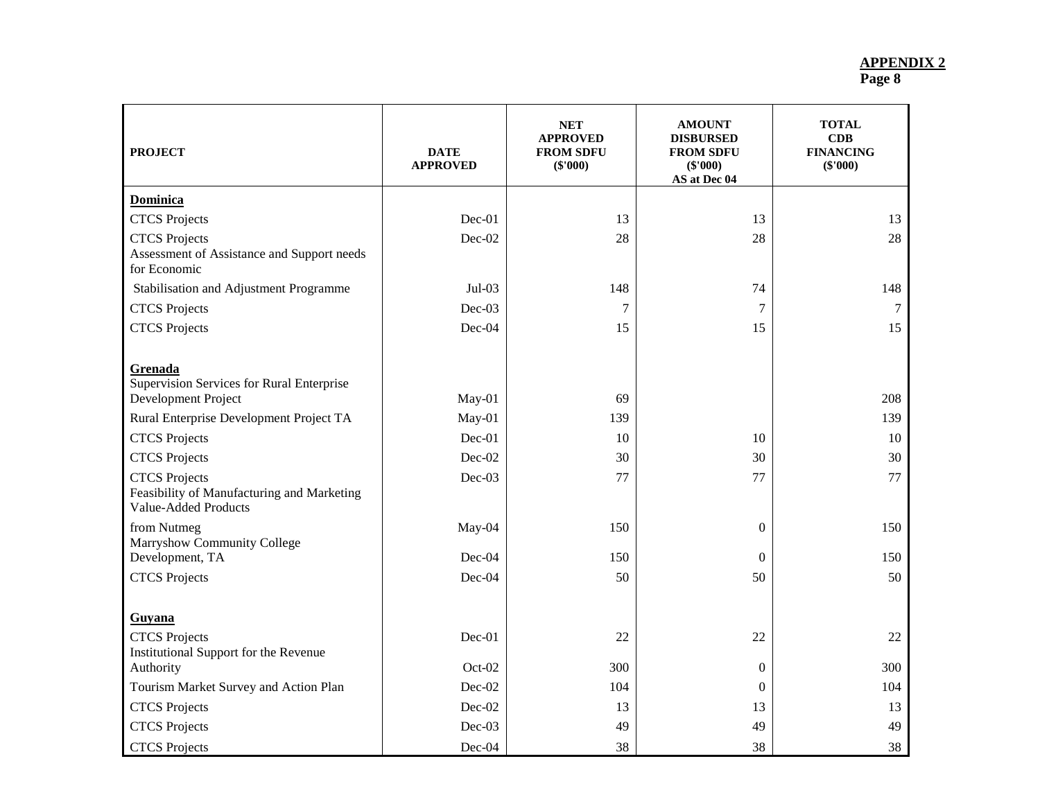| <b>PROJECT</b>                                                                                    | <b>DATE</b><br><b>APPROVED</b> | <b>NET</b><br><b>APPROVED</b><br><b>FROM SDFU</b><br>(\$'000) | <b>AMOUNT</b><br><b>DISBURSED</b><br><b>FROM SDFU</b><br>$(\$'000)$<br>AS at Dec 04 | <b>TOTAL</b><br>CDB<br><b>FINANCING</b><br>$(\$'000)$ |
|---------------------------------------------------------------------------------------------------|--------------------------------|---------------------------------------------------------------|-------------------------------------------------------------------------------------|-------------------------------------------------------|
| <b>Dominica</b>                                                                                   |                                |                                                               |                                                                                     |                                                       |
| <b>CTCS</b> Projects                                                                              | Dec-01                         | 13                                                            | 13                                                                                  | 13                                                    |
| <b>CTCS</b> Projects<br>Assessment of Assistance and Support needs<br>for Economic                | Dec-02                         | 28                                                            | 28                                                                                  | 28                                                    |
| Stabilisation and Adjustment Programme                                                            | $Jul-03$                       | 148                                                           | 74                                                                                  | 148                                                   |
| <b>CTCS</b> Projects                                                                              | Dec-03                         | $\tau$                                                        | 7                                                                                   | 7                                                     |
| <b>CTCS</b> Projects                                                                              | Dec-04                         | 15                                                            | 15                                                                                  | 15                                                    |
| Grenada<br>Supervision Services for Rural Enterprise<br>Development Project                       | May-01                         | 69                                                            |                                                                                     | 208                                                   |
| Rural Enterprise Development Project TA                                                           | May-01                         | 139                                                           |                                                                                     | 139                                                   |
| <b>CTCS</b> Projects                                                                              | Dec-01                         | 10                                                            | 10                                                                                  | 10                                                    |
| <b>CTCS</b> Projects                                                                              | Dec-02                         | 30                                                            | 30                                                                                  | 30                                                    |
| <b>CTCS</b> Projects<br>Feasibility of Manufacturing and Marketing<br><b>Value-Added Products</b> | Dec-03                         | 77                                                            | 77                                                                                  | 77                                                    |
| from Nutmeg<br>Marryshow Community College                                                        | May-04                         | 150                                                           | $\theta$                                                                            | 150                                                   |
| Development, TA                                                                                   | Dec-04                         | 150                                                           | $\theta$                                                                            | 150                                                   |
| <b>CTCS</b> Projects                                                                              | Dec-04                         | 50                                                            | 50                                                                                  | 50                                                    |
| Guyana                                                                                            |                                |                                                               |                                                                                     |                                                       |
| <b>CTCS</b> Projects<br>Institutional Support for the Revenue                                     | Dec-01                         | 22                                                            | 22                                                                                  | 22                                                    |
| Authority                                                                                         | Oct-02                         | 300                                                           | $\theta$                                                                            | 300                                                   |
| Tourism Market Survey and Action Plan                                                             | Dec-02                         | 104                                                           | $\mathbf{0}$                                                                        | 104                                                   |
| <b>CTCS</b> Projects                                                                              | Dec-02                         | 13                                                            | 13                                                                                  | 13                                                    |
| <b>CTCS</b> Projects                                                                              | Dec-03                         | 49                                                            | 49                                                                                  | 49                                                    |
| <b>CTCS</b> Projects                                                                              | Dec-04                         | 38                                                            | 38                                                                                  | 38                                                    |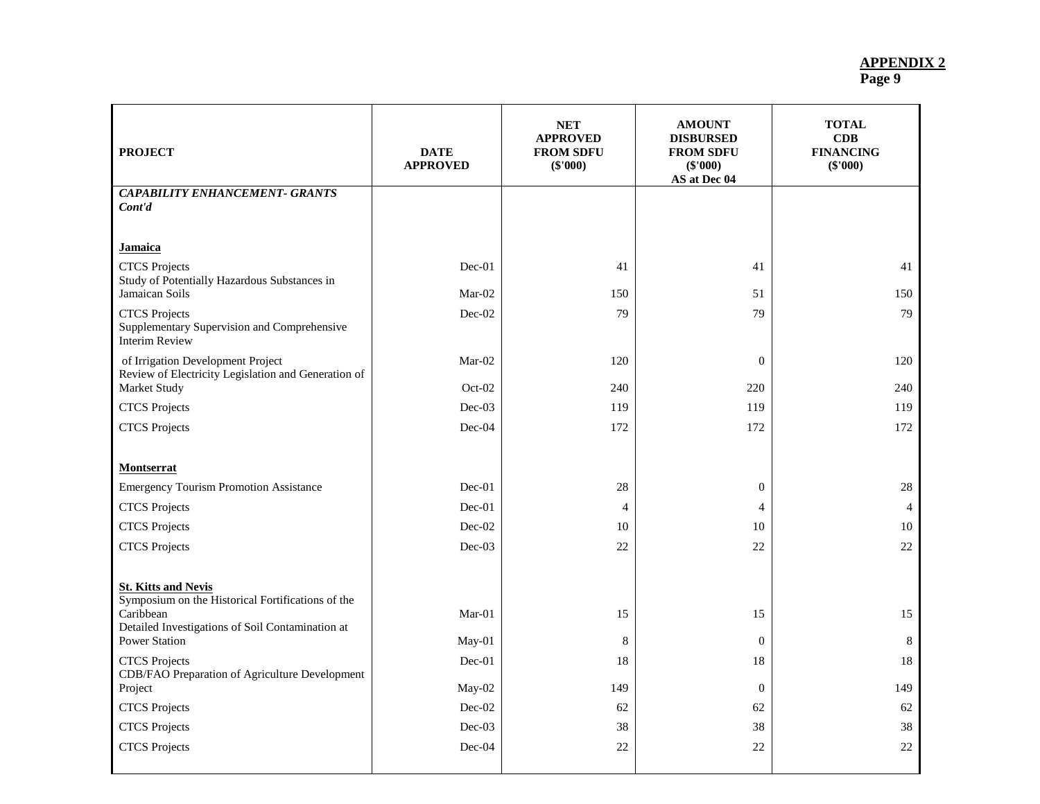| <b>PROJECT</b>                                                                               | <b>DATE</b><br><b>APPROVED</b> | <b>NET</b><br><b>APPROVED</b><br><b>FROM SDFU</b><br>(\$'000) | <b>AMOUNT</b><br><b>DISBURSED</b><br><b>FROM SDFU</b><br>(\$'000)<br>AS at Dec 04 | <b>TOTAL</b><br><b>CDB</b><br><b>FINANCING</b><br>(\$'000) |
|----------------------------------------------------------------------------------------------|--------------------------------|---------------------------------------------------------------|-----------------------------------------------------------------------------------|------------------------------------------------------------|
| <b>CAPABILITY ENHANCEMENT- GRANTS</b>                                                        |                                |                                                               |                                                                                   |                                                            |
| Cont'd                                                                                       |                                |                                                               |                                                                                   |                                                            |
| <u>Jamaica</u>                                                                               |                                |                                                               |                                                                                   |                                                            |
| <b>CTCS</b> Projects                                                                         | $Dec-01$                       | 41                                                            | 41                                                                                | 41                                                         |
| Study of Potentially Hazardous Substances in<br>Jamaican Soils                               | Mar-02                         | 150                                                           | 51                                                                                | 150                                                        |
| <b>CTCS</b> Projects                                                                         | Dec-02                         | 79                                                            | 79                                                                                | 79                                                         |
| Supplementary Supervision and Comprehensive<br><b>Interim Review</b>                         |                                |                                                               |                                                                                   |                                                            |
| of Irrigation Development Project<br>Review of Electricity Legislation and Generation of     | $Mar-02$                       | 120                                                           | $\mathbf{0}$                                                                      | 120                                                        |
| Market Study                                                                                 | Oct-02                         | 240                                                           | 220                                                                               | 240                                                        |
| <b>CTCS</b> Projects                                                                         | $Dec-03$                       | 119                                                           | 119                                                                               | 119                                                        |
| <b>CTCS</b> Projects                                                                         | Dec-04                         | 172                                                           | 172                                                                               | 172                                                        |
|                                                                                              |                                |                                                               |                                                                                   |                                                            |
| Montserrat                                                                                   |                                |                                                               |                                                                                   |                                                            |
| <b>Emergency Tourism Promotion Assistance</b>                                                | $Dec-01$                       | 28                                                            | $\mathbf{0}$                                                                      | 28                                                         |
| <b>CTCS</b> Projects                                                                         | Dec-01                         | $\overline{4}$                                                | $\overline{4}$                                                                    | $\overline{4}$                                             |
| <b>CTCS</b> Projects                                                                         | $Dec-02$                       | 10                                                            | 10                                                                                | 10                                                         |
| <b>CTCS</b> Projects                                                                         | $Dec-03$                       | 22                                                            | 22                                                                                | 22                                                         |
| <b>St. Kitts and Nevis</b><br>Symposium on the Historical Fortifications of the<br>Caribbean | $Mar-01$                       | 15                                                            | 15                                                                                | 15                                                         |
| Detailed Investigations of Soil Contamination at                                             |                                |                                                               |                                                                                   |                                                            |
| <b>Power Station</b>                                                                         | $May-01$                       | $\,8\,$                                                       | $\mathbf{0}$                                                                      | 8                                                          |
| <b>CTCS</b> Projects<br>CDB/FAO Preparation of Agriculture Development                       | $Dec-01$                       | 18                                                            | 18                                                                                | 18                                                         |
| Project                                                                                      | May-02                         | 149                                                           | $\boldsymbol{0}$                                                                  | 149                                                        |
| <b>CTCS</b> Projects                                                                         | $Dec-02$                       | 62                                                            | 62                                                                                | 62                                                         |
| <b>CTCS</b> Projects                                                                         | $Dec-03$                       | 38                                                            | 38                                                                                | 38                                                         |
| <b>CTCS</b> Projects                                                                         | Dec-04                         | 22                                                            | 22                                                                                | 22                                                         |
|                                                                                              |                                |                                                               |                                                                                   |                                                            |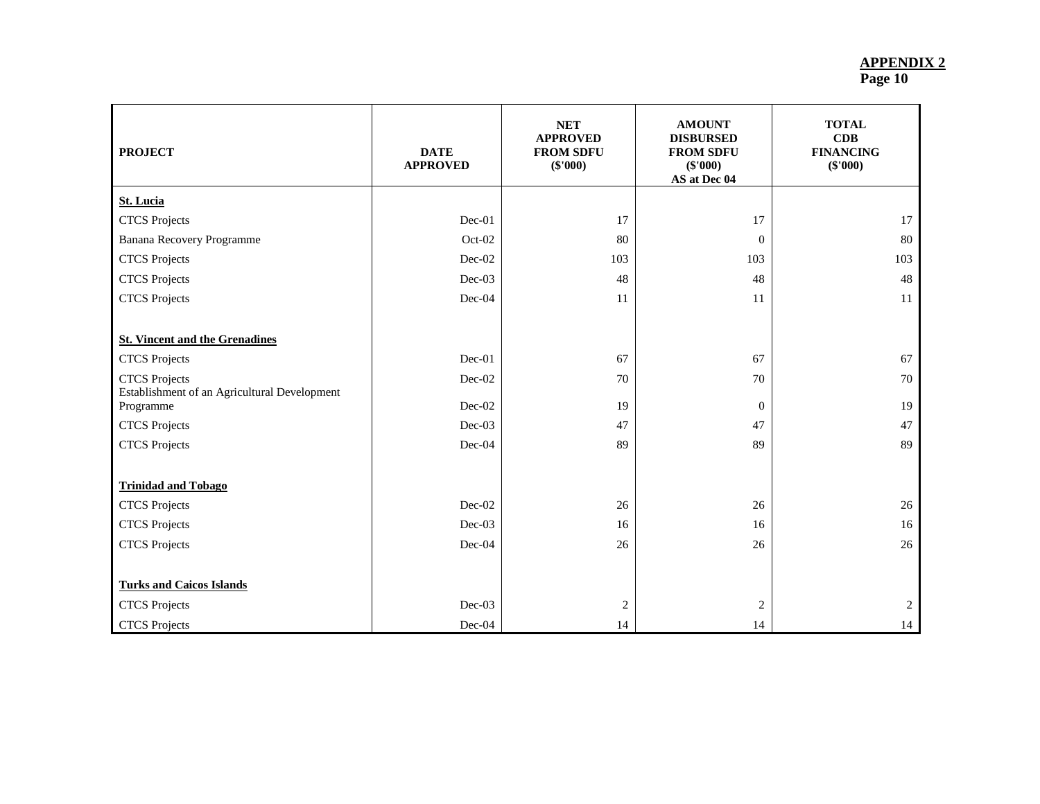| <b>PROJECT</b>                                            | <b>DATE</b><br><b>APPROVED</b> | <b>NET</b><br><b>APPROVED</b><br><b>FROM SDFU</b><br>(\$'000) | <b>AMOUNT</b><br><b>DISBURSED</b><br><b>FROM SDFU</b><br>$(\$'000)$<br>AS at Dec 04 | <b>TOTAL</b><br>CDB<br><b>FINANCING</b><br>$(\$'000)$ |
|-----------------------------------------------------------|--------------------------------|---------------------------------------------------------------|-------------------------------------------------------------------------------------|-------------------------------------------------------|
| <b>St. Lucia</b>                                          |                                |                                                               |                                                                                     |                                                       |
| <b>CTCS</b> Projects                                      | Dec-01                         | 17                                                            | 17                                                                                  | 17                                                    |
| Banana Recovery Programme                                 | $Oct-02$                       | 80                                                            | $\mathbf{0}$                                                                        | 80                                                    |
| <b>CTCS</b> Projects                                      | $Dec-02$                       | 103                                                           | 103                                                                                 | 103                                                   |
| <b>CTCS</b> Projects                                      | $Dec-03$                       | 48                                                            | 48                                                                                  | 48                                                    |
| <b>CTCS</b> Projects                                      | $Dec-04$                       | 11                                                            | 11                                                                                  | 11                                                    |
|                                                           |                                |                                                               |                                                                                     |                                                       |
| <b>St. Vincent and the Grenadines</b>                     |                                |                                                               |                                                                                     |                                                       |
| <b>CTCS</b> Projects                                      | $Dec-01$                       | 67                                                            | 67                                                                                  | 67                                                    |
| <b>CTCS</b> Projects                                      | Dec-02                         | 70                                                            | 70                                                                                  | 70                                                    |
| Establishment of an Agricultural Development<br>Programme | $Dec-02$                       | 19                                                            | $\overline{0}$                                                                      | 19                                                    |
| <b>CTCS</b> Projects                                      | $Dec-03$                       | 47                                                            | 47                                                                                  | 47                                                    |
| <b>CTCS</b> Projects                                      | $Dec-04$                       | 89                                                            | 89                                                                                  | 89                                                    |
|                                                           |                                |                                                               |                                                                                     |                                                       |
| <b>Trinidad and Tobago</b>                                |                                |                                                               |                                                                                     |                                                       |
| <b>CTCS</b> Projects                                      | $Dec-02$                       | 26                                                            | 26                                                                                  | 26                                                    |
| <b>CTCS</b> Projects                                      | $Dec-03$                       | 16                                                            | 16                                                                                  | 16                                                    |
| <b>CTCS</b> Projects                                      | Dec-04                         | 26                                                            | 26                                                                                  | 26                                                    |
|                                                           |                                |                                                               |                                                                                     |                                                       |
| <b>Turks and Caicos Islands</b>                           |                                |                                                               |                                                                                     |                                                       |
| <b>CTCS</b> Projects                                      | $Dec-03$                       | $\overline{c}$                                                | $\overline{c}$                                                                      | 2                                                     |
| <b>CTCS</b> Projects                                      | $Dec-04$                       | 14                                                            | 14                                                                                  | 14                                                    |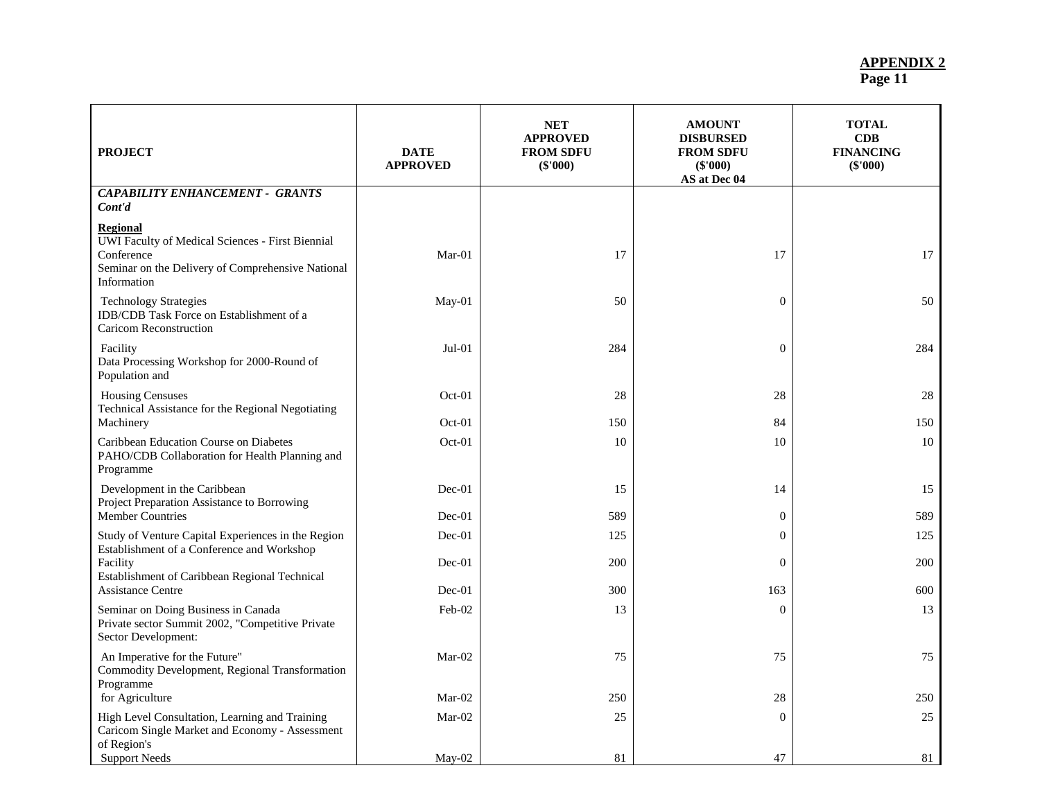| <b>PROJECT</b>                                                                                                                                        | <b>DATE</b><br><b>APPROVED</b> | <b>NET</b><br><b>APPROVED</b><br><b>FROM SDFU</b><br>(\$'000) | <b>AMOUNT</b><br><b>DISBURSED</b><br><b>FROM SDFU</b><br>$(\$'000)$<br>AS at Dec 04 | <b>TOTAL</b><br>CDB<br><b>FINANCING</b><br>$(\$'000)$ |
|-------------------------------------------------------------------------------------------------------------------------------------------------------|--------------------------------|---------------------------------------------------------------|-------------------------------------------------------------------------------------|-------------------------------------------------------|
| <b>CAPABILITY ENHANCEMENT - GRANTS</b><br>Cont'd                                                                                                      |                                |                                                               |                                                                                     |                                                       |
| <b>Regional</b><br>UWI Faculty of Medical Sciences - First Biennial<br>Conference<br>Seminar on the Delivery of Comprehensive National<br>Information | $Mar-01$                       | 17                                                            | 17                                                                                  | 17                                                    |
| <b>Technology Strategies</b><br>IDB/CDB Task Force on Establishment of a<br><b>Caricom Reconstruction</b>                                             | May-01                         | 50                                                            | $\overline{0}$                                                                      | 50                                                    |
| Facility<br>Data Processing Workshop for 2000-Round of<br>Population and                                                                              | $Jul-01$                       | 284                                                           | $\mathbf{0}$                                                                        | 284                                                   |
| <b>Housing Censuses</b><br>Technical Assistance for the Regional Negotiating                                                                          | Oct-01                         | 28                                                            | 28                                                                                  | 28                                                    |
| Machinery<br>Caribbean Education Course on Diabetes<br>PAHO/CDB Collaboration for Health Planning and<br>Programme                                    | Oct-01<br>Oct-01               | 150<br>10                                                     | 84<br>10                                                                            | 150<br>10                                             |
| Development in the Caribbean<br>Project Preparation Assistance to Borrowing                                                                           | $Dec-01$                       | 15                                                            | 14                                                                                  | 15                                                    |
| <b>Member Countries</b>                                                                                                                               | $Dec-01$                       | 589                                                           | $\overline{0}$                                                                      | 589                                                   |
| Study of Venture Capital Experiences in the Region<br>Establishment of a Conference and Workshop                                                      | Dec-01                         | 125                                                           | $\theta$                                                                            | 125                                                   |
| Facility<br>Establishment of Caribbean Regional Technical                                                                                             | $Dec-01$                       | 200                                                           | $\mathbf{0}$                                                                        | 200                                                   |
| <b>Assistance Centre</b>                                                                                                                              | $Dec-01$                       | 300                                                           | 163                                                                                 | 600                                                   |
| Seminar on Doing Business in Canada<br>Private sector Summit 2002, "Competitive Private<br>Sector Development:                                        | Feb-02                         | 13                                                            | $\overline{0}$                                                                      | 13                                                    |
| An Imperative for the Future"<br>Commodity Development, Regional Transformation<br>Programme                                                          | Mar-02                         | 75                                                            | 75                                                                                  | 75                                                    |
| for Agriculture                                                                                                                                       | $Mar-02$                       | 250                                                           | 28                                                                                  | 250                                                   |
| High Level Consultation, Learning and Training<br>Caricom Single Market and Economy - Assessment<br>of Region's                                       | $Mar-02$                       | 25                                                            | $\overline{0}$                                                                      | 25                                                    |
| <b>Support Needs</b>                                                                                                                                  | May-02                         | 81                                                            | 47                                                                                  | 81                                                    |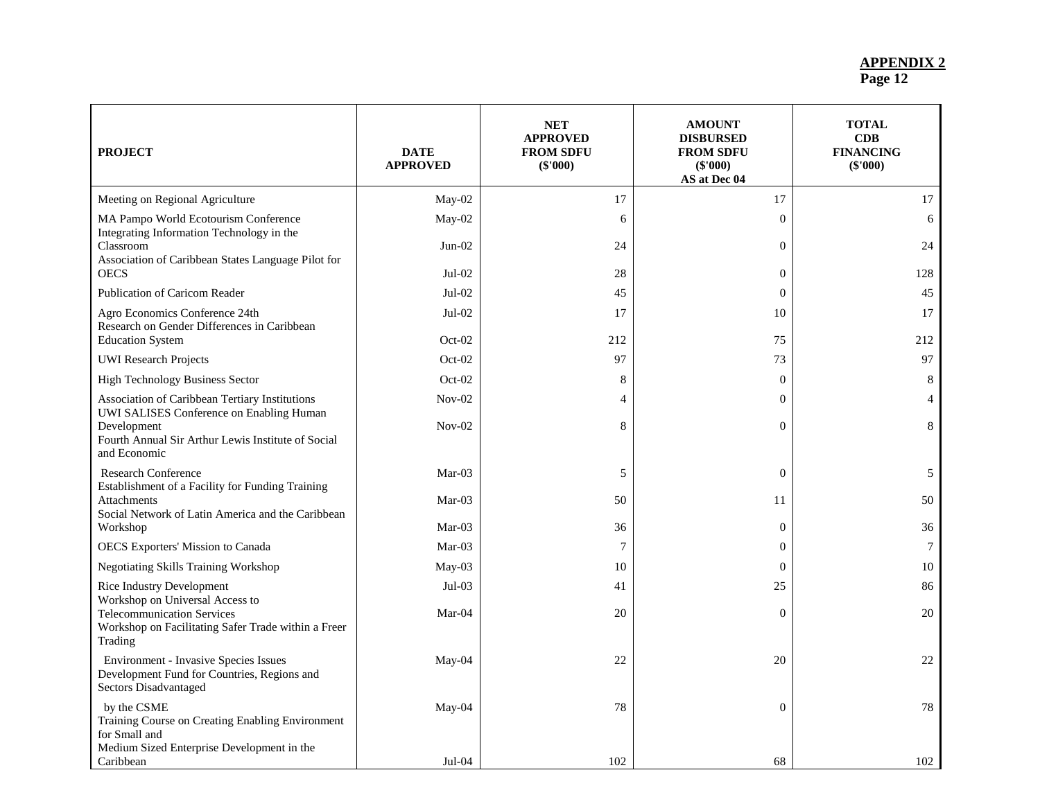| <b>PROJECT</b>                                                                                                                 | <b>DATE</b><br><b>APPROVED</b> | <b>NET</b><br><b>APPROVED</b><br><b>FROM SDFU</b><br>$(\$'000)$ | <b>AMOUNT</b><br><b>DISBURSED</b><br><b>FROM SDFU</b><br>$(\$'000)$<br>AS at Dec 04 | <b>TOTAL</b><br>CDB<br><b>FINANCING</b><br>(\$'000) |
|--------------------------------------------------------------------------------------------------------------------------------|--------------------------------|-----------------------------------------------------------------|-------------------------------------------------------------------------------------|-----------------------------------------------------|
| Meeting on Regional Agriculture                                                                                                | May-02                         | 17                                                              | 17                                                                                  | 17                                                  |
| MA Pampo World Ecotourism Conference                                                                                           | May-02                         | 6                                                               | $\overline{0}$                                                                      | 6                                                   |
| Integrating Information Technology in the<br>Classroom<br>Association of Caribbean States Language Pilot for                   | $Jun-02$                       | 24                                                              | $\overline{0}$                                                                      | 24                                                  |
| <b>OECS</b>                                                                                                                    | $Jul-02$                       | 28                                                              | $\overline{0}$                                                                      | 128                                                 |
| Publication of Caricom Reader                                                                                                  | $Jul-02$                       | 45                                                              | $\overline{0}$                                                                      | 45                                                  |
| Agro Economics Conference 24th<br>Research on Gender Differences in Caribbean                                                  | $Jul-02$                       | 17                                                              | 10                                                                                  | 17                                                  |
| <b>Education System</b>                                                                                                        | $Oct-02$                       | 212                                                             | 75                                                                                  | 212                                                 |
| <b>UWI</b> Research Projects                                                                                                   | Oct-02                         | 97                                                              | 73                                                                                  | 97                                                  |
| High Technology Business Sector                                                                                                | $Oct-02$                       | 8                                                               | $\overline{0}$                                                                      | 8                                                   |
| Association of Caribbean Tertiary Institutions<br>UWI SALISES Conference on Enabling Human                                     | $Nov-02$                       | $\overline{4}$                                                  | $\Omega$                                                                            | $\overline{4}$                                      |
| Development<br>Fourth Annual Sir Arthur Lewis Institute of Social<br>and Economic                                              | $Nov-02$                       | 8                                                               | $\Omega$                                                                            | 8                                                   |
| Research Conference                                                                                                            | $Mar-03$                       | 5                                                               | $\Omega$                                                                            | 5                                                   |
| Establishment of a Facility for Funding Training<br><b>Attachments</b><br>Social Network of Latin America and the Caribbean    | Mar-03                         | 50                                                              | 11                                                                                  | 50                                                  |
| Workshop                                                                                                                       | $Mar-03$                       | 36                                                              | $\overline{0}$                                                                      | 36                                                  |
| OECS Exporters' Mission to Canada                                                                                              | Mar-03                         | 7                                                               | $\Omega$                                                                            | $\tau$                                              |
| Negotiating Skills Training Workshop                                                                                           | $May-03$                       | 10                                                              | $\overline{0}$                                                                      | 10                                                  |
| Rice Industry Development<br>Workshop on Universal Access to                                                                   | $Jul-03$                       | 41                                                              | 25                                                                                  | 86                                                  |
| <b>Telecommunication Services</b><br>Workshop on Facilitating Safer Trade within a Freer<br>Trading                            | Mar-04                         | 20                                                              | $\Omega$                                                                            | 20                                                  |
| <b>Environment - Invasive Species Issues</b><br>Development Fund for Countries, Regions and<br>Sectors Disadvantaged           | May-04                         | 22                                                              | 20                                                                                  | 22                                                  |
| by the CSME<br>Training Course on Creating Enabling Environment<br>for Small and<br>Medium Sized Enterprise Development in the | May-04                         | 78                                                              | $\overline{0}$                                                                      | 78                                                  |
| Caribbean                                                                                                                      | $Jul-04$                       | 102                                                             | 68                                                                                  | 102                                                 |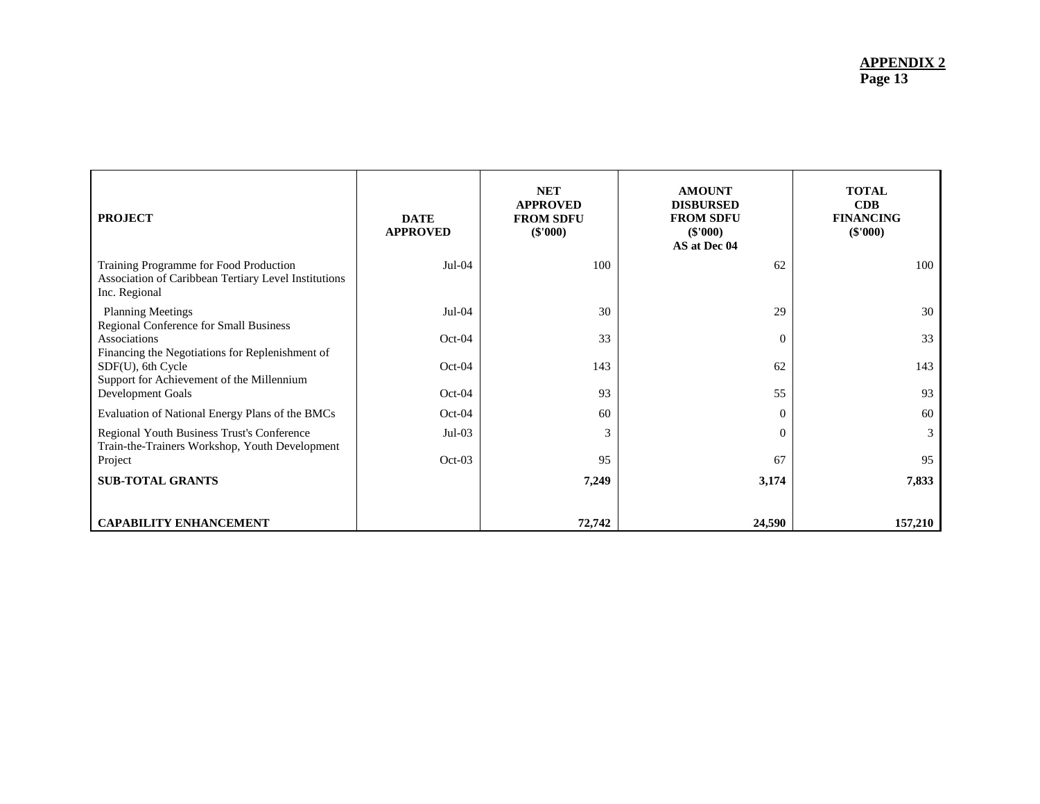| <b>PROJECT</b>                                                                                                  | <b>DATE</b><br><b>APPROVED</b> | <b>NET</b><br><b>APPROVED</b><br><b>FROM SDFU</b><br>$(\$'000)$ | <b>AMOUNT</b><br><b>DISBURSED</b><br><b>FROM SDFU</b><br>$(\$'000)$<br>AS at Dec 04 | <b>TOTAL</b><br><b>CDB</b><br><b>FINANCING</b><br>$(\$'000)$ |
|-----------------------------------------------------------------------------------------------------------------|--------------------------------|-----------------------------------------------------------------|-------------------------------------------------------------------------------------|--------------------------------------------------------------|
| Training Programme for Food Production<br>Association of Caribbean Tertiary Level Institutions<br>Inc. Regional | $Jul-04$                       | 100                                                             | 62                                                                                  | 100                                                          |
| <b>Planning Meetings</b><br>Regional Conference for Small Business                                              | $Jul-04$                       | 30                                                              | 29                                                                                  | 30                                                           |
| Associations<br>Financing the Negotiations for Replenishment of                                                 | $Oct-04$                       | 33                                                              | $\Omega$                                                                            | 33                                                           |
| SDF(U), 6th Cycle<br>Support for Achievement of the Millennium                                                  | $Oct-04$                       | 143                                                             | 62                                                                                  | 143                                                          |
| Development Goals                                                                                               | $Oct-04$                       | 93                                                              | 55                                                                                  | 93                                                           |
| Evaluation of National Energy Plans of the BMCs                                                                 | $Oct-04$                       | 60                                                              | $\Omega$                                                                            | 60                                                           |
| Regional Youth Business Trust's Conference<br>Train-the-Trainers Workshop, Youth Development                    | $Jul-03$                       | 3                                                               | $\Omega$                                                                            | 3                                                            |
| Project                                                                                                         | $Oct-03$                       | 95                                                              | 67                                                                                  | 95                                                           |
| <b>SUB-TOTAL GRANTS</b>                                                                                         |                                | 7,249                                                           | 3,174                                                                               | 7,833                                                        |
| <b>CAPABILITY ENHANCEMENT</b>                                                                                   |                                | 72,742                                                          | 24,590                                                                              | 157,210                                                      |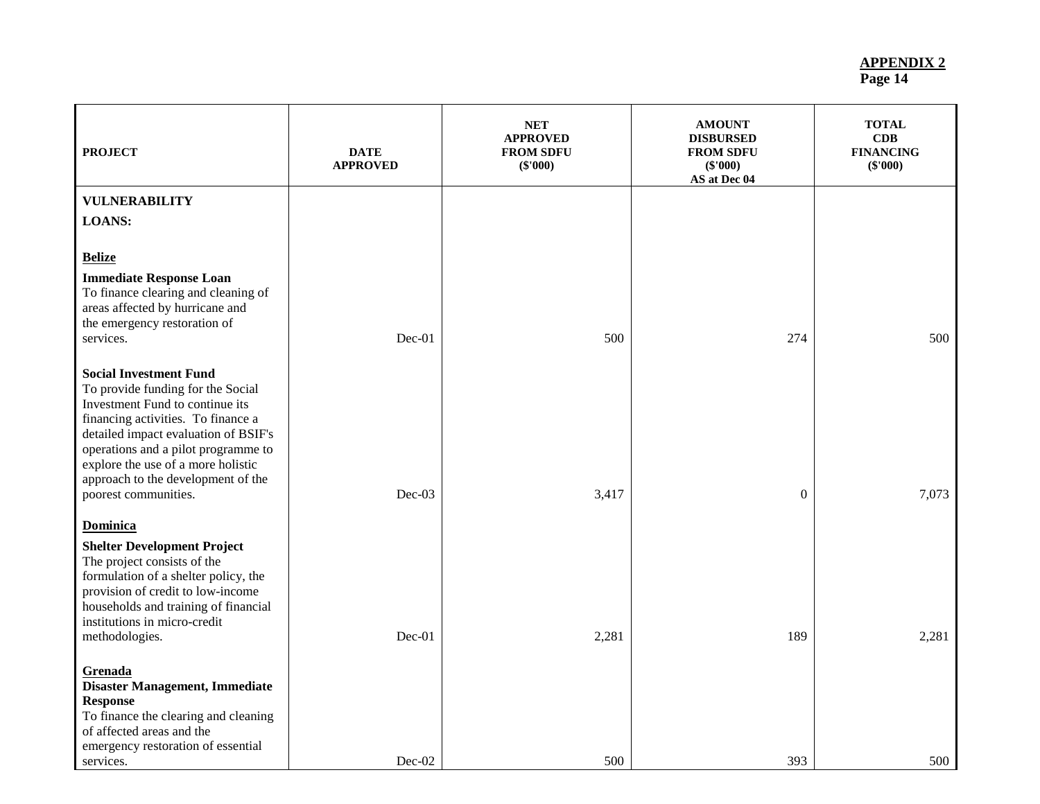| <b>PROJECT</b>                                                                                                                                                                                                                                                                                                                 | <b>DATE</b><br><b>APPROVED</b> | <b>NET</b><br><b>APPROVED</b><br><b>FROM SDFU</b><br>(\$'000) | <b>AMOUNT</b><br><b>DISBURSED</b><br><b>FROM SDFU</b><br>$(\$'000)$<br>AS at Dec 04 | <b>TOTAL</b><br>CDB<br><b>FINANCING</b><br>(\$'000) |
|--------------------------------------------------------------------------------------------------------------------------------------------------------------------------------------------------------------------------------------------------------------------------------------------------------------------------------|--------------------------------|---------------------------------------------------------------|-------------------------------------------------------------------------------------|-----------------------------------------------------|
| <b>VULNERABILITY</b>                                                                                                                                                                                                                                                                                                           |                                |                                                               |                                                                                     |                                                     |
| <b>LOANS:</b>                                                                                                                                                                                                                                                                                                                  |                                |                                                               |                                                                                     |                                                     |
| <b>Belize</b>                                                                                                                                                                                                                                                                                                                  |                                |                                                               |                                                                                     |                                                     |
| <b>Immediate Response Loan</b><br>To finance clearing and cleaning of<br>areas affected by hurricane and<br>the emergency restoration of<br>services.                                                                                                                                                                          | $Dec-01$                       | 500                                                           | 274                                                                                 | 500                                                 |
| <b>Social Investment Fund</b><br>To provide funding for the Social<br>Investment Fund to continue its<br>financing activities. To finance a<br>detailed impact evaluation of BSIF's<br>operations and a pilot programme to<br>explore the use of a more holistic<br>approach to the development of the<br>poorest communities. | $Dec-03$                       | 3,417                                                         | $\mathbf{0}$                                                                        | 7,073                                               |
|                                                                                                                                                                                                                                                                                                                                |                                |                                                               |                                                                                     |                                                     |
| <b>Dominica</b><br><b>Shelter Development Project</b><br>The project consists of the<br>formulation of a shelter policy, the<br>provision of credit to low-income<br>households and training of financial<br>institutions in micro-credit<br>methodologies.                                                                    | Dec-01                         | 2,281                                                         | 189                                                                                 | 2,281                                               |
| Grenada<br><b>Disaster Management, Immediate</b><br><b>Response</b><br>To finance the clearing and cleaning<br>of affected areas and the<br>emergency restoration of essential                                                                                                                                                 |                                |                                                               |                                                                                     |                                                     |
| services.                                                                                                                                                                                                                                                                                                                      | Dec-02                         | 500                                                           | 393                                                                                 | 500                                                 |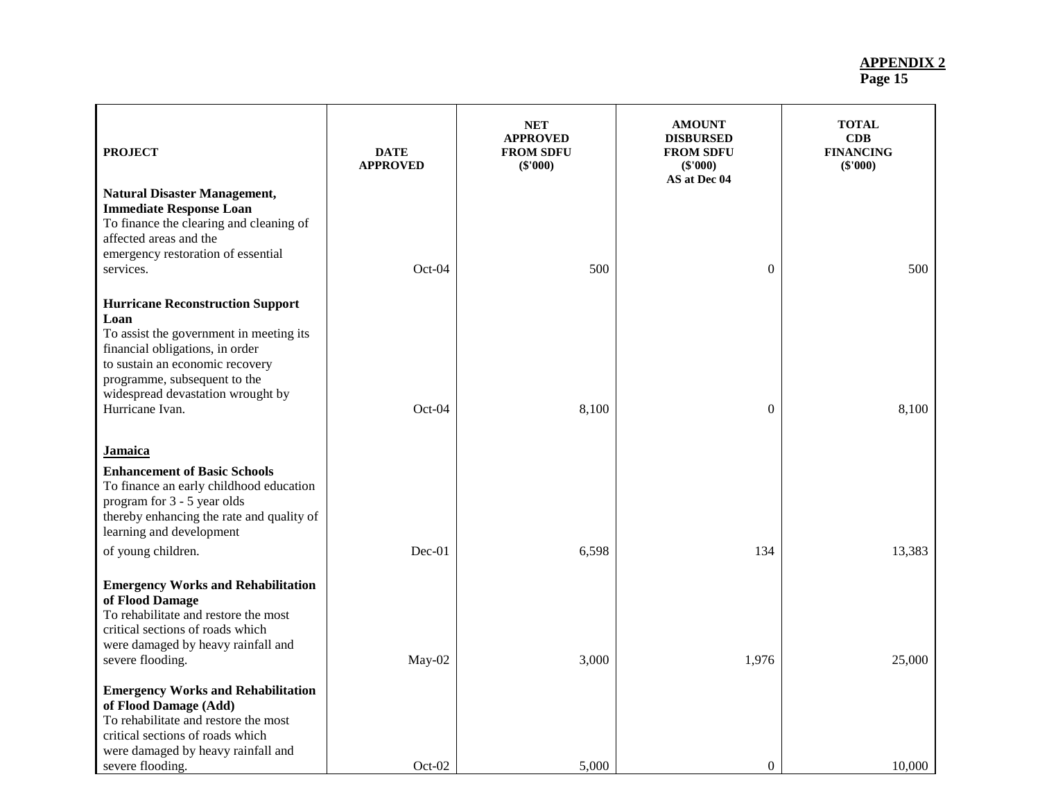| <b>PROJECT</b>                                                                                                                                                                                                                                           | <b>DATE</b><br><b>APPROVED</b> | <b>NET</b><br><b>APPROVED</b><br><b>FROM SDFU</b><br>$(\$'000)$ | <b>AMOUNT</b><br><b>DISBURSED</b><br><b>FROM SDFU</b><br>(\$'000)<br>AS at Dec 04 | <b>TOTAL</b><br>CDB<br><b>FINANCING</b><br>(\$'000) |
|----------------------------------------------------------------------------------------------------------------------------------------------------------------------------------------------------------------------------------------------------------|--------------------------------|-----------------------------------------------------------------|-----------------------------------------------------------------------------------|-----------------------------------------------------|
| <b>Natural Disaster Management,</b><br><b>Immediate Response Loan</b><br>To finance the clearing and cleaning of<br>affected areas and the<br>emergency restoration of essential<br>services.                                                            | Oct-04                         | 500                                                             | $\Omega$                                                                          | 500                                                 |
| <b>Hurricane Reconstruction Support</b><br>Loan<br>To assist the government in meeting its<br>financial obligations, in order<br>to sustain an economic recovery<br>programme, subsequent to the<br>widespread devastation wrought by<br>Hurricane Ivan. | Oct-04                         | 8,100                                                           | $\theta$                                                                          | 8,100                                               |
| <b>Jamaica</b><br><b>Enhancement of Basic Schools</b><br>To finance an early childhood education<br>program for 3 - 5 year olds<br>thereby enhancing the rate and quality of<br>learning and development                                                 |                                |                                                                 |                                                                                   |                                                     |
| of young children.<br><b>Emergency Works and Rehabilitation</b><br>of Flood Damage<br>To rehabilitate and restore the most<br>critical sections of roads which                                                                                           | Dec-01                         | 6,598                                                           | 134                                                                               | 13,383                                              |
| were damaged by heavy rainfall and<br>severe flooding.<br><b>Emergency Works and Rehabilitation</b><br>of Flood Damage (Add)<br>To rehabilitate and restore the most<br>critical sections of roads which                                                 | May-02                         | 3,000                                                           | 1,976                                                                             | 25,000                                              |
| were damaged by heavy rainfall and<br>severe flooding.                                                                                                                                                                                                   | Oct-02                         | 5,000                                                           | $\boldsymbol{0}$                                                                  | 10,000                                              |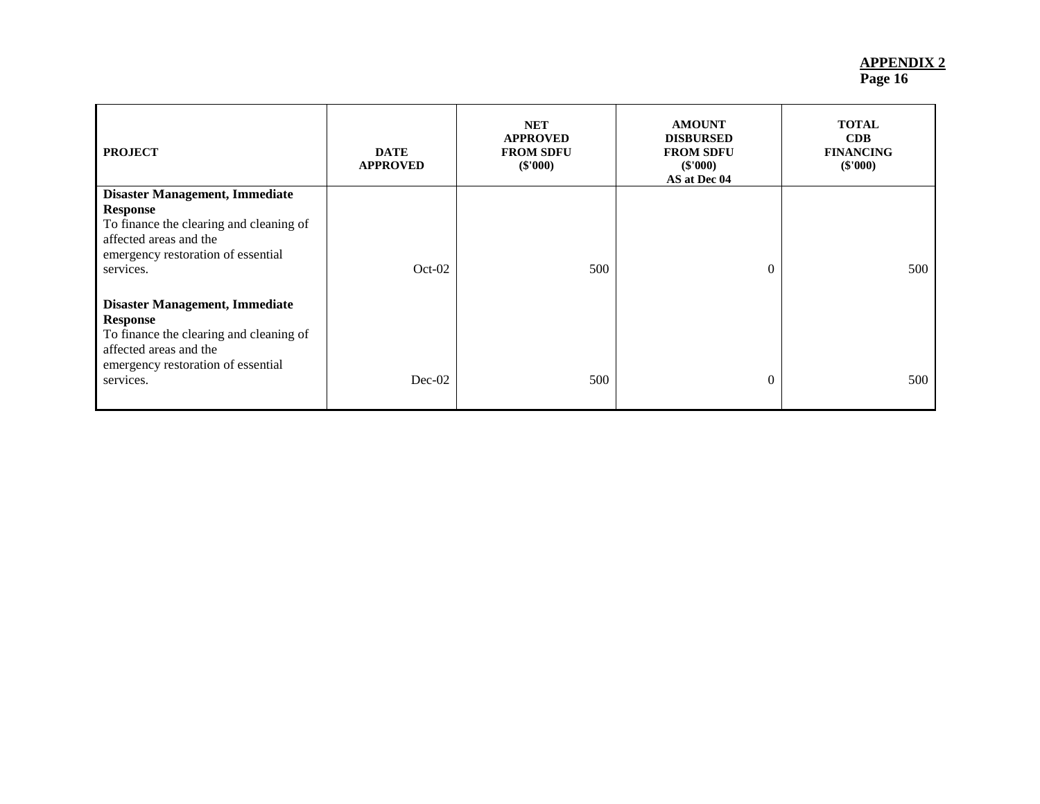| <b>PROJECT</b>                                                                                                                                                                   | <b>DATE</b><br><b>APPROVED</b> | <b>NET</b><br><b>APPROVED</b><br><b>FROM SDFU</b><br>(\$'000) | <b>AMOUNT</b><br><b>DISBURSED</b><br><b>FROM SDFU</b><br>$(\$'000)$<br>AS at Dec 04 | <b>TOTAL</b><br>CDB<br><b>FINANCING</b><br>$(\$'000)$ |
|----------------------------------------------------------------------------------------------------------------------------------------------------------------------------------|--------------------------------|---------------------------------------------------------------|-------------------------------------------------------------------------------------|-------------------------------------------------------|
| <b>Disaster Management, Immediate</b>                                                                                                                                            |                                |                                                               |                                                                                     |                                                       |
| Response<br>To finance the clearing and cleaning of<br>affected areas and the<br>emergency restoration of essential<br>services.                                                 | $Oct-02$                       | 500                                                           | $\Omega$                                                                            | 500                                                   |
| <b>Disaster Management, Immediate</b><br><b>Response</b><br>To finance the clearing and cleaning of<br>affected areas and the<br>emergency restoration of essential<br>services. | $Dec-02$                       | 500                                                           | $\theta$                                                                            | 500                                                   |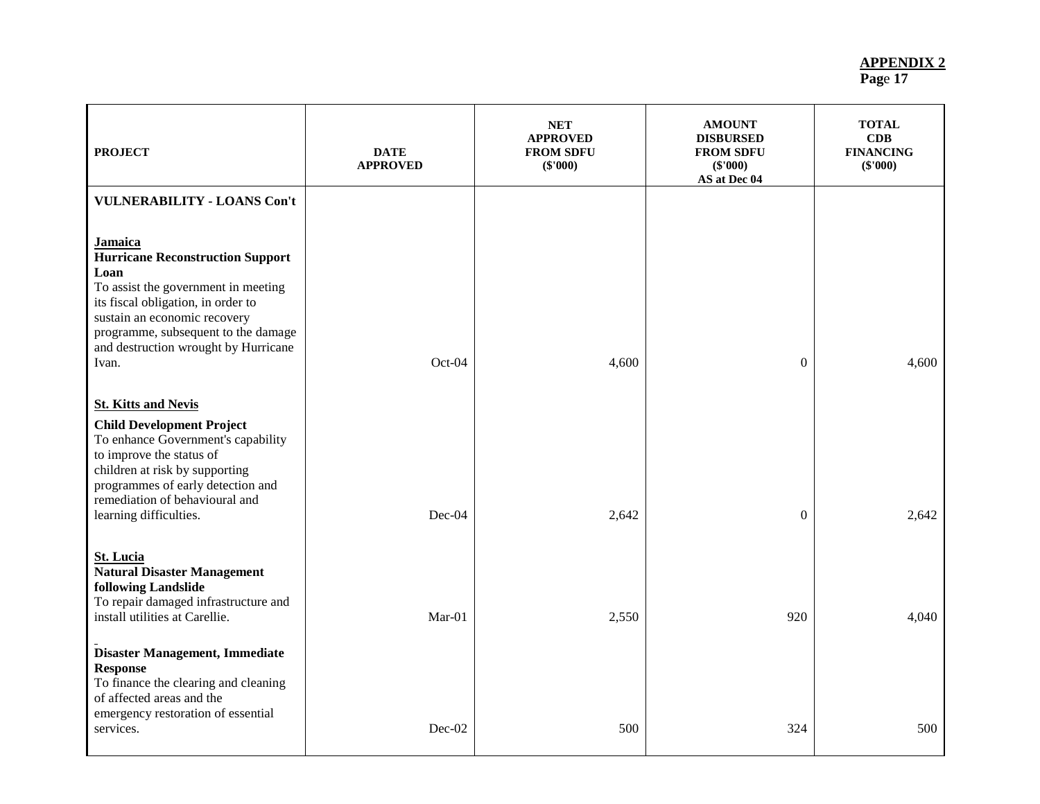| <b>PROJECT</b>                                                                                                                                                                                                                                                         | <b>DATE</b><br><b>APPROVED</b> | <b>NET</b><br><b>APPROVED</b><br><b>FROM SDFU</b><br>$(\$'000)$ | <b>AMOUNT</b><br><b>DISBURSED</b><br><b>FROM SDFU</b><br>(\$'000)<br>AS at Dec 04 | <b>TOTAL</b><br>CDB<br><b>FINANCING</b><br>(\$'000) |
|------------------------------------------------------------------------------------------------------------------------------------------------------------------------------------------------------------------------------------------------------------------------|--------------------------------|-----------------------------------------------------------------|-----------------------------------------------------------------------------------|-----------------------------------------------------|
| <b>VULNERABILITY - LOANS Con't</b>                                                                                                                                                                                                                                     |                                |                                                                 |                                                                                   |                                                     |
| <b>Jamaica</b><br><b>Hurricane Reconstruction Support</b><br>Loan<br>To assist the government in meeting<br>its fiscal obligation, in order to<br>sustain an economic recovery<br>programme, subsequent to the damage<br>and destruction wrought by Hurricane<br>Ivan. | Oct-04                         | 4,600                                                           | $\boldsymbol{0}$                                                                  | 4,600                                               |
| <b>St. Kitts and Nevis</b><br><b>Child Development Project</b><br>To enhance Government's capability<br>to improve the status of<br>children at risk by supporting<br>programmes of early detection and<br>remediation of behavioural and<br>learning difficulties.    | Dec-04                         | 2,642                                                           | $\boldsymbol{0}$                                                                  | 2,642                                               |
| <b>St. Lucia</b><br><b>Natural Disaster Management</b><br>following Landslide<br>To repair damaged infrastructure and<br>install utilities at Carellie.<br><b>Disaster Management, Immediate</b>                                                                       | $Mar-01$                       | 2,550                                                           | 920                                                                               | 4,040                                               |
| <b>Response</b><br>To finance the clearing and cleaning<br>of affected areas and the<br>emergency restoration of essential<br>services.                                                                                                                                | Dec-02                         | 500                                                             | 324                                                                               | 500                                                 |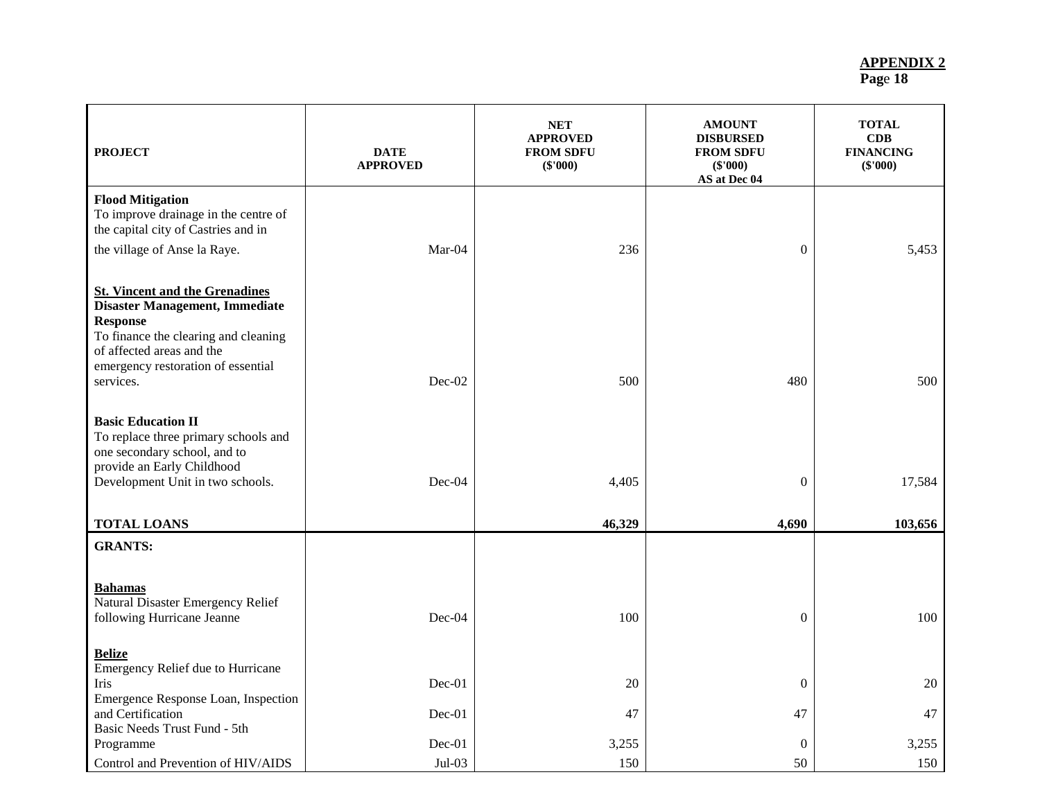| <b>PROJECT</b>                                                                                                                                                                                                     | <b>DATE</b><br><b>APPROVED</b> | <b>NET</b><br><b>APPROVED</b><br><b>FROM SDFU</b><br>(\$'000) | <b>AMOUNT</b><br><b>DISBURSED</b><br><b>FROM SDFU</b><br>(\$'000)<br>AS at Dec 04 | <b>TOTAL</b><br>CDB<br><b>FINANCING</b><br>$(\$'000)$ |
|--------------------------------------------------------------------------------------------------------------------------------------------------------------------------------------------------------------------|--------------------------------|---------------------------------------------------------------|-----------------------------------------------------------------------------------|-------------------------------------------------------|
| <b>Flood Mitigation</b><br>To improve drainage in the centre of<br>the capital city of Castries and in<br>the village of Anse la Raye.                                                                             | $Mar-04$                       | 236                                                           | $\theta$                                                                          | 5,453                                                 |
| <b>St. Vincent and the Grenadines</b><br>Disaster Management, Immediate<br><b>Response</b><br>To finance the clearing and cleaning<br>of affected areas and the<br>emergency restoration of essential<br>services. | Dec-02                         | 500                                                           | 480                                                                               | 500                                                   |
| <b>Basic Education II</b><br>To replace three primary schools and<br>one secondary school, and to<br>provide an Early Childhood<br>Development Unit in two schools.                                                | Dec-04                         | 4,405                                                         | $\boldsymbol{0}$                                                                  | 17,584                                                |
| <b>TOTAL LOANS</b>                                                                                                                                                                                                 |                                | 46,329                                                        | 4,690                                                                             | 103,656                                               |
| <b>GRANTS:</b>                                                                                                                                                                                                     |                                |                                                               |                                                                                   |                                                       |
| <b>Bahamas</b><br>Natural Disaster Emergency Relief<br>following Hurricane Jeanne                                                                                                                                  | Dec-04                         | 100                                                           | $\mathbf{0}$                                                                      | 100                                                   |
| <b>Belize</b><br>Emergency Relief due to Hurricane<br>Iris<br>Emergence Response Loan, Inspection<br>and Certification                                                                                             | Dec-01                         | 20                                                            | $\theta$                                                                          | 20                                                    |
| Basic Needs Trust Fund - 5th<br>Programme                                                                                                                                                                          | Dec-01<br>Dec-01               | 47<br>3,255                                                   | 47<br>$\boldsymbol{0}$                                                            | 47<br>3,255                                           |
| Control and Prevention of HIV/AIDS                                                                                                                                                                                 | $Jul-03$                       | 150                                                           | 50                                                                                | 150                                                   |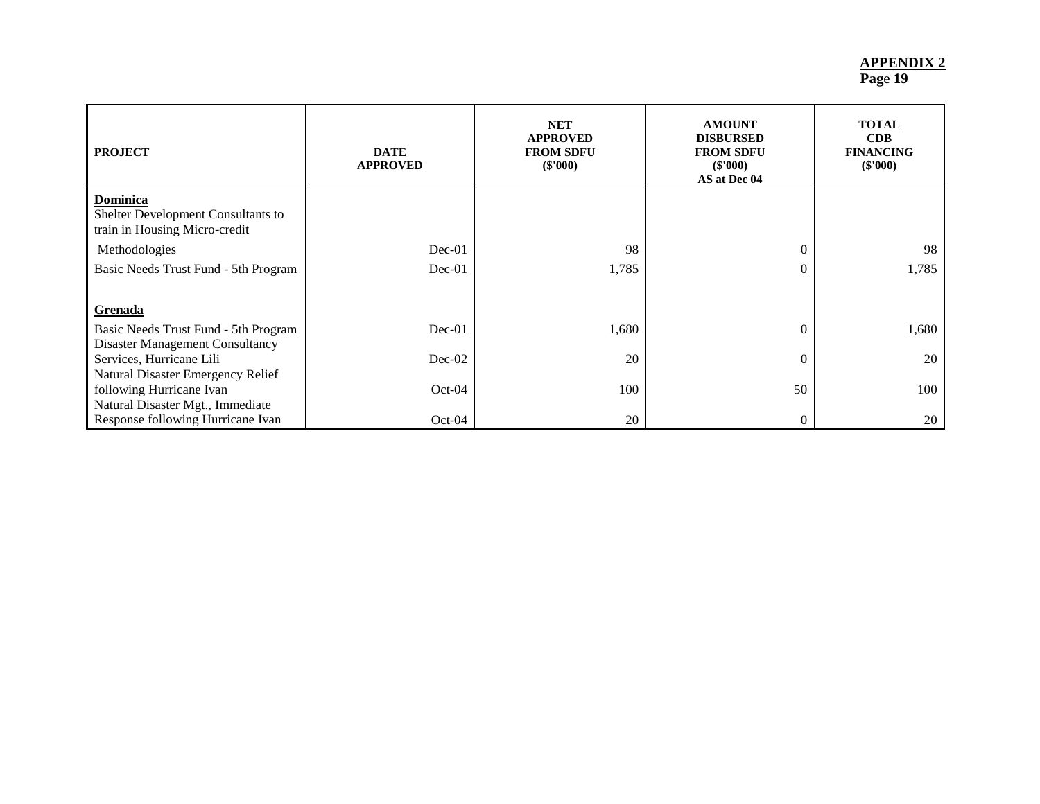| <b>PROJECT</b>                                                                  | <b>DATE</b><br><b>APPROVED</b> | <b>NET</b><br><b>APPROVED</b><br><b>FROM SDFU</b><br>$(\$'000)$ | <b>AMOUNT</b><br><b>DISBURSED</b><br><b>FROM SDFU</b><br>(\$'000)<br>AS at Dec 04 | <b>TOTAL</b><br>CDB<br><b>FINANCING</b><br>$(\$'000)$ |
|---------------------------------------------------------------------------------|--------------------------------|-----------------------------------------------------------------|-----------------------------------------------------------------------------------|-------------------------------------------------------|
| Dominica<br>Shelter Development Consultants to<br>train in Housing Micro-credit |                                |                                                                 |                                                                                   |                                                       |
| Methodologies                                                                   | $Dec-01$                       | 98                                                              | $\mathbf{0}$                                                                      | 98                                                    |
| Basic Needs Trust Fund - 5th Program                                            | $Dec-01$                       | 1,785                                                           | $\Omega$                                                                          | 1,785                                                 |
| Grenada                                                                         |                                |                                                                 |                                                                                   |                                                       |
| Basic Needs Trust Fund - 5th Program                                            | $Dec-01$                       | 1,680                                                           | $\mathbf{0}$                                                                      | 1,680                                                 |
| <b>Disaster Management Consultancy</b>                                          |                                |                                                                 |                                                                                   |                                                       |
| Services, Hurricane Lili                                                        | $Dec-02$                       | 20                                                              | $\overline{0}$                                                                    | 20                                                    |
| Natural Disaster Emergency Relief                                               |                                |                                                                 |                                                                                   |                                                       |
| following Hurricane Ivan<br>Natural Disaster Mgt., Immediate                    | $Oct-04$                       | 100                                                             | 50                                                                                | 100                                                   |
| Response following Hurricane Ivan                                               | $Oct-04$                       | 20                                                              | $\theta$                                                                          | 20                                                    |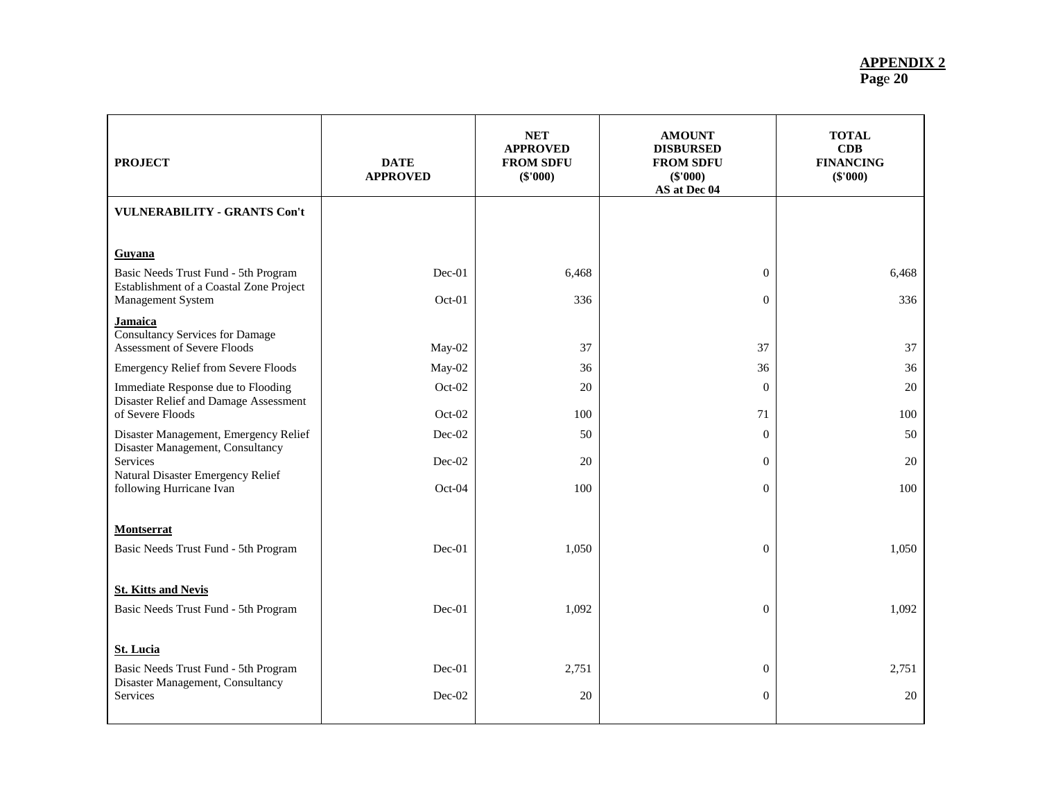| <b>PROJECT</b>                                                                                   | <b>DATE</b><br><b>APPROVED</b> | <b>NET</b><br><b>APPROVED</b><br><b>FROM SDFU</b><br>(\$'000) | <b>AMOUNT</b><br><b>DISBURSED</b><br><b>FROM SDFU</b><br>(\$'000)<br>AS at Dec 04 | <b>TOTAL</b><br>CDB<br><b>FINANCING</b><br>(\$'000) |
|--------------------------------------------------------------------------------------------------|--------------------------------|---------------------------------------------------------------|-----------------------------------------------------------------------------------|-----------------------------------------------------|
| <b>VULNERABILITY - GRANTS Con't</b>                                                              |                                |                                                               |                                                                                   |                                                     |
| <b>Guyana</b><br>Basic Needs Trust Fund - 5th Program<br>Establishment of a Coastal Zone Project | Dec-01                         | 6,468                                                         | $\mathbf{0}$                                                                      | 6,468                                               |
| Management System<br><b>Jamaica</b><br>Consultancy Services for Damage                           | Oct-01                         | 336                                                           | $\mathbf{0}$                                                                      | 336                                                 |
| <b>Assessment of Severe Floods</b>                                                               | May-02                         | 37                                                            | 37                                                                                | 37                                                  |
| <b>Emergency Relief from Severe Floods</b>                                                       | May-02                         | 36                                                            | 36                                                                                | 36                                                  |
| Immediate Response due to Flooding<br>Disaster Relief and Damage Assessment<br>of Severe Floods  | Oct-02<br>$Oct-02$             | 20<br>100                                                     | $\Omega$<br>71                                                                    | 20<br>100                                           |
| Disaster Management, Emergency Relief                                                            | $Dec-02$                       | 50                                                            | $\mathbf{0}$                                                                      | 50                                                  |
| Disaster Management, Consultancy<br>Services<br>Natural Disaster Emergency Relief                | $Dec-02$                       | 20                                                            | $\mathbf{0}$                                                                      | 20                                                  |
| following Hurricane Ivan                                                                         | $Oct-04$                       | 100                                                           | $\mathbf{0}$                                                                      | 100                                                 |
| <b>Montserrat</b><br>Basic Needs Trust Fund - 5th Program                                        | Dec-01                         | 1,050                                                         | $\mathbf{0}$                                                                      | 1,050                                               |
|                                                                                                  |                                |                                                               |                                                                                   |                                                     |
| <b>St. Kitts and Nevis</b><br>Basic Needs Trust Fund - 5th Program                               | $Dec-01$                       | 1,092                                                         | $\mathbf{0}$                                                                      | 1,092                                               |
| St. Lucia                                                                                        |                                |                                                               |                                                                                   |                                                     |
| Basic Needs Trust Fund - 5th Program<br>Disaster Management, Consultancy                         | $Dec-01$                       | 2,751                                                         | $\mathbf{0}$                                                                      | 2,751                                               |
| Services                                                                                         | $Dec-02$                       | 20                                                            | $\mathbf{0}$                                                                      | 20                                                  |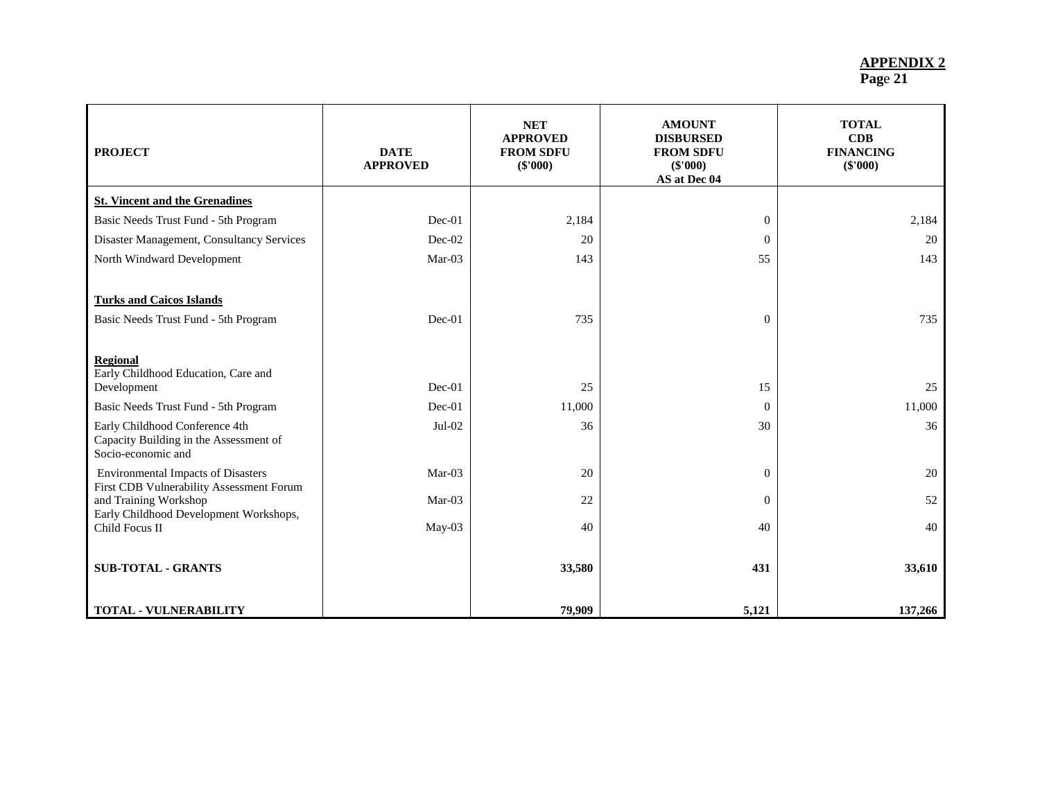| <b>PROJECT</b>                                                                                 | <b>DATE</b><br><b>APPROVED</b> | <b>NET</b><br><b>APPROVED</b><br><b>FROM SDFU</b><br>$(\$'000)$ | <b>AMOUNT</b><br><b>DISBURSED</b><br><b>FROM SDFU</b><br>(\$'000)<br>AS at Dec 04 | <b>TOTAL</b><br>CDB<br><b>FINANCING</b><br>$(\$'000)$ |
|------------------------------------------------------------------------------------------------|--------------------------------|-----------------------------------------------------------------|-----------------------------------------------------------------------------------|-------------------------------------------------------|
| <b>St. Vincent and the Grenadines</b>                                                          |                                |                                                                 |                                                                                   |                                                       |
| Basic Needs Trust Fund - 5th Program                                                           | $Dec-01$                       | 2,184                                                           | $\mathbf{0}$                                                                      | 2,184                                                 |
| Disaster Management, Consultancy Services                                                      | Dec-02                         | 20                                                              | $\Omega$                                                                          | 20                                                    |
| North Windward Development                                                                     | $Mar-03$                       | 143                                                             | 55                                                                                | 143                                                   |
| <b>Turks and Caicos Islands</b>                                                                |                                |                                                                 |                                                                                   |                                                       |
| Basic Needs Trust Fund - 5th Program                                                           | Dec-01                         | 735                                                             | $\mathbf{0}$                                                                      | 735                                                   |
| <b>Regional</b><br>Early Childhood Education, Care and<br>Development                          | $Dec-01$                       | 25                                                              | 15                                                                                | 25                                                    |
| Basic Needs Trust Fund - 5th Program                                                           | $Dec-01$                       | 11,000                                                          | $\theta$                                                                          | 11,000                                                |
| Early Childhood Conference 4th<br>Capacity Building in the Assessment of<br>Socio-economic and | Jul-02                         | 36                                                              | 30                                                                                | 36                                                    |
| <b>Environmental Impacts of Disasters</b><br>First CDB Vulnerability Assessment Forum          | $Mar-03$                       | 20                                                              | $\Omega$                                                                          | 20                                                    |
| and Training Workshop<br>Early Childhood Development Workshops,                                | Mar-03                         | 22                                                              | $\theta$                                                                          | 52                                                    |
| Child Focus II                                                                                 | May-03                         | 40                                                              | 40                                                                                | 40                                                    |
| <b>SUB-TOTAL - GRANTS</b>                                                                      |                                | 33,580                                                          | 431                                                                               | 33,610                                                |
| <b>TOTAL - VULNERABILITY</b>                                                                   |                                | 79,909                                                          | 5,121                                                                             | 137,266                                               |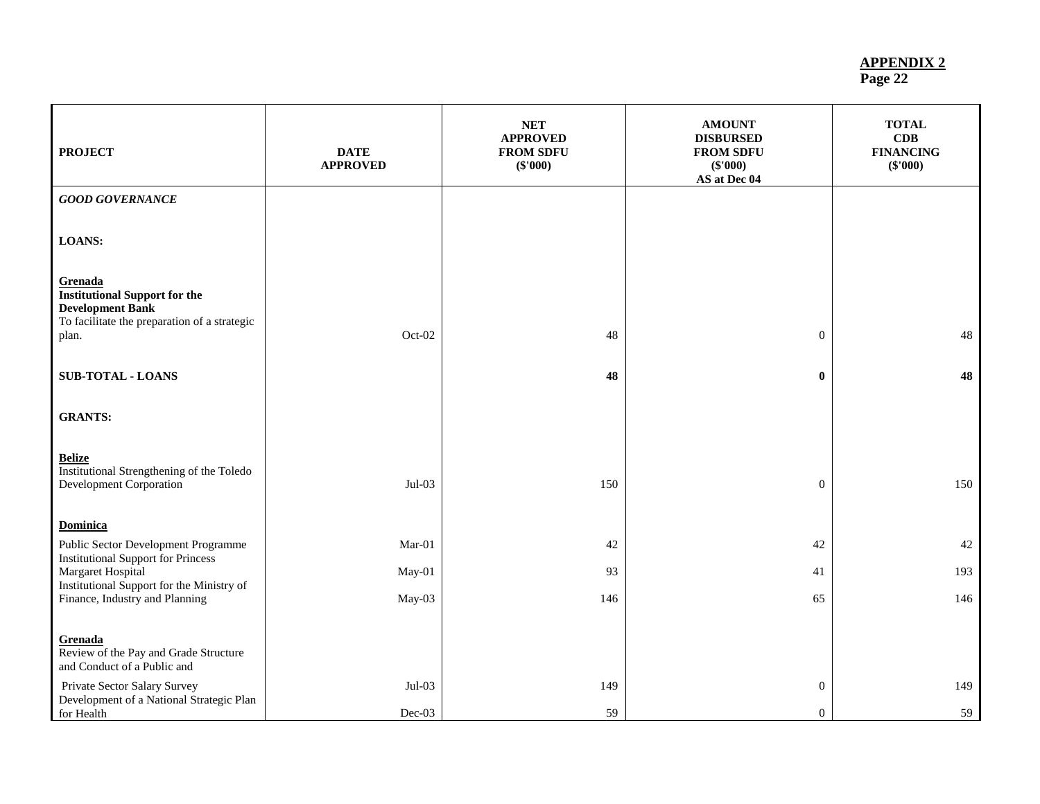#### **APPENDIX 2**

| Page 22 |
|---------|
|         |

| <b>PROJECT</b>                                                                                                                      | <b>DATE</b><br><b>APPROVED</b> | <b>NET</b><br><b>APPROVED</b><br><b>FROM SDFU</b><br>(\$'000) | <b>AMOUNT</b><br><b>DISBURSED</b><br><b>FROM SDFU</b><br>(\$'000)<br>AS at Dec 04 | <b>TOTAL</b><br>CDB<br><b>FINANCING</b><br>(\$'000) |
|-------------------------------------------------------------------------------------------------------------------------------------|--------------------------------|---------------------------------------------------------------|-----------------------------------------------------------------------------------|-----------------------------------------------------|
| <b>GOOD GOVERNANCE</b>                                                                                                              |                                |                                                               |                                                                                   |                                                     |
| <b>LOANS:</b>                                                                                                                       |                                |                                                               |                                                                                   |                                                     |
| Grenada<br><b>Institutional Support for the</b><br><b>Development Bank</b><br>To facilitate the preparation of a strategic<br>plan. | Oct-02                         | 48                                                            | $\mathbf{0}$                                                                      | 48                                                  |
| <b>SUB-TOTAL - LOANS</b>                                                                                                            |                                | 48                                                            | $\bf{0}$                                                                          | 48                                                  |
| <b>GRANTS:</b>                                                                                                                      |                                |                                                               |                                                                                   |                                                     |
| <b>Belize</b><br>Institutional Strengthening of the Toledo<br>Development Corporation                                               | $Jul-03$                       | 150                                                           | $\overline{0}$                                                                    | 150                                                 |
| <b>Dominica</b>                                                                                                                     |                                |                                                               |                                                                                   |                                                     |
| Public Sector Development Programme<br><b>Institutional Support for Princess</b>                                                    | $Mar-01$                       | 42                                                            | 42                                                                                | 42                                                  |
| Margaret Hospital<br>Institutional Support for the Ministry of                                                                      | May-01                         | 93                                                            | 41                                                                                | 193                                                 |
| Finance, Industry and Planning                                                                                                      | May-03                         | 146                                                           | 65                                                                                | 146                                                 |
| Grenada<br>Review of the Pay and Grade Structure<br>and Conduct of a Public and                                                     |                                |                                                               |                                                                                   |                                                     |
| Private Sector Salary Survey<br>Development of a National Strategic Plan<br>for Health                                              | $Jul-03$<br>Dec-03             | 149<br>59                                                     | $\boldsymbol{0}$<br>$\overline{0}$                                                | 149<br>59                                           |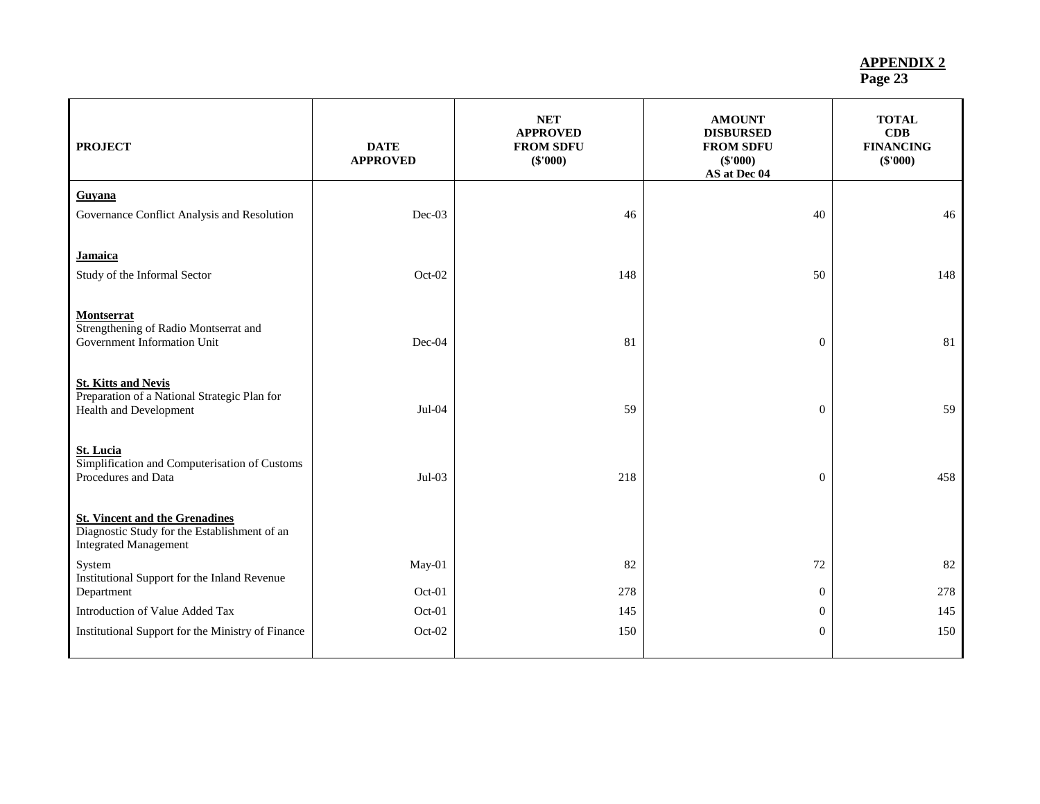| <b>PROJECT</b>                                                                                                        | <b>DATE</b><br><b>APPROVED</b> | <b>NET</b><br><b>APPROVED</b><br><b>FROM SDFU</b><br>(\$'000) | <b>AMOUNT</b><br><b>DISBURSED</b><br><b>FROM SDFU</b><br>$(\$'000)$<br>AS at Dec 04 | <b>TOTAL</b><br>CDB<br><b>FINANCING</b><br>(\$'000) |
|-----------------------------------------------------------------------------------------------------------------------|--------------------------------|---------------------------------------------------------------|-------------------------------------------------------------------------------------|-----------------------------------------------------|
| Guyana<br>Governance Conflict Analysis and Resolution                                                                 | Dec-03                         | 46                                                            | 40                                                                                  | 46                                                  |
| Jamaica<br>Study of the Informal Sector                                                                               | Oct-02                         | 148                                                           | 50                                                                                  | 148                                                 |
| Montserrat<br>Strengthening of Radio Montserrat and<br>Government Information Unit                                    | Dec-04                         | 81                                                            | $\mathbf{0}$                                                                        | 81                                                  |
| <b>St. Kitts and Nevis</b><br>Preparation of a National Strategic Plan for<br>Health and Development                  | $Jul-04$                       | 59                                                            | $\mathbf{0}$                                                                        | 59                                                  |
| <b>St. Lucia</b><br>Simplification and Computerisation of Customs<br>Procedures and Data                              | $Jul-03$                       | 218                                                           | $\mathbf{0}$                                                                        | 458                                                 |
| <b>St. Vincent and the Grenadines</b><br>Diagnostic Study for the Establishment of an<br><b>Integrated Management</b> |                                |                                                               |                                                                                     |                                                     |
| System<br>Institutional Support for the Inland Revenue<br>Department                                                  | May-01<br>Oct-01               | 82<br>278                                                     | 72<br>$\overline{0}$                                                                | 82<br>278                                           |
| Introduction of Value Added Tax                                                                                       | Oct-01                         | 145                                                           | $\mathbf{0}$                                                                        | 145                                                 |
| Institutional Support for the Ministry of Finance                                                                     | Oct-02                         | 150                                                           | $\overline{0}$                                                                      | 150                                                 |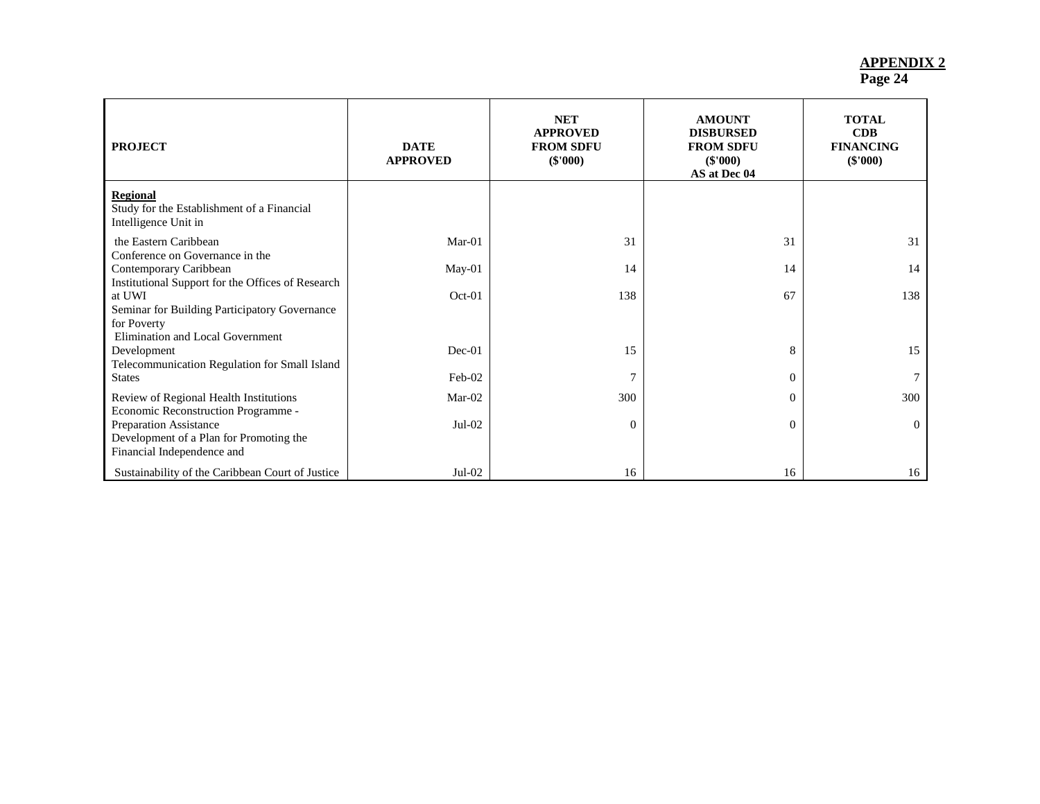| <b>PROJECT</b>                                                                                                                                                         | <b>DATE</b><br><b>APPROVED</b> | <b>NET</b><br><b>APPROVED</b><br><b>FROM SDFU</b><br>$(\$'000)$ | <b>AMOUNT</b><br><b>DISBURSED</b><br><b>FROM SDFU</b><br>$(\$'000)$<br>AS at Dec 04 | <b>TOTAL</b><br>CDB<br><b>FINANCING</b><br>$(\$'000)$ |
|------------------------------------------------------------------------------------------------------------------------------------------------------------------------|--------------------------------|-----------------------------------------------------------------|-------------------------------------------------------------------------------------|-------------------------------------------------------|
| <b>Regional</b><br>Study for the Establishment of a Financial<br>Intelligence Unit in                                                                                  |                                |                                                                 |                                                                                     |                                                       |
| the Eastern Caribbean<br>Conference on Governance in the                                                                                                               | $Mar-01$                       | 31                                                              | 31                                                                                  | 31                                                    |
| Contemporary Caribbean                                                                                                                                                 | May-01                         | 14                                                              | 14                                                                                  | 14                                                    |
| Institutional Support for the Offices of Research<br>at UWI<br>Seminar for Building Participatory Governance<br>for Poverty<br><b>Elimination and Local Government</b> | $Oct-01$                       | 138                                                             | 67                                                                                  | 138                                                   |
| Development<br>Telecommunication Regulation for Small Island                                                                                                           | $Dec-01$                       | 15                                                              | 8                                                                                   | 15                                                    |
| <b>States</b>                                                                                                                                                          | Feb-02                         |                                                                 | $\overline{0}$                                                                      |                                                       |
| Review of Regional Health Institutions<br>Economic Reconstruction Programme -                                                                                          | Mar-02                         | 300                                                             | $\overline{0}$                                                                      | 300                                                   |
| Preparation Assistance<br>Development of a Plan for Promoting the<br>Financial Independence and                                                                        | $Jul-02$                       | $\Omega$                                                        | $\overline{0}$                                                                      | $\Omega$                                              |
| Sustainability of the Caribbean Court of Justice                                                                                                                       | $Jul-02$                       | 16                                                              | 16                                                                                  | 16                                                    |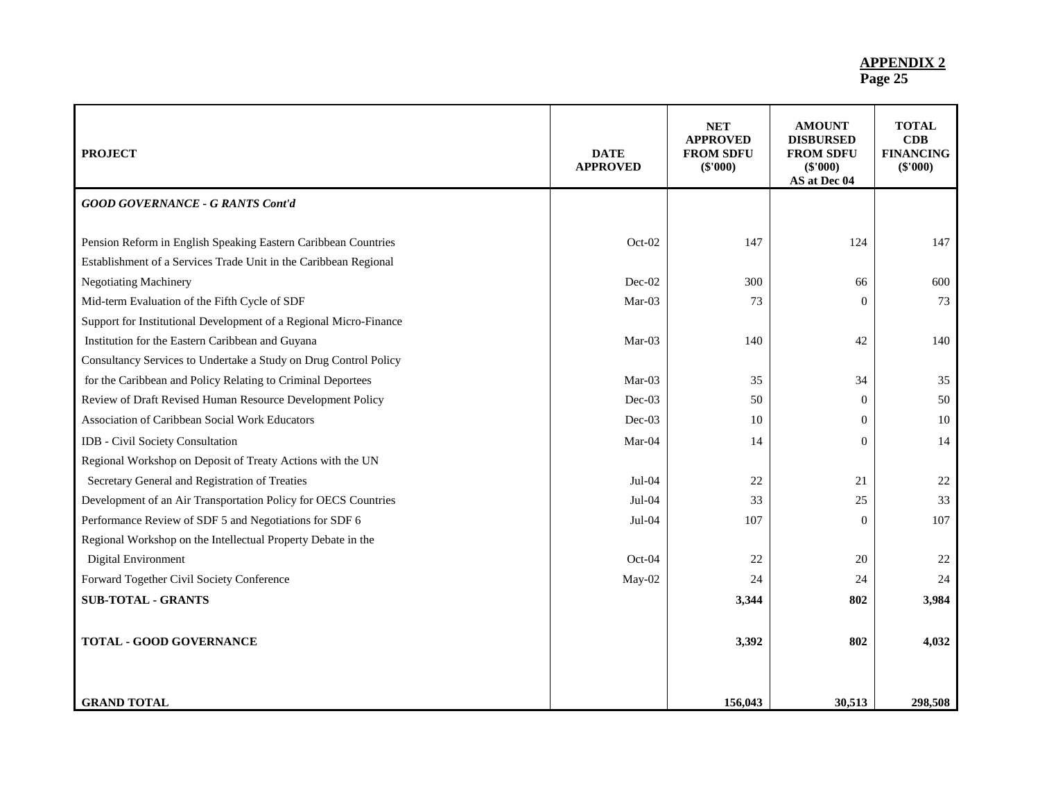| <b>PROJECT</b>                                                                                                                     | <b>DATE</b><br><b>APPROVED</b> | <b>NET</b><br><b>APPROVED</b><br><b>FROM SDFU</b><br>(\$'000) | <b>AMOUNT</b><br><b>DISBURSED</b><br><b>FROM SDFU</b><br>(\$'000)<br>AS at Dec 04 | <b>TOTAL</b><br>CDB<br><b>FINANCING</b><br>$(\$'000)$ |
|------------------------------------------------------------------------------------------------------------------------------------|--------------------------------|---------------------------------------------------------------|-----------------------------------------------------------------------------------|-------------------------------------------------------|
| <b>GOOD GOVERNANCE - G RANTS Cont'd</b>                                                                                            |                                |                                                               |                                                                                   |                                                       |
| Pension Reform in English Speaking Eastern Caribbean Countries<br>Establishment of a Services Trade Unit in the Caribbean Regional | Oct-02                         | 147                                                           | 124                                                                               | 147                                                   |
| <b>Negotiating Machinery</b>                                                                                                       | Dec-02                         | 300                                                           | 66                                                                                | 600                                                   |
| Mid-term Evaluation of the Fifth Cycle of SDF                                                                                      | Mar-03                         | 73                                                            | $\overline{0}$                                                                    | 73                                                    |
| Support for Institutional Development of a Regional Micro-Finance                                                                  |                                |                                                               |                                                                                   |                                                       |
| Institution for the Eastern Caribbean and Guyana                                                                                   | Mar-03                         | 140                                                           | 42                                                                                | 140                                                   |
| Consultancy Services to Undertake a Study on Drug Control Policy                                                                   |                                |                                                               |                                                                                   |                                                       |
| for the Caribbean and Policy Relating to Criminal Deportees                                                                        | Mar-03                         | 35                                                            | 34                                                                                | 35                                                    |
| Review of Draft Revised Human Resource Development Policy                                                                          | Dec-03                         | 50                                                            | $\overline{0}$                                                                    | 50                                                    |
| Association of Caribbean Social Work Educators                                                                                     | Dec-03                         | 10                                                            | $\mathbf{0}$                                                                      | 10                                                    |
| <b>IDB</b> - Civil Society Consultation                                                                                            | Mar-04                         | 14                                                            | $\Omega$                                                                          | 14                                                    |
| Regional Workshop on Deposit of Treaty Actions with the UN                                                                         |                                |                                                               |                                                                                   |                                                       |
| Secretary General and Registration of Treaties                                                                                     | Jul-04                         | 22                                                            | 21                                                                                | 22                                                    |
| Development of an Air Transportation Policy for OECS Countries                                                                     | $Jul-04$                       | 33                                                            | 25                                                                                | 33                                                    |
| Performance Review of SDF 5 and Negotiations for SDF 6                                                                             | Jul-04                         | 107                                                           | $\theta$                                                                          | 107                                                   |
| Regional Workshop on the Intellectual Property Debate in the                                                                       |                                |                                                               |                                                                                   |                                                       |
| Digital Environment                                                                                                                | Oct-04                         | 22                                                            | 20                                                                                | 22                                                    |
| Forward Together Civil Society Conference                                                                                          | May-02                         | 24                                                            | 24                                                                                | 24                                                    |
| <b>SUB-TOTAL - GRANTS</b>                                                                                                          |                                | 3,344                                                         | 802                                                                               | 3,984                                                 |
|                                                                                                                                    |                                |                                                               |                                                                                   |                                                       |
| <b>TOTAL - GOOD GOVERNANCE</b>                                                                                                     |                                | 3,392                                                         | 802                                                                               | 4,032                                                 |
|                                                                                                                                    |                                |                                                               |                                                                                   |                                                       |
|                                                                                                                                    |                                |                                                               |                                                                                   |                                                       |
| <b>GRAND TOTAL</b>                                                                                                                 |                                | 156,043                                                       | 30,513                                                                            | 298,508                                               |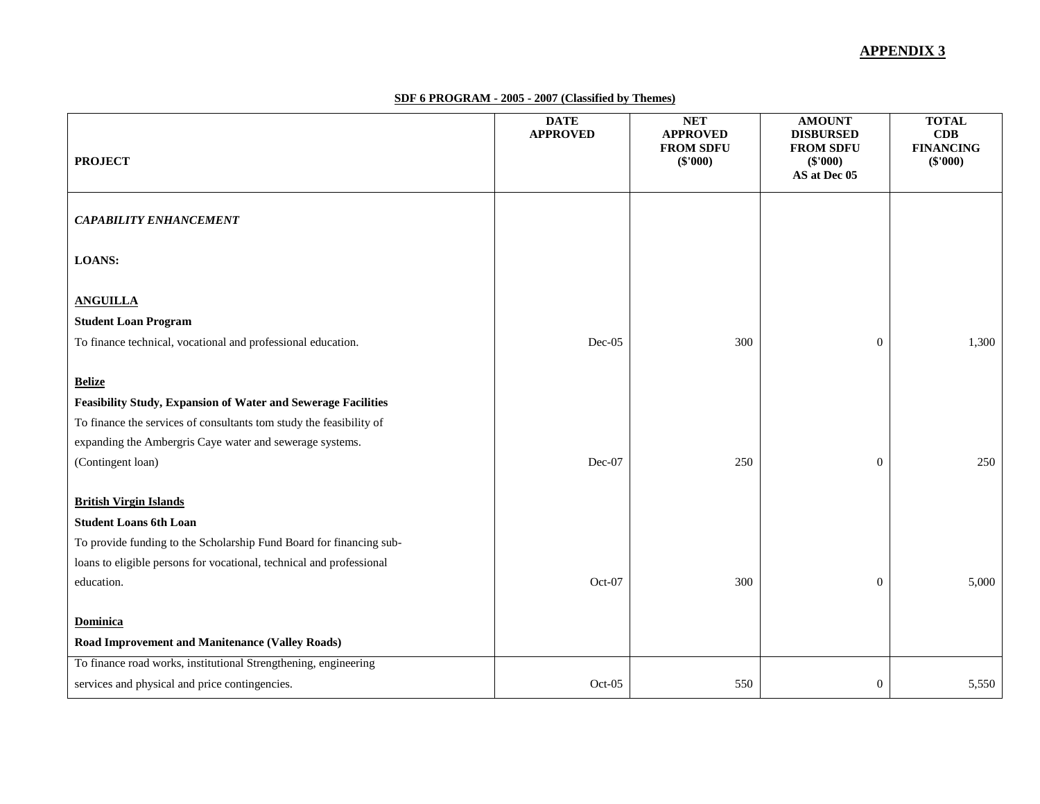#### **APPENDIX 3**

**SDF 6 PROGRAM - 2005 - 2007 (Classified by Themes)**

| <b>PROJECT</b>                                                                                                                  | <b>DATE</b><br><b>APPROVED</b> | NET<br><b>APPROVED</b><br><b>FROM SDFU</b><br>(\$'000) | <b>AMOUNT</b><br><b>DISBURSED</b><br><b>FROM SDFU</b><br>(\$'000)<br>AS at Dec 05 | <b>TOTAL</b><br>CDB<br><b>FINANCING</b><br>(\$'000) |
|---------------------------------------------------------------------------------------------------------------------------------|--------------------------------|--------------------------------------------------------|-----------------------------------------------------------------------------------|-----------------------------------------------------|
| <b>CAPABILITY ENHANCEMENT</b>                                                                                                   |                                |                                                        |                                                                                   |                                                     |
| <b>LOANS:</b>                                                                                                                   |                                |                                                        |                                                                                   |                                                     |
| <b>ANGUILLA</b>                                                                                                                 |                                |                                                        |                                                                                   |                                                     |
| <b>Student Loan Program</b>                                                                                                     |                                |                                                        |                                                                                   |                                                     |
| To finance technical, vocational and professional education.                                                                    | Dec-05                         | 300                                                    | $\boldsymbol{0}$                                                                  | 1,300                                               |
| <b>Belize</b>                                                                                                                   |                                |                                                        |                                                                                   |                                                     |
| <b>Feasibility Study, Expansion of Water and Sewerage Facilities</b>                                                            |                                |                                                        |                                                                                   |                                                     |
| To finance the services of consultants tom study the feasibility of<br>expanding the Ambergris Caye water and sewerage systems. |                                |                                                        |                                                                                   |                                                     |
| (Contingent loan)                                                                                                               | Dec-07                         | 250                                                    | $\boldsymbol{0}$                                                                  | 250                                                 |
|                                                                                                                                 |                                |                                                        |                                                                                   |                                                     |
| <b>British Virgin Islands</b>                                                                                                   |                                |                                                        |                                                                                   |                                                     |
| <b>Student Loans 6th Loan</b>                                                                                                   |                                |                                                        |                                                                                   |                                                     |
| To provide funding to the Scholarship Fund Board for financing sub-                                                             |                                |                                                        |                                                                                   |                                                     |
| loans to eligible persons for vocational, technical and professional                                                            |                                |                                                        |                                                                                   |                                                     |
| education.                                                                                                                      | Oct-07                         | 300                                                    | $\overline{0}$                                                                    | 5,000                                               |
| <b>Dominica</b><br><b>Road Improvement and Manitenance (Valley Roads)</b>                                                       |                                |                                                        |                                                                                   |                                                     |
| To finance road works, institutional Strengthening, engineering                                                                 |                                |                                                        |                                                                                   |                                                     |
| services and physical and price contingencies.                                                                                  | $Oct-05$                       | 550                                                    | $\boldsymbol{0}$                                                                  | 5,550                                               |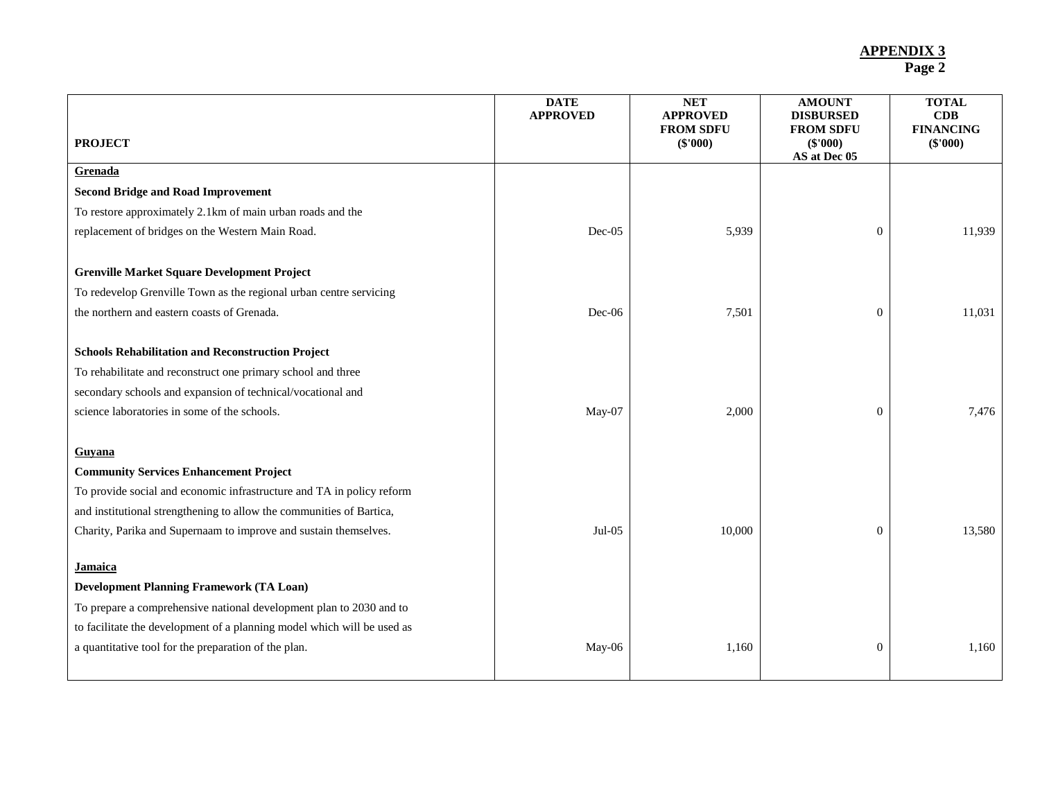| <b>PROJECT</b>                                                          | <b>DATE</b><br><b>APPROVED</b> | <b>NET</b><br><b>APPROVED</b><br><b>FROM SDFU</b><br>$(\$'000)$ | <b>AMOUNT</b><br><b>DISBURSED</b><br><b>FROM SDFU</b><br>$(\$'000)$ | <b>TOTAL</b><br>CDB<br><b>FINANCING</b><br>$(\$'000)$ |
|-------------------------------------------------------------------------|--------------------------------|-----------------------------------------------------------------|---------------------------------------------------------------------|-------------------------------------------------------|
| Grenada                                                                 |                                |                                                                 | AS at Dec 05                                                        |                                                       |
| <b>Second Bridge and Road Improvement</b>                               |                                |                                                                 |                                                                     |                                                       |
| To restore approximately 2.1km of main urban roads and the              |                                |                                                                 |                                                                     |                                                       |
| replacement of bridges on the Western Main Road.                        | $Dec-05$                       | 5,939                                                           | $\overline{0}$                                                      | 11,939                                                |
|                                                                         |                                |                                                                 |                                                                     |                                                       |
| <b>Grenville Market Square Development Project</b>                      |                                |                                                                 |                                                                     |                                                       |
| To redevelop Grenville Town as the regional urban centre servicing      |                                |                                                                 |                                                                     |                                                       |
| the northern and eastern coasts of Grenada.                             | Dec-06                         | 7,501                                                           | $\overline{0}$                                                      | 11,031                                                |
|                                                                         |                                |                                                                 |                                                                     |                                                       |
| <b>Schools Rehabilitation and Reconstruction Project</b>                |                                |                                                                 |                                                                     |                                                       |
| To rehabilitate and reconstruct one primary school and three            |                                |                                                                 |                                                                     |                                                       |
| secondary schools and expansion of technical/vocational and             |                                |                                                                 |                                                                     |                                                       |
| science laboratories in some of the schools.                            | May-07                         | 2,000                                                           | $\overline{0}$                                                      | 7,476                                                 |
|                                                                         |                                |                                                                 |                                                                     |                                                       |
| Guyana                                                                  |                                |                                                                 |                                                                     |                                                       |
| <b>Community Services Enhancement Project</b>                           |                                |                                                                 |                                                                     |                                                       |
| To provide social and economic infrastructure and TA in policy reform   |                                |                                                                 |                                                                     |                                                       |
| and institutional strengthening to allow the communities of Bartica,    |                                |                                                                 |                                                                     |                                                       |
| Charity, Parika and Supernaam to improve and sustain themselves.        | $Jul-05$                       | 10,000                                                          | $\overline{0}$                                                      | 13,580                                                |
| <b>Jamaica</b>                                                          |                                |                                                                 |                                                                     |                                                       |
| <b>Development Planning Framework (TA Loan)</b>                         |                                |                                                                 |                                                                     |                                                       |
| To prepare a comprehensive national development plan to 2030 and to     |                                |                                                                 |                                                                     |                                                       |
| to facilitate the development of a planning model which will be used as |                                |                                                                 |                                                                     |                                                       |
| a quantitative tool for the preparation of the plan.                    | May-06                         | 1,160                                                           | $\theta$                                                            | 1.160                                                 |
|                                                                         |                                |                                                                 |                                                                     |                                                       |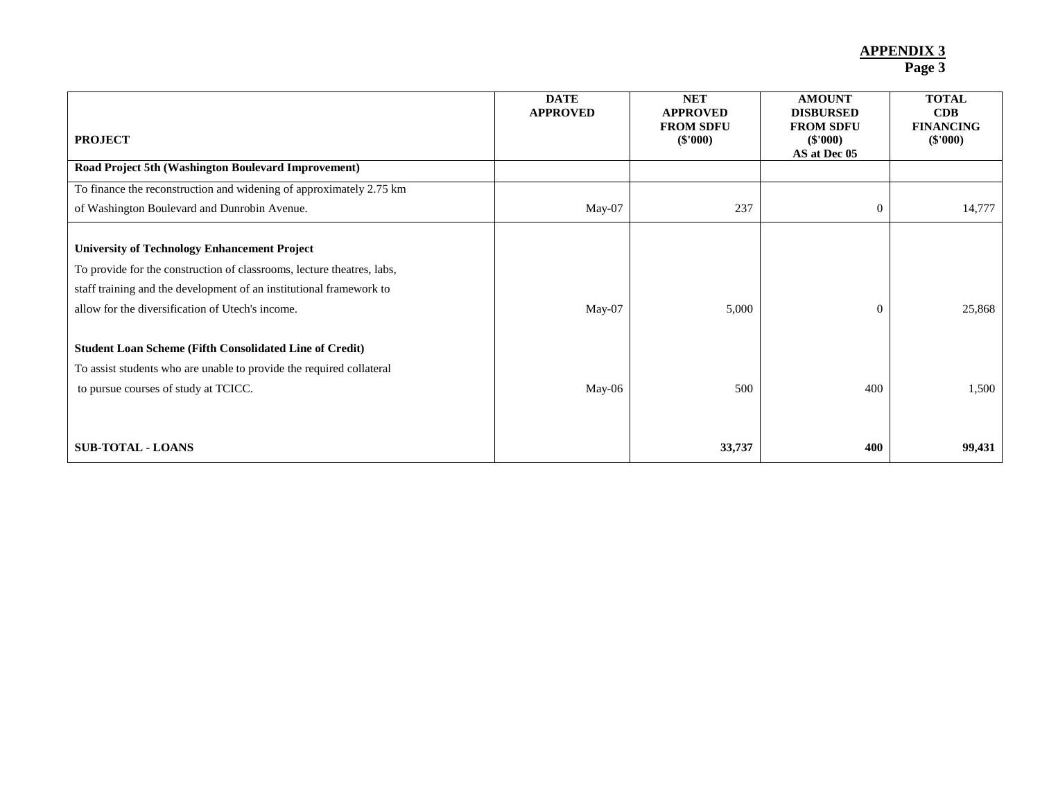| <b>PROJECT</b>                                                                                                                                                                                                                                           | <b>DATE</b><br><b>APPROVED</b> | <b>NET</b><br><b>APPROVED</b><br><b>FROM SDFU</b><br>$(\$'000)$ | <b>AMOUNT</b><br><b>DISBURSED</b><br><b>FROM SDFU</b><br>$(\$'000)$<br>AS at Dec 05 | <b>TOTAL</b><br>CDB<br><b>FINANCING</b><br>$(\$'000)$ |
|----------------------------------------------------------------------------------------------------------------------------------------------------------------------------------------------------------------------------------------------------------|--------------------------------|-----------------------------------------------------------------|-------------------------------------------------------------------------------------|-------------------------------------------------------|
| Road Project 5th (Washington Boulevard Improvement)                                                                                                                                                                                                      |                                |                                                                 |                                                                                     |                                                       |
| To finance the reconstruction and widening of approximately 2.75 km                                                                                                                                                                                      |                                |                                                                 |                                                                                     |                                                       |
| of Washington Boulevard and Dunrobin Avenue.                                                                                                                                                                                                             | May-07                         | 237                                                             | $\theta$                                                                            | 14,777                                                |
| <b>University of Technology Enhancement Project</b><br>To provide for the construction of classrooms, lecture theatres, labs,<br>staff training and the development of an institutional framework to<br>allow for the diversification of Utech's income. | May-07                         | 5,000                                                           | $\Omega$                                                                            | 25,868                                                |
| <b>Student Loan Scheme (Fifth Consolidated Line of Credit)</b>                                                                                                                                                                                           |                                |                                                                 |                                                                                     |                                                       |
| To assist students who are unable to provide the required collateral                                                                                                                                                                                     |                                |                                                                 |                                                                                     |                                                       |
| to pursue courses of study at TCICC.                                                                                                                                                                                                                     | May-06                         | 500                                                             | 400                                                                                 | 1,500                                                 |
| <b>SUB-TOTAL - LOANS</b>                                                                                                                                                                                                                                 |                                | 33,737                                                          | 400                                                                                 | 99,431                                                |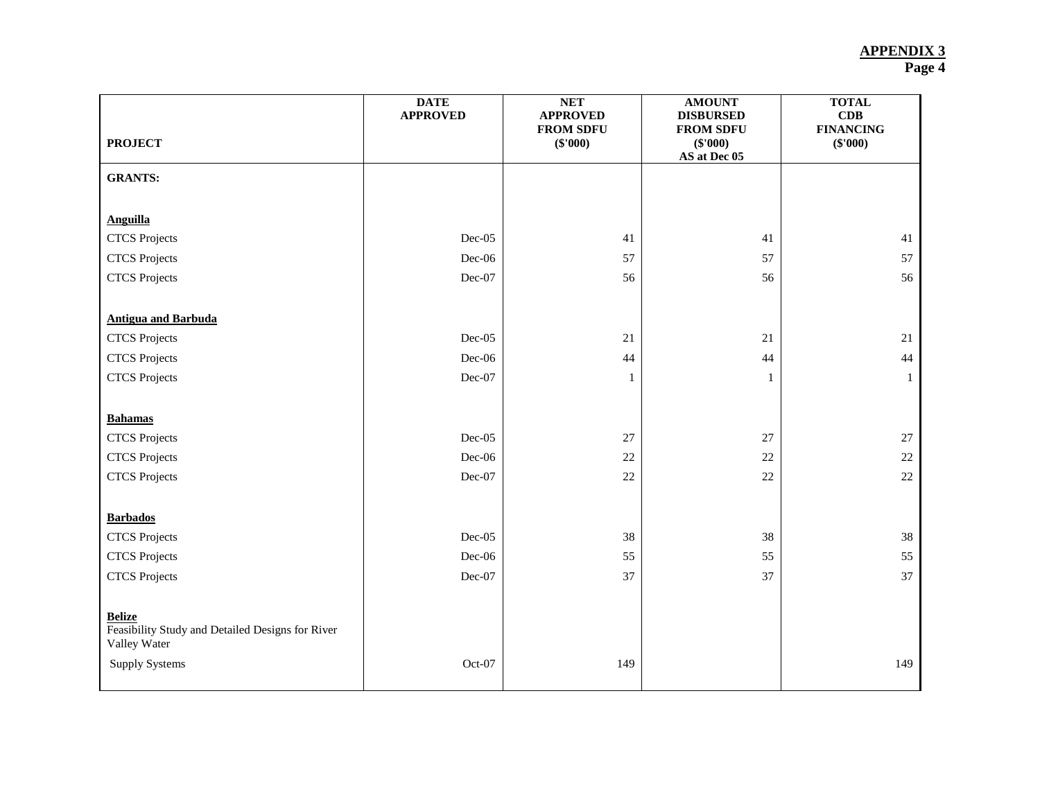| <b>PROJECT</b>                                                                    | <b>DATE</b><br><b>APPROVED</b> | <b>NET</b><br><b>APPROVED</b><br><b>FROM SDFU</b><br>$(\$'000)$ | <b>AMOUNT</b><br><b>DISBURSED</b><br><b>FROM SDFU</b><br>(\$'000)<br>AS at Dec 05 | <b>TOTAL</b><br>CDB<br><b>FINANCING</b><br>(\$'000) |
|-----------------------------------------------------------------------------------|--------------------------------|-----------------------------------------------------------------|-----------------------------------------------------------------------------------|-----------------------------------------------------|
| <b>GRANTS:</b>                                                                    |                                |                                                                 |                                                                                   |                                                     |
|                                                                                   |                                |                                                                 |                                                                                   |                                                     |
| <b>Anguilla</b>                                                                   |                                |                                                                 |                                                                                   |                                                     |
| <b>CTCS</b> Projects                                                              | $Dec-05$                       | 41                                                              | 41                                                                                | 41                                                  |
| <b>CTCS</b> Projects                                                              | $Dec-06$                       | 57                                                              | 57                                                                                | 57                                                  |
| <b>CTCS</b> Projects                                                              | $Dec-07$                       | 56                                                              | 56                                                                                | 56                                                  |
|                                                                                   |                                |                                                                 |                                                                                   |                                                     |
| <b>Antigua and Barbuda</b>                                                        |                                |                                                                 |                                                                                   |                                                     |
| <b>CTCS</b> Projects                                                              | $Dec-05$                       | 21                                                              | 21                                                                                | 21                                                  |
| <b>CTCS</b> Projects                                                              | $Dec-06$                       | 44                                                              | 44                                                                                | 44                                                  |
| <b>CTCS</b> Projects                                                              | Dec-07                         | 1                                                               | 1                                                                                 | 1                                                   |
|                                                                                   |                                |                                                                 |                                                                                   |                                                     |
| <b>Bahamas</b>                                                                    |                                |                                                                 |                                                                                   |                                                     |
| <b>CTCS</b> Projects                                                              | $Dec-05$                       | $27\,$                                                          | $27\,$                                                                            | $27\,$                                              |
| <b>CTCS</b> Projects                                                              | $Dec-06$                       | $22\,$                                                          | 22                                                                                | $22\,$                                              |
| <b>CTCS</b> Projects                                                              | Dec-07                         | $22\,$                                                          | $22\,$                                                                            | $22\,$                                              |
|                                                                                   |                                |                                                                 |                                                                                   |                                                     |
| <b>Barbados</b>                                                                   |                                |                                                                 |                                                                                   |                                                     |
| <b>CTCS</b> Projects                                                              | $Dec-05$                       | 38                                                              | $38\,$                                                                            | $38\,$                                              |
| <b>CTCS</b> Projects                                                              | Dec-06                         | 55                                                              | 55                                                                                | 55                                                  |
| <b>CTCS</b> Projects                                                              | Dec-07                         | 37                                                              | 37                                                                                | 37                                                  |
|                                                                                   |                                |                                                                 |                                                                                   |                                                     |
| <b>Belize</b><br>Feasibility Study and Detailed Designs for River<br>Valley Water |                                |                                                                 |                                                                                   |                                                     |
| <b>Supply Systems</b>                                                             | Oct-07                         | 149                                                             |                                                                                   | 149                                                 |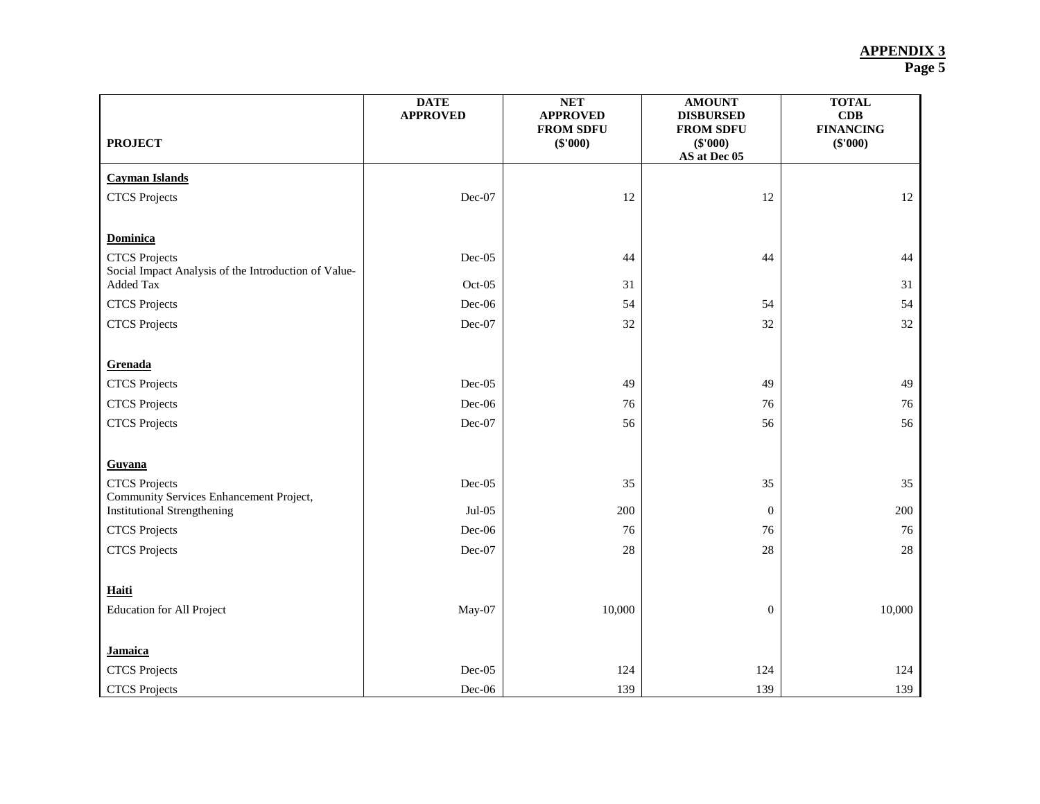|                                                                              | <b>DATE</b><br><b>APPROVED</b> | NET<br><b>APPROVED</b>         | <b>AMOUNT</b><br><b>DISBURSED</b>            | <b>TOTAL</b><br>CDB          |
|------------------------------------------------------------------------------|--------------------------------|--------------------------------|----------------------------------------------|------------------------------|
| <b>PROJECT</b>                                                               |                                | <b>FROM SDFU</b><br>$(\$'000)$ | <b>FROM SDFU</b><br>(\$'000)<br>AS at Dec 05 | <b>FINANCING</b><br>(\$'000) |
| <b>Cayman Islands</b>                                                        |                                |                                |                                              |                              |
| <b>CTCS</b> Projects                                                         | Dec-07                         | 12                             | 12                                           | 12                           |
| <b>Dominica</b>                                                              |                                |                                |                                              |                              |
| <b>CTCS</b> Projects<br>Social Impact Analysis of the Introduction of Value- | Dec-05                         | 44                             | 44                                           | 44                           |
| Added Tax                                                                    | Oct-05                         | 31                             |                                              | 31                           |
| <b>CTCS</b> Projects                                                         | Dec-06                         | 54                             | 54                                           | 54                           |
| <b>CTCS</b> Projects                                                         | Dec-07                         | 32                             | 32                                           | 32                           |
| Grenada                                                                      |                                |                                |                                              |                              |
| <b>CTCS</b> Projects                                                         | Dec-05                         | 49                             | 49                                           | 49                           |
| <b>CTCS</b> Projects                                                         | Dec-06                         | 76                             | 76                                           | 76                           |
| <b>CTCS</b> Projects                                                         | Dec-07                         | 56                             | 56                                           | 56                           |
| Guyana                                                                       |                                |                                |                                              |                              |
| <b>CTCS</b> Projects                                                         | Dec-05                         | 35                             | 35                                           | 35                           |
| Community Services Enhancement Project,                                      |                                |                                |                                              |                              |
| <b>Institutional Strengthening</b>                                           | $Jul-05$                       | 200                            | $\theta$                                     | 200                          |
| <b>CTCS</b> Projects                                                         | Dec-06                         | 76                             | 76                                           | 76                           |
| <b>CTCS</b> Projects                                                         | Dec-07                         | 28                             | 28                                           | 28                           |
| Haiti                                                                        |                                |                                |                                              |                              |
| <b>Education for All Project</b>                                             | May-07                         | 10,000                         | $\boldsymbol{0}$                             | 10,000                       |
| <b>Jamaica</b>                                                               |                                |                                |                                              |                              |
| <b>CTCS</b> Projects                                                         | Dec-05                         | 124                            | 124                                          | 124                          |
| <b>CTCS</b> Projects                                                         | Dec-06                         | 139                            | 139                                          | 139                          |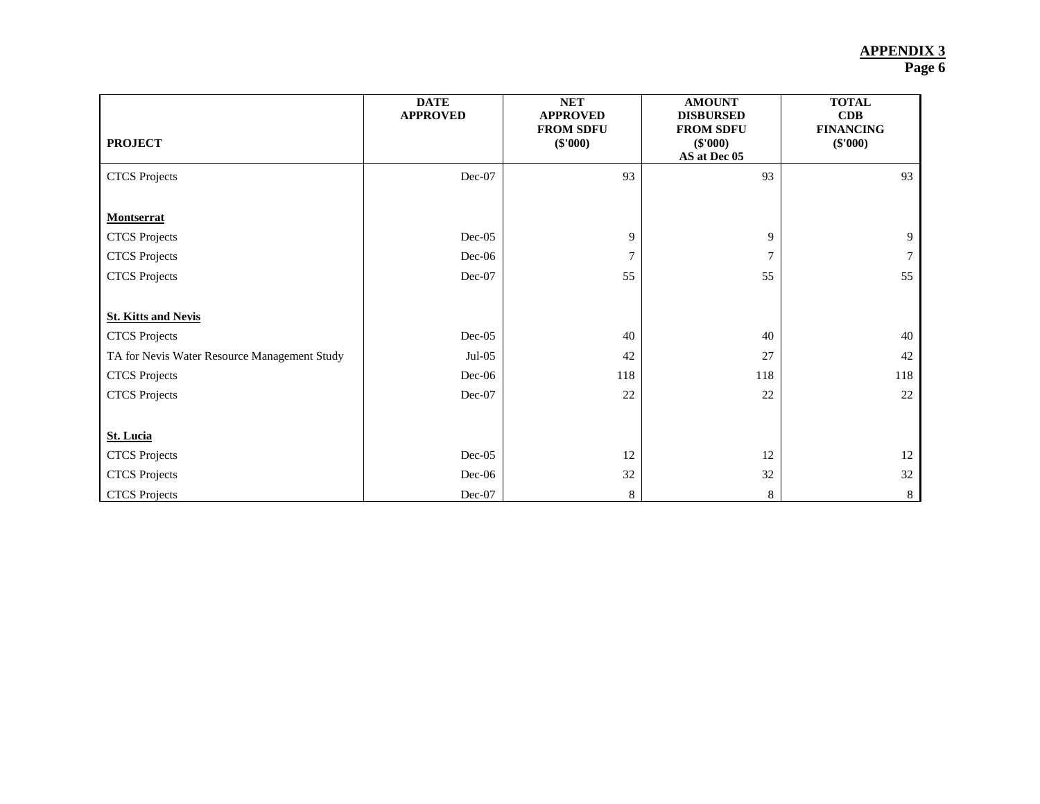| <b>PROJECT</b>                               | <b>DATE</b><br><b>APPROVED</b> | <b>NET</b><br><b>APPROVED</b><br><b>FROM SDFU</b><br>$(\$'000)$ | <b>AMOUNT</b><br><b>DISBURSED</b><br><b>FROM SDFU</b><br>$(\$'000)$<br>AS at Dec 05 | <b>TOTAL</b><br>CDB<br><b>FINANCING</b><br>$(\$'000)$ |
|----------------------------------------------|--------------------------------|-----------------------------------------------------------------|-------------------------------------------------------------------------------------|-------------------------------------------------------|
| <b>CTCS</b> Projects                         | Dec-07                         | 93                                                              | 93                                                                                  | 93                                                    |
|                                              |                                |                                                                 |                                                                                     |                                                       |
| <b>Montserrat</b>                            |                                |                                                                 |                                                                                     |                                                       |
| <b>CTCS</b> Projects                         | $Dec-05$                       | 9                                                               | 9                                                                                   | 9                                                     |
| <b>CTCS</b> Projects                         | $Dec-06$                       | $\tau$                                                          |                                                                                     |                                                       |
| <b>CTCS</b> Projects                         | Dec-07                         | 55                                                              | 55                                                                                  | 55                                                    |
|                                              |                                |                                                                 |                                                                                     |                                                       |
| <b>St. Kitts and Nevis</b>                   |                                |                                                                 |                                                                                     |                                                       |
| <b>CTCS</b> Projects                         | $Dec-05$                       | 40                                                              | 40                                                                                  | 40                                                    |
| TA for Nevis Water Resource Management Study | $Jul-05$                       | 42                                                              | 27                                                                                  | 42                                                    |
| <b>CTCS</b> Projects                         | $Dec-06$                       | 118                                                             | 118                                                                                 | 118                                                   |
| <b>CTCS</b> Projects                         | Dec-07                         | $22\,$                                                          | 22                                                                                  | 22                                                    |
|                                              |                                |                                                                 |                                                                                     |                                                       |
| <b>St. Lucia</b>                             |                                |                                                                 |                                                                                     |                                                       |
| <b>CTCS</b> Projects                         | $Dec-05$                       | 12                                                              | 12                                                                                  | 12                                                    |
| <b>CTCS</b> Projects                         | $Dec-06$                       | 32                                                              | 32                                                                                  | 32                                                    |
| <b>CTCS</b> Projects                         | $Dec-07$                       | 8                                                               | 8                                                                                   | 8                                                     |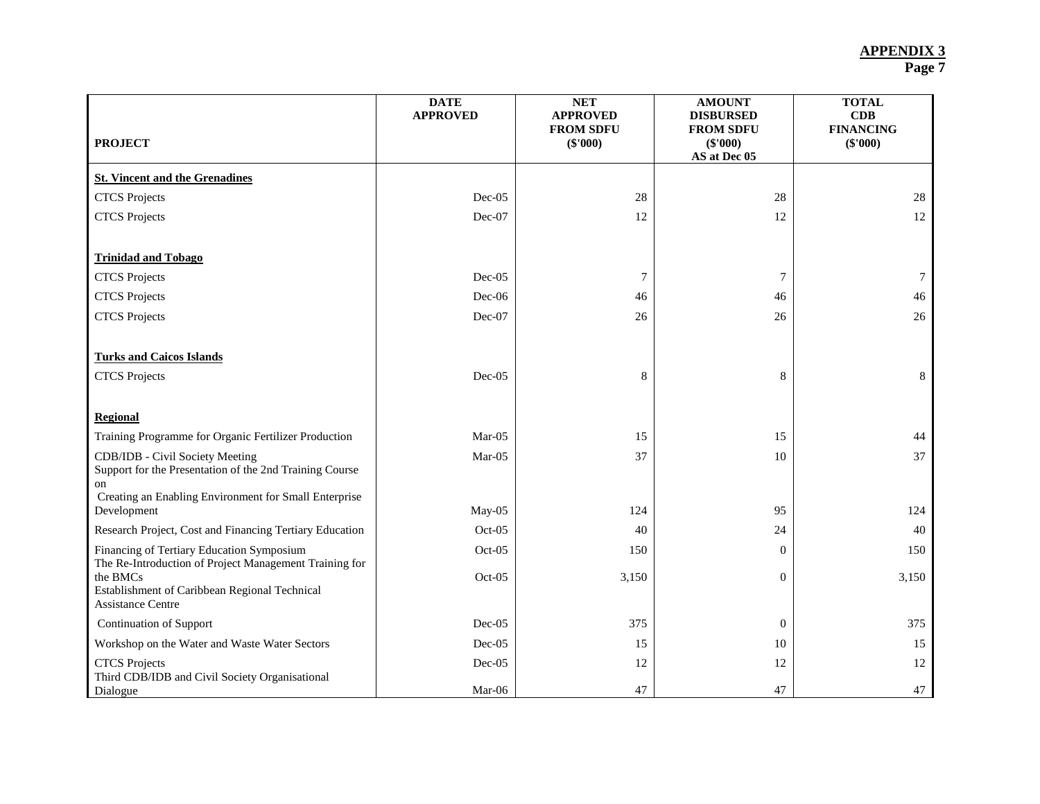| <b>DATE</b><br><b>APPROVED</b> | <b>NET</b><br><b>APPROVED</b><br><b>FROM SDFU</b><br>$(\$'000)$ | <b>AMOUNT</b><br><b>DISBURSED</b><br><b>FROM SDFU</b><br>$(\$'000)$ | <b>TOTAL</b><br>CDB<br><b>FINANCING</b><br>$(\$'000)$ |
|--------------------------------|-----------------------------------------------------------------|---------------------------------------------------------------------|-------------------------------------------------------|
|                                |                                                                 |                                                                     |                                                       |
| Dec-05                         | 28                                                              | 28                                                                  | 28                                                    |
| Dec-07                         | 12                                                              | 12                                                                  | 12                                                    |
|                                |                                                                 |                                                                     |                                                       |
| Dec-05                         | $\overline{7}$                                                  | 7                                                                   | $\tau$                                                |
| Dec-06                         | 46                                                              | 46                                                                  | 46                                                    |
| Dec-07                         | 26                                                              | 26                                                                  | 26                                                    |
| $Dec-05$                       | 8                                                               | 8                                                                   | 8                                                     |
|                                |                                                                 |                                                                     |                                                       |
| $Mar-05$                       | 15                                                              | 15                                                                  | 44                                                    |
| $Mar-05$                       | 37                                                              | 10                                                                  | 37                                                    |
| May-05                         | 124                                                             | 95                                                                  | 124                                                   |
| Oct-05                         | 40                                                              | 24                                                                  | 40                                                    |
| $Oct-05$                       | 150                                                             | $\Omega$                                                            | 150                                                   |
| $Oct-05$                       | 3,150                                                           | $\boldsymbol{0}$                                                    | 3,150                                                 |
| $Dec-05$                       | 375                                                             | $\mathbf{0}$                                                        | 375                                                   |
| Dec-05                         | 15                                                              | 10                                                                  | 15                                                    |
| Dec-05                         | 12                                                              | 12                                                                  | 12<br>47                                              |
|                                | Mar-06                                                          | 47                                                                  | AS at Dec 05<br>47                                    |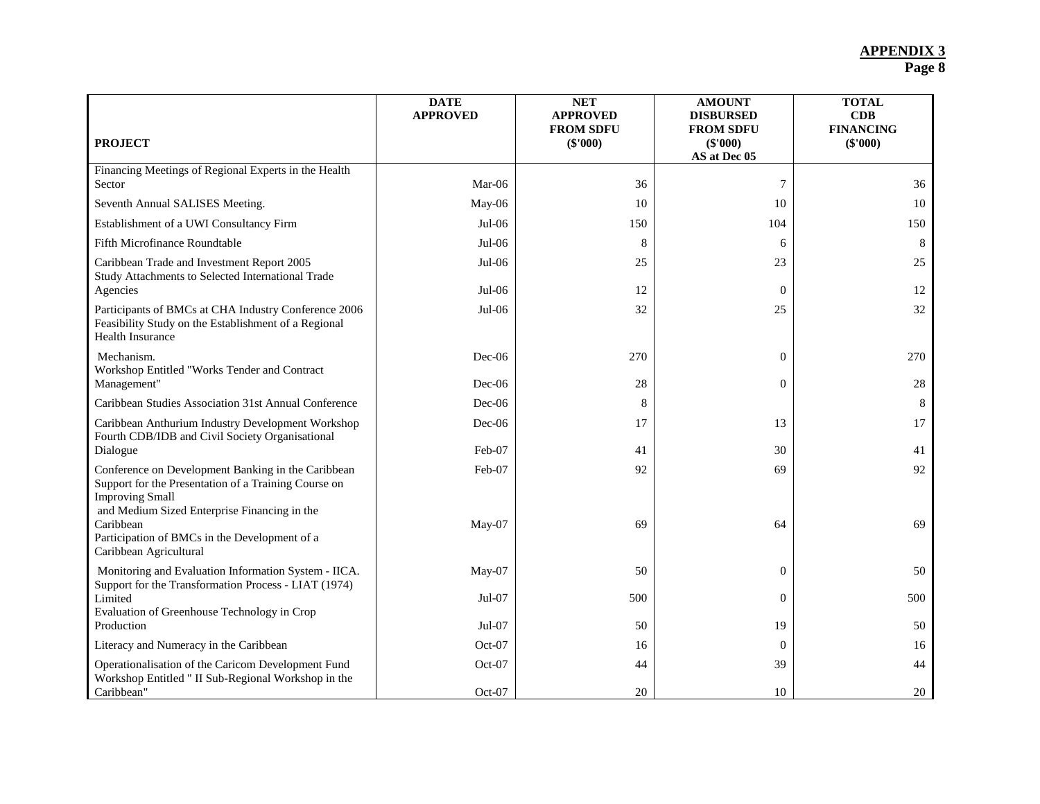| <b>PROJECT</b>                                                                                                                                                                       | <b>DATE</b><br><b>APPROVED</b> | <b>NET</b><br><b>APPROVED</b><br><b>FROM SDFU</b><br>$(\$'000)$ | <b>AMOUNT</b><br><b>DISBURSED</b><br><b>FROM SDFU</b><br>(\$'000) | <b>TOTAL</b><br>CDB<br><b>FINANCING</b><br>(\$'000) |
|--------------------------------------------------------------------------------------------------------------------------------------------------------------------------------------|--------------------------------|-----------------------------------------------------------------|-------------------------------------------------------------------|-----------------------------------------------------|
| Financing Meetings of Regional Experts in the Health                                                                                                                                 |                                |                                                                 | AS at Dec 05                                                      |                                                     |
| Sector                                                                                                                                                                               | $Mar-06$                       | 36                                                              | 7                                                                 | 36                                                  |
| Seventh Annual SALISES Meeting.                                                                                                                                                      | May-06                         | 10                                                              | 10                                                                | 10                                                  |
| Establishment of a UWI Consultancy Firm                                                                                                                                              | Jul-06                         | 150                                                             | 104                                                               | 150                                                 |
| Fifth Microfinance Roundtable                                                                                                                                                        | $Jul-06$                       | 8                                                               | 6                                                                 | 8                                                   |
| Caribbean Trade and Investment Report 2005<br>Study Attachments to Selected International Trade                                                                                      | $Jul-06$                       | 25                                                              | 23                                                                | 25                                                  |
| Agencies                                                                                                                                                                             | $Jul-06$                       | 12                                                              | $\Omega$                                                          | 12                                                  |
| Participants of BMCs at CHA Industry Conference 2006<br>Feasibility Study on the Establishment of a Regional<br>Health Insurance                                                     | Jul-06                         | 32                                                              | 25                                                                | 32                                                  |
| Mechanism.                                                                                                                                                                           | Dec-06                         | 270                                                             | $\theta$                                                          | 270                                                 |
| Workshop Entitled "Works Tender and Contract<br>Management"                                                                                                                          | $Dec-06$                       | 28                                                              | $\theta$                                                          | 28                                                  |
| Caribbean Studies Association 31st Annual Conference                                                                                                                                 | $Dec-06$                       | 8                                                               |                                                                   | 8                                                   |
| Caribbean Anthurium Industry Development Workshop<br>Fourth CDB/IDB and Civil Society Organisational                                                                                 | Dec-06                         | 17                                                              | 13                                                                | 17                                                  |
| Dialogue                                                                                                                                                                             | Feb-07                         | 41                                                              | 30                                                                | 41                                                  |
| Conference on Development Banking in the Caribbean<br>Support for the Presentation of a Training Course on<br><b>Improving Small</b><br>and Medium Sized Enterprise Financing in the | Feb-07                         | 92                                                              | 69                                                                | 92                                                  |
| Caribbean<br>Participation of BMCs in the Development of a<br>Caribbean Agricultural                                                                                                 | May-07                         | 69                                                              | 64                                                                | 69                                                  |
| Monitoring and Evaluation Information System - IICA.<br>Support for the Transformation Process - LIAT (1974)                                                                         | May-07                         | 50                                                              | $\overline{0}$                                                    | 50                                                  |
| Limited                                                                                                                                                                              | $Jul-07$                       | 500                                                             | $\Omega$                                                          | 500                                                 |
| Evaluation of Greenhouse Technology in Crop<br>Production                                                                                                                            | Jul-07                         | 50                                                              | 19                                                                | 50                                                  |
| Literacy and Numeracy in the Caribbean                                                                                                                                               | Oct-07                         | 16                                                              | $\Omega$                                                          | 16                                                  |
| Operationalisation of the Caricom Development Fund<br>Workshop Entitled " II Sub-Regional Workshop in the                                                                            | Oct-07                         | 44                                                              | 39                                                                | 44                                                  |
| Caribbean"                                                                                                                                                                           | Oct-07                         | 20                                                              | 10                                                                | 20                                                  |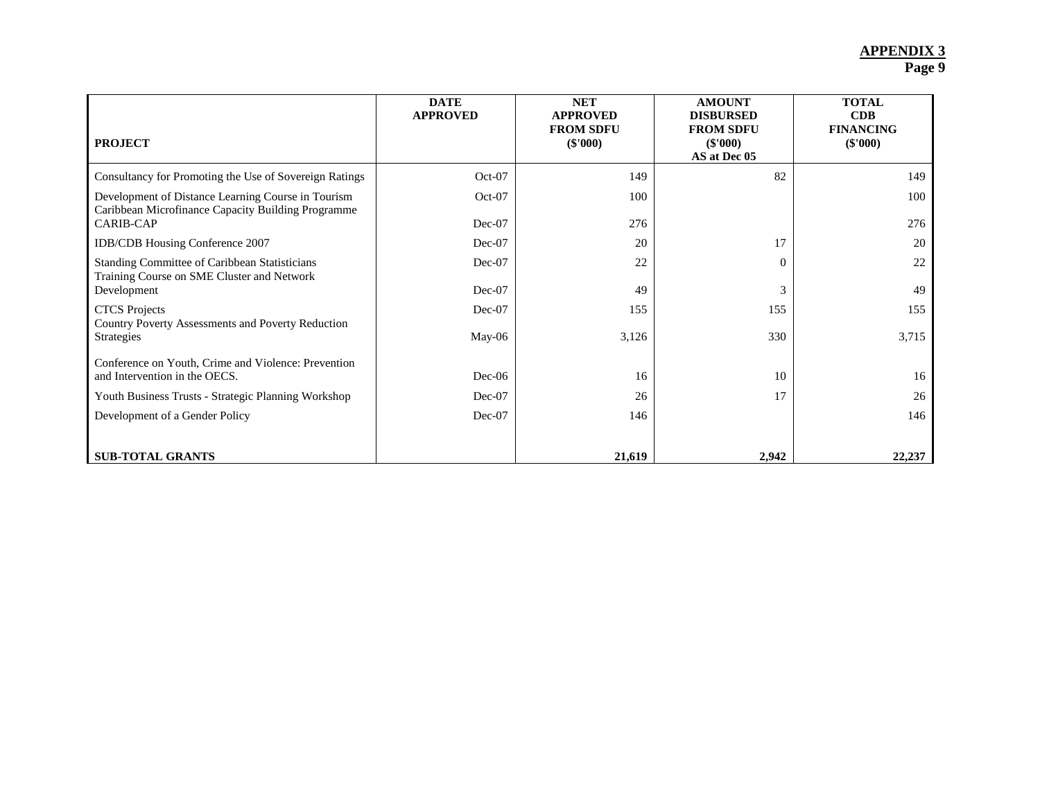| <b>PROJECT</b>                                                                              | <b>DATE</b><br><b>APPROVED</b> | <b>NET</b><br><b>APPROVED</b><br><b>FROM SDFU</b><br>$(\$'000)$ | <b>AMOUNT</b><br><b>DISBURSED</b><br><b>FROM SDFU</b><br>$(\$'000)$ | <b>TOTAL</b><br>CDB<br><b>FINANCING</b><br>(S'000) |
|---------------------------------------------------------------------------------------------|--------------------------------|-----------------------------------------------------------------|---------------------------------------------------------------------|----------------------------------------------------|
|                                                                                             |                                |                                                                 | AS at Dec 05                                                        |                                                    |
| Consultancy for Promoting the Use of Sovereign Ratings                                      | $Oct-07$                       | 149                                                             | 82                                                                  | 149                                                |
| Development of Distance Learning Course in Tourism                                          | $Oct-07$                       | 100                                                             |                                                                     | 100                                                |
| Caribbean Microfinance Capacity Building Programme<br><b>CARIB-CAP</b>                      | $Dec-07$                       | 276                                                             |                                                                     | 276                                                |
| IDB/CDB Housing Conference 2007                                                             | Dec-07                         | 20                                                              | 17                                                                  | 20                                                 |
| Standing Committee of Caribbean Statisticians<br>Training Course on SME Cluster and Network | $Dec-07$                       | 22                                                              | 0                                                                   | 22                                                 |
| Development                                                                                 | $Dec-07$                       | 49                                                              | 3                                                                   | 49                                                 |
| <b>CTCS</b> Projects                                                                        | Dec-07                         | 155                                                             | 155                                                                 | 155                                                |
| Country Poverty Assessments and Poverty Reduction<br>Strategies                             | $May-06$                       | 3,126                                                           | 330                                                                 | 3,715                                              |
| Conference on Youth, Crime and Violence: Prevention<br>and Intervention in the OECS.        | $Dec-06$                       | 16                                                              | 10                                                                  | 16                                                 |
| Youth Business Trusts - Strategic Planning Workshop                                         | Dec-07                         | 26                                                              | 17                                                                  | 26                                                 |
| Development of a Gender Policy                                                              | $Dec-07$                       | 146                                                             |                                                                     | 146                                                |
|                                                                                             |                                |                                                                 |                                                                     |                                                    |
| <b>SUB-TOTAL GRANTS</b>                                                                     |                                | 21,619                                                          | 2,942                                                               | 22,237                                             |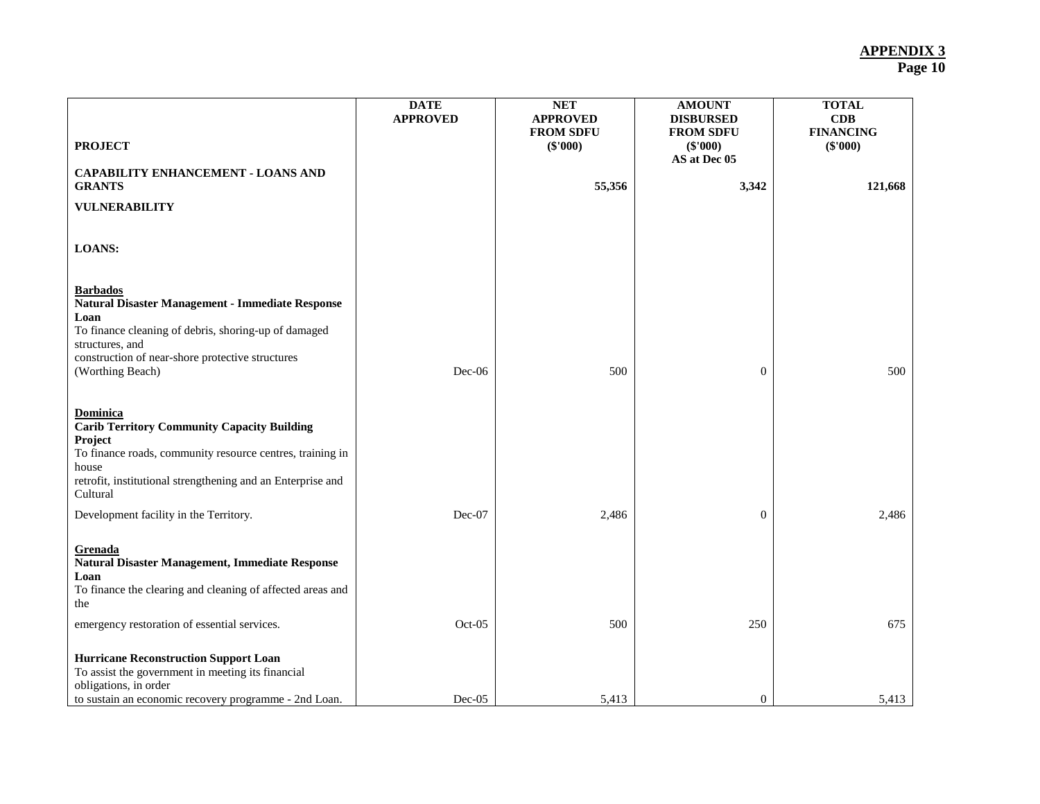| <b>PROJECT</b>                                                                                                                                                                                                                 | <b>DATE</b><br><b>APPROVED</b> | <b>NET</b><br><b>APPROVED</b><br><b>FROM SDFU</b><br>$(\$'000)$ | <b>AMOUNT</b><br><b>DISBURSED</b><br><b>FROM SDFU</b><br>(\$'000)<br>AS at Dec 05 | <b>TOTAL</b><br>CDB<br><b>FINANCING</b><br>(\$'000) |
|--------------------------------------------------------------------------------------------------------------------------------------------------------------------------------------------------------------------------------|--------------------------------|-----------------------------------------------------------------|-----------------------------------------------------------------------------------|-----------------------------------------------------|
| <b>CAPABILITY ENHANCEMENT - LOANS AND</b><br><b>GRANTS</b>                                                                                                                                                                     |                                | 55,356                                                          | 3,342                                                                             | 121,668                                             |
| <b>VULNERABILITY</b>                                                                                                                                                                                                           |                                |                                                                 |                                                                                   |                                                     |
| <b>LOANS:</b>                                                                                                                                                                                                                  |                                |                                                                 |                                                                                   |                                                     |
| <b>Barbados</b><br>Natural Disaster Management - Immediate Response<br>Loan<br>To finance cleaning of debris, shoring-up of damaged<br>structures, and<br>construction of near-shore protective structures<br>(Worthing Beach) | $Dec-06$                       | 500                                                             | $\mathbf{0}$                                                                      | 500                                                 |
| Dominica<br><b>Carib Territory Community Capacity Building</b><br>Project<br>To finance roads, community resource centres, training in<br>house<br>retrofit, institutional strengthening and an Enterprise and<br>Cultural     |                                |                                                                 |                                                                                   |                                                     |
| Development facility in the Territory.                                                                                                                                                                                         | $Dec-07$                       | 2,486                                                           | $\mathbf{0}$                                                                      | 2,486                                               |
| <b>Grenada</b><br>Natural Disaster Management, Immediate Response<br>Loan<br>To finance the clearing and cleaning of affected areas and<br>the                                                                                 |                                |                                                                 |                                                                                   |                                                     |
| emergency restoration of essential services.                                                                                                                                                                                   | Oct-05                         | 500                                                             | 250                                                                               | 675                                                 |
| <b>Hurricane Reconstruction Support Loan</b><br>To assist the government in meeting its financial<br>obligations, in order<br>to sustain an economic recovery programme - 2nd Loan.                                            | Dec-05                         | 5,413                                                           | $\mathbf{0}$                                                                      | 5,413                                               |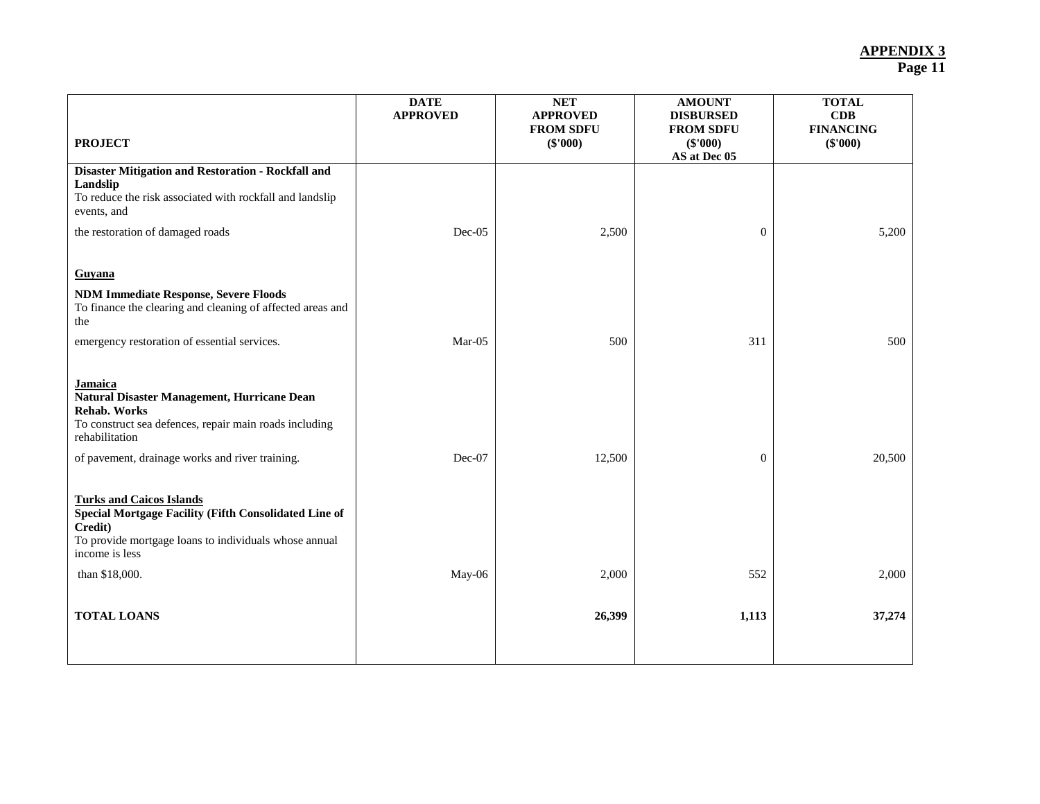| <b>DATE</b><br><b>APPROVED</b> | <b>NET</b><br><b>APPROVED</b><br><b>FROM SDFU</b><br>$(\$'000)$ | <b>AMOUNT</b><br><b>DISBURSED</b><br><b>FROM SDFU</b><br>(\$'000) | <b>TOTAL</b><br>CDB<br><b>FINANCING</b><br>$(\$'000)$ |
|--------------------------------|-----------------------------------------------------------------|-------------------------------------------------------------------|-------------------------------------------------------|
|                                |                                                                 |                                                                   |                                                       |
| $Dec-05$                       | 2,500                                                           | $\mathbf{0}$                                                      | 5,200                                                 |
|                                |                                                                 |                                                                   |                                                       |
|                                |                                                                 |                                                                   |                                                       |
| $Mar-05$                       | 500                                                             | 311                                                               | 500                                                   |
|                                |                                                                 |                                                                   |                                                       |
| Dec-07                         | 12,500                                                          | $\mathbf{0}$                                                      | 20,500                                                |
|                                |                                                                 |                                                                   |                                                       |
| May-06                         | 2,000                                                           | 552                                                               | 2,000                                                 |
|                                | 26,399                                                          | 1,113                                                             | 37,274                                                |
|                                |                                                                 |                                                                   | AS at Dec 05                                          |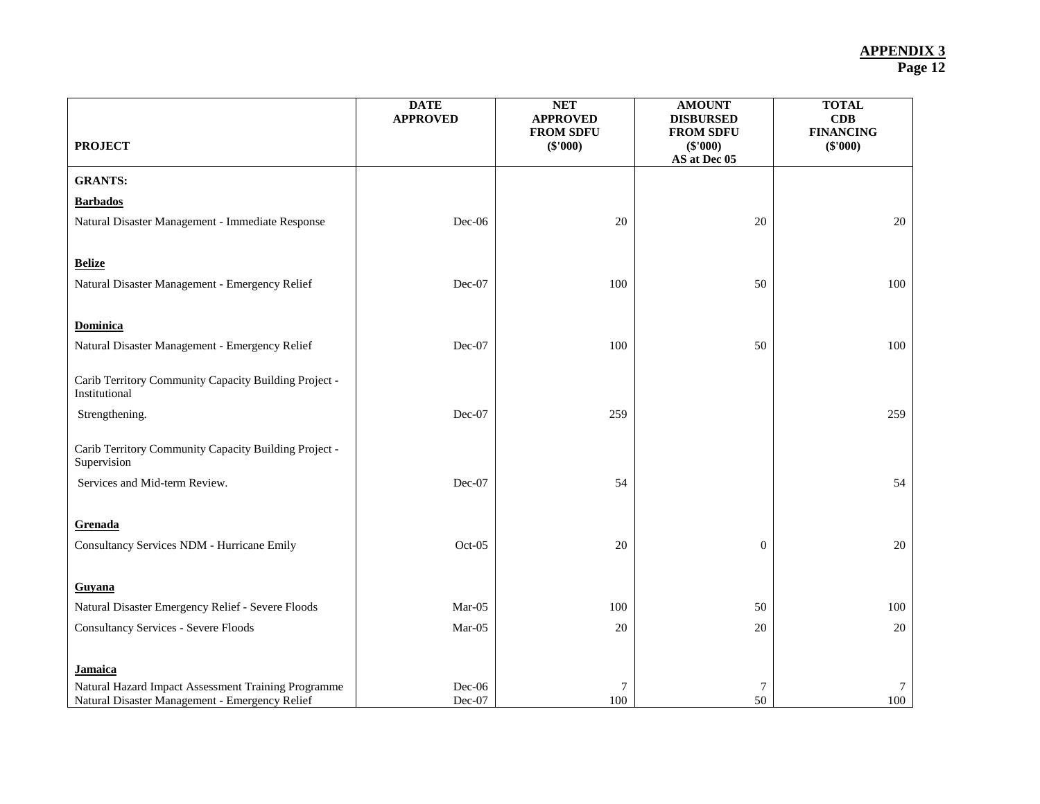|                                                       | <b>DATE</b><br><b>APPROVED</b> | <b>NET</b><br><b>APPROVED</b><br><b>FROM SDFU</b> | <b>AMOUNT</b><br><b>DISBURSED</b><br><b>FROM SDFU</b> | <b>TOTAL</b><br>CDB<br><b>FINANCING</b> |
|-------------------------------------------------------|--------------------------------|---------------------------------------------------|-------------------------------------------------------|-----------------------------------------|
| <b>PROJECT</b>                                        |                                | $(\$'000)$                                        | $(\$'000)$<br>AS at Dec 05                            | (\$'000)                                |
| <b>GRANTS:</b>                                        |                                |                                                   |                                                       |                                         |
| <b>Barbados</b>                                       |                                |                                                   |                                                       |                                         |
| Natural Disaster Management - Immediate Response      | Dec-06                         | 20                                                | $20\,$                                                | $20\,$                                  |
|                                                       |                                |                                                   |                                                       |                                         |
| <b>Belize</b>                                         |                                |                                                   |                                                       |                                         |
| Natural Disaster Management - Emergency Relief        | Dec-07                         | 100                                               | 50                                                    | 100                                     |
|                                                       |                                |                                                   |                                                       |                                         |
| <b>Dominica</b>                                       |                                |                                                   |                                                       |                                         |
| Natural Disaster Management - Emergency Relief        | Dec-07                         | 100                                               | 50                                                    | 100                                     |
| Carib Territory Community Capacity Building Project - |                                |                                                   |                                                       |                                         |
| Institutional                                         |                                |                                                   |                                                       |                                         |
| Strengthening.                                        | Dec-07                         | 259                                               |                                                       | 259                                     |
| Carib Territory Community Capacity Building Project - |                                |                                                   |                                                       |                                         |
| Supervision                                           |                                |                                                   |                                                       |                                         |
| Services and Mid-term Review.                         | Dec-07                         | 54                                                |                                                       | 54                                      |
|                                                       |                                |                                                   |                                                       |                                         |
| Grenada                                               |                                |                                                   |                                                       |                                         |
| Consultancy Services NDM - Hurricane Emily            | Oct-05                         | 20                                                | $\mathbf{0}$                                          | 20                                      |
|                                                       |                                |                                                   |                                                       |                                         |
| Guyana                                                |                                |                                                   |                                                       |                                         |
| Natural Disaster Emergency Relief - Severe Floods     | $Mar-05$                       | 100                                               | 50                                                    | 100                                     |
| <b>Consultancy Services - Severe Floods</b>           | $Mar-05$                       | 20                                                | 20                                                    | 20                                      |
|                                                       |                                |                                                   |                                                       |                                         |
| <b>Jamaica</b>                                        |                                |                                                   |                                                       |                                         |
| Natural Hazard Impact Assessment Training Programme   | Dec-06                         | 7                                                 | 7                                                     | $\tau$                                  |
| Natural Disaster Management - Emergency Relief        | Dec-07                         | 100                                               | 50                                                    | 100                                     |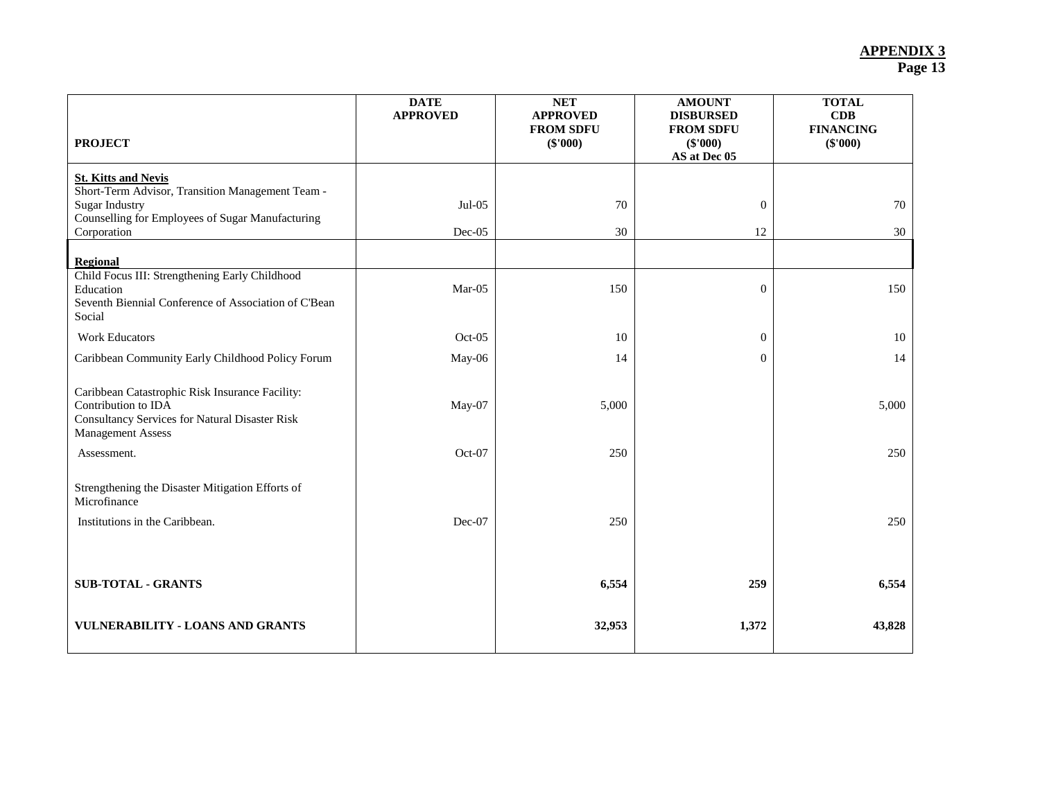| <b>PROJECT</b>                                                                                                                                              | <b>DATE</b><br><b>APPROVED</b> | <b>NET</b><br><b>APPROVED</b><br><b>FROM SDFU</b><br>$(\$'000)$ | <b>AMOUNT</b><br><b>DISBURSED</b><br><b>FROM SDFU</b><br>(\$'000)<br>AS at Dec 05 | <b>TOTAL</b><br>CDB<br><b>FINANCING</b><br>$(\$'000)$ |
|-------------------------------------------------------------------------------------------------------------------------------------------------------------|--------------------------------|-----------------------------------------------------------------|-----------------------------------------------------------------------------------|-------------------------------------------------------|
| <b>St. Kitts and Nevis</b>                                                                                                                                  |                                |                                                                 |                                                                                   |                                                       |
| Short-Term Advisor, Transition Management Team -<br><b>Sugar Industry</b>                                                                                   | $Jul-05$                       | 70                                                              | $\mathbf{0}$                                                                      | 70                                                    |
| Counselling for Employees of Sugar Manufacturing<br>Corporation                                                                                             | Dec-05                         | 30                                                              | 12                                                                                | 30                                                    |
|                                                                                                                                                             |                                |                                                                 |                                                                                   |                                                       |
| <b>Regional</b><br>Child Focus III: Strengthening Early Childhood<br>Education<br>Seventh Biennial Conference of Association of C'Bean<br>Social            | Mar-05                         | 150                                                             | $\overline{0}$                                                                    | 150                                                   |
| <b>Work Educators</b>                                                                                                                                       | $Oct-05$                       | 10                                                              | $\overline{0}$                                                                    | 10                                                    |
| Caribbean Community Early Childhood Policy Forum                                                                                                            | May-06                         | 14                                                              | $\overline{0}$                                                                    | 14                                                    |
| Caribbean Catastrophic Risk Insurance Facility:<br>Contribution to IDA<br><b>Consultancy Services for Natural Disaster Risk</b><br><b>Management Assess</b> | May-07                         | 5,000                                                           |                                                                                   | 5,000                                                 |
| Assessment.                                                                                                                                                 | Oct-07                         | 250                                                             |                                                                                   | 250                                                   |
| Strengthening the Disaster Mitigation Efforts of<br>Microfinance<br>Institutions in the Caribbean.                                                          | Dec-07                         | 250                                                             |                                                                                   | 250                                                   |
|                                                                                                                                                             |                                |                                                                 |                                                                                   |                                                       |
| <b>SUB-TOTAL - GRANTS</b>                                                                                                                                   |                                | 6,554                                                           | 259                                                                               | 6,554                                                 |
| <b>VULNERABILITY - LOANS AND GRANTS</b>                                                                                                                     |                                | 32,953                                                          | 1,372                                                                             | 43,828                                                |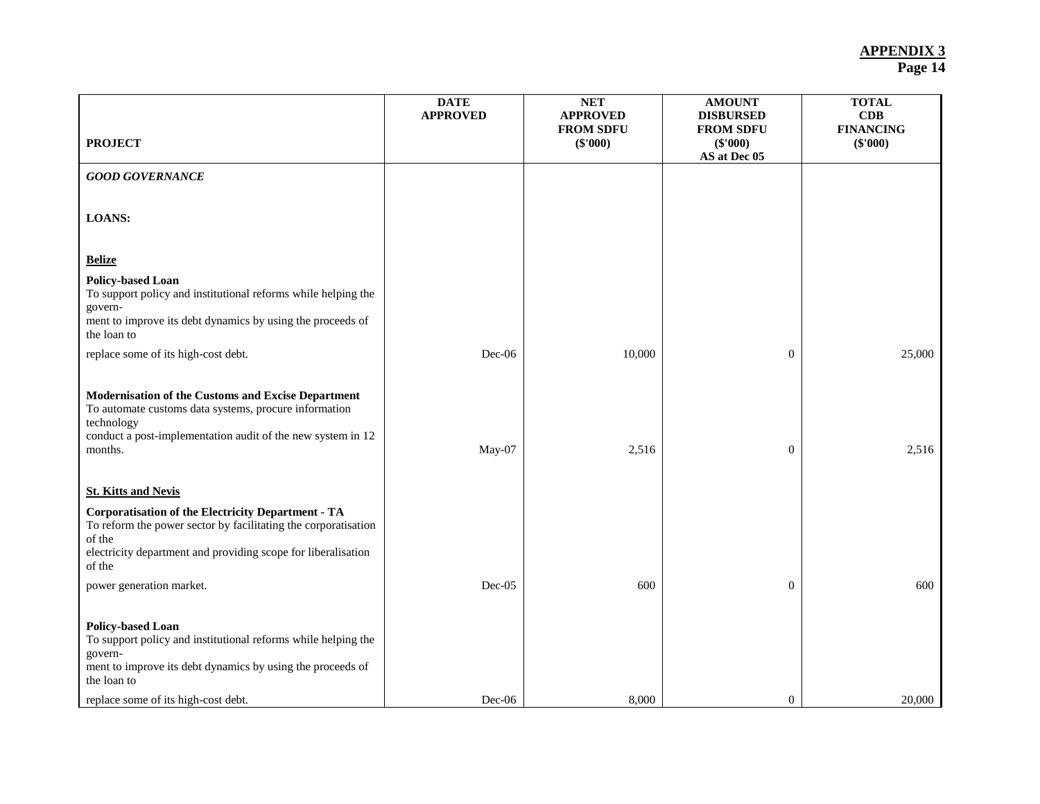|                                                                                                                                                                                                                  | <b>DATE</b><br><b>APPROVED</b> | <b>NET</b><br><b>APPROVED</b><br><b>FROM SDFU</b> | <b>AMOUNT</b><br><b>DISBURSED</b><br><b>FROM SDFU</b> | <b>TOTAL</b><br>CDB<br><b>FINANCING</b> |
|------------------------------------------------------------------------------------------------------------------------------------------------------------------------------------------------------------------|--------------------------------|---------------------------------------------------|-------------------------------------------------------|-----------------------------------------|
| <b>PROJECT</b>                                                                                                                                                                                                   |                                | (\$'000)                                          | (\$'000)<br>AS at Dec 05                              | $(\$'000)$                              |
| <b>GOOD GOVERNANCE</b>                                                                                                                                                                                           |                                |                                                   |                                                       |                                         |
| <b>LOANS:</b>                                                                                                                                                                                                    |                                |                                                   |                                                       |                                         |
| <b>Belize</b>                                                                                                                                                                                                    |                                |                                                   |                                                       |                                         |
| <b>Policy-based Loan</b><br>To support policy and institutional reforms while helping the<br>govern-<br>ment to improve its debt dynamics by using the proceeds of<br>the loan to                                |                                |                                                   |                                                       |                                         |
| replace some of its high-cost debt.                                                                                                                                                                              | Dec-06                         | 10,000                                            | $\boldsymbol{0}$                                      | 25,000                                  |
| Modernisation of the Customs and Excise Department<br>To automate customs data systems, procure information<br>technology<br>conduct a post-implementation audit of the new system in 12<br>months.              | May-07                         | 2,516                                             | $\overline{0}$                                        | 2,516                                   |
| <b>St. Kitts and Nevis</b>                                                                                                                                                                                       |                                |                                                   |                                                       |                                         |
| <b>Corporatisation of the Electricity Department - TA</b><br>To reform the power sector by facilitating the corporatisation<br>of the<br>electricity department and providing scope for liberalisation<br>of the |                                |                                                   |                                                       |                                         |
| power generation market.                                                                                                                                                                                         | Dec-05                         | 600                                               | $\overline{0}$                                        | 600                                     |
| <b>Policy-based Loan</b><br>To support policy and institutional reforms while helping the<br>govern-<br>ment to improve its debt dynamics by using the proceeds of<br>the loan to                                |                                |                                                   |                                                       |                                         |
| replace some of its high-cost debt.                                                                                                                                                                              | $Dec-06$                       | 8,000                                             | $\overline{0}$                                        | 20,000                                  |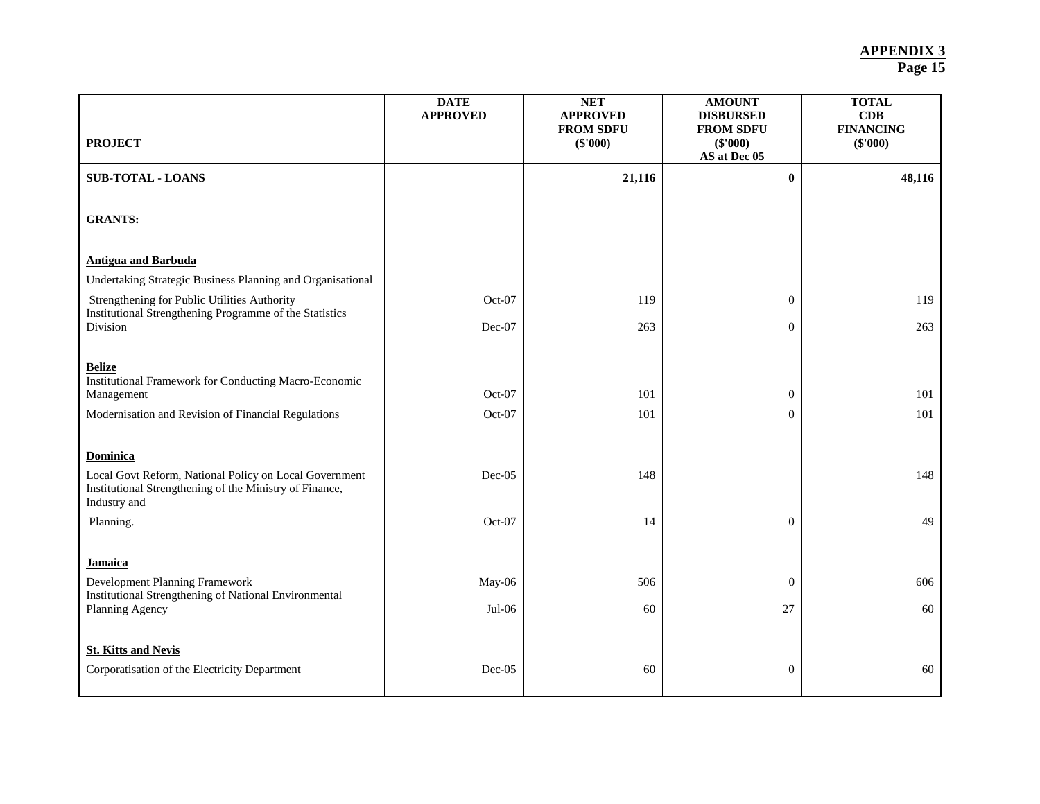|                                                                                                                                      | <b>DATE</b><br><b>APPROVED</b> | <b>NET</b><br><b>APPROVED</b><br><b>FROM SDFU</b> | <b>AMOUNT</b><br><b>DISBURSED</b><br><b>FROM SDFU</b> | <b>TOTAL</b><br>CDB<br><b>FINANCING</b> |
|--------------------------------------------------------------------------------------------------------------------------------------|--------------------------------|---------------------------------------------------|-------------------------------------------------------|-----------------------------------------|
| <b>PROJECT</b>                                                                                                                       |                                | (\$'000)                                          | (\$'000)<br>AS at Dec 05                              | (\$'000)                                |
| <b>SUB-TOTAL - LOANS</b>                                                                                                             |                                | 21,116                                            | $\bf{0}$                                              | 48,116                                  |
| <b>GRANTS:</b>                                                                                                                       |                                |                                                   |                                                       |                                         |
| <b>Antigua and Barbuda</b>                                                                                                           |                                |                                                   |                                                       |                                         |
| Undertaking Strategic Business Planning and Organisational                                                                           |                                |                                                   |                                                       |                                         |
| Strengthening for Public Utilities Authority<br>Institutional Strengthening Programme of the Statistics                              | $Oct-07$                       | 119                                               | $\overline{0}$                                        | 119                                     |
| Division                                                                                                                             | $Dec-07$                       | 263                                               | $\overline{0}$                                        | 263                                     |
| <b>Belize</b><br>Institutional Framework for Conducting Macro-Economic<br>Management                                                 | Oct-07                         | 101                                               | $\mathbf{0}$                                          | 101                                     |
| Modernisation and Revision of Financial Regulations                                                                                  | Oct-07                         | 101                                               | $\overline{0}$                                        | 101                                     |
| <b>Dominica</b><br>Local Govt Reform, National Policy on Local Government<br>Institutional Strengthening of the Ministry of Finance, | Dec-05                         | 148                                               |                                                       | 148                                     |
| Industry and                                                                                                                         |                                |                                                   |                                                       |                                         |
| Planning.                                                                                                                            | Oct-07                         | 14                                                | $\overline{0}$                                        | 49                                      |
| Jamaica                                                                                                                              |                                |                                                   |                                                       |                                         |
| Development Planning Framework<br>Institutional Strengthening of National Environmental                                              | May-06                         | 506                                               | $\overline{0}$                                        | 606                                     |
| Planning Agency                                                                                                                      | $Jul-06$                       | 60                                                | 27                                                    | 60                                      |
| <b>St. Kitts and Nevis</b><br>Corporatisation of the Electricity Department                                                          | $Dec-05$                       | 60                                                | $\mathbf{0}$                                          | 60                                      |
|                                                                                                                                      |                                |                                                   |                                                       |                                         |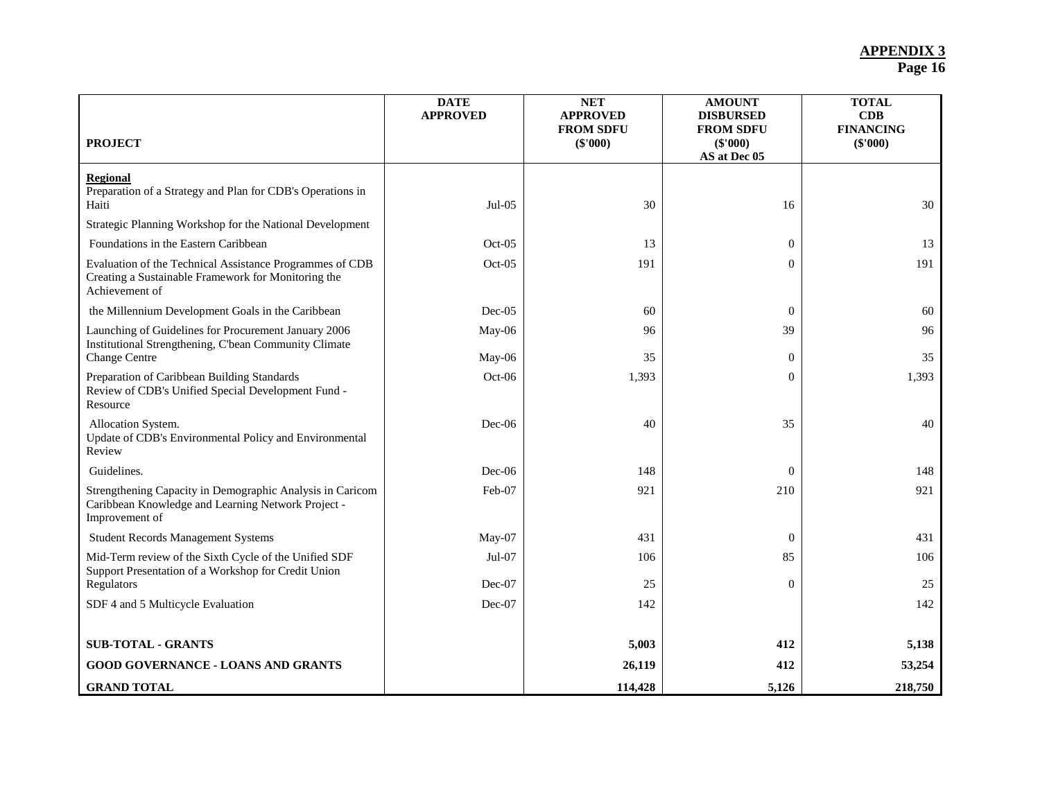|                                                                                                                                   | <b>DATE</b><br><b>APPROVED</b> | <b>NET</b><br><b>APPROVED</b><br><b>FROM SDFU</b> | <b>AMOUNT</b><br><b>DISBURSED</b><br><b>FROM SDFU</b> | <b>TOTAL</b><br>CDB<br><b>FINANCING</b> |
|-----------------------------------------------------------------------------------------------------------------------------------|--------------------------------|---------------------------------------------------|-------------------------------------------------------|-----------------------------------------|
| <b>PROJECT</b>                                                                                                                    |                                | (\$'000)                                          | (\$'000)<br>AS at Dec 05                              | $(\$'000)$                              |
| <b>Regional</b><br>Preparation of a Strategy and Plan for CDB's Operations in<br>Haiti                                            | $Jul-05$                       | 30                                                | 16                                                    | 30                                      |
| Strategic Planning Workshop for the National Development                                                                          |                                |                                                   |                                                       |                                         |
| Foundations in the Eastern Caribbean                                                                                              | $Oct-05$                       | 13                                                | $\theta$                                              | 13                                      |
| Evaluation of the Technical Assistance Programmes of CDB<br>Creating a Sustainable Framework for Monitoring the<br>Achievement of | $Oct-05$                       | 191                                               | $\Omega$                                              | 191                                     |
| the Millennium Development Goals in the Caribbean                                                                                 | $Dec-05$                       | 60                                                | $\overline{0}$                                        | 60                                      |
| Launching of Guidelines for Procurement January 2006<br>Institutional Strengthening, C'bean Community Climate                     | May-06                         | 96                                                | 39                                                    | 96                                      |
| <b>Change Centre</b>                                                                                                              | May-06                         | 35                                                | $\theta$                                              | 35                                      |
| Preparation of Caribbean Building Standards<br>Review of CDB's Unified Special Development Fund -<br>Resource                     | $Oct-06$                       | 1,393                                             | $\Omega$                                              | 1,393                                   |
| Allocation System.<br>Update of CDB's Environmental Policy and Environmental<br>Review                                            | $Dec-06$                       | 40                                                | 35                                                    | 40                                      |
| Guidelines.                                                                                                                       | $Dec-06$                       | 148                                               | $\overline{0}$                                        | 148                                     |
| Strengthening Capacity in Demographic Analysis in Caricom<br>Caribbean Knowledge and Learning Network Project -<br>Improvement of | Feb-07                         | 921                                               | 210                                                   | 921                                     |
| <b>Student Records Management Systems</b>                                                                                         | May-07                         | 431                                               | $\overline{0}$                                        | 431                                     |
| Mid-Term review of the Sixth Cycle of the Unified SDF<br>Support Presentation of a Workshop for Credit Union                      | $Jul-07$                       | 106                                               | 85                                                    | 106                                     |
| Regulators                                                                                                                        | Dec-07                         | 25                                                | $\theta$                                              | 25                                      |
| SDF 4 and 5 Multicycle Evaluation                                                                                                 | Dec-07                         | 142                                               |                                                       | 142                                     |
| <b>SUB-TOTAL - GRANTS</b>                                                                                                         |                                | 5,003                                             | 412                                                   | 5,138                                   |
| <b>GOOD GOVERNANCE - LOANS AND GRANTS</b>                                                                                         |                                | 26,119                                            | 412                                                   | 53,254                                  |
| <b>GRAND TOTAL</b>                                                                                                                |                                | 114,428                                           | 5,126                                                 | 218,750                                 |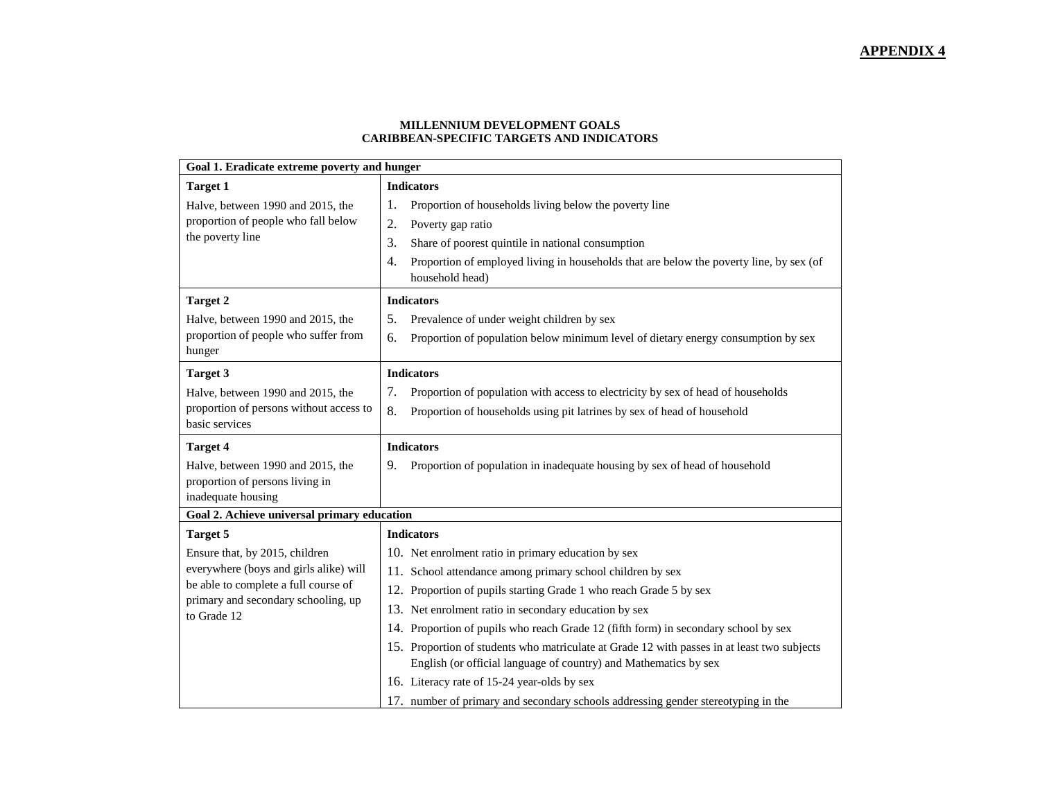#### **MILLENNIUM DEVELOPMENT GOALS CARIBBEAN-SPECIFIC TARGETS AND INDICATORS**

| Goal 1. Eradicate extreme poverty and hunger   |                                                                                                                                                                 |  |  |  |
|------------------------------------------------|-----------------------------------------------------------------------------------------------------------------------------------------------------------------|--|--|--|
| <b>Target 1</b>                                | <b>Indicators</b>                                                                                                                                               |  |  |  |
| Halve, between 1990 and 2015, the              | Proportion of households living below the poverty line<br>1.                                                                                                    |  |  |  |
| proportion of people who fall below            | 2.<br>Poverty gap ratio                                                                                                                                         |  |  |  |
| the poverty line                               | 3.<br>Share of poorest quintile in national consumption                                                                                                         |  |  |  |
|                                                | Proportion of employed living in households that are below the poverty line, by sex (of<br>4.<br>household head)                                                |  |  |  |
| <b>Target 2</b>                                | <b>Indicators</b>                                                                                                                                               |  |  |  |
| Halve, between 1990 and 2015, the              | 5.<br>Prevalence of under weight children by sex                                                                                                                |  |  |  |
| proportion of people who suffer from<br>hunger | Proportion of population below minimum level of dietary energy consumption by sex<br>6.                                                                         |  |  |  |
| <b>Target 3</b>                                | <b>Indicators</b>                                                                                                                                               |  |  |  |
| Halve, between 1990 and 2015, the              | 7.<br>Proportion of population with access to electricity by sex of head of households                                                                          |  |  |  |
| proportion of persons without access to        | 8.<br>Proportion of households using pit latrines by sex of head of household                                                                                   |  |  |  |
| basic services                                 |                                                                                                                                                                 |  |  |  |
|                                                |                                                                                                                                                                 |  |  |  |
| <b>Target 4</b>                                | <b>Indicators</b>                                                                                                                                               |  |  |  |
| Halve, between 1990 and 2015, the              | 9.<br>Proportion of population in inadequate housing by sex of head of household                                                                                |  |  |  |
| proportion of persons living in                |                                                                                                                                                                 |  |  |  |
| inadequate housing                             |                                                                                                                                                                 |  |  |  |
| Goal 2. Achieve universal primary education    |                                                                                                                                                                 |  |  |  |
| <b>Target 5</b>                                | <b>Indicators</b>                                                                                                                                               |  |  |  |
| Ensure that, by 2015, children                 | 10. Net enrolment ratio in primary education by sex                                                                                                             |  |  |  |
| everywhere (boys and girls alike) will         | 11. School attendance among primary school children by sex                                                                                                      |  |  |  |
| be able to complete a full course of           | 12. Proportion of pupils starting Grade 1 who reach Grade 5 by sex                                                                                              |  |  |  |
| primary and secondary schooling, up            | 13. Net enrolment ratio in secondary education by sex                                                                                                           |  |  |  |
| to Grade 12                                    | 14. Proportion of pupils who reach Grade 12 (fifth form) in secondary school by sex                                                                             |  |  |  |
|                                                | 15. Proportion of students who matriculate at Grade 12 with passes in at least two subjects<br>English (or official language of country) and Mathematics by sex |  |  |  |
|                                                | 16. Literacy rate of 15-24 year-olds by sex                                                                                                                     |  |  |  |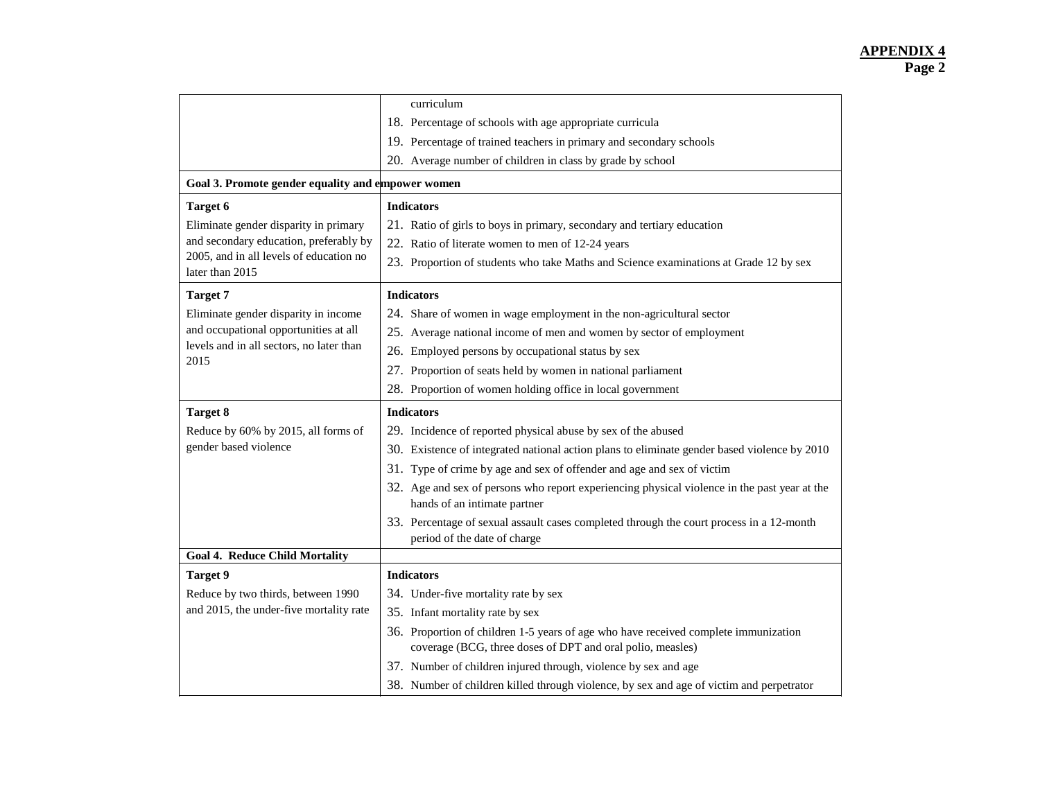|                                                            | curriculum                                                                                                                   |
|------------------------------------------------------------|------------------------------------------------------------------------------------------------------------------------------|
|                                                            | 18. Percentage of schools with age appropriate curricula                                                                     |
|                                                            | 19. Percentage of trained teachers in primary and secondary schools                                                          |
|                                                            | 20. Average number of children in class by grade by school                                                                   |
| Goal 3. Promote gender equality and empower women          |                                                                                                                              |
| <b>Target 6</b>                                            | <b>Indicators</b>                                                                                                            |
| Eliminate gender disparity in primary                      | 21. Ratio of girls to boys in primary, secondary and tertiary education                                                      |
| and secondary education, preferably by                     | 22. Ratio of literate women to men of 12-24 years                                                                            |
| 2005, and in all levels of education no<br>later than 2015 | 23. Proportion of students who take Maths and Science examinations at Grade 12 by sex                                        |
| <b>Target 7</b>                                            | <b>Indicators</b>                                                                                                            |
| Eliminate gender disparity in income                       | 24. Share of women in wage employment in the non-agricultural sector                                                         |
| and occupational opportunities at all                      | 25. Average national income of men and women by sector of employment                                                         |
| levels and in all sectors, no later than                   | 26. Employed persons by occupational status by sex                                                                           |
| 2015                                                       | 27. Proportion of seats held by women in national parliament                                                                 |
|                                                            | 28. Proportion of women holding office in local government                                                                   |
|                                                            |                                                                                                                              |
| <b>Target 8</b>                                            | <b>Indicators</b>                                                                                                            |
| Reduce by 60% by 2015, all forms of                        | 29. Incidence of reported physical abuse by sex of the abused                                                                |
| gender based violence                                      | 30. Existence of integrated national action plans to eliminate gender based violence by 2010                                 |
|                                                            | 31. Type of crime by age and sex of offender and age and sex of victim                                                       |
|                                                            | 32. Age and sex of persons who report experiencing physical violence in the past year at the<br>hands of an intimate partner |
|                                                            | 33. Percentage of sexual assault cases completed through the court process in a 12-month<br>period of the date of charge     |
| <b>Goal 4. Reduce Child Mortality</b>                      |                                                                                                                              |
| <b>Target 9</b>                                            | <b>Indicators</b>                                                                                                            |
| Reduce by two thirds, between 1990                         | 34. Under-five mortality rate by sex                                                                                         |
| and 2015, the under-five mortality rate                    | 35. Infant mortality rate by sex                                                                                             |
|                                                            | 36. Proportion of children 1-5 years of age who have received complete immunization                                          |
|                                                            | coverage (BCG, three doses of DPT and oral polio, measles)                                                                   |
|                                                            | 37. Number of children injured through, violence by sex and age                                                              |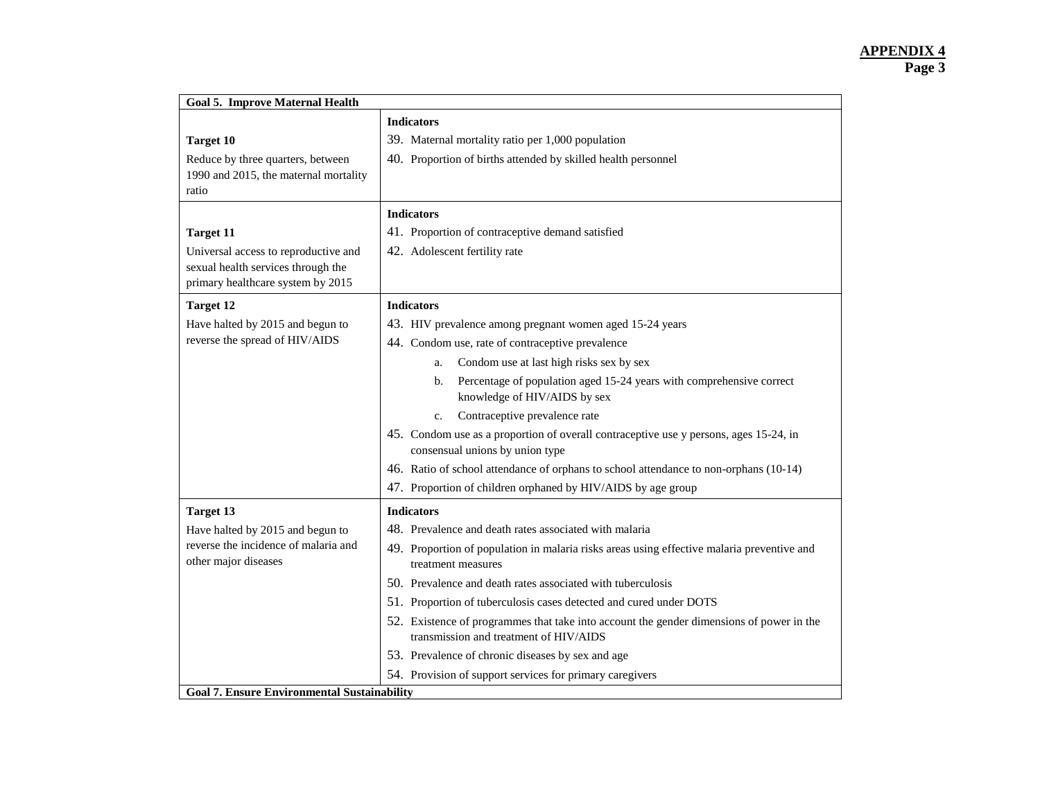| <b>Goal 5. Improve Maternal Health</b>                       |                                                                                                                          |
|--------------------------------------------------------------|--------------------------------------------------------------------------------------------------------------------------|
|                                                              | <b>Indicators</b>                                                                                                        |
| <b>Target 10</b>                                             | 39. Maternal mortality ratio per 1,000 population                                                                        |
| Reduce by three quarters, between                            | 40. Proportion of births attended by skilled health personnel                                                            |
| 1990 and 2015, the maternal mortality                        |                                                                                                                          |
| ratio                                                        |                                                                                                                          |
|                                                              | <b>Indicators</b>                                                                                                        |
| <b>Target 11</b>                                             | 41. Proportion of contraceptive demand satisfied                                                                         |
| Universal access to reproductive and                         | 42. Adolescent fertility rate                                                                                            |
| sexual health services through the                           |                                                                                                                          |
| primary healthcare system by 2015                            |                                                                                                                          |
| <b>Target 12</b>                                             | <b>Indicators</b>                                                                                                        |
| Have halted by 2015 and begun to                             | 43. HIV prevalence among pregnant women aged 15-24 years                                                                 |
| reverse the spread of HIV/AIDS                               | 44. Condom use, rate of contraceptive prevalence                                                                         |
|                                                              | Condom use at last high risks sex by sex<br>a.                                                                           |
|                                                              | Percentage of population aged 15-24 years with comprehensive correct<br>b.                                               |
|                                                              | knowledge of HIV/AIDS by sex                                                                                             |
|                                                              | Contraceptive prevalence rate<br>c.                                                                                      |
|                                                              | 45. Condom use as a proportion of overall contraceptive use y persons, ages 15-24, in<br>consensual unions by union type |
|                                                              | 46. Ratio of school attendance of orphans to school attendance to non-orphans (10-14)                                    |
|                                                              | 47. Proportion of children orphaned by HIV/AIDS by age group                                                             |
| <b>Target 13</b>                                             | <b>Indicators</b>                                                                                                        |
| Have halted by 2015 and begun to                             | 48. Prevalence and death rates associated with malaria                                                                   |
| reverse the incidence of malaria and<br>other major diseases | 49. Proportion of population in malaria risks areas using effective malaria preventive and<br>treatment measures         |
|                                                              | 50. Prevalence and death rates associated with tuberculosis                                                              |
|                                                              | 51. Proportion of tuberculosis cases detected and cured under DOTS                                                       |
|                                                              | 52. Existence of programmes that take into account the gender dimensions of power in the                                 |
|                                                              | transmission and treatment of HIV/AIDS                                                                                   |
|                                                              | 53. Prevalence of chronic diseases by sex and age                                                                        |
|                                                              | 54. Provision of support services for primary caregivers                                                                 |
| <b>Goal 7. Ensure Environmental Sustainability</b>           |                                                                                                                          |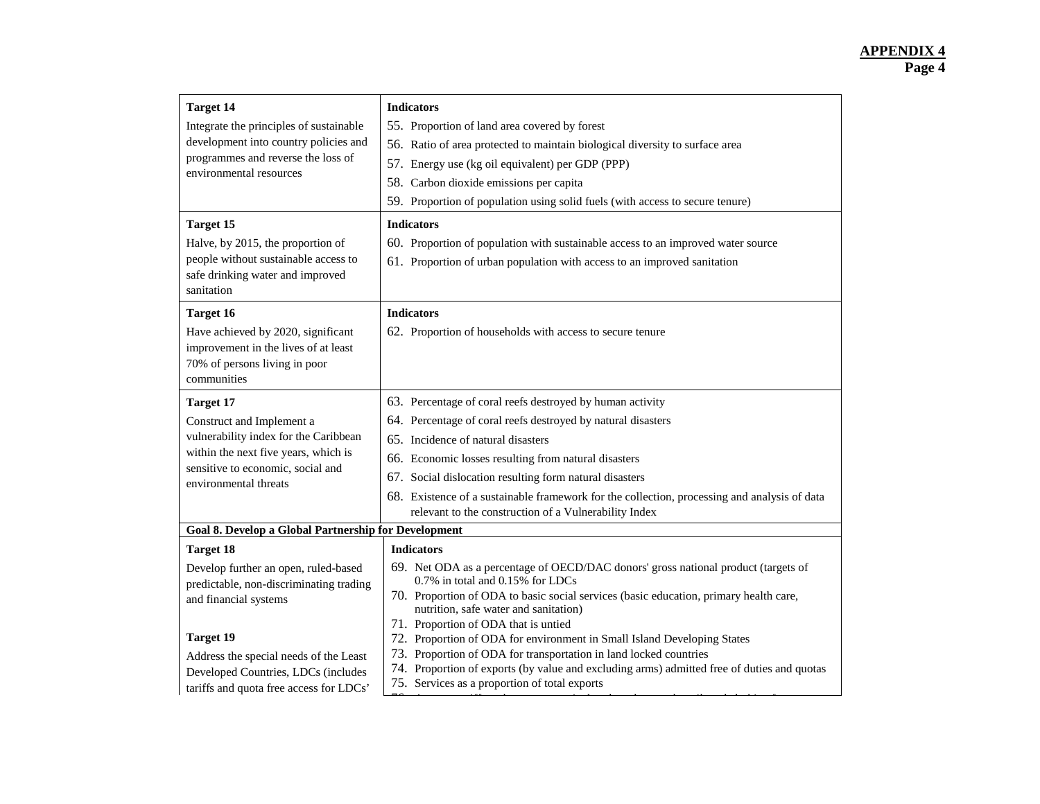| <b>Target 14</b><br>Integrate the principles of sustainable<br>development into country policies and<br>programmes and reverse the loss of<br>environmental resources<br><b>Target 15</b>                                                                                    | <b>Indicators</b><br>55. Proportion of land area covered by forest<br>56. Ratio of area protected to maintain biological diversity to surface area<br>57. Energy use (kg oil equivalent) per GDP (PPP)<br>58. Carbon dioxide emissions per capita<br>59. Proportion of population using solid fuels (with access to secure tenure)<br><b>Indicators</b>                                                                                                                                                                                                                                                              |
|------------------------------------------------------------------------------------------------------------------------------------------------------------------------------------------------------------------------------------------------------------------------------|----------------------------------------------------------------------------------------------------------------------------------------------------------------------------------------------------------------------------------------------------------------------------------------------------------------------------------------------------------------------------------------------------------------------------------------------------------------------------------------------------------------------------------------------------------------------------------------------------------------------|
| Halve, by 2015, the proportion of<br>people without sustainable access to<br>safe drinking water and improved<br>sanitation                                                                                                                                                  | 60. Proportion of population with sustainable access to an improved water source<br>61. Proportion of urban population with access to an improved sanitation                                                                                                                                                                                                                                                                                                                                                                                                                                                         |
| <b>Target 16</b><br>Have achieved by 2020, significant<br>improvement in the lives of at least<br>70% of persons living in poor<br>communities                                                                                                                               | <b>Indicators</b><br>62. Proportion of households with access to secure tenure                                                                                                                                                                                                                                                                                                                                                                                                                                                                                                                                       |
| <b>Target 17</b><br>Construct and Implement a<br>vulnerability index for the Caribbean<br>within the next five years, which is<br>sensitive to economic, social and<br>environmental threats                                                                                 | 63. Percentage of coral reefs destroyed by human activity<br>64. Percentage of coral reefs destroyed by natural disasters<br>65. Incidence of natural disasters<br>66. Economic losses resulting from natural disasters<br>67. Social dislocation resulting form natural disasters<br>68. Existence of a sustainable framework for the collection, processing and analysis of data<br>relevant to the construction of a Vulnerability Index                                                                                                                                                                          |
| <b>Goal 8. Develop a Global Partnership for Development</b>                                                                                                                                                                                                                  |                                                                                                                                                                                                                                                                                                                                                                                                                                                                                                                                                                                                                      |
| <b>Target 18</b><br>Develop further an open, ruled-based<br>predictable, non-discriminating trading<br>and financial systems<br><b>Target 19</b><br>Address the special needs of the Least<br>Developed Countries, LDCs (includes<br>tariffs and quota free access for LDCs' | <b>Indicators</b><br>69. Net ODA as a percentage of OECD/DAC donors' gross national product (targets of<br>0.7% in total and 0.15% for LDCs<br>70. Proportion of ODA to basic social services (basic education, primary health care,<br>nutrition, safe water and sanitation)<br>71. Proportion of ODA that is untied<br>72. Proportion of ODA for environment in Small Island Developing States<br>73. Proportion of ODA for transportation in land locked countries<br>74. Proportion of exports (by value and excluding arms) admitted free of duties and quotas<br>75. Services as a proportion of total exports |